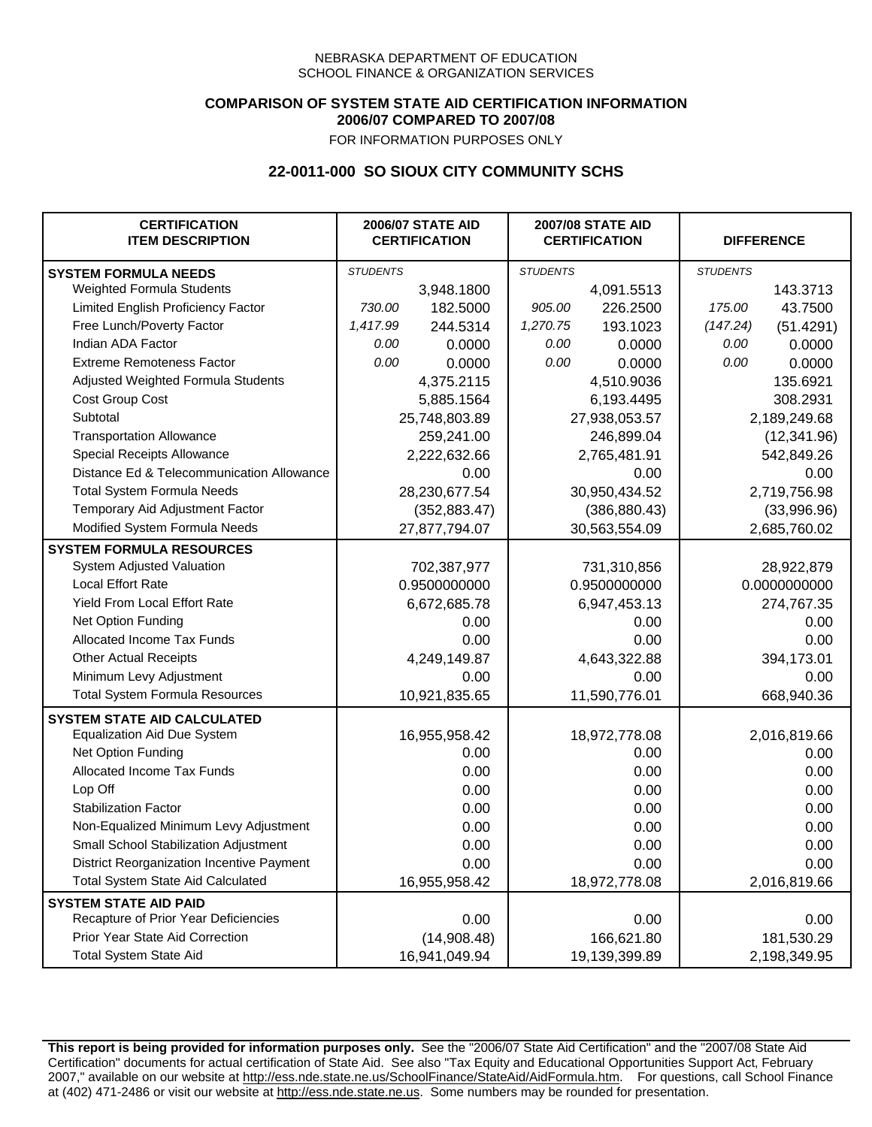## **COMPARISON OF SYSTEM STATE AID CERTIFICATION INFORMATION 2006/07 COMPARED TO 2007/08**

FOR INFORMATION PURPOSES ONLY

## **22-0011-000 SO SIOUX CITY COMMUNITY SCHS**

| <b>CERTIFICATION</b><br><b>ITEM DESCRIPTION</b> |                 | <b>2006/07 STATE AID</b><br><b>CERTIFICATION</b> | <b>2007/08 STATE AID</b><br><b>CERTIFICATION</b> |               |                 | <b>DIFFERENCE</b> |
|-------------------------------------------------|-----------------|--------------------------------------------------|--------------------------------------------------|---------------|-----------------|-------------------|
| <b>SYSTEM FORMULA NEEDS</b>                     | <b>STUDENTS</b> |                                                  | <b>STUDENTS</b>                                  |               | <b>STUDENTS</b> |                   |
| Weighted Formula Students                       |                 | 3,948.1800                                       |                                                  | 4,091.5513    |                 | 143.3713          |
| Limited English Proficiency Factor              | 730.00          | 182.5000                                         | 905.00                                           | 226.2500      | 175.00          | 43.7500           |
| Free Lunch/Poverty Factor                       | 1,417.99        | 244.5314                                         | 1,270.75                                         | 193.1023      | (147.24)        | (51.4291)         |
| Indian ADA Factor                               | 0.00            | 0.0000                                           | 0.00                                             | 0.0000        | 0.00            | 0.0000            |
| <b>Extreme Remoteness Factor</b>                | 0.00            | 0.0000                                           | 0.00                                             | 0.0000        | 0.00            | 0.0000            |
| Adjusted Weighted Formula Students              |                 | 4,375.2115                                       |                                                  | 4,510.9036    |                 | 135.6921          |
| <b>Cost Group Cost</b>                          |                 | 5,885.1564                                       |                                                  | 6,193.4495    | 308.2931        |                   |
| Subtotal                                        |                 | 25,748,803.89                                    |                                                  | 27,938,053.57 |                 | 2,189,249.68      |
| <b>Transportation Allowance</b>                 |                 | 259,241.00                                       |                                                  | 246,899.04    |                 | (12, 341.96)      |
| Special Receipts Allowance                      |                 | 2,222,632.66                                     |                                                  | 2,765,481.91  |                 | 542,849.26        |
| Distance Ed & Telecommunication Allowance       |                 | 0.00                                             |                                                  | 0.00          |                 | 0.00              |
| <b>Total System Formula Needs</b>               |                 | 28,230,677.54                                    |                                                  | 30,950,434.52 | 2,719,756.98    |                   |
| Temporary Aid Adjustment Factor                 |                 | (352, 883.47)                                    | (386, 880.43)                                    |               | (33,996.96)     |                   |
| Modified System Formula Needs                   | 27,877,794.07   |                                                  | 30,563,554.09                                    |               | 2,685,760.02    |                   |
| <b>SYSTEM FORMULA RESOURCES</b>                 |                 |                                                  |                                                  |               |                 |                   |
| System Adjusted Valuation                       |                 | 702,387,977                                      |                                                  | 731,310,856   |                 | 28,922,879        |
| <b>Local Effort Rate</b>                        |                 | 0.9500000000                                     |                                                  | 0.9500000000  |                 | 0.0000000000      |
| Yield From Local Effort Rate                    |                 | 6,672,685.78                                     |                                                  | 6,947,453.13  | 274,767.35      |                   |
| Net Option Funding                              |                 | 0.00                                             | 0.00                                             |               | 0.00            |                   |
| Allocated Income Tax Funds                      |                 | 0.00                                             | 0.00                                             |               | 0.00            |                   |
| <b>Other Actual Receipts</b>                    |                 | 4,249,149.87                                     | 4,643,322.88                                     |               | 394,173.01      |                   |
| Minimum Levy Adjustment                         |                 | 0.00                                             |                                                  | 0.00          |                 | 0.00              |
| <b>Total System Formula Resources</b>           |                 | 10,921,835.65                                    |                                                  | 11,590,776.01 |                 | 668,940.36        |
| <b>SYSTEM STATE AID CALCULATED</b>              |                 |                                                  |                                                  |               |                 |                   |
| <b>Equalization Aid Due System</b>              |                 | 16,955,958.42                                    |                                                  | 18,972,778.08 |                 | 2,016,819.66      |
| Net Option Funding                              |                 | 0.00                                             |                                                  | 0.00          |                 | 0.00              |
| Allocated Income Tax Funds                      |                 | 0.00                                             |                                                  | 0.00          |                 | 0.00              |
| Lop Off                                         |                 | 0.00                                             |                                                  | 0.00          |                 | 0.00              |
| <b>Stabilization Factor</b>                     |                 | 0.00                                             |                                                  | 0.00          |                 | 0.00              |
| Non-Equalized Minimum Levy Adjustment           |                 | 0.00                                             |                                                  | 0.00          |                 | 0.00              |
| Small School Stabilization Adjustment           |                 | 0.00                                             |                                                  | 0.00          |                 | 0.00              |
| District Reorganization Incentive Payment       |                 | 0.00                                             |                                                  | 0.00          |                 | 0.00              |
| <b>Total System State Aid Calculated</b>        |                 | 16,955,958.42                                    |                                                  | 18,972,778.08 |                 | 2,016,819.66      |
| <b>SYSTEM STATE AID PAID</b>                    |                 |                                                  |                                                  |               |                 |                   |
| Recapture of Prior Year Deficiencies            |                 | 0.00                                             |                                                  | 0.00          |                 | 0.00              |
| Prior Year State Aid Correction                 |                 | (14,908.48)                                      |                                                  | 166,621.80    |                 | 181,530.29        |
| <b>Total System State Aid</b>                   |                 | 16,941,049.94                                    |                                                  | 19,139,399.89 | 2,198,349.95    |                   |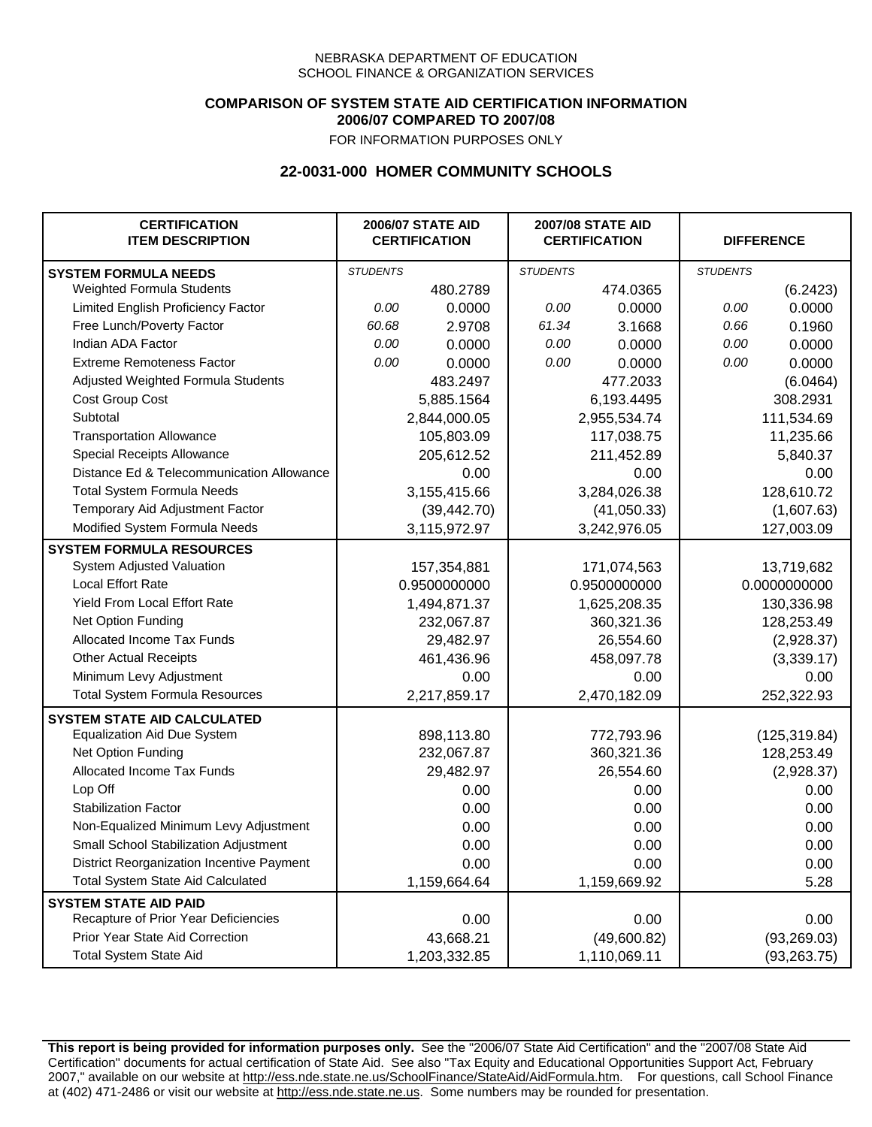### **COMPARISON OF SYSTEM STATE AID CERTIFICATION INFORMATION 2006/07 COMPARED TO 2007/08**

FOR INFORMATION PURPOSES ONLY

## **22-0031-000 HOMER COMMUNITY SCHOOLS**

| <b>CERTIFICATION</b><br><b>ITEM DESCRIPTION</b> |                 | <b>2006/07 STATE AID</b><br><b>CERTIFICATION</b> | <b>2007/08 STATE AID</b><br><b>CERTIFICATION</b> |              | <b>DIFFERENCE</b> |               |
|-------------------------------------------------|-----------------|--------------------------------------------------|--------------------------------------------------|--------------|-------------------|---------------|
| <b>SYSTEM FORMULA NEEDS</b>                     | <b>STUDENTS</b> |                                                  | <b>STUDENTS</b>                                  |              | <b>STUDENTS</b>   |               |
| Weighted Formula Students                       |                 | 480.2789                                         |                                                  | 474.0365     |                   | (6.2423)      |
| Limited English Proficiency Factor              | 0.00            | 0.0000                                           | 0.00                                             | 0.0000       | 0.00              | 0.0000        |
| Free Lunch/Poverty Factor                       | 60.68           | 2.9708                                           | 61.34                                            | 3.1668       | 0.66              | 0.1960        |
| Indian ADA Factor                               | 0.00            | 0.0000                                           | 0.00                                             | 0.0000       | 0.00              | 0.0000        |
| <b>Extreme Remoteness Factor</b>                | 0.00            | 0.0000                                           | 0.00                                             | 0.0000       | 0.00              | 0.0000        |
| Adjusted Weighted Formula Students              |                 | 483.2497                                         |                                                  | 477.2033     |                   | (6.0464)      |
| Cost Group Cost                                 |                 | 5,885.1564                                       |                                                  | 6,193.4495   |                   | 308.2931      |
| Subtotal                                        |                 | 2,844,000.05                                     |                                                  | 2,955,534.74 |                   | 111,534.69    |
| <b>Transportation Allowance</b>                 |                 | 105,803.09                                       |                                                  | 117,038.75   |                   | 11,235.66     |
| Special Receipts Allowance                      |                 | 205,612.52                                       |                                                  | 211,452.89   |                   | 5,840.37      |
| Distance Ed & Telecommunication Allowance       |                 | 0.00                                             |                                                  | 0.00         |                   | 0.00          |
| <b>Total System Formula Needs</b>               |                 | 3,155,415.66                                     |                                                  | 3,284,026.38 |                   | 128,610.72    |
| Temporary Aid Adjustment Factor                 |                 | (39, 442.70)                                     |                                                  | (41,050.33)  |                   | (1,607.63)    |
| Modified System Formula Needs                   |                 | 3,115,972.97                                     |                                                  | 3,242,976.05 |                   | 127,003.09    |
| <b>SYSTEM FORMULA RESOURCES</b>                 |                 |                                                  |                                                  |              |                   |               |
| System Adjusted Valuation                       |                 | 157,354,881                                      |                                                  | 171,074,563  |                   | 13,719,682    |
| <b>Local Effort Rate</b>                        |                 | 0.9500000000                                     |                                                  | 0.9500000000 |                   | 0.0000000000  |
| Yield From Local Effort Rate                    |                 | 1,494,871.37                                     |                                                  | 1,625,208.35 |                   | 130,336.98    |
| Net Option Funding                              |                 | 232,067.87                                       |                                                  | 360,321.36   |                   | 128,253.49    |
| Allocated Income Tax Funds                      |                 | 29,482.97                                        |                                                  | 26,554.60    |                   | (2,928.37)    |
| <b>Other Actual Receipts</b>                    |                 | 461,436.96                                       |                                                  | 458,097.78   |                   | (3,339.17)    |
| Minimum Levy Adjustment                         |                 | 0.00                                             | 0.00                                             |              |                   | 0.00          |
| <b>Total System Formula Resources</b>           |                 | 2,217,859.17                                     |                                                  | 2,470,182.09 |                   | 252,322.93    |
| <b>SYSTEM STATE AID CALCULATED</b>              |                 |                                                  |                                                  |              |                   |               |
| <b>Equalization Aid Due System</b>              |                 | 898,113.80                                       |                                                  | 772,793.96   |                   | (125, 319.84) |
| Net Option Funding                              |                 | 232,067.87                                       |                                                  | 360,321.36   |                   | 128,253.49    |
| Allocated Income Tax Funds                      |                 | 29,482.97                                        |                                                  | 26,554.60    |                   | (2,928.37)    |
| Lop Off                                         |                 | 0.00                                             |                                                  | 0.00         |                   | 0.00          |
| <b>Stabilization Factor</b>                     |                 | 0.00                                             |                                                  | 0.00         |                   | 0.00          |
| Non-Equalized Minimum Levy Adjustment           |                 | 0.00                                             |                                                  | 0.00         |                   | 0.00          |
| Small School Stabilization Adjustment           |                 | 0.00                                             |                                                  | 0.00         |                   | 0.00          |
| District Reorganization Incentive Payment       |                 | 0.00                                             |                                                  | 0.00         |                   | 0.00          |
| <b>Total System State Aid Calculated</b>        |                 | 1,159,664.64                                     |                                                  | 1,159,669.92 |                   | 5.28          |
| <b>SYSTEM STATE AID PAID</b>                    |                 |                                                  |                                                  |              |                   |               |
| Recapture of Prior Year Deficiencies            |                 | 0.00                                             |                                                  | 0.00         |                   | 0.00          |
| Prior Year State Aid Correction                 |                 | 43,668.21                                        |                                                  | (49,600.82)  |                   | (93, 269.03)  |
| <b>Total System State Aid</b>                   |                 | 1,203,332.85                                     |                                                  | 1,110,069.11 |                   | (93, 263.75)  |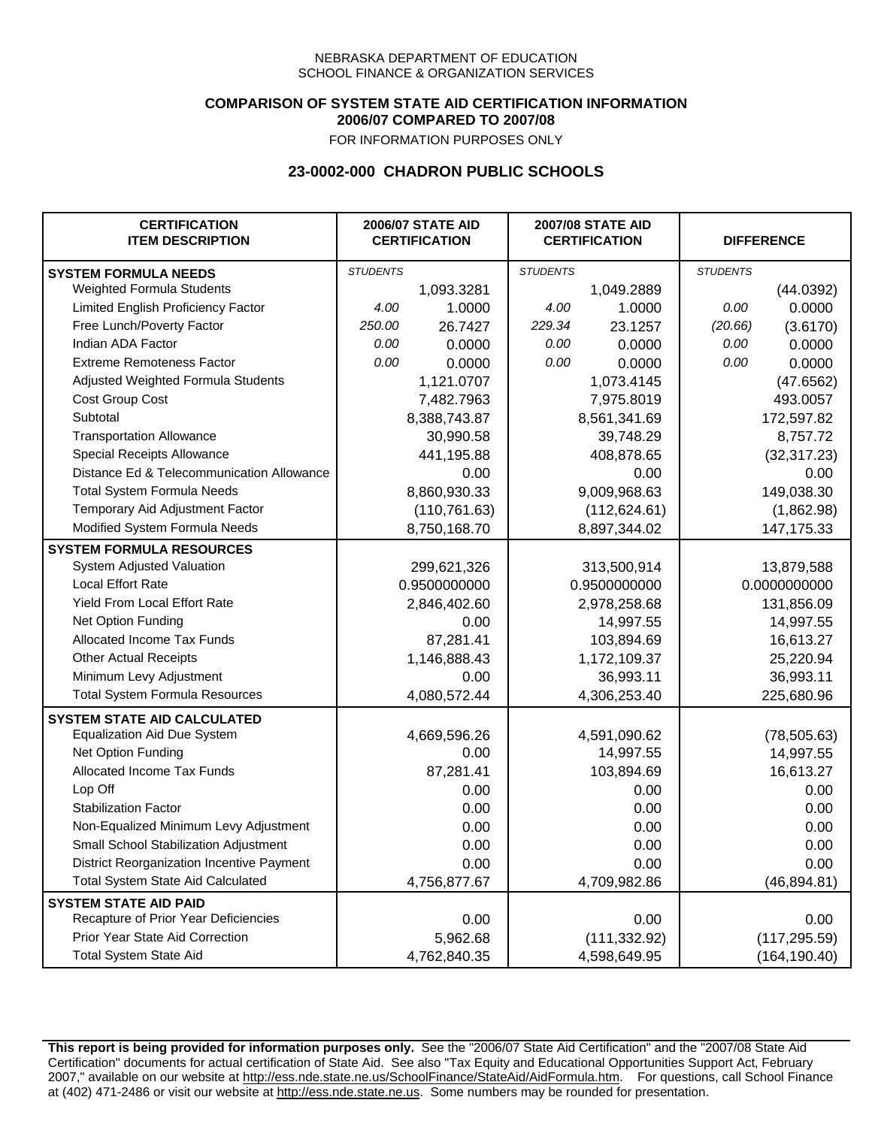## **COMPARISON OF SYSTEM STATE AID CERTIFICATION INFORMATION 2006/07 COMPARED TO 2007/08**

FOR INFORMATION PURPOSES ONLY

## **23-0002-000 CHADRON PUBLIC SCHOOLS**

| <b>CERTIFICATION</b><br><b>ITEM DESCRIPTION</b> | <b>2006/07 STATE AID</b><br><b>CERTIFICATION</b> |               | <b>2007/08 STATE AID</b><br><b>CERTIFICATION</b> |               | <b>DIFFERENCE</b> |               |
|-------------------------------------------------|--------------------------------------------------|---------------|--------------------------------------------------|---------------|-------------------|---------------|
| <b>SYSTEM FORMULA NEEDS</b>                     | <b>STUDENTS</b>                                  |               | <b>STUDENTS</b>                                  |               | <b>STUDENTS</b>   |               |
| Weighted Formula Students                       |                                                  | 1,093.3281    |                                                  | 1,049.2889    |                   | (44.0392)     |
| Limited English Proficiency Factor              | 4.00                                             | 1.0000        | 4.00                                             | 1.0000        | 0.00              | 0.0000        |
| Free Lunch/Poverty Factor                       | 250.00                                           | 26.7427       | 229.34                                           | 23.1257       | (20.66)           | (3.6170)      |
| Indian ADA Factor                               | 0.00                                             | 0.0000        | 0.00                                             | 0.0000        | 0.00              | 0.0000        |
| <b>Extreme Remoteness Factor</b>                | 0.00                                             | 0.0000        | 0.00                                             | 0.0000        | 0.00              | 0.0000        |
| Adjusted Weighted Formula Students              |                                                  | 1,121.0707    |                                                  | 1,073.4145    |                   | (47.6562)     |
| Cost Group Cost                                 |                                                  | 7,482.7963    |                                                  | 7,975.8019    |                   | 493.0057      |
| Subtotal                                        |                                                  | 8,388,743.87  |                                                  | 8,561,341.69  |                   | 172,597.82    |
| <b>Transportation Allowance</b>                 |                                                  | 30,990.58     |                                                  | 39,748.29     |                   | 8,757.72      |
| Special Receipts Allowance                      |                                                  | 441,195.88    |                                                  | 408,878.65    |                   | (32, 317.23)  |
| Distance Ed & Telecommunication Allowance       |                                                  | 0.00          |                                                  | 0.00          |                   | 0.00          |
| <b>Total System Formula Needs</b>               |                                                  | 8,860,930.33  |                                                  | 9,009,968.63  |                   | 149,038.30    |
| Temporary Aid Adjustment Factor                 |                                                  | (110, 761.63) | (112, 624.61)                                    |               | (1,862.98)        |               |
| Modified System Formula Needs                   |                                                  | 8,750,168.70  |                                                  | 8,897,344.02  |                   | 147, 175. 33  |
| <b>SYSTEM FORMULA RESOURCES</b>                 |                                                  |               |                                                  |               |                   |               |
| System Adjusted Valuation                       |                                                  | 299,621,326   |                                                  | 313,500,914   |                   | 13,879,588    |
| <b>Local Effort Rate</b>                        |                                                  | 0.9500000000  |                                                  | 0.9500000000  |                   | 0.0000000000  |
| Yield From Local Effort Rate                    |                                                  | 2,846,402.60  |                                                  | 2,978,258.68  |                   | 131,856.09    |
| Net Option Funding                              |                                                  | 0.00          |                                                  | 14,997.55     |                   | 14,997.55     |
| Allocated Income Tax Funds                      |                                                  | 87,281.41     |                                                  | 103,894.69    |                   | 16,613.27     |
| <b>Other Actual Receipts</b>                    |                                                  | 1,146,888.43  | 1,172,109.37                                     |               | 25,220.94         |               |
| Minimum Levy Adjustment                         |                                                  | 0.00          |                                                  | 36,993.11     |                   | 36,993.11     |
| <b>Total System Formula Resources</b>           |                                                  | 4,080,572.44  |                                                  | 4,306,253.40  |                   | 225,680.96    |
| <b>SYSTEM STATE AID CALCULATED</b>              |                                                  |               |                                                  |               |                   |               |
| <b>Equalization Aid Due System</b>              |                                                  | 4,669,596.26  |                                                  | 4,591,090.62  |                   | (78, 505.63)  |
| Net Option Funding                              |                                                  | 0.00          |                                                  | 14,997.55     |                   | 14,997.55     |
| Allocated Income Tax Funds                      |                                                  | 87,281.41     |                                                  | 103,894.69    |                   | 16,613.27     |
| Lop Off                                         |                                                  | 0.00          |                                                  | 0.00          |                   | 0.00          |
| <b>Stabilization Factor</b>                     |                                                  | 0.00          |                                                  | 0.00          |                   | 0.00          |
| Non-Equalized Minimum Levy Adjustment           |                                                  | 0.00          |                                                  | 0.00          |                   | 0.00          |
| Small School Stabilization Adjustment           |                                                  | 0.00          |                                                  | 0.00          |                   | 0.00          |
| District Reorganization Incentive Payment       |                                                  | 0.00          |                                                  | 0.00          |                   | 0.00          |
| <b>Total System State Aid Calculated</b>        |                                                  | 4,756,877.67  |                                                  | 4,709,982.86  |                   | (46, 894.81)  |
| <b>SYSTEM STATE AID PAID</b>                    |                                                  |               |                                                  |               |                   |               |
| Recapture of Prior Year Deficiencies            |                                                  | 0.00          |                                                  | 0.00          |                   | 0.00          |
| Prior Year State Aid Correction                 |                                                  | 5,962.68      |                                                  | (111, 332.92) |                   | (117, 295.59) |
| <b>Total System State Aid</b>                   |                                                  | 4,762,840.35  |                                                  | 4,598,649.95  |                   | (164, 190.40) |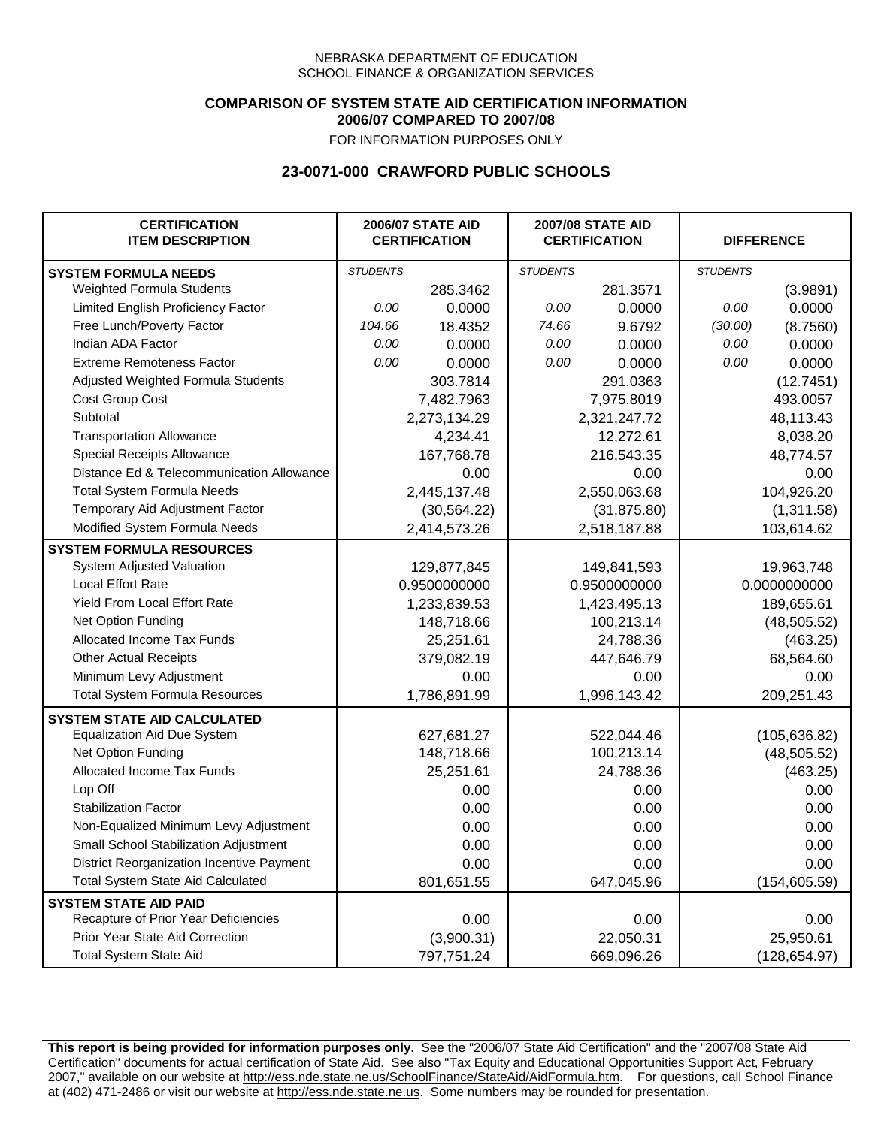## **COMPARISON OF SYSTEM STATE AID CERTIFICATION INFORMATION 2006/07 COMPARED TO 2007/08**

FOR INFORMATION PURPOSES ONLY

## **23-0071-000 CRAWFORD PUBLIC SCHOOLS**

| <b>CERTIFICATION</b><br><b>ITEM DESCRIPTION</b> |                 | <b>2006/07 STATE AID</b><br><b>CERTIFICATION</b> | <b>2007/08 STATE AID</b><br><b>CERTIFICATION</b> |              |                 | <b>DIFFERENCE</b> |  |
|-------------------------------------------------|-----------------|--------------------------------------------------|--------------------------------------------------|--------------|-----------------|-------------------|--|
| <b>SYSTEM FORMULA NEEDS</b>                     | <b>STUDENTS</b> |                                                  | <b>STUDENTS</b>                                  |              | <b>STUDENTS</b> |                   |  |
| Weighted Formula Students                       |                 | 285.3462                                         |                                                  | 281.3571     |                 | (3.9891)          |  |
| Limited English Proficiency Factor              | 0.00            | 0.0000                                           | 0.00                                             | 0.0000       | 0.00            | 0.0000            |  |
| Free Lunch/Poverty Factor                       | 104.66          | 18.4352                                          | 74.66                                            | 9.6792       | (30.00)         | (8.7560)          |  |
| Indian ADA Factor                               | 0.00            | 0.0000                                           | 0.00                                             | 0.0000       | 0.00            | 0.0000            |  |
| <b>Extreme Remoteness Factor</b>                | 0.00            | 0.0000                                           | 0.00                                             | 0.0000       | 0.00            | 0.0000            |  |
| Adjusted Weighted Formula Students              |                 | 303.7814                                         |                                                  | 291.0363     |                 | (12.7451)         |  |
| Cost Group Cost                                 |                 | 7,482.7963                                       |                                                  | 7,975.8019   |                 | 493.0057          |  |
| Subtotal                                        |                 | 2,273,134.29                                     |                                                  | 2,321,247.72 |                 | 48,113.43         |  |
| <b>Transportation Allowance</b>                 |                 | 4,234.41                                         |                                                  | 12,272.61    |                 | 8,038.20          |  |
| Special Receipts Allowance                      |                 | 167,768.78                                       |                                                  | 216,543.35   |                 | 48,774.57         |  |
| Distance Ed & Telecommunication Allowance       |                 | 0.00                                             |                                                  | 0.00         |                 | 0.00              |  |
| <b>Total System Formula Needs</b>               |                 | 2,445,137.48                                     |                                                  | 2,550,063.68 |                 | 104,926.20        |  |
| Temporary Aid Adjustment Factor                 |                 | (30, 564.22)                                     | (31, 875.80)                                     |              | (1,311.58)      |                   |  |
| Modified System Formula Needs                   |                 | 2,414,573.26                                     |                                                  | 2,518,187.88 |                 | 103,614.62        |  |
| <b>SYSTEM FORMULA RESOURCES</b>                 |                 |                                                  |                                                  |              |                 |                   |  |
| System Adjusted Valuation                       |                 | 129,877,845                                      |                                                  | 149,841,593  |                 | 19,963,748        |  |
| <b>Local Effort Rate</b>                        |                 | 0.9500000000                                     |                                                  | 0.9500000000 |                 | 0.0000000000      |  |
| Yield From Local Effort Rate                    |                 | 1,233,839.53                                     |                                                  | 1,423,495.13 |                 | 189,655.61        |  |
| Net Option Funding                              |                 | 148,718.66                                       |                                                  | 100,213.14   |                 | (48, 505.52)      |  |
| Allocated Income Tax Funds                      |                 | 25,251.61                                        |                                                  | 24,788.36    |                 | (463.25)          |  |
| <b>Other Actual Receipts</b>                    |                 | 379,082.19                                       | 447,646.79                                       |              | 68,564.60       |                   |  |
| Minimum Levy Adjustment                         |                 | 0.00                                             |                                                  | 0.00         |                 | 0.00              |  |
| <b>Total System Formula Resources</b>           |                 | 1,786,891.99                                     |                                                  | 1,996,143.42 |                 | 209,251.43        |  |
| <b>SYSTEM STATE AID CALCULATED</b>              |                 |                                                  |                                                  |              |                 |                   |  |
| <b>Equalization Aid Due System</b>              |                 | 627,681.27                                       |                                                  | 522,044.46   |                 | (105, 636.82)     |  |
| Net Option Funding                              |                 | 148,718.66                                       |                                                  | 100,213.14   |                 | (48, 505.52)      |  |
| Allocated Income Tax Funds                      |                 | 25,251.61                                        |                                                  | 24,788.36    |                 | (463.25)          |  |
| Lop Off                                         |                 | 0.00                                             |                                                  | 0.00         |                 | 0.00              |  |
| <b>Stabilization Factor</b>                     |                 | 0.00                                             |                                                  | 0.00         |                 | 0.00              |  |
| Non-Equalized Minimum Levy Adjustment           |                 | 0.00                                             |                                                  | 0.00         |                 | 0.00              |  |
| Small School Stabilization Adjustment           |                 | 0.00                                             |                                                  | 0.00         |                 | 0.00              |  |
| District Reorganization Incentive Payment       |                 | 0.00                                             |                                                  | 0.00         |                 | 0.00              |  |
| <b>Total System State Aid Calculated</b>        |                 | 801,651.55                                       |                                                  | 647,045.96   |                 | (154, 605.59)     |  |
| <b>SYSTEM STATE AID PAID</b>                    |                 |                                                  |                                                  |              |                 |                   |  |
| Recapture of Prior Year Deficiencies            |                 | 0.00                                             |                                                  | 0.00         |                 | 0.00              |  |
| Prior Year State Aid Correction                 |                 | (3,900.31)                                       |                                                  | 22,050.31    |                 | 25,950.61         |  |
| <b>Total System State Aid</b>                   |                 | 797,751.24                                       |                                                  | 669,096.26   |                 | (128, 654.97)     |  |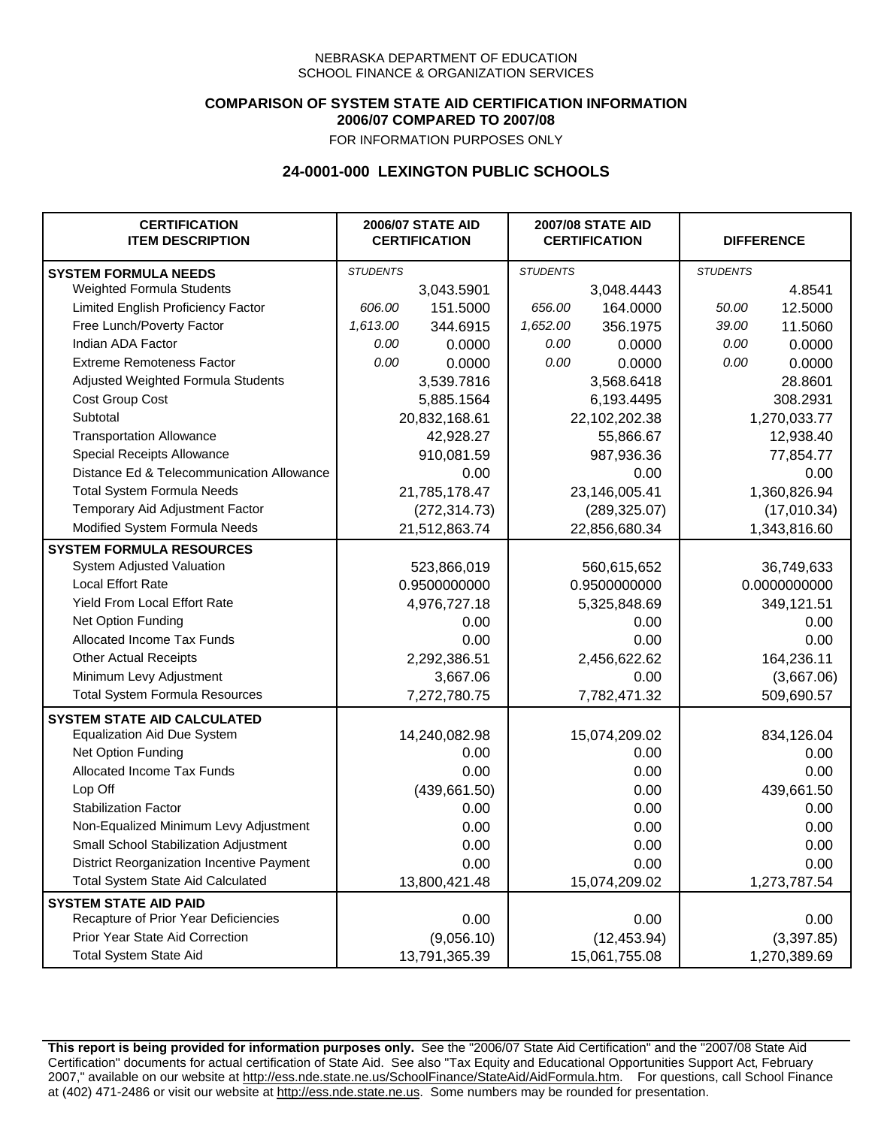### **COMPARISON OF SYSTEM STATE AID CERTIFICATION INFORMATION 2006/07 COMPARED TO 2007/08**

FOR INFORMATION PURPOSES ONLY

## **24-0001-000 LEXINGTON PUBLIC SCHOOLS**

| <b>CERTIFICATION</b><br><b>ITEM DESCRIPTION</b> |                 | <b>2006/07 STATE AID</b><br><b>CERTIFICATION</b> | <b>2007/08 STATE AID</b><br><b>CERTIFICATION</b> |               | <b>DIFFERENCE</b> |              |
|-------------------------------------------------|-----------------|--------------------------------------------------|--------------------------------------------------|---------------|-------------------|--------------|
| <b>SYSTEM FORMULA NEEDS</b>                     | <b>STUDENTS</b> |                                                  | <b>STUDENTS</b>                                  |               | <b>STUDENTS</b>   |              |
| Weighted Formula Students                       |                 | 3,043.5901                                       |                                                  | 3,048.4443    |                   | 4.8541       |
| Limited English Proficiency Factor              | 606.00          | 151.5000                                         | 656.00                                           | 164.0000      | 50.00             | 12.5000      |
| Free Lunch/Poverty Factor                       | 1,613.00        | 344.6915                                         | 1,652.00                                         | 356.1975      | 39.00             | 11.5060      |
| Indian ADA Factor                               | 0.00            | 0.0000                                           | 0.00                                             | 0.0000        | 0.00              | 0.0000       |
| <b>Extreme Remoteness Factor</b>                | 0.00            | 0.0000                                           | 0.00                                             | 0.0000        | 0.00              | 0.0000       |
| Adjusted Weighted Formula Students              |                 | 3,539.7816                                       |                                                  | 3,568.6418    |                   | 28.8601      |
| Cost Group Cost                                 |                 | 5,885.1564                                       | 6,193.4495                                       |               |                   | 308.2931     |
| Subtotal                                        |                 | 20,832,168.61                                    |                                                  | 22,102,202.38 |                   | 1,270,033.77 |
| <b>Transportation Allowance</b>                 |                 | 42,928.27                                        |                                                  | 55,866.67     |                   | 12,938.40    |
| Special Receipts Allowance                      |                 | 910,081.59                                       |                                                  | 987,936.36    |                   | 77,854.77    |
| Distance Ed & Telecommunication Allowance       |                 | 0.00                                             |                                                  | 0.00          |                   | 0.00         |
| <b>Total System Formula Needs</b>               |                 | 21,785,178.47                                    |                                                  | 23,146,005.41 |                   | 1,360,826.94 |
| Temporary Aid Adjustment Factor                 |                 | (272, 314.73)                                    | (289, 325.07)                                    |               | (17,010.34)       |              |
| Modified System Formula Needs                   | 21,512,863.74   |                                                  |                                                  | 22,856,680.34 | 1,343,816.60      |              |
| <b>SYSTEM FORMULA RESOURCES</b>                 |                 |                                                  |                                                  |               |                   |              |
| <b>System Adjusted Valuation</b>                |                 | 523,866,019                                      |                                                  | 560,615,652   |                   | 36,749,633   |
| <b>Local Effort Rate</b>                        |                 | 0.9500000000                                     |                                                  | 0.9500000000  | 0.0000000000      |              |
| Yield From Local Effort Rate                    |                 | 4,976,727.18                                     | 5,325,848.69                                     |               |                   | 349,121.51   |
| Net Option Funding                              |                 | 0.00                                             | 0.00                                             |               | 0.00              |              |
| Allocated Income Tax Funds                      |                 | 0.00                                             | 0.00                                             |               | 0.00              |              |
| <b>Other Actual Receipts</b>                    |                 | 2,292,386.51                                     | 2,456,622.62                                     |               | 164,236.11        |              |
| Minimum Levy Adjustment                         |                 | 3,667.06                                         | 0.00                                             |               |                   | (3,667.06)   |
| <b>Total System Formula Resources</b>           |                 | 7,272,780.75                                     |                                                  | 7,782,471.32  |                   | 509,690.57   |
| <b>SYSTEM STATE AID CALCULATED</b>              |                 |                                                  |                                                  |               |                   |              |
| <b>Equalization Aid Due System</b>              |                 | 14,240,082.98                                    |                                                  | 15,074,209.02 |                   | 834,126.04   |
| Net Option Funding                              |                 | 0.00                                             |                                                  | 0.00          |                   | 0.00         |
| <b>Allocated Income Tax Funds</b>               |                 | 0.00                                             |                                                  | 0.00          |                   | 0.00         |
| Lop Off                                         |                 | (439, 661.50)                                    |                                                  | 0.00          |                   | 439,661.50   |
| <b>Stabilization Factor</b>                     |                 | 0.00                                             |                                                  | 0.00          |                   | 0.00         |
| Non-Equalized Minimum Levy Adjustment           |                 | 0.00                                             |                                                  | 0.00          |                   | 0.00         |
| Small School Stabilization Adjustment           |                 | 0.00                                             |                                                  | 0.00          |                   | 0.00         |
| District Reorganization Incentive Payment       |                 | 0.00                                             |                                                  | 0.00          |                   | 0.00         |
| Total System State Aid Calculated               |                 | 13,800,421.48                                    |                                                  | 15,074,209.02 |                   | 1,273,787.54 |
| <b>SYSTEM STATE AID PAID</b>                    |                 |                                                  |                                                  |               |                   |              |
| Recapture of Prior Year Deficiencies            |                 | 0.00                                             |                                                  | 0.00          |                   | 0.00         |
| Prior Year State Aid Correction                 |                 | (9,056.10)                                       |                                                  | (12, 453.94)  |                   | (3,397.85)   |
| <b>Total System State Aid</b>                   |                 | 13,791,365.39                                    |                                                  | 15,061,755.08 |                   | 1,270,389.69 |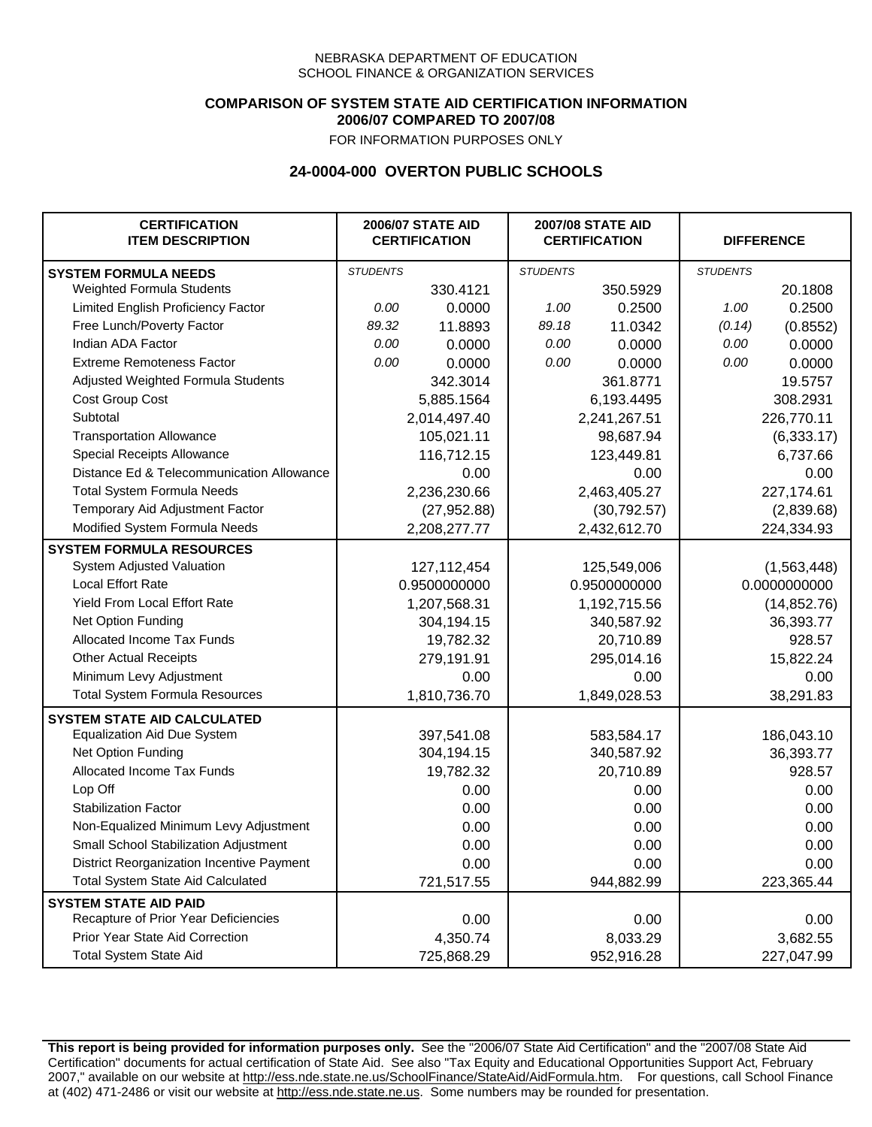### **COMPARISON OF SYSTEM STATE AID CERTIFICATION INFORMATION 2006/07 COMPARED TO 2007/08**

FOR INFORMATION PURPOSES ONLY

# **24-0004-000 OVERTON PUBLIC SCHOOLS**

| <b>CERTIFICATION</b><br><b>ITEM DESCRIPTION</b> |                 | <b>2006/07 STATE AID</b><br><b>CERTIFICATION</b> | <b>2007/08 STATE AID</b><br><b>CERTIFICATION</b> |              | <b>DIFFERENCE</b> |              |
|-------------------------------------------------|-----------------|--------------------------------------------------|--------------------------------------------------|--------------|-------------------|--------------|
| <b>SYSTEM FORMULA NEEDS</b>                     | <b>STUDENTS</b> |                                                  | <b>STUDENTS</b>                                  |              | <b>STUDENTS</b>   |              |
| <b>Weighted Formula Students</b>                |                 | 330.4121                                         |                                                  | 350.5929     |                   | 20.1808      |
| Limited English Proficiency Factor              | 0.00            | 0.0000                                           | 1.00                                             | 0.2500       | 1.00              | 0.2500       |
| Free Lunch/Poverty Factor                       | 89.32           | 11.8893                                          | 89.18                                            | 11.0342      | (0.14)            | (0.8552)     |
| Indian ADA Factor                               | 0.00            | 0.0000                                           | 0.00                                             | 0.0000       | 0.00              | 0.0000       |
| <b>Extreme Remoteness Factor</b>                | 0.00            | 0.0000                                           | 0.00                                             | 0.0000       | 0.00              | 0.0000       |
| Adjusted Weighted Formula Students              |                 | 342.3014                                         |                                                  | 361.8771     |                   | 19.5757      |
| Cost Group Cost                                 |                 | 5,885.1564                                       |                                                  | 6,193.4495   |                   | 308.2931     |
| Subtotal                                        |                 | 2,014,497.40                                     |                                                  | 2,241,267.51 |                   | 226,770.11   |
| <b>Transportation Allowance</b>                 |                 | 105,021.11                                       |                                                  | 98,687.94    |                   | (6, 333.17)  |
| Special Receipts Allowance                      |                 | 116,712.15                                       |                                                  | 123,449.81   |                   | 6,737.66     |
| Distance Ed & Telecommunication Allowance       |                 | 0.00                                             |                                                  | 0.00         |                   | 0.00         |
| <b>Total System Formula Needs</b>               |                 | 2,236,230.66                                     | 2,463,405.27                                     |              | 227,174.61        |              |
| Temporary Aid Adjustment Factor                 |                 | (27, 952.88)                                     | (30, 792.57)                                     |              | (2,839.68)        |              |
| Modified System Formula Needs                   |                 | 2,208,277.77                                     |                                                  | 2,432,612.70 |                   | 224,334.93   |
| <b>SYSTEM FORMULA RESOURCES</b>                 |                 |                                                  |                                                  |              |                   |              |
| System Adjusted Valuation                       |                 | 127, 112, 454                                    |                                                  | 125,549,006  |                   | (1,563,448)  |
| <b>Local Effort Rate</b>                        |                 | 0.9500000000                                     |                                                  | 0.9500000000 |                   | 0.0000000000 |
| <b>Yield From Local Effort Rate</b>             |                 | 1,207,568.31                                     |                                                  | 1,192,715.56 |                   | (14, 852.76) |
| Net Option Funding                              |                 | 304,194.15                                       |                                                  | 340,587.92   |                   | 36,393.77    |
| Allocated Income Tax Funds                      |                 | 19,782.32                                        |                                                  | 20,710.89    |                   | 928.57       |
| <b>Other Actual Receipts</b>                    |                 | 279,191.91                                       |                                                  | 295,014.16   | 15,822.24         |              |
| Minimum Levy Adjustment                         |                 | 0.00                                             |                                                  | 0.00         |                   | 0.00         |
| <b>Total System Formula Resources</b>           |                 | 1,810,736.70                                     |                                                  | 1,849,028.53 |                   | 38,291.83    |
| <b>SYSTEM STATE AID CALCULATED</b>              |                 |                                                  |                                                  |              |                   |              |
| <b>Equalization Aid Due System</b>              |                 | 397,541.08                                       |                                                  | 583,584.17   |                   | 186,043.10   |
| Net Option Funding                              |                 | 304,194.15                                       |                                                  | 340,587.92   |                   | 36,393.77    |
| Allocated Income Tax Funds                      |                 | 19,782.32                                        |                                                  | 20,710.89    |                   | 928.57       |
| Lop Off                                         |                 | 0.00                                             |                                                  | 0.00         |                   | 0.00         |
| <b>Stabilization Factor</b>                     |                 | 0.00                                             |                                                  | 0.00         |                   | 0.00         |
| Non-Equalized Minimum Levy Adjustment           |                 | 0.00                                             |                                                  | 0.00         |                   | 0.00         |
| Small School Stabilization Adjustment           |                 | 0.00                                             |                                                  | 0.00         |                   | 0.00         |
| District Reorganization Incentive Payment       |                 | 0.00                                             |                                                  | 0.00         |                   | 0.00         |
| <b>Total System State Aid Calculated</b>        |                 | 721,517.55                                       |                                                  | 944,882.99   |                   | 223,365.44   |
| <b>SYSTEM STATE AID PAID</b>                    |                 |                                                  |                                                  |              |                   |              |
| Recapture of Prior Year Deficiencies            |                 | 0.00                                             |                                                  | 0.00         |                   | 0.00         |
| Prior Year State Aid Correction                 |                 | 4,350.74                                         |                                                  | 8,033.29     |                   | 3,682.55     |
| <b>Total System State Aid</b>                   |                 | 725,868.29                                       |                                                  | 952,916.28   |                   | 227,047.99   |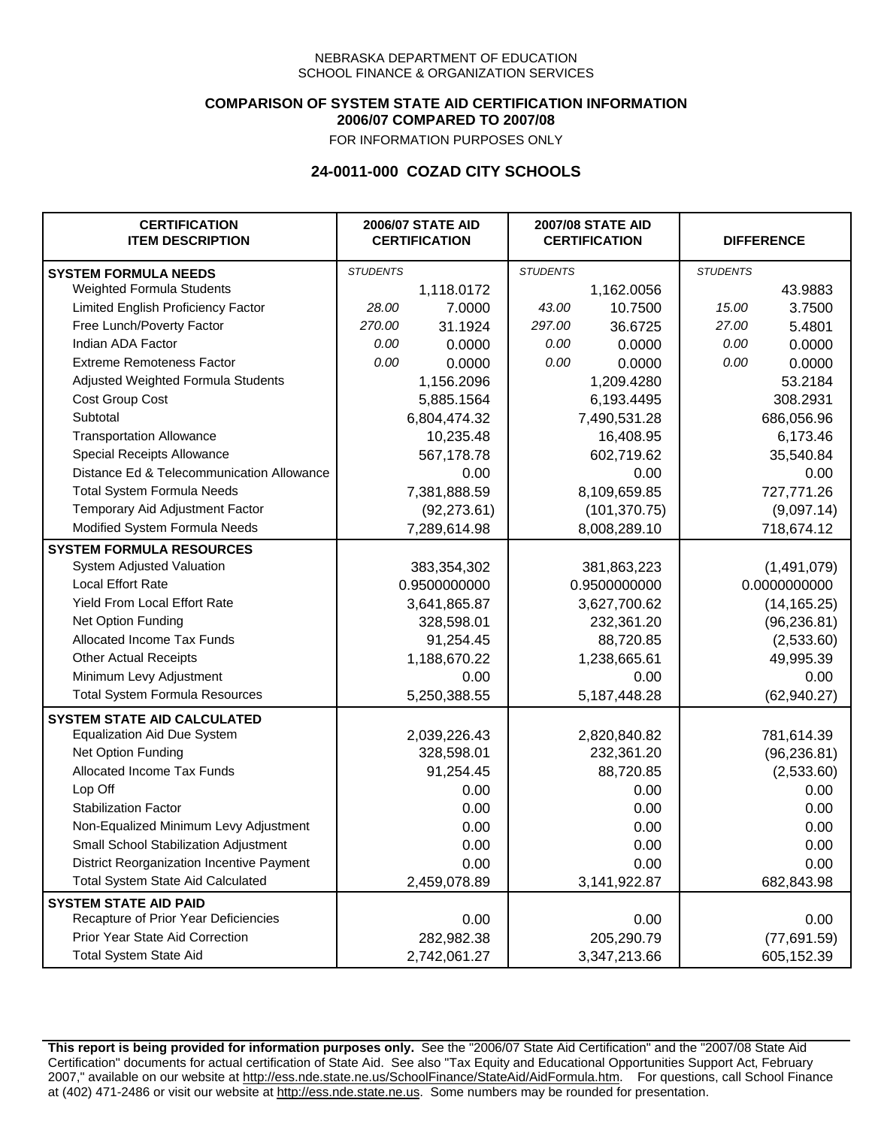### **COMPARISON OF SYSTEM STATE AID CERTIFICATION INFORMATION 2006/07 COMPARED TO 2007/08**

FOR INFORMATION PURPOSES ONLY

## **24-0011-000 COZAD CITY SCHOOLS**

| <b>CERTIFICATION</b><br><b>ITEM DESCRIPTION</b> |                 | <b>2006/07 STATE AID</b><br><b>CERTIFICATION</b> | <b>2007/08 STATE AID</b><br><b>CERTIFICATION</b> |                 | <b>DIFFERENCE</b> |              |
|-------------------------------------------------|-----------------|--------------------------------------------------|--------------------------------------------------|-----------------|-------------------|--------------|
| <b>SYSTEM FORMULA NEEDS</b>                     | <b>STUDENTS</b> |                                                  | <b>STUDENTS</b>                                  |                 | <b>STUDENTS</b>   |              |
| Weighted Formula Students                       |                 | 1,118.0172                                       |                                                  | 1,162.0056      |                   | 43.9883      |
| Limited English Proficiency Factor              | 28.00           | 7.0000                                           | 43.00                                            | 10.7500         | 15.00             | 3.7500       |
| Free Lunch/Poverty Factor                       | 270.00          | 31.1924                                          | 297.00                                           | 36.6725         | 27.00             | 5.4801       |
| Indian ADA Factor                               | 0.00            | 0.0000                                           | 0.00                                             | 0.0000          | 0.00              | 0.0000       |
| <b>Extreme Remoteness Factor</b>                | 0.00            | 0.0000                                           | 0.00                                             | 0.0000          | 0.00              | 0.0000       |
| Adjusted Weighted Formula Students              |                 | 1,156.2096                                       |                                                  | 1,209.4280      |                   | 53.2184      |
| Cost Group Cost                                 |                 | 5,885.1564                                       |                                                  | 6,193.4495      |                   | 308.2931     |
| Subtotal                                        |                 | 6,804,474.32                                     |                                                  | 7,490,531.28    |                   | 686,056.96   |
| <b>Transportation Allowance</b>                 |                 | 10,235.48                                        |                                                  | 16,408.95       |                   | 6,173.46     |
| Special Receipts Allowance                      |                 | 567,178.78                                       |                                                  | 602,719.62      |                   | 35,540.84    |
| Distance Ed & Telecommunication Allowance       |                 | 0.00                                             |                                                  | 0.00            |                   | 0.00         |
| <b>Total System Formula Needs</b>               |                 | 7,381,888.59                                     |                                                  | 8,109,659.85    | 727,771.26        |              |
| Temporary Aid Adjustment Factor                 |                 | (92, 273.61)                                     | (101, 370.75)                                    |                 | (9,097.14)        |              |
| Modified System Formula Needs                   |                 | 7,289,614.98                                     |                                                  | 8,008,289.10    |                   | 718,674.12   |
| <b>SYSTEM FORMULA RESOURCES</b>                 |                 |                                                  |                                                  |                 |                   |              |
| System Adjusted Valuation                       |                 | 383,354,302                                      |                                                  | 381,863,223     |                   | (1,491,079)  |
| <b>Local Effort Rate</b>                        |                 | 0.9500000000                                     |                                                  | 0.9500000000    |                   | 0.0000000000 |
| Yield From Local Effort Rate                    |                 | 3,641,865.87                                     |                                                  | 3,627,700.62    |                   | (14, 165.25) |
| Net Option Funding                              |                 | 328,598.01                                       | 232,361.20                                       |                 | (96, 236.81)      |              |
| Allocated Income Tax Funds                      |                 | 91,254.45                                        | 88,720.85                                        |                 | (2,533.60)        |              |
| <b>Other Actual Receipts</b>                    |                 | 1,188,670.22                                     |                                                  | 1,238,665.61    | 49,995.39         |              |
| Minimum Levy Adjustment                         |                 | 0.00                                             | 0.00                                             |                 |                   | 0.00         |
| <b>Total System Formula Resources</b>           |                 | 5,250,388.55                                     |                                                  | 5, 187, 448. 28 |                   | (62, 940.27) |
| <b>SYSTEM STATE AID CALCULATED</b>              |                 |                                                  |                                                  |                 |                   |              |
| <b>Equalization Aid Due System</b>              |                 | 2,039,226.43                                     |                                                  | 2,820,840.82    |                   | 781,614.39   |
| Net Option Funding                              |                 | 328,598.01                                       |                                                  | 232,361.20      |                   | (96, 236.81) |
| Allocated Income Tax Funds                      |                 | 91,254.45                                        |                                                  | 88,720.85       |                   | (2,533.60)   |
| Lop Off                                         |                 | 0.00                                             |                                                  | 0.00            |                   | 0.00         |
| <b>Stabilization Factor</b>                     |                 | 0.00                                             |                                                  | 0.00            |                   | 0.00         |
| Non-Equalized Minimum Levy Adjustment           |                 | 0.00                                             |                                                  | 0.00            |                   | 0.00         |
| Small School Stabilization Adjustment           |                 | 0.00                                             |                                                  | 0.00            |                   | 0.00         |
| District Reorganization Incentive Payment       |                 | 0.00                                             |                                                  | 0.00            |                   | 0.00         |
| <b>Total System State Aid Calculated</b>        |                 | 2,459,078.89                                     |                                                  | 3,141,922.87    |                   | 682,843.98   |
| <b>SYSTEM STATE AID PAID</b>                    |                 |                                                  |                                                  |                 |                   |              |
| Recapture of Prior Year Deficiencies            |                 | 0.00                                             |                                                  | 0.00            |                   | 0.00         |
| Prior Year State Aid Correction                 |                 | 282,982.38                                       |                                                  | 205,290.79      |                   | (77,691.59)  |
| <b>Total System State Aid</b>                   |                 | 2,742,061.27                                     |                                                  | 3,347,213.66    |                   | 605,152.39   |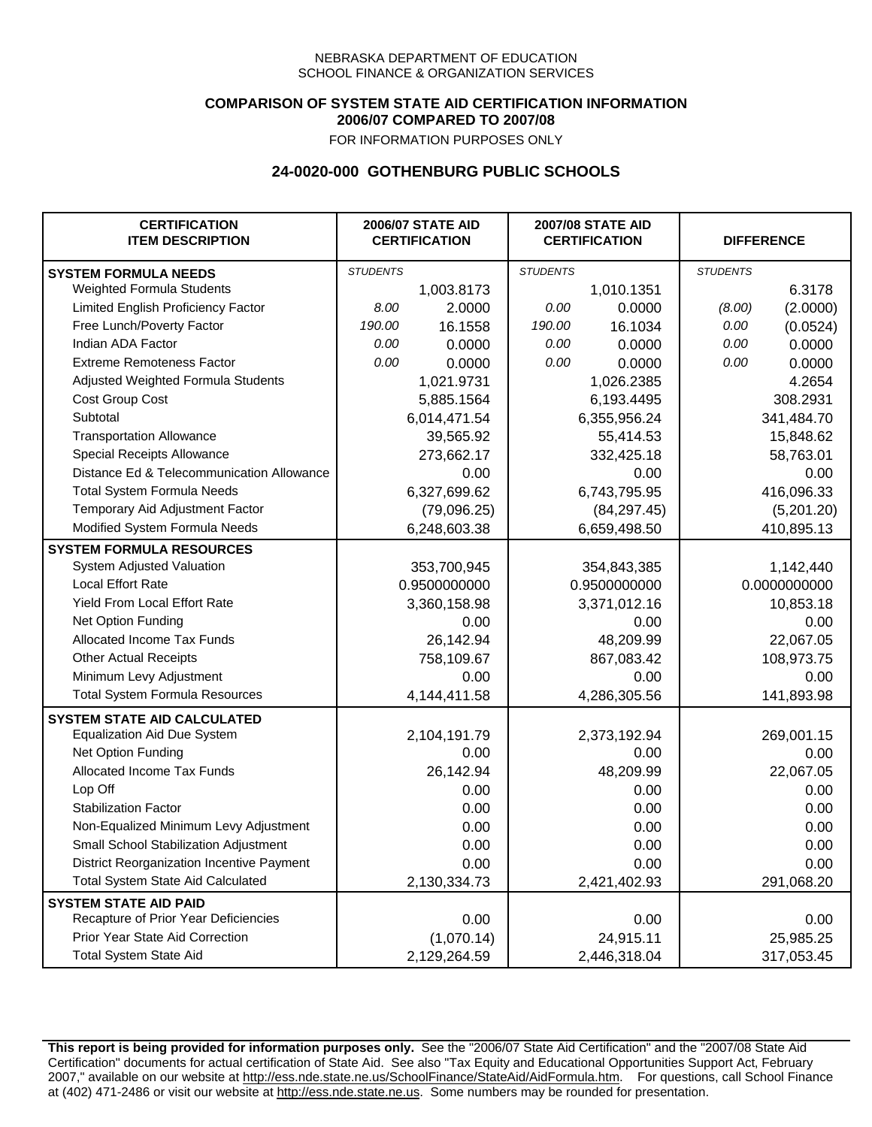## **COMPARISON OF SYSTEM STATE AID CERTIFICATION INFORMATION 2006/07 COMPARED TO 2007/08**

FOR INFORMATION PURPOSES ONLY

## **24-0020-000 GOTHENBURG PUBLIC SCHOOLS**

| <b>CERTIFICATION</b><br><b>ITEM DESCRIPTION</b> |                 | <b>2006/07 STATE AID</b><br><b>CERTIFICATION</b> | <b>2007/08 STATE AID</b><br><b>CERTIFICATION</b> |              | <b>DIFFERENCE</b> |              |
|-------------------------------------------------|-----------------|--------------------------------------------------|--------------------------------------------------|--------------|-------------------|--------------|
| <b>SYSTEM FORMULA NEEDS</b>                     | <b>STUDENTS</b> |                                                  | <b>STUDENTS</b>                                  |              | <b>STUDENTS</b>   |              |
| Weighted Formula Students                       |                 | 1,003.8173                                       |                                                  | 1,010.1351   |                   | 6.3178       |
| Limited English Proficiency Factor              | 8.00            | 2.0000                                           | 0.00                                             | 0.0000       | (8.00)            | (2.0000)     |
| Free Lunch/Poverty Factor                       | 190.00          | 16.1558                                          | 190.00                                           | 16.1034      | 0.00              | (0.0524)     |
| Indian ADA Factor                               | 0.00            | 0.0000                                           | 0.00                                             | 0.0000       | 0.00              | 0.0000       |
| <b>Extreme Remoteness Factor</b>                | 0.00            | 0.0000                                           | 0.00                                             | 0.0000       | 0.00              | 0.0000       |
| Adjusted Weighted Formula Students              |                 | 1,021.9731                                       |                                                  | 1,026.2385   |                   | 4.2654       |
| Cost Group Cost                                 |                 | 5,885.1564                                       |                                                  | 6,193.4495   | 308.2931          |              |
| Subtotal                                        |                 | 6,014,471.54                                     |                                                  | 6,355,956.24 |                   | 341,484.70   |
| <b>Transportation Allowance</b>                 |                 | 39,565.92                                        |                                                  | 55,414.53    |                   | 15,848.62    |
| Special Receipts Allowance                      |                 | 273,662.17                                       |                                                  | 332,425.18   |                   | 58,763.01    |
| Distance Ed & Telecommunication Allowance       |                 | 0.00                                             |                                                  | 0.00         |                   | 0.00         |
| <b>Total System Formula Needs</b>               |                 | 6,327,699.62                                     | 6,743,795.95                                     |              | 416,096.33        |              |
| Temporary Aid Adjustment Factor                 |                 | (79,096.25)                                      | (84, 297.45)                                     |              | (5,201.20)        |              |
| Modified System Formula Needs                   |                 | 6,248,603.38                                     |                                                  | 6,659,498.50 |                   | 410,895.13   |
| <b>SYSTEM FORMULA RESOURCES</b>                 |                 |                                                  |                                                  |              |                   |              |
| System Adjusted Valuation                       |                 | 353,700,945                                      |                                                  | 354,843,385  |                   | 1,142,440    |
| <b>Local Effort Rate</b>                        |                 | 0.9500000000                                     |                                                  | 0.9500000000 |                   | 0.0000000000 |
| Yield From Local Effort Rate                    |                 | 3,360,158.98                                     |                                                  | 3,371,012.16 |                   | 10,853.18    |
| Net Option Funding                              |                 | 0.00                                             |                                                  | 0.00         |                   | 0.00         |
| Allocated Income Tax Funds                      |                 | 26,142.94                                        |                                                  | 48,209.99    |                   | 22,067.05    |
| <b>Other Actual Receipts</b>                    |                 | 758,109.67                                       | 867,083.42                                       |              | 108,973.75        |              |
| Minimum Levy Adjustment                         |                 | 0.00                                             | 0.00                                             |              | 0.00              |              |
| <b>Total System Formula Resources</b>           |                 | 4,144,411.58                                     |                                                  | 4,286,305.56 |                   | 141,893.98   |
| <b>SYSTEM STATE AID CALCULATED</b>              |                 |                                                  |                                                  |              |                   |              |
| <b>Equalization Aid Due System</b>              |                 | 2,104,191.79                                     |                                                  | 2,373,192.94 |                   | 269,001.15   |
| Net Option Funding                              |                 | 0.00                                             |                                                  | 0.00         |                   | 0.00         |
| Allocated Income Tax Funds                      |                 | 26,142.94                                        |                                                  | 48,209.99    |                   | 22,067.05    |
| Lop Off                                         |                 | 0.00                                             |                                                  | 0.00         |                   | 0.00         |
| <b>Stabilization Factor</b>                     |                 | 0.00                                             |                                                  | 0.00         |                   | 0.00         |
| Non-Equalized Minimum Levy Adjustment           |                 | 0.00                                             |                                                  | 0.00         |                   | 0.00         |
| Small School Stabilization Adjustment           |                 | 0.00                                             |                                                  | 0.00         |                   | 0.00         |
| District Reorganization Incentive Payment       |                 | 0.00                                             |                                                  | 0.00         |                   | 0.00         |
| <b>Total System State Aid Calculated</b>        |                 | 2,130,334.73                                     |                                                  | 2,421,402.93 |                   | 291,068.20   |
| <b>SYSTEM STATE AID PAID</b>                    |                 |                                                  |                                                  |              |                   |              |
| Recapture of Prior Year Deficiencies            |                 | 0.00                                             |                                                  | 0.00         |                   | 0.00         |
| Prior Year State Aid Correction                 |                 | (1,070.14)                                       |                                                  | 24,915.11    |                   | 25,985.25    |
| <b>Total System State Aid</b>                   |                 | 2,129,264.59                                     |                                                  | 2,446,318.04 |                   | 317,053.45   |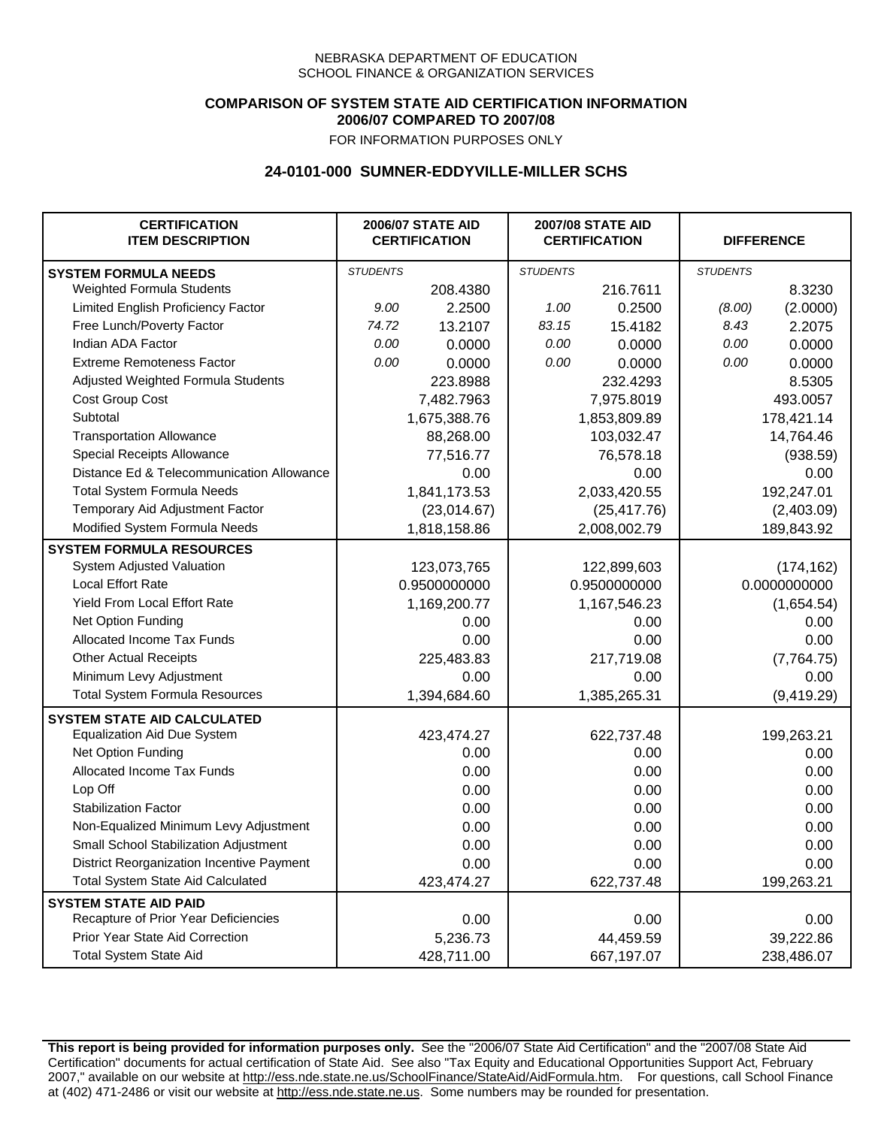## **COMPARISON OF SYSTEM STATE AID CERTIFICATION INFORMATION 2006/07 COMPARED TO 2007/08**

FOR INFORMATION PURPOSES ONLY

## **24-0101-000 SUMNER-EDDYVILLE-MILLER SCHS**

| <b>CERTIFICATION</b><br><b>ITEM DESCRIPTION</b> |                 | <b>2006/07 STATE AID</b><br><b>CERTIFICATION</b> | <b>2007/08 STATE AID</b><br><b>CERTIFICATION</b> |              | <b>DIFFERENCE</b> |              |
|-------------------------------------------------|-----------------|--------------------------------------------------|--------------------------------------------------|--------------|-------------------|--------------|
| <b>SYSTEM FORMULA NEEDS</b>                     | <b>STUDENTS</b> |                                                  | <b>STUDENTS</b>                                  |              | <b>STUDENTS</b>   |              |
| <b>Weighted Formula Students</b>                |                 | 208.4380                                         |                                                  | 216.7611     |                   | 8.3230       |
| Limited English Proficiency Factor              | 9.00            | 2.2500                                           | 1.00                                             | 0.2500       | (8.00)            | (2.0000)     |
| Free Lunch/Poverty Factor                       | 74.72           | 13.2107                                          | 83.15                                            | 15.4182      | 8.43              | 2.2075       |
| Indian ADA Factor                               | 0.00            | 0.0000                                           | 0.00                                             | 0.0000       | 0.00              | 0.0000       |
| <b>Extreme Remoteness Factor</b>                | 0.00            | 0.0000                                           | 0.00                                             | 0.0000       | 0.00              | 0.0000       |
| Adjusted Weighted Formula Students              |                 | 223.8988                                         |                                                  | 232.4293     |                   | 8.5305       |
| Cost Group Cost                                 |                 | 7,482.7963                                       |                                                  | 7,975.8019   |                   | 493.0057     |
| Subtotal                                        |                 | 1,675,388.76                                     |                                                  | 1,853,809.89 |                   | 178,421.14   |
| <b>Transportation Allowance</b>                 |                 | 88,268.00                                        |                                                  | 103,032.47   |                   | 14,764.46    |
| Special Receipts Allowance                      |                 | 77,516.77                                        |                                                  | 76,578.18    |                   | (938.59)     |
| Distance Ed & Telecommunication Allowance       |                 | 0.00                                             |                                                  | 0.00         |                   | 0.00         |
| <b>Total System Formula Needs</b>               |                 | 1,841,173.53                                     | 2,033,420.55                                     |              | 192,247.01        |              |
| Temporary Aid Adjustment Factor                 |                 | (23,014.67)                                      | (25, 417.76)                                     |              | (2,403.09)        |              |
| Modified System Formula Needs                   |                 | 1,818,158.86                                     |                                                  | 2,008,002.79 |                   | 189,843.92   |
| <b>SYSTEM FORMULA RESOURCES</b>                 |                 |                                                  |                                                  |              |                   |              |
| System Adjusted Valuation                       |                 | 123,073,765                                      |                                                  | 122,899,603  |                   | (174, 162)   |
| <b>Local Effort Rate</b>                        |                 | 0.9500000000                                     |                                                  | 0.9500000000 |                   | 0.0000000000 |
| Yield From Local Effort Rate                    |                 | 1,169,200.77                                     | 1,167,546.23                                     |              |                   | (1,654.54)   |
| Net Option Funding                              |                 | 0.00                                             | 0.00                                             |              | 0.00              |              |
| Allocated Income Tax Funds                      |                 | 0.00                                             | 0.00                                             |              | 0.00              |              |
| <b>Other Actual Receipts</b>                    |                 | 225,483.83                                       | 217,719.08                                       |              | (7,764.75)        |              |
| Minimum Levy Adjustment                         |                 | 0.00                                             |                                                  | 0.00         |                   | 0.00         |
| <b>Total System Formula Resources</b>           |                 | 1,394,684.60                                     |                                                  | 1,385,265.31 |                   | (9,419.29)   |
| <b>SYSTEM STATE AID CALCULATED</b>              |                 |                                                  |                                                  |              |                   |              |
| <b>Equalization Aid Due System</b>              |                 | 423,474.27                                       |                                                  | 622,737.48   |                   | 199,263.21   |
| Net Option Funding                              |                 | 0.00                                             |                                                  | 0.00         |                   | 0.00         |
| Allocated Income Tax Funds                      |                 | 0.00                                             |                                                  | 0.00         |                   | 0.00         |
| Lop Off                                         |                 | 0.00                                             |                                                  | 0.00         |                   | 0.00         |
| <b>Stabilization Factor</b>                     |                 | 0.00                                             |                                                  | 0.00         |                   | 0.00         |
| Non-Equalized Minimum Levy Adjustment           |                 | 0.00                                             |                                                  | 0.00         |                   | 0.00         |
| Small School Stabilization Adjustment           |                 | 0.00                                             |                                                  | 0.00         |                   | 0.00         |
| District Reorganization Incentive Payment       |                 | 0.00                                             |                                                  | 0.00         |                   | 0.00         |
| <b>Total System State Aid Calculated</b>        |                 | 423,474.27                                       |                                                  | 622,737.48   |                   | 199,263.21   |
| <b>SYSTEM STATE AID PAID</b>                    |                 |                                                  |                                                  |              |                   |              |
| Recapture of Prior Year Deficiencies            |                 | 0.00                                             |                                                  | 0.00         |                   | 0.00         |
| Prior Year State Aid Correction                 |                 | 5,236.73                                         |                                                  | 44,459.59    |                   | 39,222.86    |
| <b>Total System State Aid</b>                   |                 | 428,711.00                                       |                                                  | 667,197.07   |                   | 238,486.07   |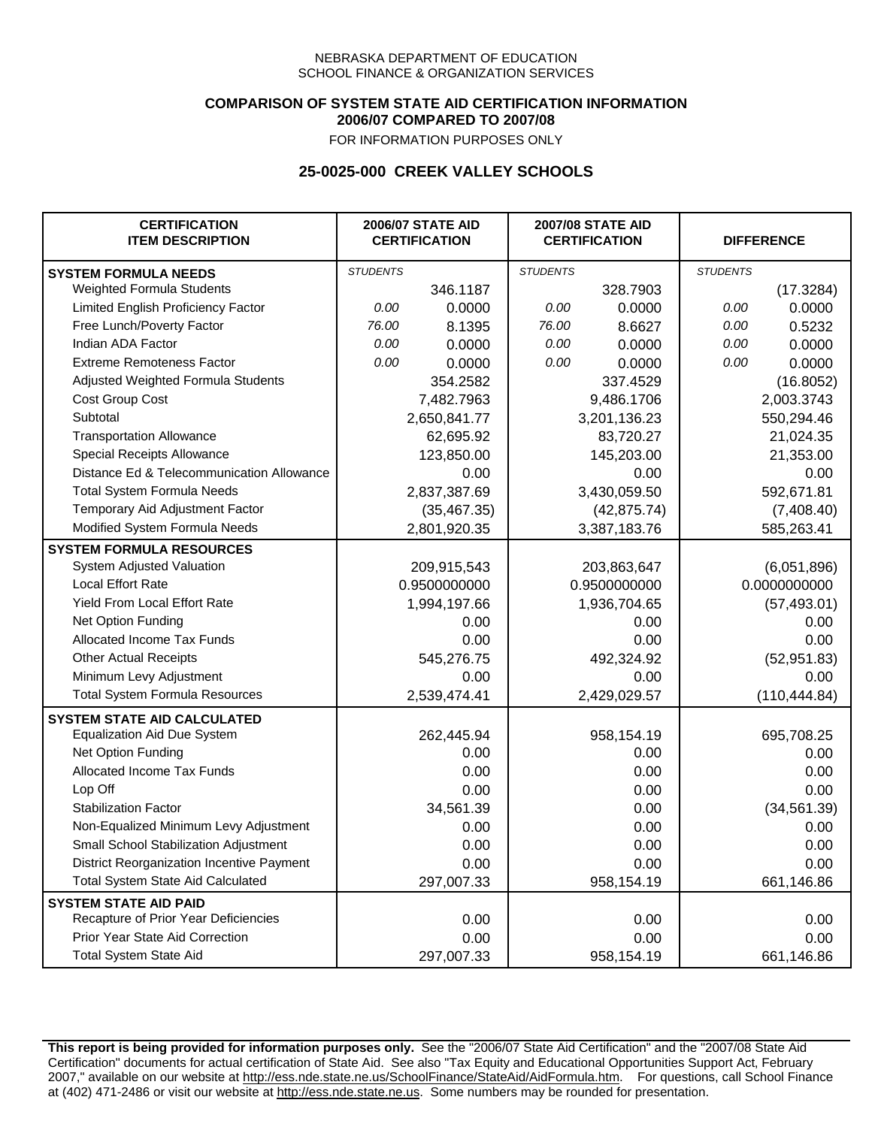### **COMPARISON OF SYSTEM STATE AID CERTIFICATION INFORMATION 2006/07 COMPARED TO 2007/08**

FOR INFORMATION PURPOSES ONLY

## **25-0025-000 CREEK VALLEY SCHOOLS**

| <b>CERTIFICATION</b><br><b>ITEM DESCRIPTION</b> |                 | <b>2006/07 STATE AID</b><br><b>CERTIFICATION</b> | <b>2007/08 STATE AID</b><br><b>CERTIFICATION</b> |              |                 | <b>DIFFERENCE</b> |
|-------------------------------------------------|-----------------|--------------------------------------------------|--------------------------------------------------|--------------|-----------------|-------------------|
| <b>SYSTEM FORMULA NEEDS</b>                     | <b>STUDENTS</b> |                                                  | <b>STUDENTS</b>                                  |              | <b>STUDENTS</b> |                   |
| Weighted Formula Students                       |                 | 346.1187                                         |                                                  | 328.7903     |                 | (17.3284)         |
| Limited English Proficiency Factor              | 0.00            | 0.0000                                           | 0.00                                             | 0.0000       | 0.00            | 0.0000            |
| Free Lunch/Poverty Factor                       | 76.00           | 8.1395                                           | 76.00                                            | 8.6627       | 0.00            | 0.5232            |
| Indian ADA Factor                               | 0.00            | 0.0000                                           | 0.00                                             | 0.0000       | 0.00            | 0.0000            |
| <b>Extreme Remoteness Factor</b>                | 0.00            | 0.0000                                           | 0.00                                             | 0.0000       | 0.00            | 0.0000            |
| Adjusted Weighted Formula Students              |                 | 354.2582                                         |                                                  | 337.4529     |                 | (16.8052)         |
| Cost Group Cost                                 |                 | 7,482.7963                                       |                                                  | 9,486.1706   |                 | 2,003.3743        |
| Subtotal                                        |                 | 2,650,841.77                                     |                                                  | 3,201,136.23 |                 | 550,294.46        |
| <b>Transportation Allowance</b>                 |                 | 62,695.92                                        |                                                  | 83,720.27    |                 | 21,024.35         |
| Special Receipts Allowance                      |                 | 123,850.00                                       |                                                  | 145,203.00   |                 | 21,353.00         |
| Distance Ed & Telecommunication Allowance       |                 | 0.00                                             |                                                  | 0.00         |                 | 0.00              |
| <b>Total System Formula Needs</b>               |                 | 2,837,387.69                                     | 3,430,059.50                                     |              | 592,671.81      |                   |
| Temporary Aid Adjustment Factor                 |                 | (35, 467.35)                                     | (42, 875.74)                                     |              | (7,408.40)      |                   |
| Modified System Formula Needs                   |                 | 2,801,920.35                                     |                                                  | 3,387,183.76 |                 | 585,263.41        |
| <b>SYSTEM FORMULA RESOURCES</b>                 |                 |                                                  |                                                  |              |                 |                   |
| System Adjusted Valuation                       |                 | 209,915,543                                      |                                                  | 203,863,647  |                 | (6,051,896)       |
| <b>Local Effort Rate</b>                        |                 | 0.9500000000                                     |                                                  | 0.9500000000 |                 | 0.0000000000      |
| Yield From Local Effort Rate                    |                 | 1,994,197.66                                     |                                                  | 1,936,704.65 |                 | (57, 493.01)      |
| Net Option Funding                              |                 | 0.00                                             | 0.00                                             |              | 0.00            |                   |
| Allocated Income Tax Funds                      |                 | 0.00                                             | 0.00                                             |              | 0.00            |                   |
| <b>Other Actual Receipts</b>                    |                 | 545,276.75                                       | 492,324.92                                       |              | (52, 951.83)    |                   |
| Minimum Levy Adjustment                         |                 | 0.00                                             |                                                  | 0.00         |                 | 0.00              |
| <b>Total System Formula Resources</b>           |                 | 2,539,474.41                                     |                                                  | 2,429,029.57 |                 | (110, 444.84)     |
| <b>SYSTEM STATE AID CALCULATED</b>              |                 |                                                  |                                                  |              |                 |                   |
| <b>Equalization Aid Due System</b>              |                 | 262,445.94                                       |                                                  | 958,154.19   |                 | 695,708.25        |
| Net Option Funding                              |                 | 0.00                                             |                                                  | 0.00         |                 | 0.00              |
| Allocated Income Tax Funds                      |                 | 0.00                                             |                                                  | 0.00         |                 | 0.00              |
| Lop Off                                         |                 | 0.00                                             |                                                  | 0.00         |                 | 0.00              |
| <b>Stabilization Factor</b>                     |                 | 34,561.39                                        |                                                  | 0.00         |                 | (34, 561.39)      |
| Non-Equalized Minimum Levy Adjustment           |                 | 0.00                                             |                                                  | 0.00         |                 | 0.00              |
| <b>Small School Stabilization Adjustment</b>    |                 | 0.00                                             |                                                  | 0.00         |                 | 0.00              |
| District Reorganization Incentive Payment       |                 | 0.00                                             |                                                  | 0.00         |                 | 0.00              |
| <b>Total System State Aid Calculated</b>        |                 | 297,007.33                                       |                                                  | 958,154.19   |                 | 661,146.86        |
| <b>SYSTEM STATE AID PAID</b>                    |                 |                                                  |                                                  |              |                 |                   |
| Recapture of Prior Year Deficiencies            |                 | 0.00                                             |                                                  | 0.00         |                 | 0.00              |
| Prior Year State Aid Correction                 |                 | 0.00                                             |                                                  | 0.00         |                 | 0.00              |
| <b>Total System State Aid</b>                   |                 | 297,007.33                                       |                                                  | 958,154.19   |                 | 661,146.86        |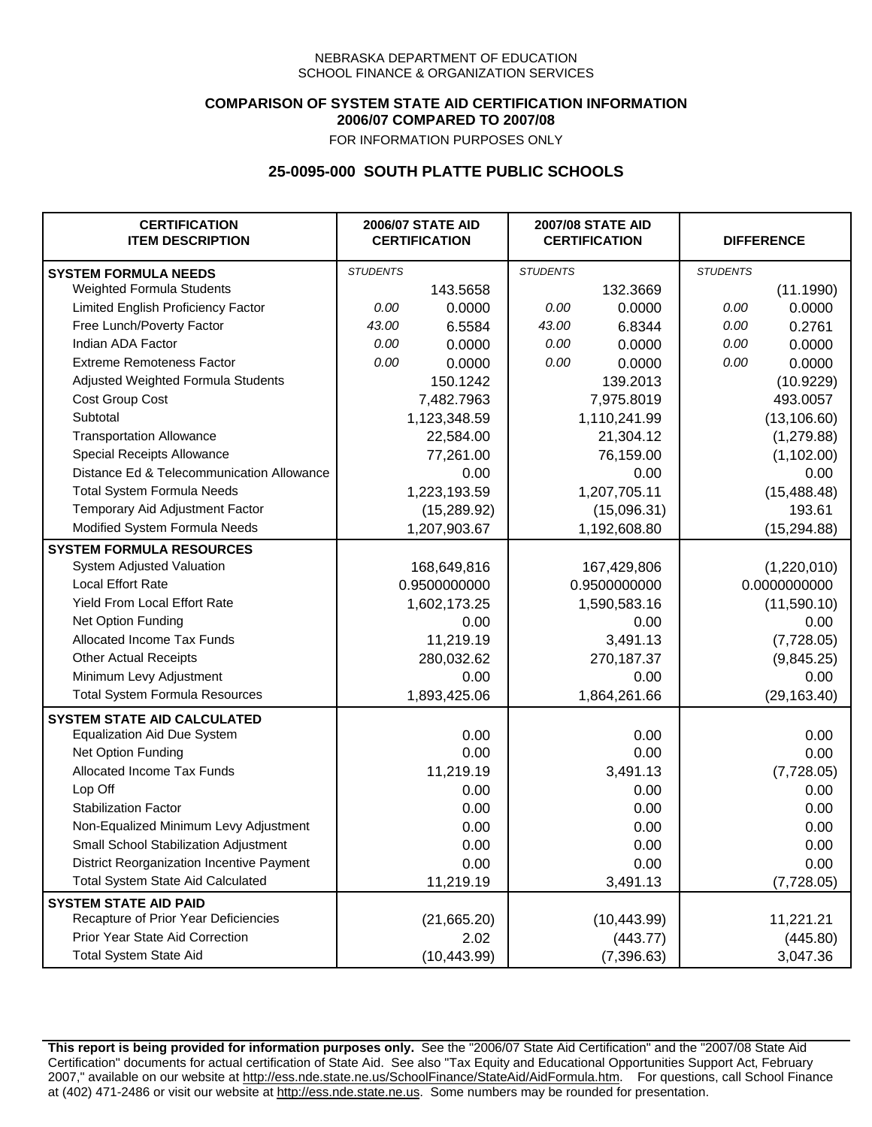## **COMPARISON OF SYSTEM STATE AID CERTIFICATION INFORMATION 2006/07 COMPARED TO 2007/08**

FOR INFORMATION PURPOSES ONLY

## **25-0095-000 SOUTH PLATTE PUBLIC SCHOOLS**

| <b>CERTIFICATION</b><br><b>ITEM DESCRIPTION</b> |                 | <b>2006/07 STATE AID</b><br><b>CERTIFICATION</b> | <b>2007/08 STATE AID</b><br><b>CERTIFICATION</b> |              | <b>DIFFERENCE</b> |              |
|-------------------------------------------------|-----------------|--------------------------------------------------|--------------------------------------------------|--------------|-------------------|--------------|
| <b>SYSTEM FORMULA NEEDS</b>                     | <b>STUDENTS</b> |                                                  | <b>STUDENTS</b>                                  |              | <b>STUDENTS</b>   |              |
| Weighted Formula Students                       |                 | 143.5658                                         |                                                  | 132.3669     |                   | (11.1990)    |
| Limited English Proficiency Factor              | 0.00            | 0.0000                                           | 0.00                                             | 0.0000       | 0.00              | 0.0000       |
| Free Lunch/Poverty Factor                       | 43.00           | 6.5584                                           | 43.00                                            | 6.8344       | 0.00              | 0.2761       |
| Indian ADA Factor                               | 0.00            | 0.0000                                           | 0.00                                             | 0.0000       | 0.00              | 0.0000       |
| <b>Extreme Remoteness Factor</b>                | 0.00            | 0.0000                                           | 0.00                                             | 0.0000       | 0.00              | 0.0000       |
| Adjusted Weighted Formula Students              |                 | 150.1242                                         |                                                  | 139.2013     |                   | (10.9229)    |
| Cost Group Cost                                 |                 | 7,482.7963                                       |                                                  | 7,975.8019   |                   | 493.0057     |
| Subtotal                                        |                 | 1,123,348.59                                     |                                                  | 1,110,241.99 |                   | (13, 106.60) |
| <b>Transportation Allowance</b>                 |                 | 22,584.00                                        |                                                  | 21,304.12    |                   | (1, 279.88)  |
| Special Receipts Allowance                      |                 | 77,261.00                                        |                                                  | 76,159.00    |                   | (1, 102.00)  |
| Distance Ed & Telecommunication Allowance       |                 | 0.00                                             |                                                  | 0.00         |                   | 0.00         |
| <b>Total System Formula Needs</b>               |                 | 1,223,193.59                                     |                                                  | 1,207,705.11 |                   | (15, 488.48) |
| Temporary Aid Adjustment Factor                 |                 | (15, 289.92)                                     |                                                  | (15,096.31)  |                   | 193.61       |
| Modified System Formula Needs                   |                 | 1,207,903.67                                     |                                                  | 1,192,608.80 |                   | (15, 294.88) |
| <b>SYSTEM FORMULA RESOURCES</b>                 |                 |                                                  |                                                  |              |                   |              |
| System Adjusted Valuation                       |                 | 168,649,816                                      |                                                  | 167,429,806  |                   | (1,220,010)  |
| <b>Local Effort Rate</b>                        |                 | 0.9500000000                                     |                                                  | 0.9500000000 |                   | 0.0000000000 |
| Yield From Local Effort Rate                    |                 | 1,602,173.25                                     |                                                  | 1,590,583.16 |                   | (11,590.10)  |
| Net Option Funding                              |                 | 0.00                                             |                                                  | 0.00         |                   | 0.00         |
| Allocated Income Tax Funds                      |                 | 11,219.19                                        |                                                  | 3,491.13     |                   | (7,728.05)   |
| <b>Other Actual Receipts</b>                    |                 | 280,032.62                                       |                                                  | 270,187.37   | (9,845.25)        |              |
| Minimum Levy Adjustment                         |                 | 0.00                                             |                                                  | 0.00         |                   | 0.00         |
| <b>Total System Formula Resources</b>           |                 | 1,893,425.06                                     |                                                  | 1,864,261.66 |                   | (29, 163.40) |
| <b>SYSTEM STATE AID CALCULATED</b>              |                 |                                                  |                                                  |              |                   |              |
| <b>Equalization Aid Due System</b>              |                 | 0.00                                             |                                                  | 0.00         |                   | 0.00         |
| Net Option Funding                              |                 | 0.00                                             |                                                  | 0.00         |                   | 0.00         |
| Allocated Income Tax Funds                      |                 | 11,219.19                                        |                                                  | 3,491.13     |                   | (7,728.05)   |
| Lop Off                                         |                 | 0.00                                             |                                                  | 0.00         |                   | 0.00         |
| <b>Stabilization Factor</b>                     |                 | 0.00                                             |                                                  | 0.00         |                   | 0.00         |
| Non-Equalized Minimum Levy Adjustment           |                 | 0.00                                             |                                                  | 0.00         |                   | 0.00         |
| Small School Stabilization Adjustment           |                 | 0.00                                             |                                                  | 0.00         |                   | 0.00         |
| District Reorganization Incentive Payment       |                 | 0.00                                             |                                                  | 0.00         |                   | 0.00         |
| Total System State Aid Calculated               |                 | 11,219.19                                        |                                                  | 3,491.13     |                   | (7, 728.05)  |
| <b>SYSTEM STATE AID PAID</b>                    |                 |                                                  |                                                  |              |                   |              |
| Recapture of Prior Year Deficiencies            |                 | (21,665.20)                                      |                                                  | (10, 443.99) |                   | 11,221.21    |
| Prior Year State Aid Correction                 |                 | 2.02                                             |                                                  | (443.77)     |                   | (445.80)     |
| <b>Total System State Aid</b>                   |                 | (10, 443.99)                                     |                                                  | (7, 396.63)  |                   | 3,047.36     |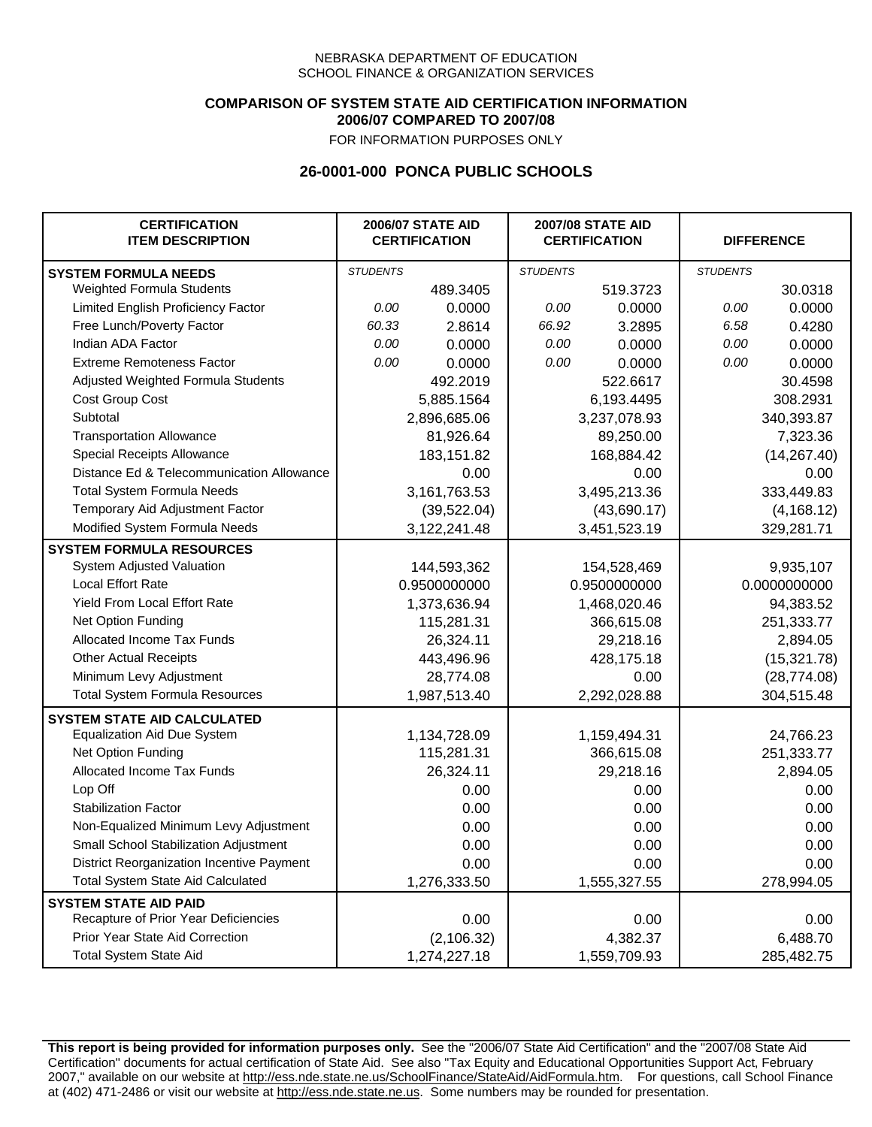### **COMPARISON OF SYSTEM STATE AID CERTIFICATION INFORMATION 2006/07 COMPARED TO 2007/08**

FOR INFORMATION PURPOSES ONLY

## **26-0001-000 PONCA PUBLIC SCHOOLS**

| <b>CERTIFICATION</b><br><b>ITEM DESCRIPTION</b> |                 | <b>2006/07 STATE AID</b><br><b>CERTIFICATION</b> | <b>2007/08 STATE AID</b><br><b>CERTIFICATION</b> |              | <b>DIFFERENCE</b> |              |
|-------------------------------------------------|-----------------|--------------------------------------------------|--------------------------------------------------|--------------|-------------------|--------------|
| <b>SYSTEM FORMULA NEEDS</b>                     | <b>STUDENTS</b> |                                                  | <b>STUDENTS</b>                                  |              | <b>STUDENTS</b>   |              |
| <b>Weighted Formula Students</b>                |                 | 489.3405                                         |                                                  | 519.3723     |                   | 30.0318      |
| Limited English Proficiency Factor              | 0.00            | 0.0000                                           | 0.00                                             | 0.0000       | 0.00              | 0.0000       |
| Free Lunch/Poverty Factor                       | 60.33           | 2.8614                                           | 66.92                                            | 3.2895       | 6.58              | 0.4280       |
| Indian ADA Factor                               | 0.00            | 0.0000                                           | 0.00                                             | 0.0000       | 0.00              | 0.0000       |
| <b>Extreme Remoteness Factor</b>                | 0.00            | 0.0000                                           | 0.00                                             | 0.0000       | 0.00              | 0.0000       |
| Adjusted Weighted Formula Students              |                 | 492.2019                                         |                                                  | 522.6617     |                   | 30.4598      |
| Cost Group Cost                                 |                 | 5,885.1564                                       |                                                  | 6,193.4495   |                   | 308.2931     |
| Subtotal                                        |                 | 2,896,685.06                                     |                                                  | 3,237,078.93 |                   | 340,393.87   |
| <b>Transportation Allowance</b>                 |                 | 81,926.64                                        |                                                  | 89,250.00    |                   | 7,323.36     |
| Special Receipts Allowance                      |                 | 183,151.82                                       |                                                  | 168,884.42   |                   | (14, 267.40) |
| Distance Ed & Telecommunication Allowance       |                 | 0.00                                             |                                                  | 0.00         |                   | 0.00         |
| <b>Total System Formula Needs</b>               |                 | 3,161,763.53                                     | 3,495,213.36                                     |              | 333,449.83        |              |
| Temporary Aid Adjustment Factor                 |                 | (39, 522.04)                                     | (43,690.17)                                      |              | (4, 168.12)       |              |
| Modified System Formula Needs                   |                 | 3,122,241.48                                     |                                                  | 3,451,523.19 |                   | 329,281.71   |
| <b>SYSTEM FORMULA RESOURCES</b>                 |                 |                                                  |                                                  |              |                   |              |
| System Adjusted Valuation                       |                 | 144,593,362                                      |                                                  | 154,528,469  |                   | 9,935,107    |
| <b>Local Effort Rate</b>                        |                 | 0.9500000000                                     |                                                  | 0.9500000000 |                   | 0.0000000000 |
| Yield From Local Effort Rate                    |                 | 1,373,636.94                                     |                                                  | 1,468,020.46 |                   | 94,383.52    |
| Net Option Funding                              |                 | 115,281.31                                       | 366,615.08                                       |              | 251,333.77        |              |
| Allocated Income Tax Funds                      |                 | 26,324.11                                        | 29,218.16                                        |              | 2,894.05          |              |
| <b>Other Actual Receipts</b>                    |                 | 443,496.96                                       |                                                  | 428,175.18   | (15, 321.78)      |              |
| Minimum Levy Adjustment                         |                 | 28,774.08                                        |                                                  | 0.00         |                   | (28, 774.08) |
| <b>Total System Formula Resources</b>           |                 | 1,987,513.40                                     |                                                  | 2,292,028.88 |                   | 304,515.48   |
| <b>SYSTEM STATE AID CALCULATED</b>              |                 |                                                  |                                                  |              |                   |              |
| <b>Equalization Aid Due System</b>              |                 | 1,134,728.09                                     |                                                  | 1,159,494.31 |                   | 24,766.23    |
| Net Option Funding                              |                 | 115,281.31                                       |                                                  | 366,615.08   |                   | 251,333.77   |
| Allocated Income Tax Funds                      |                 | 26,324.11                                        |                                                  | 29,218.16    |                   | 2,894.05     |
| Lop Off                                         |                 | 0.00                                             |                                                  | 0.00         |                   | 0.00         |
| <b>Stabilization Factor</b>                     |                 | 0.00                                             |                                                  | 0.00         |                   | 0.00         |
| Non-Equalized Minimum Levy Adjustment           |                 | 0.00                                             |                                                  | 0.00         |                   | 0.00         |
| Small School Stabilization Adjustment           |                 | 0.00                                             |                                                  | 0.00         |                   | 0.00         |
| District Reorganization Incentive Payment       |                 | 0.00                                             |                                                  | 0.00         |                   | 0.00         |
| <b>Total System State Aid Calculated</b>        |                 | 1,276,333.50                                     |                                                  | 1,555,327.55 |                   | 278,994.05   |
| <b>SYSTEM STATE AID PAID</b>                    |                 |                                                  |                                                  |              |                   |              |
| Recapture of Prior Year Deficiencies            |                 | 0.00                                             |                                                  | 0.00         |                   | 0.00         |
| Prior Year State Aid Correction                 |                 | (2, 106.32)                                      |                                                  | 4,382.37     |                   | 6,488.70     |
| <b>Total System State Aid</b>                   |                 | 1,274,227.18                                     |                                                  | 1,559,709.93 |                   | 285,482.75   |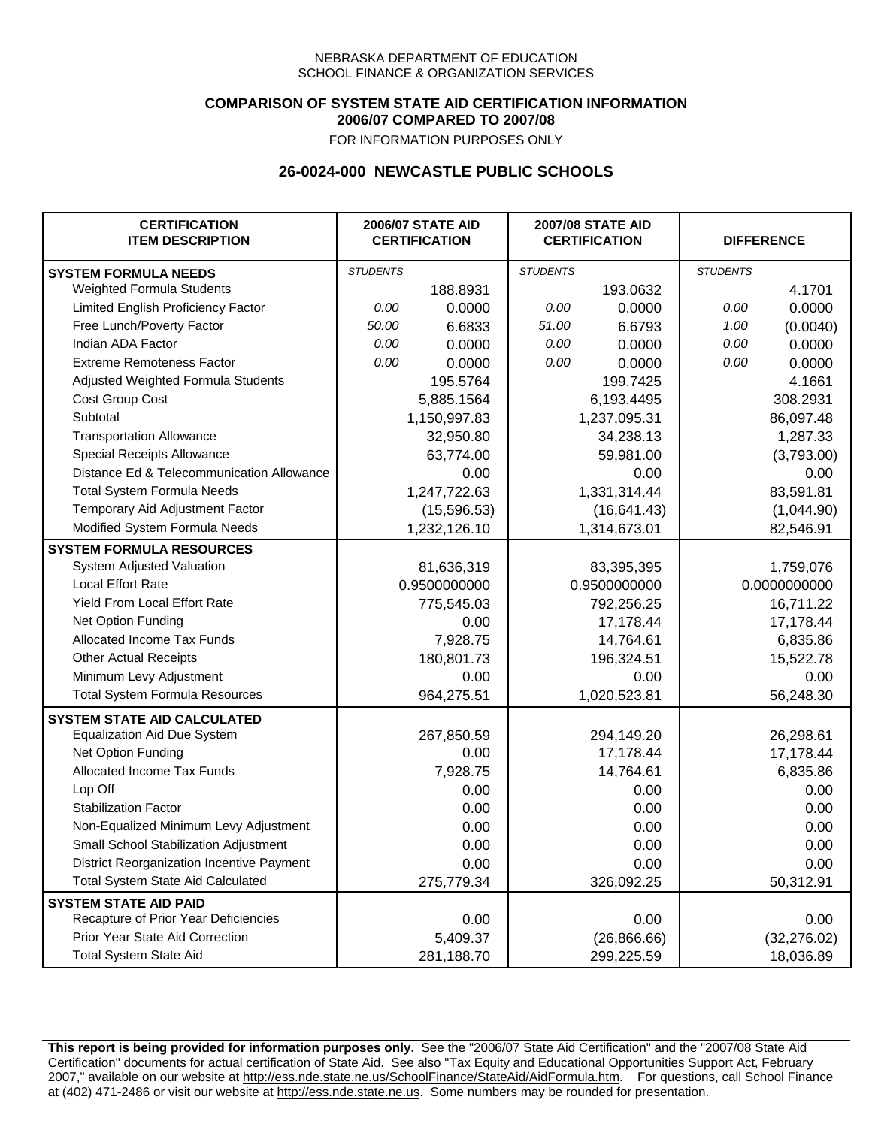### **COMPARISON OF SYSTEM STATE AID CERTIFICATION INFORMATION 2006/07 COMPARED TO 2007/08**

FOR INFORMATION PURPOSES ONLY

## **26-0024-000 NEWCASTLE PUBLIC SCHOOLS**

| <b>CERTIFICATION</b><br><b>ITEM DESCRIPTION</b> |                 | <b>2006/07 STATE AID</b><br><b>CERTIFICATION</b> | <b>2007/08 STATE AID</b><br><b>CERTIFICATION</b> |              |                 | <b>DIFFERENCE</b> |
|-------------------------------------------------|-----------------|--------------------------------------------------|--------------------------------------------------|--------------|-----------------|-------------------|
| <b>SYSTEM FORMULA NEEDS</b>                     | <b>STUDENTS</b> |                                                  | <b>STUDENTS</b>                                  |              | <b>STUDENTS</b> |                   |
| Weighted Formula Students                       |                 | 188.8931                                         |                                                  | 193.0632     |                 | 4.1701            |
| Limited English Proficiency Factor              | 0.00            | 0.0000                                           | 0.00                                             | 0.0000       | 0.00            | 0.0000            |
| Free Lunch/Poverty Factor                       | 50.00           | 6.6833                                           | 51.00                                            | 6.6793       | 1.00            | (0.0040)          |
| Indian ADA Factor                               | 0.00            | 0.0000                                           | 0.00                                             | 0.0000       | 0.00            | 0.0000            |
| <b>Extreme Remoteness Factor</b>                | 0.00            | 0.0000                                           | 0.00                                             | 0.0000       | 0.00            | 0.0000            |
| Adjusted Weighted Formula Students              |                 | 195.5764                                         |                                                  | 199.7425     |                 | 4.1661            |
| Cost Group Cost                                 |                 | 5,885.1564                                       |                                                  | 6,193.4495   |                 | 308.2931          |
| Subtotal                                        |                 | 1,150,997.83                                     |                                                  | 1,237,095.31 |                 | 86,097.48         |
| <b>Transportation Allowance</b>                 |                 | 32,950.80                                        |                                                  | 34,238.13    |                 | 1,287.33          |
| Special Receipts Allowance                      |                 | 63,774.00                                        |                                                  | 59,981.00    |                 | (3,793.00)        |
| Distance Ed & Telecommunication Allowance       |                 | 0.00                                             |                                                  | 0.00         |                 | 0.00              |
| <b>Total System Formula Needs</b>               |                 | 1,247,722.63                                     |                                                  | 1,331,314.44 |                 | 83,591.81         |
| Temporary Aid Adjustment Factor                 |                 | (15,596.53)                                      | (16, 641.43)                                     |              | (1,044.90)      |                   |
| Modified System Formula Needs                   |                 | 1,232,126.10                                     |                                                  | 1,314,673.01 |                 | 82,546.91         |
| <b>SYSTEM FORMULA RESOURCES</b>                 |                 |                                                  |                                                  |              |                 |                   |
| System Adjusted Valuation                       |                 | 81,636,319                                       |                                                  | 83,395,395   |                 | 1,759,076         |
| <b>Local Effort Rate</b>                        |                 | 0.9500000000                                     |                                                  | 0.9500000000 |                 | 0.0000000000      |
| Yield From Local Effort Rate                    |                 | 775,545.03                                       |                                                  | 792,256.25   |                 | 16,711.22         |
| Net Option Funding                              |                 | 0.00                                             | 17,178.44                                        |              | 17,178.44       |                   |
| Allocated Income Tax Funds                      |                 | 7,928.75                                         | 14,764.61                                        |              | 6,835.86        |                   |
| <b>Other Actual Receipts</b>                    |                 | 180,801.73                                       | 196,324.51                                       |              | 15,522.78       |                   |
| Minimum Levy Adjustment                         |                 | 0.00                                             |                                                  | 0.00         |                 | 0.00              |
| <b>Total System Formula Resources</b>           |                 | 964,275.51                                       |                                                  | 1,020,523.81 |                 | 56,248.30         |
| <b>SYSTEM STATE AID CALCULATED</b>              |                 |                                                  |                                                  |              |                 |                   |
| <b>Equalization Aid Due System</b>              |                 | 267,850.59                                       |                                                  | 294,149.20   |                 | 26,298.61         |
| Net Option Funding                              |                 | 0.00                                             |                                                  | 17,178.44    |                 | 17,178.44         |
| Allocated Income Tax Funds                      |                 | 7,928.75                                         |                                                  | 14,764.61    |                 | 6,835.86          |
| Lop Off                                         |                 | 0.00                                             |                                                  | 0.00         |                 | 0.00              |
| <b>Stabilization Factor</b>                     |                 | 0.00                                             |                                                  | 0.00         |                 | 0.00              |
| Non-Equalized Minimum Levy Adjustment           |                 | 0.00                                             |                                                  | 0.00         |                 | 0.00              |
| Small School Stabilization Adjustment           |                 | 0.00                                             |                                                  | 0.00         |                 | 0.00              |
| District Reorganization Incentive Payment       |                 | 0.00                                             |                                                  | 0.00         |                 | 0.00              |
| <b>Total System State Aid Calculated</b>        |                 | 275,779.34                                       |                                                  | 326,092.25   |                 | 50,312.91         |
| <b>SYSTEM STATE AID PAID</b>                    |                 |                                                  |                                                  |              |                 |                   |
| Recapture of Prior Year Deficiencies            |                 | 0.00                                             |                                                  | 0.00         |                 | 0.00              |
| Prior Year State Aid Correction                 |                 | 5,409.37                                         |                                                  | (26, 866.66) |                 | (32, 276.02)      |
| <b>Total System State Aid</b>                   |                 | 281,188.70                                       |                                                  | 299,225.59   |                 | 18,036.89         |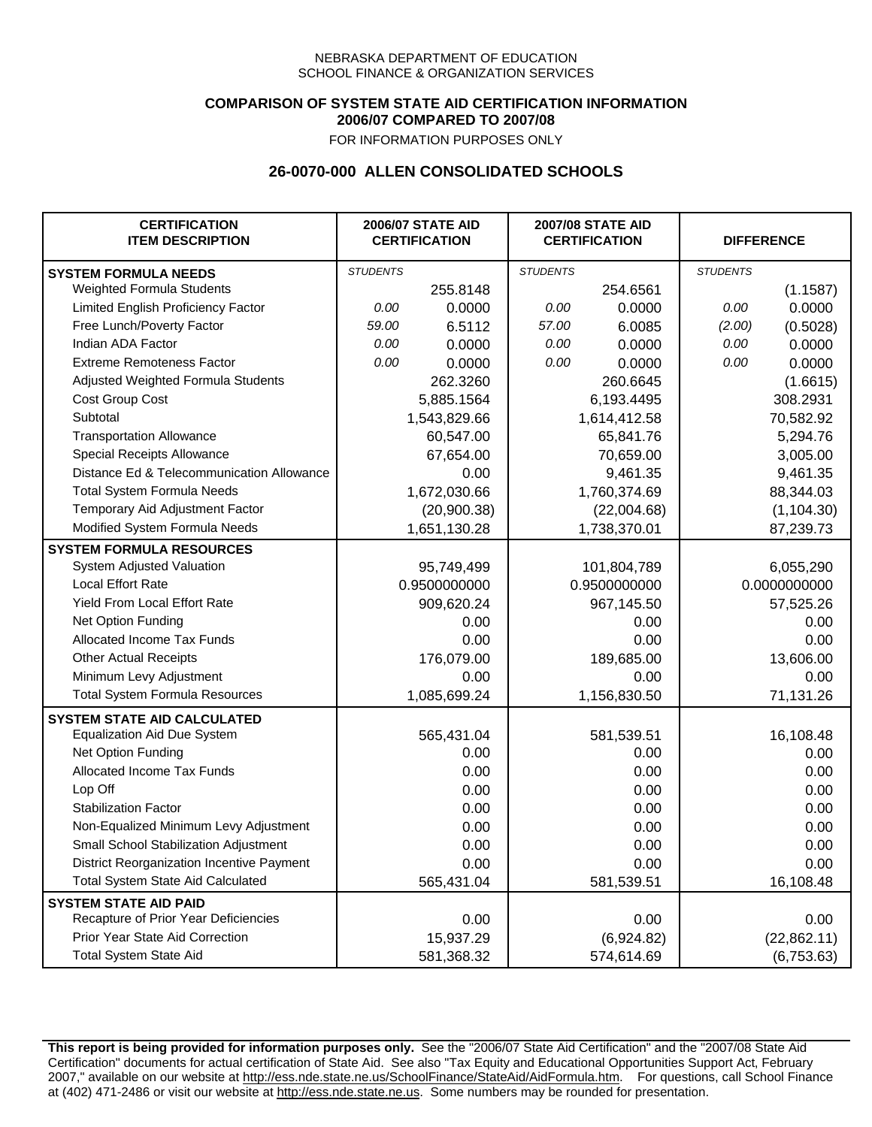## **COMPARISON OF SYSTEM STATE AID CERTIFICATION INFORMATION 2006/07 COMPARED TO 2007/08**

FOR INFORMATION PURPOSES ONLY

## **26-0070-000 ALLEN CONSOLIDATED SCHOOLS**

| <b>CERTIFICATION</b><br><b>ITEM DESCRIPTION</b> | <b>2006/07 STATE AID</b><br><b>CERTIFICATION</b> |              | <b>2007/08 STATE AID</b><br><b>CERTIFICATION</b> |              | <b>DIFFERENCE</b> |              |
|-------------------------------------------------|--------------------------------------------------|--------------|--------------------------------------------------|--------------|-------------------|--------------|
| <b>SYSTEM FORMULA NEEDS</b>                     | <b>STUDENTS</b>                                  |              | <b>STUDENTS</b>                                  |              | <b>STUDENTS</b>   |              |
| Weighted Formula Students                       |                                                  | 255.8148     |                                                  | 254.6561     |                   | (1.1587)     |
| Limited English Proficiency Factor              | 0.00                                             | 0.0000       | 0.00                                             | 0.0000       | 0.00              | 0.0000       |
| Free Lunch/Poverty Factor                       | 59.00                                            | 6.5112       | 57.00                                            | 6.0085       | (2.00)            | (0.5028)     |
| Indian ADA Factor                               | 0.00                                             | 0.0000       | 0.00                                             | 0.0000       | 0.00              | 0.0000       |
| <b>Extreme Remoteness Factor</b>                | 0.00                                             | 0.0000       | 0.00                                             | 0.0000       | 0.00              | 0.0000       |
| Adjusted Weighted Formula Students              |                                                  | 262.3260     |                                                  | 260.6645     |                   | (1.6615)     |
| Cost Group Cost                                 |                                                  | 5,885.1564   | 6,193.4495                                       |              |                   | 308.2931     |
| Subtotal                                        |                                                  | 1,543,829.66 |                                                  | 1,614,412.58 |                   | 70,582.92    |
| <b>Transportation Allowance</b>                 |                                                  | 60,547.00    |                                                  | 65,841.76    |                   | 5,294.76     |
| Special Receipts Allowance                      |                                                  | 67,654.00    |                                                  | 70,659.00    |                   | 3,005.00     |
| Distance Ed & Telecommunication Allowance       |                                                  | 0.00         |                                                  | 9,461.35     |                   | 9,461.35     |
| <b>Total System Formula Needs</b>               |                                                  | 1,672,030.66 |                                                  | 1,760,374.69 | 88,344.03         |              |
| Temporary Aid Adjustment Factor                 |                                                  | (20,900.38)  | (22,004.68)                                      |              | (1, 104.30)       |              |
| Modified System Formula Needs                   |                                                  | 1,651,130.28 |                                                  | 1,738,370.01 |                   | 87,239.73    |
| <b>SYSTEM FORMULA RESOURCES</b>                 |                                                  |              |                                                  |              |                   |              |
| System Adjusted Valuation                       |                                                  | 95,749,499   |                                                  | 101,804,789  |                   | 6,055,290    |
| <b>Local Effort Rate</b>                        |                                                  | 0.9500000000 |                                                  | 0.9500000000 |                   | 0.0000000000 |
| Yield From Local Effort Rate                    |                                                  | 909,620.24   | 967,145.50                                       |              | 57,525.26         |              |
| Net Option Funding                              |                                                  | 0.00         | 0.00                                             |              | 0.00              |              |
| Allocated Income Tax Funds                      |                                                  | 0.00         | 0.00                                             |              | 0.00              |              |
| <b>Other Actual Receipts</b>                    |                                                  | 176,079.00   | 189,685.00                                       |              | 13,606.00         |              |
| Minimum Levy Adjustment                         |                                                  | 0.00         | 0.00                                             |              |                   | 0.00         |
| <b>Total System Formula Resources</b>           |                                                  | 1,085,699.24 |                                                  | 1,156,830.50 |                   | 71,131.26    |
| <b>SYSTEM STATE AID CALCULATED</b>              |                                                  |              |                                                  |              |                   |              |
| <b>Equalization Aid Due System</b>              |                                                  | 565,431.04   |                                                  | 581,539.51   |                   | 16,108.48    |
| Net Option Funding                              |                                                  | 0.00         |                                                  | 0.00         |                   | 0.00         |
| Allocated Income Tax Funds                      |                                                  | 0.00         |                                                  | 0.00         |                   | 0.00         |
| Lop Off                                         |                                                  | 0.00         |                                                  | 0.00         |                   | 0.00         |
| <b>Stabilization Factor</b>                     |                                                  | 0.00         |                                                  | 0.00         |                   | 0.00         |
| Non-Equalized Minimum Levy Adjustment           |                                                  | 0.00         |                                                  | 0.00         |                   | 0.00         |
| Small School Stabilization Adjustment           |                                                  | 0.00         |                                                  | 0.00         |                   | 0.00         |
| District Reorganization Incentive Payment       |                                                  | 0.00         |                                                  | 0.00         |                   | 0.00         |
| <b>Total System State Aid Calculated</b>        |                                                  | 565,431.04   |                                                  | 581,539.51   |                   | 16,108.48    |
| <b>SYSTEM STATE AID PAID</b>                    |                                                  |              |                                                  |              |                   |              |
| Recapture of Prior Year Deficiencies            |                                                  | 0.00         |                                                  | 0.00         |                   | 0.00         |
| Prior Year State Aid Correction                 |                                                  | 15,937.29    |                                                  | (6,924.82)   |                   | (22, 862.11) |
| <b>Total System State Aid</b>                   |                                                  | 581,368.32   |                                                  | 574,614.69   |                   | (6,753.63)   |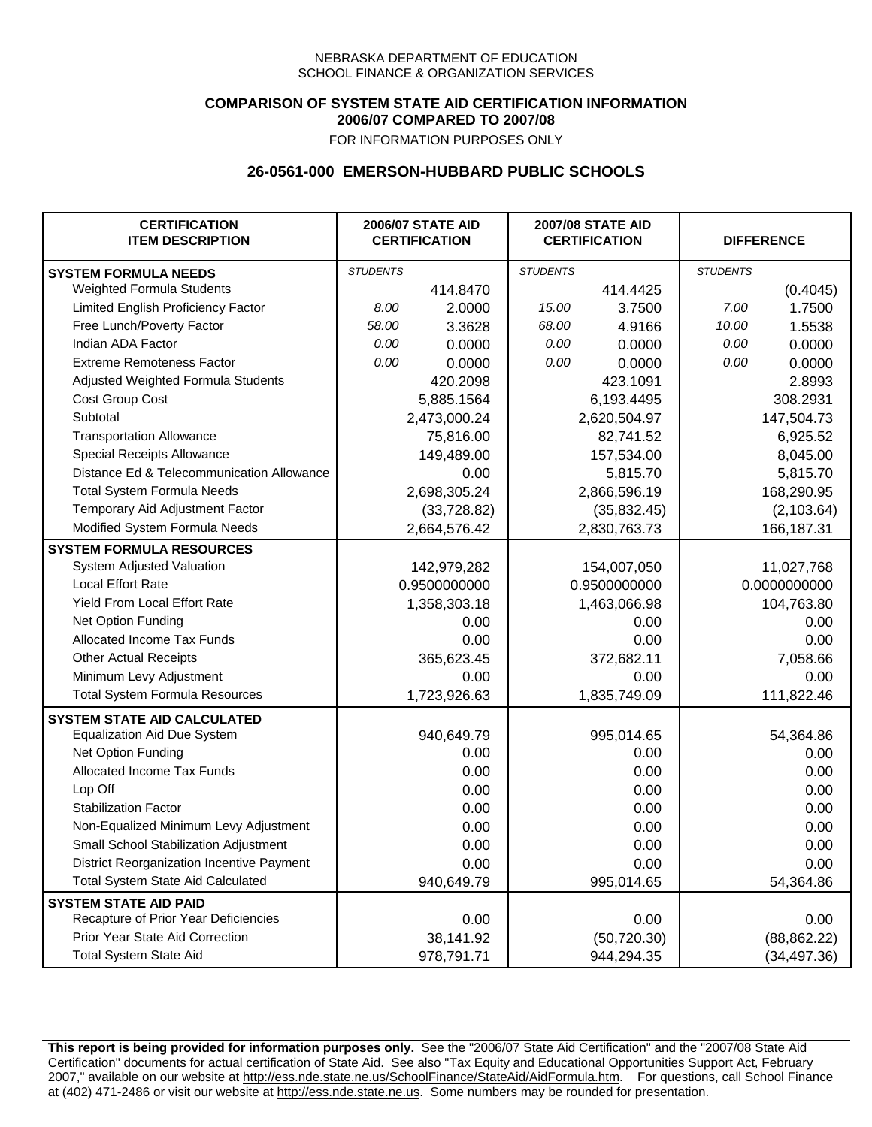## **COMPARISON OF SYSTEM STATE AID CERTIFICATION INFORMATION 2006/07 COMPARED TO 2007/08**

FOR INFORMATION PURPOSES ONLY

## **26-0561-000 EMERSON-HUBBARD PUBLIC SCHOOLS**

| <b>CERTIFICATION</b><br><b>ITEM DESCRIPTION</b>  | <b>2006/07 STATE AID</b><br><b>CERTIFICATION</b> |              | <b>2007/08 STATE AID</b><br><b>CERTIFICATION</b> |              | <b>DIFFERENCE</b> |              |
|--------------------------------------------------|--------------------------------------------------|--------------|--------------------------------------------------|--------------|-------------------|--------------|
| <b>SYSTEM FORMULA NEEDS</b>                      | <b>STUDENTS</b>                                  |              | <b>STUDENTS</b>                                  |              | <b>STUDENTS</b>   |              |
| Weighted Formula Students                        |                                                  | 414.8470     |                                                  | 414.4425     |                   | (0.4045)     |
| Limited English Proficiency Factor               | 8.00                                             | 2.0000       | 15.00                                            | 3.7500       | 7.00              | 1.7500       |
| Free Lunch/Poverty Factor                        | 58.00                                            | 3.3628       | 68.00                                            | 4.9166       | 10.00             | 1.5538       |
| Indian ADA Factor                                | 0.00                                             | 0.0000       | 0.00                                             | 0.0000       | 0.00              | 0.0000       |
| <b>Extreme Remoteness Factor</b>                 | 0.00                                             | 0.0000       | 0.00                                             | 0.0000       | 0.00              | 0.0000       |
| Adjusted Weighted Formula Students               |                                                  | 420.2098     |                                                  | 423.1091     |                   | 2.8993       |
| Cost Group Cost                                  |                                                  | 5,885.1564   |                                                  | 6,193.4495   |                   | 308.2931     |
| Subtotal                                         |                                                  | 2,473,000.24 |                                                  | 2,620,504.97 |                   | 147,504.73   |
| <b>Transportation Allowance</b>                  |                                                  | 75,816.00    |                                                  | 82,741.52    |                   | 6,925.52     |
| Special Receipts Allowance                       |                                                  | 149,489.00   |                                                  | 157,534.00   |                   | 8,045.00     |
| Distance Ed & Telecommunication Allowance        |                                                  | 0.00         |                                                  | 5,815.70     |                   | 5,815.70     |
| <b>Total System Formula Needs</b>                |                                                  | 2,698,305.24 |                                                  | 2,866,596.19 | 168,290.95        |              |
| Temporary Aid Adjustment Factor                  |                                                  | (33, 728.82) | (35, 832.45)                                     |              | (2, 103.64)       |              |
| Modified System Formula Needs                    |                                                  | 2,664,576.42 |                                                  | 2,830,763.73 |                   | 166,187.31   |
| <b>SYSTEM FORMULA RESOURCES</b>                  |                                                  |              |                                                  |              |                   |              |
| System Adjusted Valuation                        |                                                  | 142,979,282  |                                                  | 154,007,050  |                   | 11,027,768   |
| <b>Local Effort Rate</b>                         |                                                  | 0.9500000000 |                                                  | 0.9500000000 |                   | 0.0000000000 |
| Yield From Local Effort Rate                     |                                                  | 1,358,303.18 | 1,463,066.98                                     |              | 104,763.80        |              |
| Net Option Funding                               |                                                  | 0.00         | 0.00                                             |              | 0.00              |              |
| Allocated Income Tax Funds                       |                                                  | 0.00         | 0.00                                             |              | 0.00              |              |
| <b>Other Actual Receipts</b>                     |                                                  | 365,623.45   | 372,682.11                                       |              | 7,058.66          |              |
| Minimum Levy Adjustment                          |                                                  | 0.00         |                                                  | 0.00         |                   | 0.00         |
| <b>Total System Formula Resources</b>            |                                                  | 1,723,926.63 |                                                  | 1,835,749.09 |                   | 111,822.46   |
| <b>SYSTEM STATE AID CALCULATED</b>               |                                                  |              |                                                  |              |                   |              |
| <b>Equalization Aid Due System</b>               |                                                  | 940,649.79   |                                                  | 995,014.65   |                   | 54,364.86    |
| Net Option Funding                               |                                                  | 0.00         |                                                  | 0.00         |                   | 0.00         |
| Allocated Income Tax Funds                       |                                                  | 0.00         |                                                  | 0.00         |                   | 0.00         |
| Lop Off                                          |                                                  | 0.00         |                                                  | 0.00         |                   | 0.00         |
| <b>Stabilization Factor</b>                      |                                                  | 0.00         |                                                  | 0.00         |                   | 0.00         |
| Non-Equalized Minimum Levy Adjustment            |                                                  | 0.00         |                                                  | 0.00         |                   | 0.00         |
| Small School Stabilization Adjustment            |                                                  | 0.00         |                                                  | 0.00         |                   | 0.00         |
| <b>District Reorganization Incentive Payment</b> |                                                  | 0.00         |                                                  | 0.00         |                   | 0.00         |
| <b>Total System State Aid Calculated</b>         |                                                  | 940,649.79   |                                                  | 995,014.65   |                   | 54,364.86    |
| <b>SYSTEM STATE AID PAID</b>                     |                                                  |              |                                                  |              |                   |              |
| Recapture of Prior Year Deficiencies             |                                                  | 0.00         |                                                  | 0.00         |                   | 0.00         |
| Prior Year State Aid Correction                  |                                                  | 38,141.92    |                                                  | (50, 720.30) |                   | (88, 862.22) |
| <b>Total System State Aid</b>                    |                                                  | 978,791.71   |                                                  | 944,294.35   |                   | (34, 497.36) |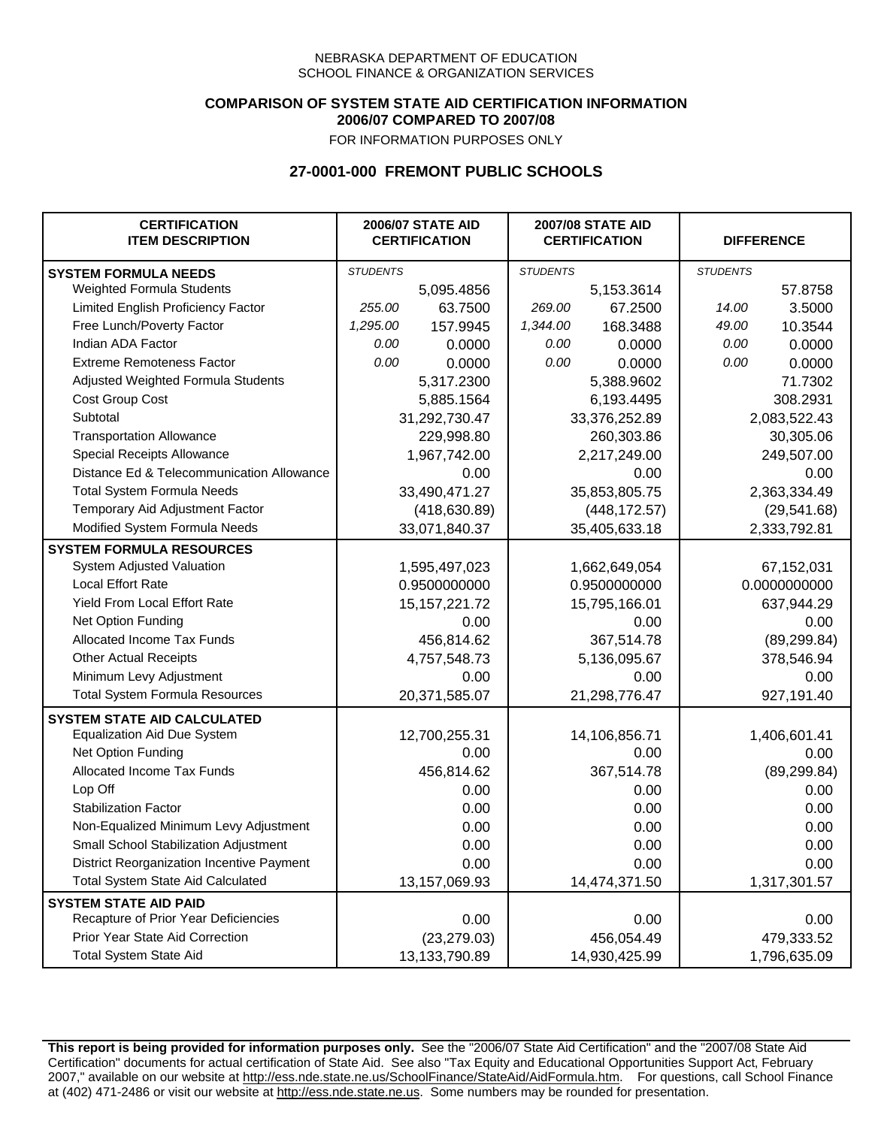### **COMPARISON OF SYSTEM STATE AID CERTIFICATION INFORMATION 2006/07 COMPARED TO 2007/08**

FOR INFORMATION PURPOSES ONLY

# **27-0001-000 FREMONT PUBLIC SCHOOLS**

| <b>CERTIFICATION</b><br><b>ITEM DESCRIPTION</b> | <b>2006/07 STATE AID</b><br><b>CERTIFICATION</b> |                  | <b>2007/08 STATE AID</b><br><b>CERTIFICATION</b> |               | <b>DIFFERENCE</b> |              |
|-------------------------------------------------|--------------------------------------------------|------------------|--------------------------------------------------|---------------|-------------------|--------------|
| <b>SYSTEM FORMULA NEEDS</b>                     | <b>STUDENTS</b>                                  |                  | <b>STUDENTS</b>                                  |               | <b>STUDENTS</b>   |              |
| Weighted Formula Students                       |                                                  | 5,095.4856       |                                                  | 5,153.3614    |                   | 57.8758      |
| Limited English Proficiency Factor              | 255.00                                           | 63.7500          | 269.00                                           | 67.2500       | 14.00             | 3.5000       |
| Free Lunch/Poverty Factor                       | 1,295.00                                         | 157.9945         | 1,344.00                                         | 168.3488      | 49.00             | 10.3544      |
| Indian ADA Factor                               | 0.00                                             | 0.0000           | 0.00                                             | 0.0000        | 0.00              | 0.0000       |
| <b>Extreme Remoteness Factor</b>                | 0.00                                             | 0.0000           | 0.00                                             | 0.0000        | 0.00              | 0.0000       |
| Adjusted Weighted Formula Students              |                                                  | 5,317.2300       |                                                  | 5,388.9602    |                   | 71.7302      |
| Cost Group Cost                                 |                                                  | 5,885.1564       |                                                  | 6,193.4495    |                   | 308.2931     |
| Subtotal                                        |                                                  | 31,292,730.47    |                                                  | 33,376,252.89 |                   | 2,083,522.43 |
| <b>Transportation Allowance</b>                 |                                                  | 229,998.80       |                                                  | 260,303.86    |                   | 30,305.06    |
| Special Receipts Allowance                      |                                                  | 1,967,742.00     |                                                  | 2,217,249.00  |                   | 249,507.00   |
| Distance Ed & Telecommunication Allowance       |                                                  | 0.00             |                                                  | 0.00          |                   | 0.00         |
| <b>Total System Formula Needs</b>               |                                                  | 33,490,471.27    |                                                  | 35,853,805.75 |                   | 2,363,334.49 |
| Temporary Aid Adjustment Factor                 |                                                  | (418, 630.89)    | (448, 172.57)                                    |               | (29, 541.68)      |              |
| Modified System Formula Needs                   | 33,071,840.37                                    |                  |                                                  | 35,405,633.18 | 2,333,792.81      |              |
| <b>SYSTEM FORMULA RESOURCES</b>                 |                                                  |                  |                                                  |               |                   |              |
| <b>System Adjusted Valuation</b>                |                                                  | 1,595,497,023    |                                                  | 1,662,649,054 |                   | 67,152,031   |
| <b>Local Effort Rate</b>                        |                                                  | 0.9500000000     |                                                  | 0.9500000000  |                   | 0.0000000000 |
| <b>Yield From Local Effort Rate</b>             |                                                  | 15, 157, 221. 72 | 15,795,166.01                                    |               | 637,944.29        |              |
| Net Option Funding                              |                                                  | 0.00             | 0.00                                             |               | 0.00              |              |
| Allocated Income Tax Funds                      |                                                  | 456,814.62       | 367,514.78                                       |               | (89, 299.84)      |              |
| <b>Other Actual Receipts</b>                    |                                                  | 4,757,548.73     | 5,136,095.67                                     |               | 378,546.94        |              |
| Minimum Levy Adjustment                         |                                                  | 0.00             |                                                  | 0.00          |                   | 0.00         |
| <b>Total System Formula Resources</b>           |                                                  | 20,371,585.07    |                                                  | 21,298,776.47 |                   | 927,191.40   |
| <b>SYSTEM STATE AID CALCULATED</b>              |                                                  |                  |                                                  |               |                   |              |
| <b>Equalization Aid Due System</b>              |                                                  | 12,700,255.31    |                                                  | 14,106,856.71 |                   | 1,406,601.41 |
| Net Option Funding                              |                                                  | 0.00             |                                                  | 0.00          |                   | 0.00         |
| Allocated Income Tax Funds                      |                                                  | 456,814.62       |                                                  | 367,514.78    |                   | (89, 299.84) |
| Lop Off                                         |                                                  | 0.00             |                                                  | 0.00          |                   | 0.00         |
| <b>Stabilization Factor</b>                     |                                                  | 0.00             |                                                  | 0.00          |                   | 0.00         |
| Non-Equalized Minimum Levy Adjustment           |                                                  | 0.00             |                                                  | 0.00          |                   | 0.00         |
| Small School Stabilization Adjustment           |                                                  | 0.00             |                                                  | 0.00          |                   | 0.00         |
| District Reorganization Incentive Payment       |                                                  | 0.00             |                                                  | 0.00          |                   | 0.00         |
| Total System State Aid Calculated               |                                                  | 13,157,069.93    |                                                  | 14,474,371.50 |                   | 1,317,301.57 |
| <b>SYSTEM STATE AID PAID</b>                    |                                                  |                  |                                                  |               |                   |              |
| Recapture of Prior Year Deficiencies            |                                                  | 0.00             |                                                  | 0.00          |                   | 0.00         |
| Prior Year State Aid Correction                 |                                                  | (23, 279.03)     |                                                  | 456,054.49    |                   | 479,333.52   |
| <b>Total System State Aid</b>                   |                                                  | 13,133,790.89    |                                                  | 14,930,425.99 | 1,796,635.09      |              |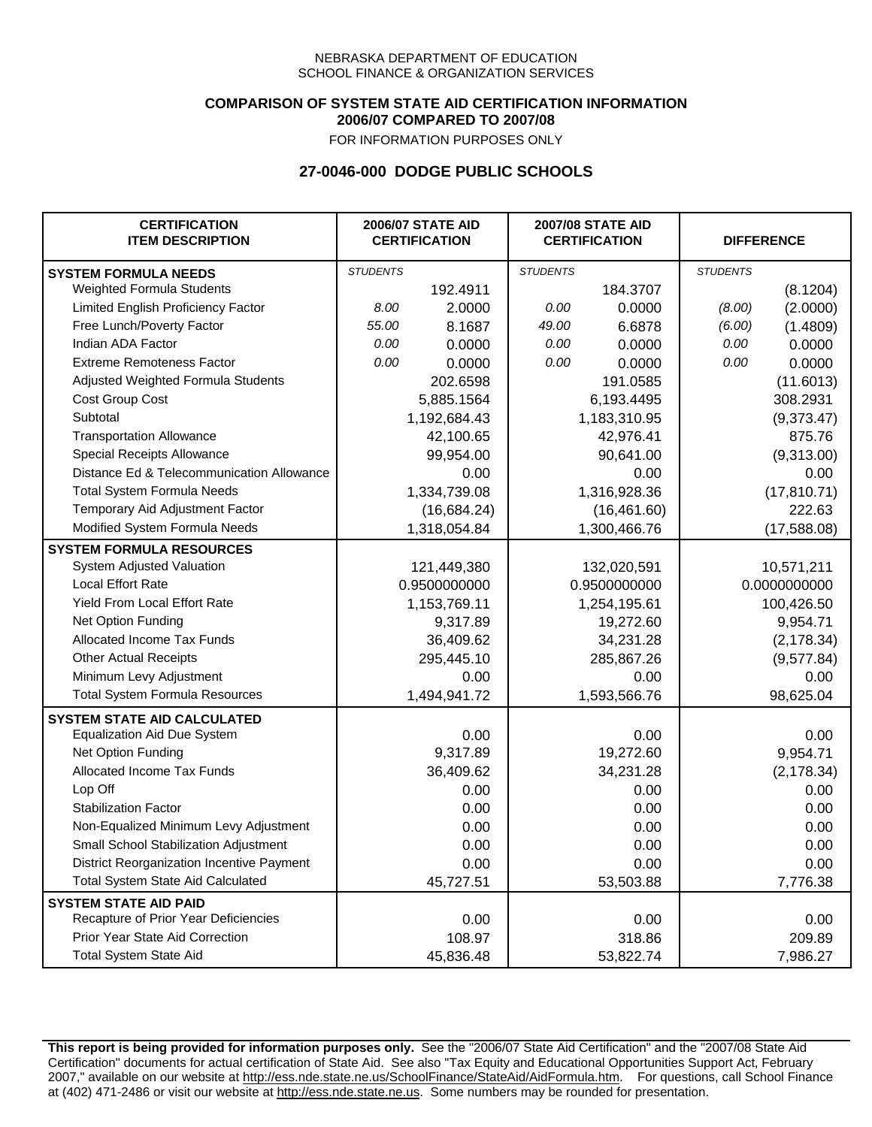### **COMPARISON OF SYSTEM STATE AID CERTIFICATION INFORMATION 2006/07 COMPARED TO 2007/08**

FOR INFORMATION PURPOSES ONLY

## **27-0046-000 DODGE PUBLIC SCHOOLS**

| <b>CERTIFICATION</b><br><b>ITEM DESCRIPTION</b> | <b>2006/07 STATE AID</b><br><b>CERTIFICATION</b> |              | <b>2007/08 STATE AID</b><br><b>CERTIFICATION</b> |              | <b>DIFFERENCE</b> |              |  |
|-------------------------------------------------|--------------------------------------------------|--------------|--------------------------------------------------|--------------|-------------------|--------------|--|
| <b>SYSTEM FORMULA NEEDS</b>                     | <b>STUDENTS</b>                                  |              | <b>STUDENTS</b>                                  |              | <b>STUDENTS</b>   |              |  |
| Weighted Formula Students                       |                                                  | 192.4911     |                                                  | 184.3707     |                   | (8.1204)     |  |
| Limited English Proficiency Factor              | 8.00                                             | 2.0000       | 0.00                                             | 0.0000       | (8.00)            | (2.0000)     |  |
| Free Lunch/Poverty Factor                       | 55.00                                            | 8.1687       | 49.00                                            | 6.6878       | (6.00)            | (1.4809)     |  |
| Indian ADA Factor                               | 0.00                                             | 0.0000       | 0.00                                             | 0.0000       | 0.00              | 0.0000       |  |
| <b>Extreme Remoteness Factor</b>                | 0.00                                             | 0.0000       | 0.00                                             | 0.0000       | 0.00              | 0.0000       |  |
| Adjusted Weighted Formula Students              |                                                  | 202.6598     |                                                  | 191.0585     |                   | (11.6013)    |  |
| Cost Group Cost                                 |                                                  | 5,885.1564   |                                                  | 6,193.4495   |                   | 308.2931     |  |
| Subtotal                                        |                                                  | 1,192,684.43 |                                                  | 1,183,310.95 |                   | (9,373.47)   |  |
| <b>Transportation Allowance</b>                 |                                                  | 42,100.65    |                                                  | 42,976.41    |                   | 875.76       |  |
| Special Receipts Allowance                      |                                                  | 99,954.00    |                                                  | 90,641.00    |                   | (9,313.00)   |  |
| Distance Ed & Telecommunication Allowance       |                                                  | 0.00         |                                                  | 0.00         |                   | 0.00         |  |
| <b>Total System Formula Needs</b>               |                                                  | 1,334,739.08 |                                                  | 1,316,928.36 |                   | (17, 810.71) |  |
| Temporary Aid Adjustment Factor                 |                                                  | (16, 684.24) | (16, 461.60)                                     |              | 222.63            |              |  |
| Modified System Formula Needs                   | 1,318,054.84                                     |              | 1,300,466.76                                     |              | (17,588.08)       |              |  |
| <b>SYSTEM FORMULA RESOURCES</b>                 |                                                  |              |                                                  |              |                   |              |  |
| System Adjusted Valuation                       |                                                  | 121,449,380  |                                                  | 132,020,591  |                   | 10,571,211   |  |
| <b>Local Effort Rate</b>                        |                                                  | 0.9500000000 |                                                  | 0.9500000000 |                   | 0.0000000000 |  |
| Yield From Local Effort Rate                    |                                                  | 1,153,769.11 |                                                  | 1,254,195.61 | 100,426.50        |              |  |
| Net Option Funding                              |                                                  | 9,317.89     | 19,272.60                                        |              | 9,954.71          |              |  |
| Allocated Income Tax Funds                      |                                                  | 36,409.62    | 34,231.28                                        |              | (2, 178.34)       |              |  |
| <b>Other Actual Receipts</b>                    |                                                  | 295,445.10   | 285,867.26                                       |              | (9,577.84)        |              |  |
| Minimum Levy Adjustment                         |                                                  | 0.00         |                                                  | 0.00         |                   | 0.00         |  |
| <b>Total System Formula Resources</b>           |                                                  | 1,494,941.72 |                                                  | 1,593,566.76 |                   | 98,625.04    |  |
| <b>SYSTEM STATE AID CALCULATED</b>              |                                                  |              |                                                  |              |                   |              |  |
| <b>Equalization Aid Due System</b>              |                                                  | 0.00         |                                                  | 0.00         |                   | 0.00         |  |
| Net Option Funding                              |                                                  | 9,317.89     |                                                  | 19,272.60    |                   | 9,954.71     |  |
| Allocated Income Tax Funds                      |                                                  | 36,409.62    |                                                  | 34,231.28    |                   | (2, 178.34)  |  |
| Lop Off                                         |                                                  | 0.00         |                                                  | 0.00         |                   | 0.00         |  |
| <b>Stabilization Factor</b>                     |                                                  | 0.00         |                                                  | 0.00         |                   | 0.00         |  |
| Non-Equalized Minimum Levy Adjustment           |                                                  | 0.00         |                                                  | 0.00         |                   | 0.00         |  |
| Small School Stabilization Adjustment           |                                                  | 0.00         |                                                  | 0.00         |                   | 0.00         |  |
| District Reorganization Incentive Payment       |                                                  | 0.00         |                                                  | 0.00         |                   | 0.00         |  |
| <b>Total System State Aid Calculated</b>        |                                                  | 45,727.51    |                                                  | 53,503.88    |                   | 7,776.38     |  |
| <b>SYSTEM STATE AID PAID</b>                    |                                                  |              |                                                  |              |                   |              |  |
| Recapture of Prior Year Deficiencies            |                                                  | 0.00         |                                                  | 0.00         |                   | 0.00         |  |
| Prior Year State Aid Correction                 |                                                  | 108.97       |                                                  | 318.86       | 209.89            |              |  |
| <b>Total System State Aid</b>                   |                                                  | 45,836.48    |                                                  | 53,822.74    |                   | 7,986.27     |  |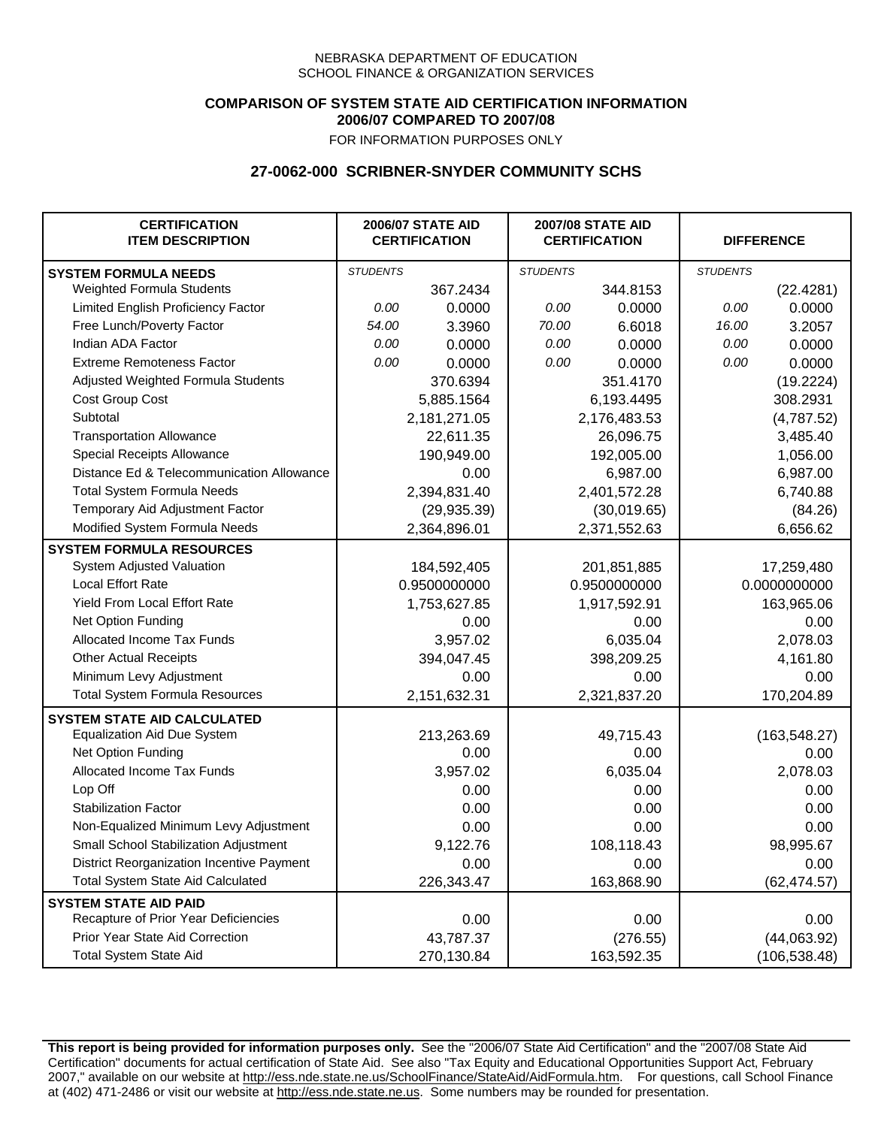## **COMPARISON OF SYSTEM STATE AID CERTIFICATION INFORMATION 2006/07 COMPARED TO 2007/08**

FOR INFORMATION PURPOSES ONLY

## **27-0062-000 SCRIBNER-SNYDER COMMUNITY SCHS**

| <b>CERTIFICATION</b><br><b>ITEM DESCRIPTION</b> |                 | <b>2006/07 STATE AID</b><br><b>CERTIFICATION</b> |                 | <b>2007/08 STATE AID</b><br><b>CERTIFICATION</b> |                 | <b>DIFFERENCE</b> |
|-------------------------------------------------|-----------------|--------------------------------------------------|-----------------|--------------------------------------------------|-----------------|-------------------|
| <b>SYSTEM FORMULA NEEDS</b>                     | <b>STUDENTS</b> |                                                  | <b>STUDENTS</b> |                                                  | <b>STUDENTS</b> |                   |
| Weighted Formula Students                       |                 | 367.2434                                         |                 | 344.8153                                         |                 | (22.4281)         |
| Limited English Proficiency Factor              | 0.00            | 0.0000                                           | 0.00            | 0.0000                                           | 0.00            | 0.0000            |
| Free Lunch/Poverty Factor                       | 54.00           | 3.3960                                           | 70.00           | 6.6018                                           | 16.00           | 3.2057            |
| Indian ADA Factor                               | 0.00            | 0.0000                                           | 0.00            | 0.0000                                           | 0.00            | 0.0000            |
| <b>Extreme Remoteness Factor</b>                | 0.00            | 0.0000                                           | 0.00            | 0.0000                                           | 0.00            | 0.0000            |
| Adjusted Weighted Formula Students              |                 | 370.6394                                         |                 | 351.4170                                         |                 | (19.2224)         |
| Cost Group Cost                                 |                 | 5,885.1564                                       |                 | 6,193.4495                                       |                 | 308.2931          |
| Subtotal                                        |                 | 2,181,271.05                                     |                 | 2,176,483.53                                     |                 | (4,787.52)        |
| <b>Transportation Allowance</b>                 |                 | 22,611.35                                        |                 | 26,096.75                                        |                 | 3,485.40          |
| Special Receipts Allowance                      |                 | 190,949.00                                       |                 | 192,005.00                                       |                 | 1,056.00          |
| Distance Ed & Telecommunication Allowance       |                 | 0.00                                             |                 | 6,987.00                                         |                 | 6,987.00          |
| <b>Total System Formula Needs</b>               |                 | 2,394,831.40                                     |                 | 2,401,572.28                                     |                 | 6,740.88          |
| Temporary Aid Adjustment Factor                 |                 | (29, 935.39)                                     | (30,019.65)     |                                                  | (84.26)         |                   |
| Modified System Formula Needs                   |                 | 2,364,896.01                                     |                 | 2,371,552.63                                     |                 | 6,656.62          |
| <b>SYSTEM FORMULA RESOURCES</b>                 |                 |                                                  |                 |                                                  |                 |                   |
| System Adjusted Valuation                       |                 | 184,592,405                                      |                 | 201,851,885                                      |                 | 17,259,480        |
| <b>Local Effort Rate</b>                        |                 | 0.9500000000                                     |                 | 0.9500000000                                     |                 | 0.0000000000      |
| <b>Yield From Local Effort Rate</b>             |                 | 1,753,627.85                                     | 1,917,592.91    |                                                  | 163,965.06      |                   |
| Net Option Funding                              |                 | 0.00                                             | 0.00            |                                                  | 0.00            |                   |
| Allocated Income Tax Funds                      |                 | 3,957.02                                         | 6,035.04        |                                                  | 2,078.03        |                   |
| <b>Other Actual Receipts</b>                    |                 | 394,047.45                                       | 398,209.25      |                                                  | 4,161.80        |                   |
| Minimum Levy Adjustment                         |                 | 0.00                                             |                 | 0.00                                             |                 | 0.00              |
| <b>Total System Formula Resources</b>           |                 | 2,151,632.31                                     |                 | 2,321,837.20                                     |                 | 170,204.89        |
| <b>SYSTEM STATE AID CALCULATED</b>              |                 |                                                  |                 |                                                  |                 |                   |
| <b>Equalization Aid Due System</b>              |                 | 213,263.69                                       |                 | 49,715.43                                        |                 | (163, 548.27)     |
| Net Option Funding                              |                 | 0.00                                             |                 | 0.00                                             |                 | 0.00              |
| Allocated Income Tax Funds                      |                 | 3,957.02                                         |                 | 6,035.04                                         |                 | 2,078.03          |
| Lop Off                                         |                 | 0.00                                             |                 | 0.00                                             |                 | 0.00              |
| <b>Stabilization Factor</b>                     |                 | 0.00                                             |                 | 0.00                                             |                 | 0.00              |
| Non-Equalized Minimum Levy Adjustment           |                 | 0.00                                             |                 | 0.00                                             |                 | 0.00              |
| Small School Stabilization Adjustment           |                 | 9,122.76                                         |                 | 108,118.43                                       |                 | 98,995.67         |
| District Reorganization Incentive Payment       |                 | 0.00                                             |                 | 0.00                                             |                 | 0.00              |
| <b>Total System State Aid Calculated</b>        |                 | 226,343.47                                       |                 | 163,868.90                                       |                 | (62, 474.57)      |
| <b>SYSTEM STATE AID PAID</b>                    |                 |                                                  |                 |                                                  |                 |                   |
| Recapture of Prior Year Deficiencies            |                 | 0.00                                             |                 | 0.00                                             |                 | 0.00              |
| Prior Year State Aid Correction                 |                 | 43,787.37                                        |                 | (276.55)                                         |                 | (44,063.92)       |
| <b>Total System State Aid</b>                   |                 | 270,130.84                                       |                 | 163,592.35                                       |                 | (106, 538.48)     |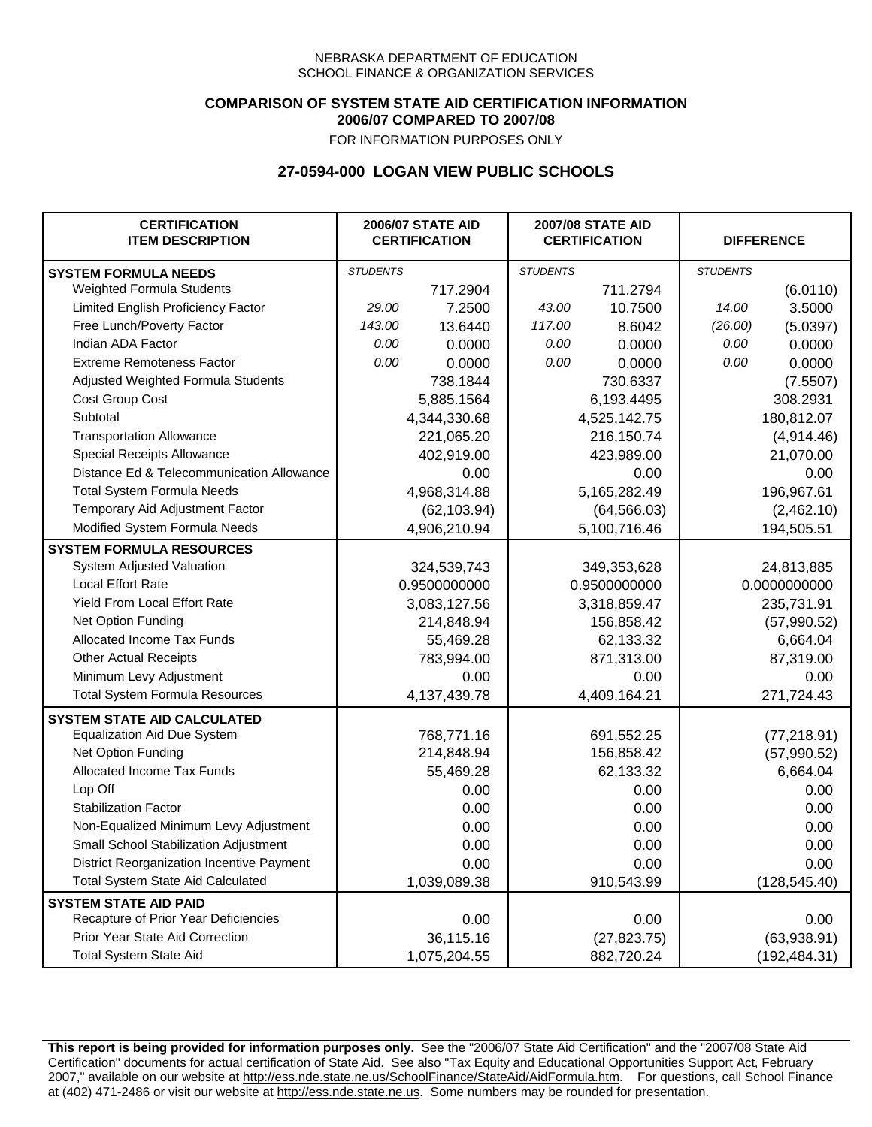### **COMPARISON OF SYSTEM STATE AID CERTIFICATION INFORMATION 2006/07 COMPARED TO 2007/08**

FOR INFORMATION PURPOSES ONLY

# **27-0594-000 LOGAN VIEW PUBLIC SCHOOLS**

| <b>CERTIFICATION</b><br><b>ITEM DESCRIPTION</b> |                 | <b>2006/07 STATE AID</b><br><b>CERTIFICATION</b> | <b>2007/08 STATE AID</b><br><b>CERTIFICATION</b> |              | <b>DIFFERENCE</b> |               |
|-------------------------------------------------|-----------------|--------------------------------------------------|--------------------------------------------------|--------------|-------------------|---------------|
| <b>SYSTEM FORMULA NEEDS</b>                     | <b>STUDENTS</b> |                                                  | <b>STUDENTS</b>                                  |              | <b>STUDENTS</b>   |               |
| Weighted Formula Students                       |                 | 717.2904                                         |                                                  | 711.2794     |                   | (6.0110)      |
| Limited English Proficiency Factor              | 29.00           | 7.2500                                           | 43.00                                            | 10.7500      | 14.00             | 3.5000        |
| Free Lunch/Poverty Factor                       | 143.00          | 13.6440                                          | 117.00                                           | 8.6042       | (26.00)           | (5.0397)      |
| Indian ADA Factor                               | 0.00            | 0.0000                                           | 0.00                                             | 0.0000       | 0.00              | 0.0000        |
| <b>Extreme Remoteness Factor</b>                | 0.00            | 0.0000                                           | 0.00                                             | 0.0000       | 0.00              | 0.0000        |
| Adjusted Weighted Formula Students              |                 | 738.1844                                         |                                                  | 730.6337     |                   | (7.5507)      |
| Cost Group Cost                                 |                 | 5,885.1564                                       |                                                  | 6,193.4495   |                   | 308.2931      |
| Subtotal                                        |                 | 4,344,330.68                                     |                                                  | 4,525,142.75 |                   | 180,812.07    |
| <b>Transportation Allowance</b>                 |                 | 221,065.20                                       |                                                  | 216,150.74   |                   | (4,914.46)    |
| Special Receipts Allowance                      |                 | 402,919.00                                       |                                                  | 423,989.00   |                   | 21,070.00     |
| Distance Ed & Telecommunication Allowance       |                 | 0.00                                             |                                                  | 0.00         |                   | 0.00          |
| <b>Total System Formula Needs</b>               |                 | 4,968,314.88                                     |                                                  | 5,165,282.49 | 196,967.61        |               |
| Temporary Aid Adjustment Factor                 |                 | (62, 103.94)                                     | (64, 566.03)                                     |              | (2,462.10)        |               |
| Modified System Formula Needs                   |                 | 4,906,210.94                                     |                                                  | 5,100,716.46 |                   | 194,505.51    |
| <b>SYSTEM FORMULA RESOURCES</b>                 |                 |                                                  |                                                  |              |                   |               |
| System Adjusted Valuation                       |                 | 324,539,743                                      |                                                  | 349,353,628  |                   | 24,813,885    |
| <b>Local Effort Rate</b>                        |                 | 0.9500000000                                     |                                                  | 0.9500000000 |                   | 0.0000000000  |
| Yield From Local Effort Rate                    |                 | 3,083,127.56                                     | 3,318,859.47                                     |              | 235,731.91        |               |
| Net Option Funding                              |                 | 214,848.94                                       | 156,858.42                                       |              | (57,990.52)       |               |
| Allocated Income Tax Funds                      |                 | 55,469.28                                        | 62,133.32                                        |              | 6,664.04          |               |
| <b>Other Actual Receipts</b>                    |                 | 783,994.00                                       | 871,313.00                                       |              | 87,319.00         |               |
| Minimum Levy Adjustment                         |                 | 0.00                                             |                                                  | 0.00         |                   | 0.00          |
| <b>Total System Formula Resources</b>           |                 | 4,137,439.78                                     |                                                  | 4,409,164.21 |                   | 271,724.43    |
| <b>SYSTEM STATE AID CALCULATED</b>              |                 |                                                  |                                                  |              |                   |               |
| <b>Equalization Aid Due System</b>              |                 | 768,771.16                                       |                                                  | 691,552.25   |                   | (77, 218.91)  |
| Net Option Funding                              |                 | 214,848.94                                       |                                                  | 156,858.42   |                   | (57,990.52)   |
| Allocated Income Tax Funds                      |                 | 55,469.28                                        |                                                  | 62,133.32    |                   | 6,664.04      |
| Lop Off                                         |                 | 0.00                                             |                                                  | 0.00         |                   | 0.00          |
| <b>Stabilization Factor</b>                     |                 | 0.00                                             |                                                  | 0.00         |                   | 0.00          |
| Non-Equalized Minimum Levy Adjustment           |                 | 0.00                                             |                                                  | 0.00         |                   | 0.00          |
| Small School Stabilization Adjustment           |                 | 0.00                                             |                                                  | 0.00         |                   | 0.00          |
| District Reorganization Incentive Payment       |                 | 0.00                                             |                                                  | 0.00         |                   | 0.00          |
| <b>Total System State Aid Calculated</b>        |                 | 1,039,089.38                                     |                                                  | 910,543.99   |                   | (128, 545.40) |
| <b>SYSTEM STATE AID PAID</b>                    |                 |                                                  |                                                  |              |                   |               |
| Recapture of Prior Year Deficiencies            |                 | 0.00                                             |                                                  | 0.00         |                   | 0.00          |
| Prior Year State Aid Correction                 |                 | 36,115.16                                        |                                                  | (27, 823.75) |                   | (63,938.91)   |
| <b>Total System State Aid</b>                   |                 | 1,075,204.55                                     |                                                  | 882,720.24   |                   | (192, 484.31) |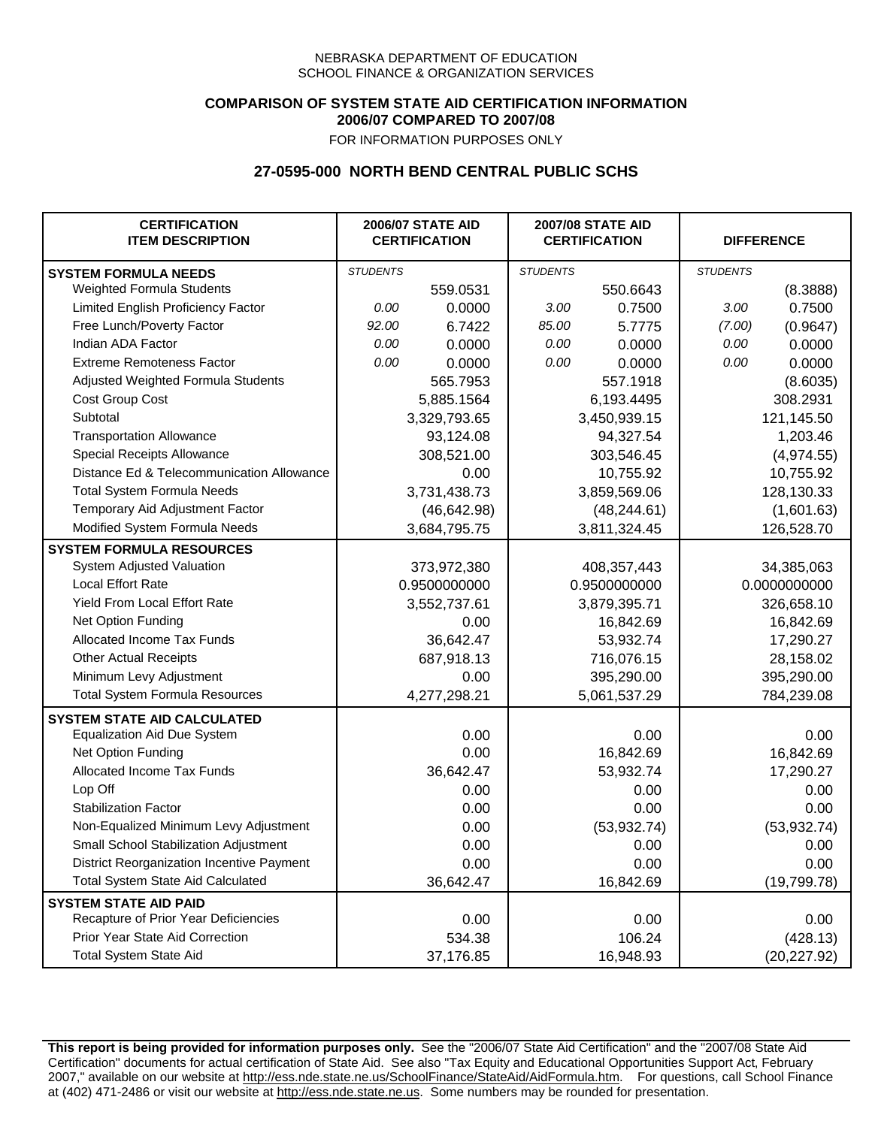## **COMPARISON OF SYSTEM STATE AID CERTIFICATION INFORMATION 2006/07 COMPARED TO 2007/08**

FOR INFORMATION PURPOSES ONLY

## **27-0595-000 NORTH BEND CENTRAL PUBLIC SCHS**

| <b>CERTIFICATION</b><br><b>ITEM DESCRIPTION</b> |                 | <b>2006/07 STATE AID</b><br><b>CERTIFICATION</b> | <b>2007/08 STATE AID</b><br><b>CERTIFICATION</b> |              | <b>DIFFERENCE</b> |              |
|-------------------------------------------------|-----------------|--------------------------------------------------|--------------------------------------------------|--------------|-------------------|--------------|
| <b>SYSTEM FORMULA NEEDS</b>                     | <b>STUDENTS</b> |                                                  | <b>STUDENTS</b>                                  |              | <b>STUDENTS</b>   |              |
| Weighted Formula Students                       |                 | 559.0531                                         |                                                  | 550.6643     |                   | (8.3888)     |
| Limited English Proficiency Factor              | 0.00            | 0.0000                                           | 3.00                                             | 0.7500       | 3.00              | 0.7500       |
| Free Lunch/Poverty Factor                       | 92.00           | 6.7422                                           | 85.00                                            | 5.7775       | (7.00)            | (0.9647)     |
| Indian ADA Factor                               | 0.00            | 0.0000                                           | 0.00                                             | 0.0000       | 0.00              | 0.0000       |
| <b>Extreme Remoteness Factor</b>                | 0.00            | 0.0000                                           | 0.00                                             | 0.0000       | 0.00              | 0.0000       |
| Adjusted Weighted Formula Students              |                 | 565.7953                                         |                                                  | 557.1918     |                   | (8.6035)     |
| Cost Group Cost                                 |                 | 5,885.1564                                       |                                                  | 6,193.4495   |                   | 308.2931     |
| Subtotal                                        |                 | 3,329,793.65                                     |                                                  | 3,450,939.15 |                   | 121,145.50   |
| <b>Transportation Allowance</b>                 |                 | 93,124.08                                        |                                                  | 94,327.54    |                   | 1,203.46     |
| Special Receipts Allowance                      |                 | 308,521.00                                       |                                                  | 303,546.45   |                   | (4,974.55)   |
| Distance Ed & Telecommunication Allowance       |                 | 0.00                                             |                                                  | 10,755.92    |                   | 10,755.92    |
| <b>Total System Formula Needs</b>               |                 | 3,731,438.73                                     |                                                  | 3,859,569.06 | 128,130.33        |              |
| Temporary Aid Adjustment Factor                 |                 | (46, 642.98)                                     | (48, 244.61)                                     |              | (1,601.63)        |              |
| Modified System Formula Needs                   |                 | 3,684,795.75                                     |                                                  | 3,811,324.45 |                   | 126,528.70   |
| <b>SYSTEM FORMULA RESOURCES</b>                 |                 |                                                  |                                                  |              |                   |              |
| System Adjusted Valuation                       |                 | 373,972,380                                      |                                                  | 408,357,443  |                   | 34,385,063   |
| <b>Local Effort Rate</b>                        |                 | 0.9500000000                                     |                                                  | 0.9500000000 | 0.0000000000      |              |
| Yield From Local Effort Rate                    |                 | 3,552,737.61                                     | 3,879,395.71                                     |              | 326,658.10        |              |
| Net Option Funding                              |                 | 0.00                                             | 16,842.69                                        |              | 16,842.69         |              |
| Allocated Income Tax Funds                      |                 | 36,642.47                                        | 53,932.74                                        |              | 17,290.27         |              |
| <b>Other Actual Receipts</b>                    |                 | 687,918.13                                       | 716,076.15                                       |              | 28,158.02         |              |
| Minimum Levy Adjustment                         |                 | 0.00                                             |                                                  | 395,290.00   |                   | 395,290.00   |
| <b>Total System Formula Resources</b>           |                 | 4,277,298.21                                     |                                                  | 5,061,537.29 |                   | 784,239.08   |
| <b>SYSTEM STATE AID CALCULATED</b>              |                 |                                                  |                                                  |              |                   |              |
| <b>Equalization Aid Due System</b>              |                 | 0.00                                             |                                                  | 0.00         |                   | 0.00         |
| Net Option Funding                              |                 | 0.00                                             |                                                  | 16,842.69    |                   | 16,842.69    |
| Allocated Income Tax Funds                      |                 | 36,642.47                                        |                                                  | 53,932.74    |                   | 17,290.27    |
| Lop Off                                         |                 | 0.00                                             |                                                  | 0.00         |                   | 0.00         |
| <b>Stabilization Factor</b>                     |                 | 0.00                                             |                                                  | 0.00         |                   | 0.00         |
| Non-Equalized Minimum Levy Adjustment           |                 | 0.00                                             |                                                  | (53, 932.74) |                   | (53, 932.74) |
| Small School Stabilization Adjustment           |                 | 0.00                                             |                                                  | 0.00         |                   | 0.00         |
| District Reorganization Incentive Payment       |                 | 0.00                                             |                                                  | 0.00         |                   | 0.00         |
| <b>Total System State Aid Calculated</b>        |                 | 36,642.47                                        |                                                  | 16,842.69    |                   | (19, 799.78) |
| <b>SYSTEM STATE AID PAID</b>                    |                 |                                                  |                                                  |              |                   |              |
| Recapture of Prior Year Deficiencies            |                 | 0.00                                             |                                                  | 0.00         |                   | 0.00         |
| Prior Year State Aid Correction                 |                 | 534.38                                           |                                                  | 106.24       |                   | (428.13)     |
| <b>Total System State Aid</b>                   |                 | 37,176.85                                        |                                                  | 16,948.93    | (20, 227.92)      |              |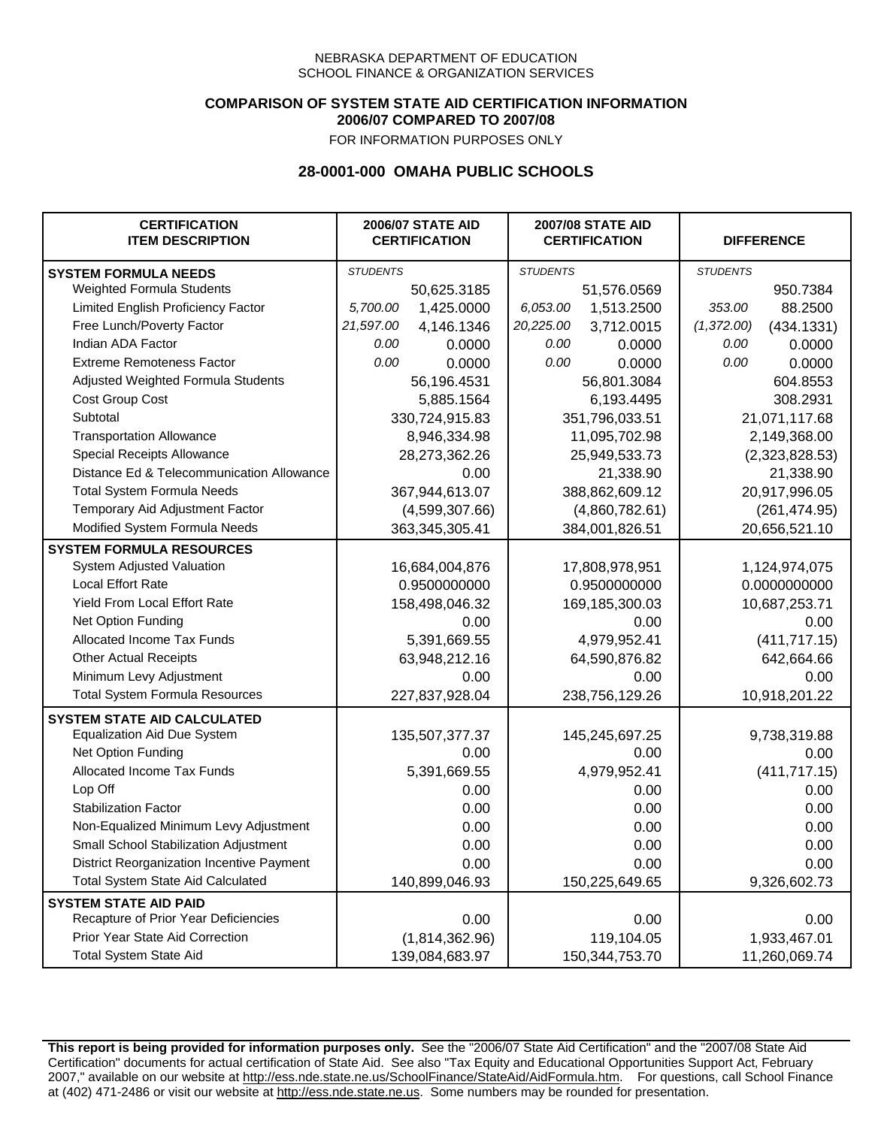### **COMPARISON OF SYSTEM STATE AID CERTIFICATION INFORMATION 2006/07 COMPARED TO 2007/08**

FOR INFORMATION PURPOSES ONLY

## **28-0001-000 OMAHA PUBLIC SCHOOLS**

| <b>CERTIFICATION</b><br><b>ITEM DESCRIPTION</b> |                 | <b>2006/07 STATE AID</b><br><b>CERTIFICATION</b> |                 | <b>2007/08 STATE AID</b><br><b>CERTIFICATION</b> |                 | <b>DIFFERENCE</b> |  |
|-------------------------------------------------|-----------------|--------------------------------------------------|-----------------|--------------------------------------------------|-----------------|-------------------|--|
| <b>SYSTEM FORMULA NEEDS</b>                     | <b>STUDENTS</b> |                                                  | <b>STUDENTS</b> |                                                  | <b>STUDENTS</b> |                   |  |
| Weighted Formula Students                       |                 | 50,625.3185                                      |                 | 51,576.0569                                      |                 | 950.7384          |  |
| Limited English Proficiency Factor              | 5,700.00        | 1,425.0000                                       | 6,053.00        | 1,513.2500                                       | 353.00          | 88.2500           |  |
| Free Lunch/Poverty Factor                       | 21,597.00       | 4,146.1346                                       | 20,225.00       | 3,712.0015                                       | (1,372.00)      | (434.1331)        |  |
| Indian ADA Factor                               | 0.00            | 0.0000                                           | 0.00            | 0.0000                                           | 0.00            | 0.0000            |  |
| <b>Extreme Remoteness Factor</b>                | 0.00            | 0.0000                                           | 0.00            | 0.0000                                           | 0.00            | 0.0000            |  |
| Adjusted Weighted Formula Students              |                 | 56,196.4531                                      |                 | 56,801.3084                                      |                 | 604.8553          |  |
| Cost Group Cost                                 |                 | 5,885.1564                                       |                 | 6,193.4495                                       |                 | 308.2931          |  |
| Subtotal                                        |                 | 330,724,915.83                                   |                 | 351,796,033.51                                   |                 | 21,071,117.68     |  |
| <b>Transportation Allowance</b>                 |                 | 8,946,334.98                                     |                 | 11,095,702.98                                    |                 | 2,149,368.00      |  |
| Special Receipts Allowance                      |                 | 28,273,362.26                                    |                 | 25,949,533.73                                    |                 | (2,323,828.53)    |  |
| Distance Ed & Telecommunication Allowance       |                 | 0.00                                             |                 | 21,338.90                                        |                 | 21,338.90         |  |
| <b>Total System Formula Needs</b>               |                 | 367,944,613.07                                   |                 | 388,862,609.12                                   |                 | 20,917,996.05     |  |
| Temporary Aid Adjustment Factor                 |                 | (4,599,307.66)                                   | (4,860,782.61)  |                                                  | (261, 474.95)   |                   |  |
| Modified System Formula Needs                   | 363,345,305.41  |                                                  |                 | 384,001,826.51                                   |                 | 20,656,521.10     |  |
| <b>SYSTEM FORMULA RESOURCES</b>                 |                 |                                                  |                 |                                                  |                 |                   |  |
| System Adjusted Valuation                       | 16,684,004,876  |                                                  |                 | 17,808,978,951                                   |                 | 1,124,974,075     |  |
| <b>Local Effort Rate</b>                        | 0.9500000000    |                                                  |                 | 0.9500000000                                     |                 | 0.0000000000      |  |
| <b>Yield From Local Effort Rate</b>             |                 | 158,498,046.32                                   |                 | 169,185,300.03                                   |                 | 10,687,253.71     |  |
| Net Option Funding                              |                 | 0.00                                             | 0.00            |                                                  | 0.00            |                   |  |
| Allocated Income Tax Funds                      |                 | 5,391,669.55                                     | 4,979,952.41    |                                                  | (411, 717.15)   |                   |  |
| <b>Other Actual Receipts</b>                    |                 | 63,948,212.16                                    | 64,590,876.82   |                                                  | 642,664.66      |                   |  |
| Minimum Levy Adjustment                         |                 | 0.00                                             |                 | 0.00                                             |                 | 0.00              |  |
| <b>Total System Formula Resources</b>           |                 | 227,837,928.04                                   |                 | 238,756,129.26                                   |                 | 10,918,201.22     |  |
| <b>SYSTEM STATE AID CALCULATED</b>              |                 |                                                  |                 |                                                  |                 |                   |  |
| <b>Equalization Aid Due System</b>              |                 | 135,507,377.37                                   |                 | 145,245,697.25                                   |                 | 9,738,319.88      |  |
| Net Option Funding                              |                 | 0.00                                             |                 | 0.00                                             |                 | 0.00              |  |
| Allocated Income Tax Funds                      |                 | 5,391,669.55                                     |                 | 4,979,952.41                                     |                 | (411, 717.15)     |  |
| Lop Off                                         |                 | 0.00                                             |                 | 0.00                                             |                 | 0.00              |  |
| <b>Stabilization Factor</b>                     |                 | 0.00                                             |                 | 0.00                                             |                 | 0.00              |  |
| Non-Equalized Minimum Levy Adjustment           |                 | 0.00                                             |                 | 0.00                                             |                 | 0.00              |  |
| Small School Stabilization Adjustment           |                 | 0.00                                             |                 | 0.00                                             |                 | 0.00              |  |
| District Reorganization Incentive Payment       |                 | 0.00                                             |                 | 0.00                                             |                 | 0.00              |  |
| <b>Total System State Aid Calculated</b>        | 140,899,046.93  |                                                  |                 | 150,225,649.65                                   |                 | 9,326,602.73      |  |
| <b>SYSTEM STATE AID PAID</b>                    |                 |                                                  |                 |                                                  |                 |                   |  |
| Recapture of Prior Year Deficiencies            |                 | 0.00                                             |                 | 0.00                                             |                 | 0.00              |  |
| Prior Year State Aid Correction                 |                 | (1,814,362.96)                                   |                 | 119,104.05                                       |                 | 1,933,467.01      |  |
| <b>Total System State Aid</b>                   |                 | 139,084,683.97                                   |                 | 150,344,753.70                                   | 11,260,069.74   |                   |  |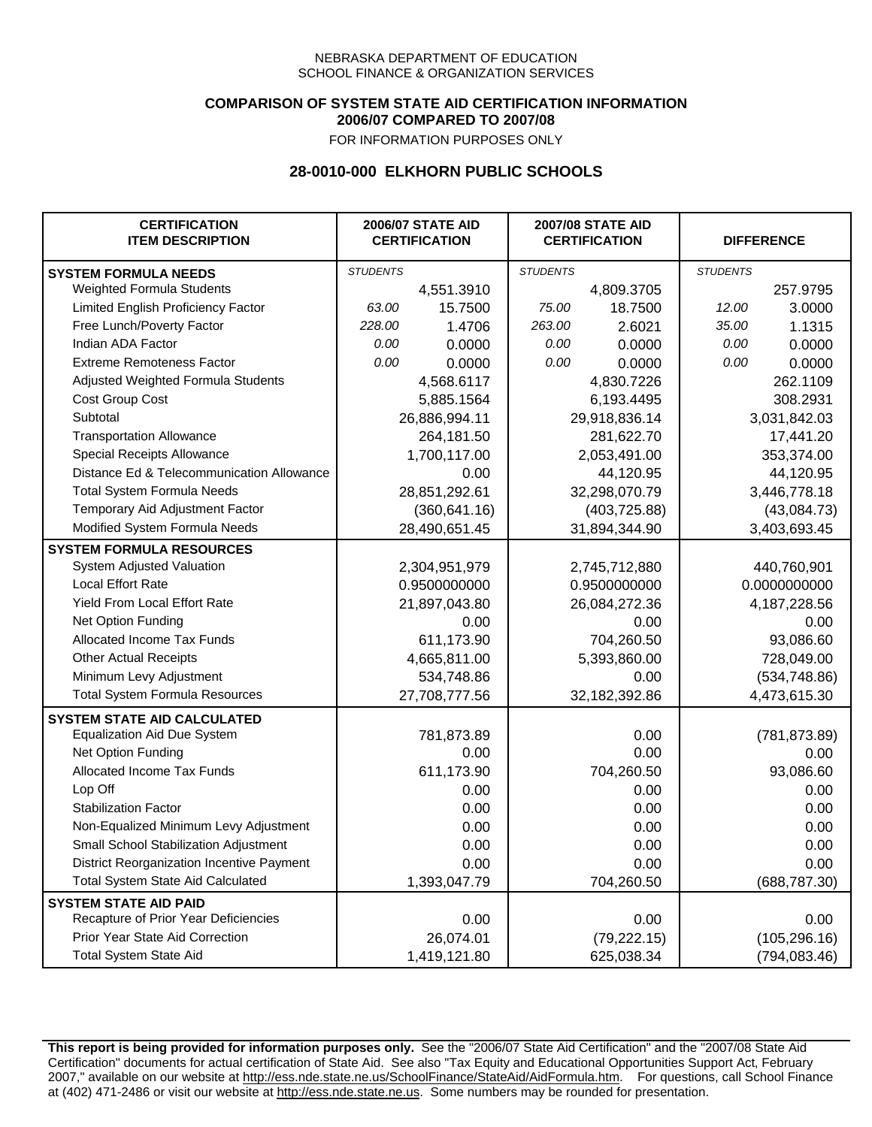### **COMPARISON OF SYSTEM STATE AID CERTIFICATION INFORMATION 2006/07 COMPARED TO 2007/08**

FOR INFORMATION PURPOSES ONLY

## **28-0010-000 ELKHORN PUBLIC SCHOOLS**

| <b>CERTIFICATION</b><br><b>ITEM DESCRIPTION</b> | <b>2006/07 STATE AID</b><br><b>CERTIFICATION</b> |               | <b>2007/08 STATE AID</b><br><b>CERTIFICATION</b> |               | <b>DIFFERENCE</b> |               |
|-------------------------------------------------|--------------------------------------------------|---------------|--------------------------------------------------|---------------|-------------------|---------------|
| <b>SYSTEM FORMULA NEEDS</b>                     | <b>STUDENTS</b>                                  |               | <b>STUDENTS</b>                                  |               | <b>STUDENTS</b>   |               |
| Weighted Formula Students                       |                                                  | 4,551.3910    |                                                  | 4,809.3705    |                   | 257.9795      |
| Limited English Proficiency Factor              | 63.00                                            | 15.7500       | 75.00                                            | 18.7500       | 12.00             | 3.0000        |
| Free Lunch/Poverty Factor                       | 228.00                                           | 1.4706        | 263.00                                           | 2.6021        | 35.00             | 1.1315        |
| Indian ADA Factor                               | 0.00                                             | 0.0000        | 0.00                                             | 0.0000        | 0.00              | 0.0000        |
| <b>Extreme Remoteness Factor</b>                | 0.00                                             | 0.0000        | 0.00                                             | 0.0000        | 0.00              | 0.0000        |
| Adjusted Weighted Formula Students              |                                                  | 4,568.6117    |                                                  | 4,830.7226    |                   | 262.1109      |
| Cost Group Cost                                 |                                                  | 5,885.1564    |                                                  | 6,193.4495    |                   | 308.2931      |
| Subtotal                                        |                                                  | 26,886,994.11 |                                                  | 29,918,836.14 |                   | 3,031,842.03  |
| <b>Transportation Allowance</b>                 |                                                  | 264,181.50    |                                                  | 281,622.70    |                   | 17,441.20     |
| Special Receipts Allowance                      |                                                  | 1,700,117.00  |                                                  | 2,053,491.00  |                   | 353,374.00    |
| Distance Ed & Telecommunication Allowance       |                                                  | 0.00          |                                                  | 44,120.95     |                   | 44,120.95     |
| <b>Total System Formula Needs</b>               |                                                  | 28,851,292.61 |                                                  | 32,298,070.79 |                   | 3,446,778.18  |
| Temporary Aid Adjustment Factor                 |                                                  | (360, 641.16) | (403, 725.88)                                    |               | (43,084.73)       |               |
| Modified System Formula Needs                   | 28,490,651.45                                    |               | 31,894,344.90                                    |               | 3,403,693.45      |               |
| <b>SYSTEM FORMULA RESOURCES</b>                 |                                                  |               |                                                  |               |                   |               |
| System Adjusted Valuation                       |                                                  | 2,304,951,979 |                                                  | 2,745,712,880 |                   | 440,760,901   |
| <b>Local Effort Rate</b>                        |                                                  | 0.9500000000  |                                                  | 0.9500000000  | 0.0000000000      |               |
| Yield From Local Effort Rate                    |                                                  | 21,897,043.80 | 26,084,272.36                                    |               | 4, 187, 228.56    |               |
| Net Option Funding                              |                                                  | 0.00          | 0.00                                             |               | 0.00              |               |
| Allocated Income Tax Funds                      |                                                  | 611,173.90    | 704,260.50                                       |               | 93,086.60         |               |
| <b>Other Actual Receipts</b>                    |                                                  | 4,665,811.00  | 5,393,860.00                                     |               | 728,049.00        |               |
| Minimum Levy Adjustment                         |                                                  | 534,748.86    | 0.00                                             |               |                   | (534, 748.86) |
| <b>Total System Formula Resources</b>           |                                                  | 27,708,777.56 |                                                  | 32,182,392.86 |                   | 4,473,615.30  |
| <b>SYSTEM STATE AID CALCULATED</b>              |                                                  |               |                                                  |               |                   |               |
| <b>Equalization Aid Due System</b>              |                                                  | 781,873.89    |                                                  | 0.00          |                   | (781, 873.89) |
| Net Option Funding                              |                                                  | 0.00          |                                                  | 0.00          |                   | 0.00          |
| Allocated Income Tax Funds                      |                                                  | 611,173.90    |                                                  | 704,260.50    |                   | 93,086.60     |
| Lop Off                                         |                                                  | 0.00          |                                                  | 0.00          |                   | 0.00          |
| <b>Stabilization Factor</b>                     |                                                  | 0.00          |                                                  | 0.00          |                   | 0.00          |
| Non-Equalized Minimum Levy Adjustment           |                                                  | 0.00          |                                                  | 0.00          |                   | 0.00          |
| Small School Stabilization Adjustment           |                                                  | 0.00          |                                                  | 0.00          |                   | 0.00          |
| District Reorganization Incentive Payment       |                                                  | 0.00          |                                                  | 0.00          |                   | 0.00          |
| Total System State Aid Calculated               |                                                  | 1,393,047.79  |                                                  | 704,260.50    |                   | (688, 787.30) |
| <b>SYSTEM STATE AID PAID</b>                    |                                                  |               |                                                  |               |                   |               |
| Recapture of Prior Year Deficiencies            |                                                  | 0.00          |                                                  | 0.00          |                   | 0.00          |
| Prior Year State Aid Correction                 |                                                  | 26,074.01     |                                                  | (79, 222.15)  |                   | (105, 296.16) |
| <b>Total System State Aid</b>                   |                                                  | 1,419,121.80  |                                                  | 625,038.34    |                   | (794, 083.46) |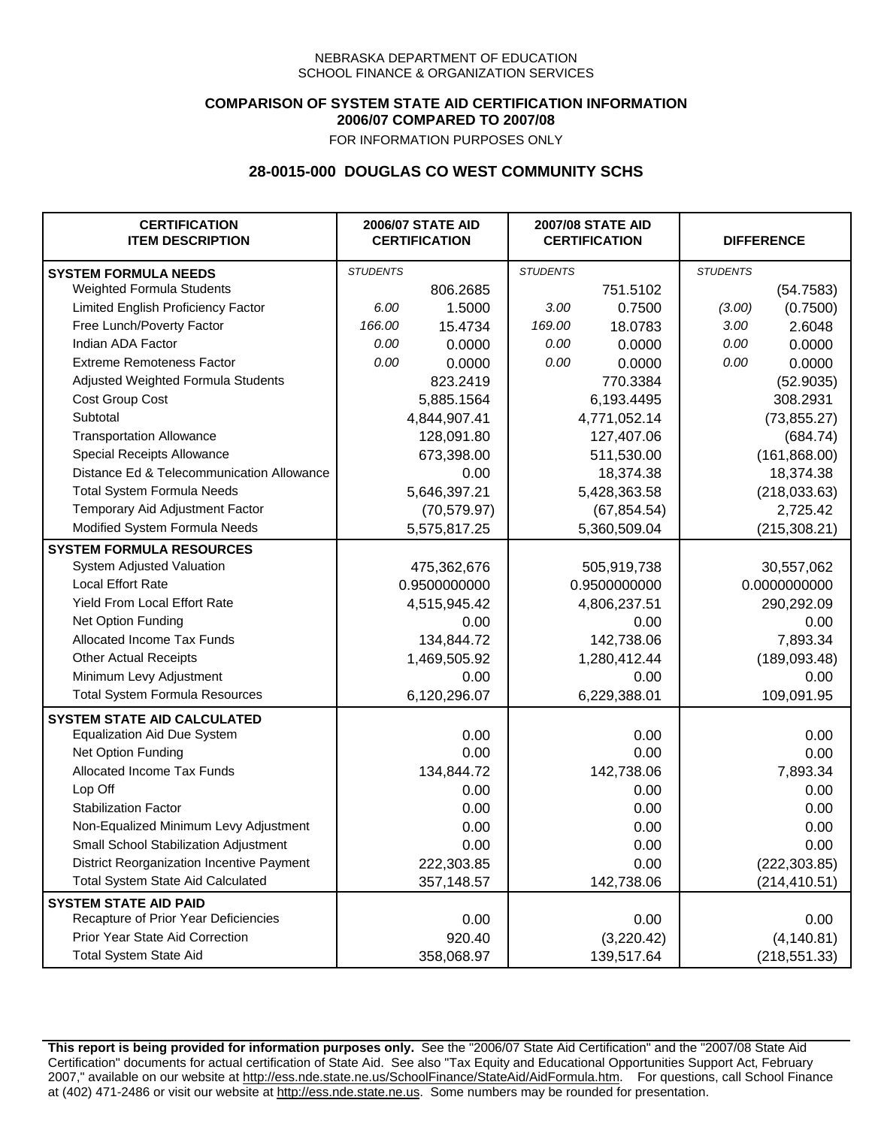## **COMPARISON OF SYSTEM STATE AID CERTIFICATION INFORMATION 2006/07 COMPARED TO 2007/08**

FOR INFORMATION PURPOSES ONLY

## **28-0015-000 DOUGLAS CO WEST COMMUNITY SCHS**

| <b>CERTIFICATION</b><br><b>ITEM DESCRIPTION</b> | <b>2006/07 STATE AID</b><br><b>CERTIFICATION</b> |              | <b>2007/08 STATE AID</b><br><b>CERTIFICATION</b> |              | <b>DIFFERENCE</b> |               |
|-------------------------------------------------|--------------------------------------------------|--------------|--------------------------------------------------|--------------|-------------------|---------------|
| <b>SYSTEM FORMULA NEEDS</b>                     | <b>STUDENTS</b>                                  |              | <b>STUDENTS</b>                                  |              | <b>STUDENTS</b>   |               |
| Weighted Formula Students                       |                                                  | 806.2685     |                                                  | 751.5102     |                   | (54.7583)     |
| Limited English Proficiency Factor              | 6.00                                             | 1.5000       | 3.00                                             | 0.7500       | (3.00)            | (0.7500)      |
| Free Lunch/Poverty Factor                       | 166.00                                           | 15.4734      | 169.00                                           | 18.0783      | 3.00              | 2.6048        |
| Indian ADA Factor                               | 0.00                                             | 0.0000       | 0.00                                             | 0.0000       | 0.00              | 0.0000        |
| <b>Extreme Remoteness Factor</b>                | 0.00                                             | 0.0000       | 0.00                                             | 0.0000       | 0.00              | 0.0000        |
| Adjusted Weighted Formula Students              |                                                  | 823.2419     |                                                  | 770.3384     |                   | (52.9035)     |
| Cost Group Cost                                 |                                                  | 5,885.1564   |                                                  | 6,193.4495   |                   | 308.2931      |
| Subtotal                                        |                                                  | 4,844,907.41 |                                                  | 4,771,052.14 |                   | (73, 855.27)  |
| <b>Transportation Allowance</b>                 |                                                  | 128,091.80   |                                                  | 127,407.06   |                   | (684.74)      |
| Special Receipts Allowance                      |                                                  | 673,398.00   |                                                  | 511,530.00   |                   | (161, 868.00) |
| Distance Ed & Telecommunication Allowance       |                                                  | 0.00         |                                                  | 18,374.38    |                   | 18,374.38     |
| <b>Total System Formula Needs</b>               |                                                  | 5,646,397.21 |                                                  | 5,428,363.58 | (218, 033.63)     |               |
| Temporary Aid Adjustment Factor                 |                                                  | (70, 579.97) | (67, 854.54)                                     |              | 2,725.42          |               |
| Modified System Formula Needs                   |                                                  | 5,575,817.25 |                                                  | 5,360,509.04 |                   | (215, 308.21) |
| <b>SYSTEM FORMULA RESOURCES</b>                 |                                                  |              |                                                  |              |                   |               |
| System Adjusted Valuation                       |                                                  | 475,362,676  |                                                  | 505,919,738  |                   | 30,557,062    |
| <b>Local Effort Rate</b>                        |                                                  | 0.9500000000 |                                                  | 0.9500000000 |                   | 0.0000000000  |
| Yield From Local Effort Rate                    |                                                  | 4,515,945.42 | 4,806,237.51                                     |              | 290,292.09        |               |
| Net Option Funding                              |                                                  | 0.00         |                                                  | 0.00         |                   | 0.00          |
| Allocated Income Tax Funds                      |                                                  | 134,844.72   |                                                  | 142,738.06   |                   | 7,893.34      |
| <b>Other Actual Receipts</b>                    |                                                  | 1,469,505.92 | 1,280,412.44                                     |              | (189,093.48)      |               |
| Minimum Levy Adjustment                         |                                                  | 0.00         |                                                  | 0.00         |                   | 0.00          |
| <b>Total System Formula Resources</b>           |                                                  | 6,120,296.07 |                                                  | 6,229,388.01 |                   | 109,091.95    |
| <b>SYSTEM STATE AID CALCULATED</b>              |                                                  |              |                                                  |              |                   |               |
| <b>Equalization Aid Due System</b>              |                                                  | 0.00         |                                                  | 0.00         |                   | 0.00          |
| Net Option Funding                              |                                                  | 0.00         |                                                  | 0.00         |                   | 0.00          |
| Allocated Income Tax Funds                      |                                                  | 134,844.72   |                                                  | 142,738.06   |                   | 7,893.34      |
| Lop Off                                         |                                                  | 0.00         |                                                  | 0.00         |                   | 0.00          |
| <b>Stabilization Factor</b>                     |                                                  | 0.00         |                                                  | 0.00         |                   | 0.00          |
| Non-Equalized Minimum Levy Adjustment           |                                                  | 0.00         |                                                  | 0.00         |                   | 0.00          |
| Small School Stabilization Adjustment           |                                                  | 0.00         |                                                  | 0.00         |                   | 0.00          |
| District Reorganization Incentive Payment       |                                                  | 222,303.85   |                                                  | 0.00         |                   | (222, 303.85) |
| <b>Total System State Aid Calculated</b>        |                                                  | 357,148.57   |                                                  | 142,738.06   |                   | (214, 410.51) |
| <b>SYSTEM STATE AID PAID</b>                    |                                                  |              |                                                  |              |                   |               |
| Recapture of Prior Year Deficiencies            |                                                  | 0.00         |                                                  | 0.00         |                   | 0.00          |
| Prior Year State Aid Correction                 |                                                  | 920.40       |                                                  | (3,220.42)   |                   | (4, 140.81)   |
| <b>Total System State Aid</b>                   |                                                  | 358,068.97   |                                                  | 139,517.64   |                   | (218, 551.33) |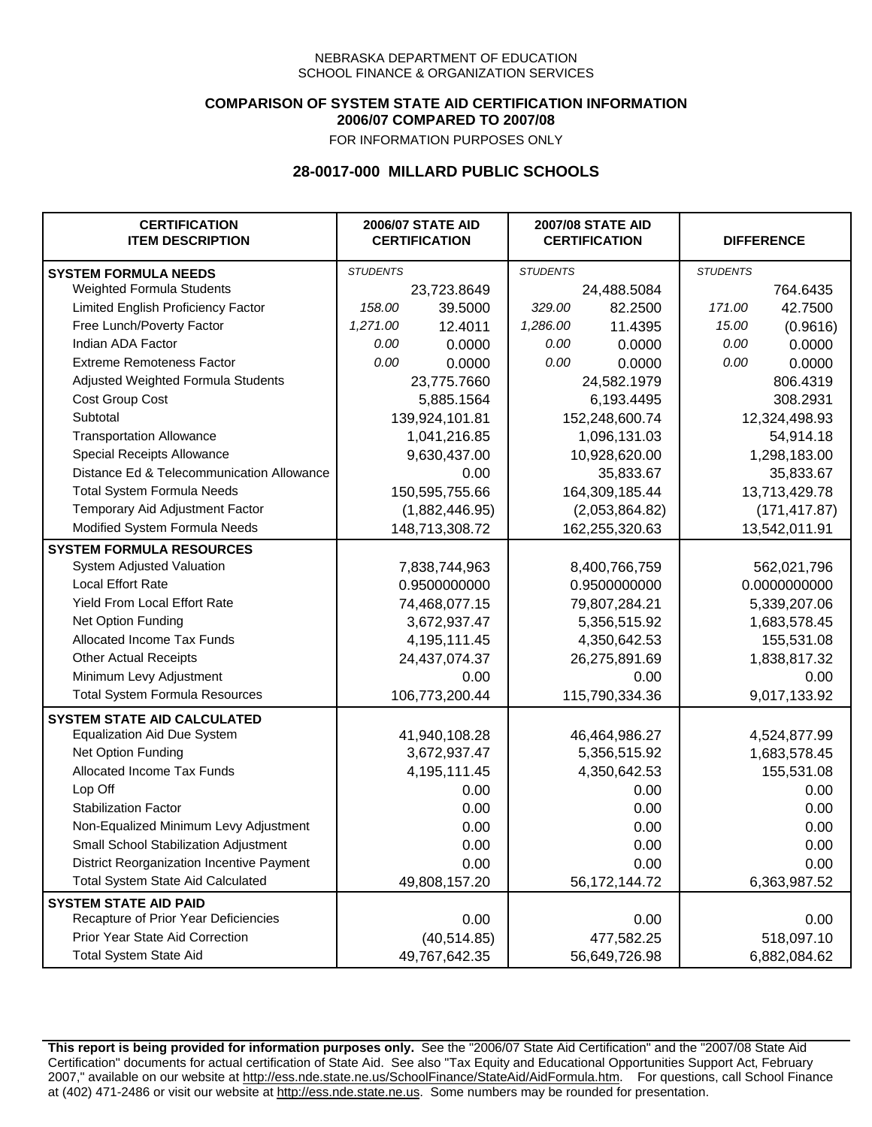### **COMPARISON OF SYSTEM STATE AID CERTIFICATION INFORMATION 2006/07 COMPARED TO 2007/08**

FOR INFORMATION PURPOSES ONLY

## **28-0017-000 MILLARD PUBLIC SCHOOLS**

| <b>CERTIFICATION</b><br><b>ITEM DESCRIPTION</b> |                 | <b>2006/07 STATE AID</b><br><b>CERTIFICATION</b> | <b>2007/08 STATE AID</b><br><b>CERTIFICATION</b> |                |                 | <b>DIFFERENCE</b> |
|-------------------------------------------------|-----------------|--------------------------------------------------|--------------------------------------------------|----------------|-----------------|-------------------|
| <b>SYSTEM FORMULA NEEDS</b>                     | <b>STUDENTS</b> |                                                  | <b>STUDENTS</b>                                  |                | <b>STUDENTS</b> |                   |
| <b>Weighted Formula Students</b>                |                 | 23,723.8649                                      |                                                  | 24,488.5084    |                 | 764.6435          |
| Limited English Proficiency Factor              | 158.00          | 39.5000                                          | 329.00                                           | 82.2500        | 171.00          | 42.7500           |
| Free Lunch/Poverty Factor                       | 1,271.00        | 12.4011                                          | 1,286.00                                         | 11.4395        | 15.00           | (0.9616)          |
| Indian ADA Factor                               | 0.00            | 0.0000                                           | 0.00                                             | 0.0000         | 0.00            | 0.0000            |
| <b>Extreme Remoteness Factor</b>                | 0.00            | 0.0000                                           | 0.00                                             | 0.0000         | 0.00            | 0.0000            |
| Adjusted Weighted Formula Students              |                 | 23,775.7660                                      |                                                  | 24,582.1979    |                 | 806.4319          |
| Cost Group Cost                                 |                 | 5,885.1564                                       |                                                  | 6,193.4495     | 308.2931        |                   |
| Subtotal                                        |                 | 139,924,101.81                                   |                                                  | 152,248,600.74 |                 | 12,324,498.93     |
| <b>Transportation Allowance</b>                 |                 | 1,041,216.85                                     |                                                  | 1,096,131.03   |                 | 54,914.18         |
| Special Receipts Allowance                      |                 | 9,630,437.00                                     |                                                  | 10,928,620.00  |                 | 1,298,183.00      |
| Distance Ed & Telecommunication Allowance       |                 | 0.00                                             |                                                  | 35,833.67      |                 | 35,833.67         |
| <b>Total System Formula Needs</b>               |                 | 150,595,755.66                                   |                                                  | 164,309,185.44 |                 | 13,713,429.78     |
| Temporary Aid Adjustment Factor                 |                 | (1,882,446.95)                                   | (2,053,864.82)                                   |                | (171, 417.87)   |                   |
| Modified System Formula Needs                   | 148,713,308.72  |                                                  |                                                  | 162,255,320.63 | 13,542,011.91   |                   |
| <b>SYSTEM FORMULA RESOURCES</b>                 |                 |                                                  |                                                  |                |                 |                   |
| System Adjusted Valuation                       | 7,838,744,963   |                                                  |                                                  | 8,400,766,759  |                 | 562,021,796       |
| Local Effort Rate                               |                 | 0.9500000000                                     |                                                  | 0.9500000000   |                 | 0.0000000000      |
| Yield From Local Effort Rate                    |                 | 74,468,077.15                                    | 79,807,284.21                                    |                | 5,339,207.06    |                   |
| Net Option Funding                              |                 | 3,672,937.47                                     | 5,356,515.92                                     |                | 1,683,578.45    |                   |
| Allocated Income Tax Funds                      |                 | 4,195,111.45                                     | 4,350,642.53                                     |                | 155,531.08      |                   |
| <b>Other Actual Receipts</b>                    |                 | 24,437,074.37                                    | 26,275,891.69                                    |                | 1,838,817.32    |                   |
| Minimum Levy Adjustment                         |                 | 0.00                                             | 0.00                                             |                | 0.00            |                   |
| <b>Total System Formula Resources</b>           |                 | 106,773,200.44                                   |                                                  | 115,790,334.36 |                 | 9,017,133.92      |
| <b>SYSTEM STATE AID CALCULATED</b>              |                 |                                                  |                                                  |                |                 |                   |
| <b>Equalization Aid Due System</b>              |                 | 41,940,108.28                                    |                                                  | 46,464,986.27  |                 | 4,524,877.99      |
| Net Option Funding                              |                 | 3,672,937.47                                     |                                                  | 5,356,515.92   |                 | 1,683,578.45      |
| Allocated Income Tax Funds                      |                 | 4,195,111.45                                     |                                                  | 4,350,642.53   |                 | 155,531.08        |
| Lop Off                                         |                 | 0.00                                             |                                                  | 0.00           |                 | 0.00              |
| <b>Stabilization Factor</b>                     |                 | 0.00                                             |                                                  | 0.00           |                 | 0.00              |
| Non-Equalized Minimum Levy Adjustment           |                 | 0.00                                             |                                                  | 0.00           |                 | 0.00              |
| <b>Small School Stabilization Adjustment</b>    |                 | 0.00                                             |                                                  | 0.00           |                 | 0.00              |
| District Reorganization Incentive Payment       |                 | 0.00                                             |                                                  | 0.00           |                 | 0.00              |
| <b>Total System State Aid Calculated</b>        | 49,808,157.20   |                                                  |                                                  | 56,172,144.72  |                 | 6,363,987.52      |
| <b>SYSTEM STATE AID PAID</b>                    |                 |                                                  |                                                  |                |                 |                   |
| Recapture of Prior Year Deficiencies            |                 | 0.00                                             |                                                  | 0.00           |                 | 0.00              |
| Prior Year State Aid Correction                 |                 | (40, 514.85)                                     |                                                  | 477,582.25     |                 | 518,097.10        |
| <b>Total System State Aid</b>                   |                 | 49,767,642.35                                    |                                                  | 56,649,726.98  | 6,882,084.62    |                   |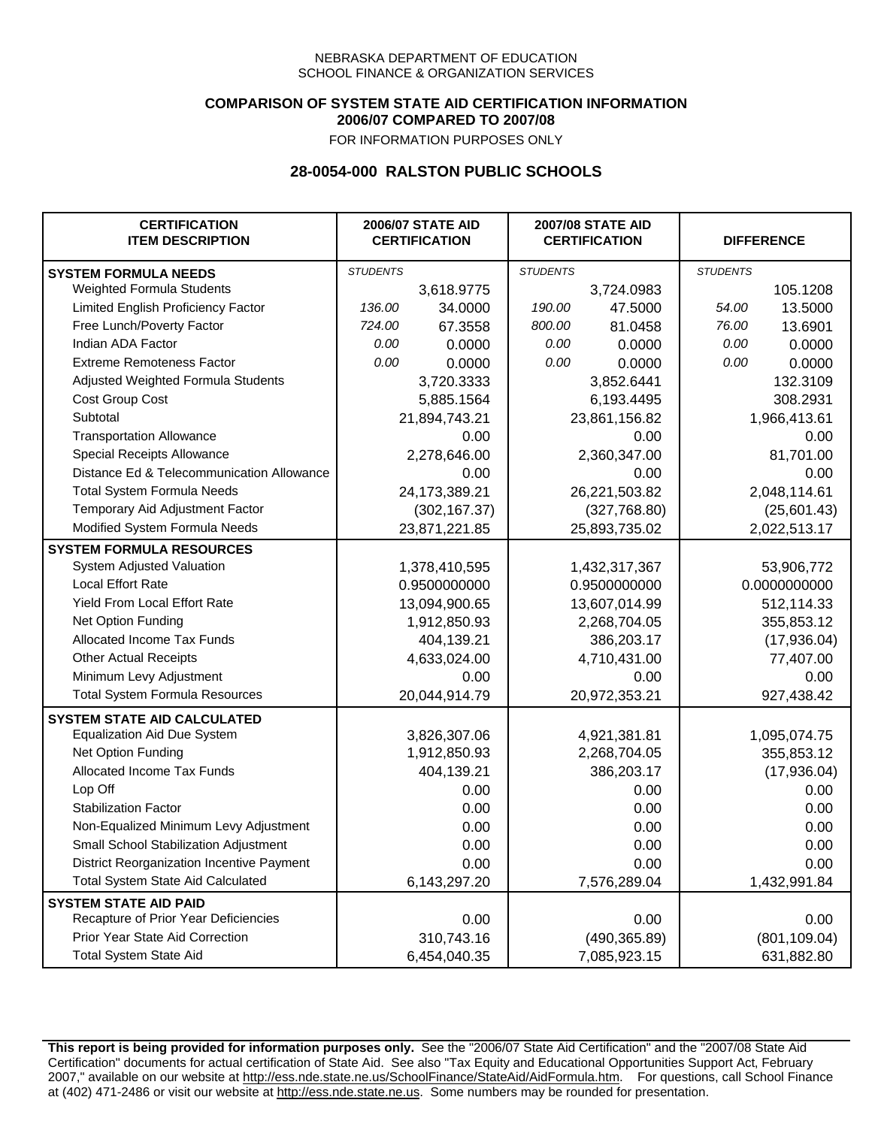### **COMPARISON OF SYSTEM STATE AID CERTIFICATION INFORMATION 2006/07 COMPARED TO 2007/08**

FOR INFORMATION PURPOSES ONLY

## **28-0054-000 RALSTON PUBLIC SCHOOLS**

| <b>CERTIFICATION</b><br><b>ITEM DESCRIPTION</b> |                 | <b>2006/07 STATE AID</b><br><b>CERTIFICATION</b> | <b>2007/08 STATE AID</b><br><b>CERTIFICATION</b> |               | <b>DIFFERENCE</b> |               |
|-------------------------------------------------|-----------------|--------------------------------------------------|--------------------------------------------------|---------------|-------------------|---------------|
| <b>SYSTEM FORMULA NEEDS</b>                     | <b>STUDENTS</b> |                                                  | <b>STUDENTS</b>                                  |               | <b>STUDENTS</b>   |               |
| Weighted Formula Students                       |                 | 3,618.9775                                       |                                                  | 3,724.0983    |                   | 105.1208      |
| Limited English Proficiency Factor              | 136.00          | 34.0000                                          | 190.00                                           | 47.5000       | 54.00             | 13.5000       |
| Free Lunch/Poverty Factor                       | 724.00          | 67.3558                                          | 800.00                                           | 81.0458       | 76.00             | 13.6901       |
| Indian ADA Factor                               | 0.00            | 0.0000                                           | 0.00                                             | 0.0000        | 0.00              | 0.0000        |
| <b>Extreme Remoteness Factor</b>                | 0.00            | 0.0000                                           | 0.00                                             | 0.0000        | 0.00              | 0.0000        |
| Adjusted Weighted Formula Students              |                 | 3,720.3333                                       |                                                  | 3,852.6441    |                   | 132.3109      |
| Cost Group Cost                                 |                 | 5,885.1564                                       |                                                  | 6,193.4495    |                   | 308.2931      |
| Subtotal                                        |                 | 21,894,743.21                                    |                                                  | 23,861,156.82 |                   | 1,966,413.61  |
| <b>Transportation Allowance</b>                 |                 | 0.00                                             |                                                  | 0.00          |                   | 0.00          |
| Special Receipts Allowance                      |                 | 2,278,646.00                                     |                                                  | 2,360,347.00  |                   | 81,701.00     |
| Distance Ed & Telecommunication Allowance       |                 | 0.00                                             |                                                  | 0.00          |                   | 0.00          |
| <b>Total System Formula Needs</b>               |                 | 24,173,389.21                                    |                                                  | 26,221,503.82 |                   | 2,048,114.61  |
| Temporary Aid Adjustment Factor                 |                 | (302, 167.37)                                    | (327,768.80)                                     |               | (25,601.43)       |               |
| Modified System Formula Needs                   | 23,871,221.85   |                                                  | 25,893,735.02                                    |               | 2,022,513.17      |               |
| <b>SYSTEM FORMULA RESOURCES</b>                 |                 |                                                  |                                                  |               |                   |               |
| System Adjusted Valuation                       |                 | 1,378,410,595                                    |                                                  | 1,432,317,367 |                   | 53,906,772    |
| <b>Local Effort Rate</b>                        |                 | 0.9500000000                                     |                                                  | 0.9500000000  | 0.0000000000      |               |
| Yield From Local Effort Rate                    |                 | 13,094,900.65                                    | 13,607,014.99                                    |               | 512,114.33        |               |
| Net Option Funding                              |                 | 1,912,850.93                                     | 2,268,704.05                                     |               | 355,853.12        |               |
| Allocated Income Tax Funds                      |                 | 404,139.21                                       | 386,203.17                                       |               | (17,936.04)       |               |
| <b>Other Actual Receipts</b>                    |                 | 4,633,024.00                                     | 4,710,431.00                                     |               | 77,407.00         |               |
| Minimum Levy Adjustment                         |                 | 0.00                                             |                                                  | 0.00          |                   | 0.00          |
| <b>Total System Formula Resources</b>           |                 | 20,044,914.79                                    |                                                  | 20,972,353.21 |                   | 927,438.42    |
| <b>SYSTEM STATE AID CALCULATED</b>              |                 |                                                  |                                                  |               |                   |               |
| <b>Equalization Aid Due System</b>              |                 | 3,826,307.06                                     |                                                  | 4,921,381.81  |                   | 1,095,074.75  |
| Net Option Funding                              |                 | 1,912,850.93                                     |                                                  | 2,268,704.05  |                   | 355,853.12    |
| Allocated Income Tax Funds                      |                 | 404,139.21                                       |                                                  | 386,203.17    |                   | (17,936.04)   |
| Lop Off                                         |                 | 0.00                                             |                                                  | 0.00          |                   | 0.00          |
| <b>Stabilization Factor</b>                     |                 | 0.00                                             |                                                  | 0.00          |                   | 0.00          |
| Non-Equalized Minimum Levy Adjustment           |                 | 0.00                                             |                                                  | 0.00          |                   | 0.00          |
| Small School Stabilization Adjustment           |                 | 0.00                                             |                                                  | 0.00          |                   | 0.00          |
| District Reorganization Incentive Payment       |                 | 0.00                                             |                                                  | 0.00          |                   | 0.00          |
| <b>Total System State Aid Calculated</b>        |                 | 6,143,297.20                                     |                                                  | 7,576,289.04  |                   | 1,432,991.84  |
| <b>SYSTEM STATE AID PAID</b>                    |                 |                                                  |                                                  |               |                   |               |
| Recapture of Prior Year Deficiencies            |                 | 0.00                                             |                                                  | 0.00          |                   | 0.00          |
| Prior Year State Aid Correction                 |                 | 310,743.16                                       |                                                  | (490, 365.89) |                   | (801, 109.04) |
| <b>Total System State Aid</b>                   |                 | 6,454,040.35                                     |                                                  | 7,085,923.15  | 631,882.80        |               |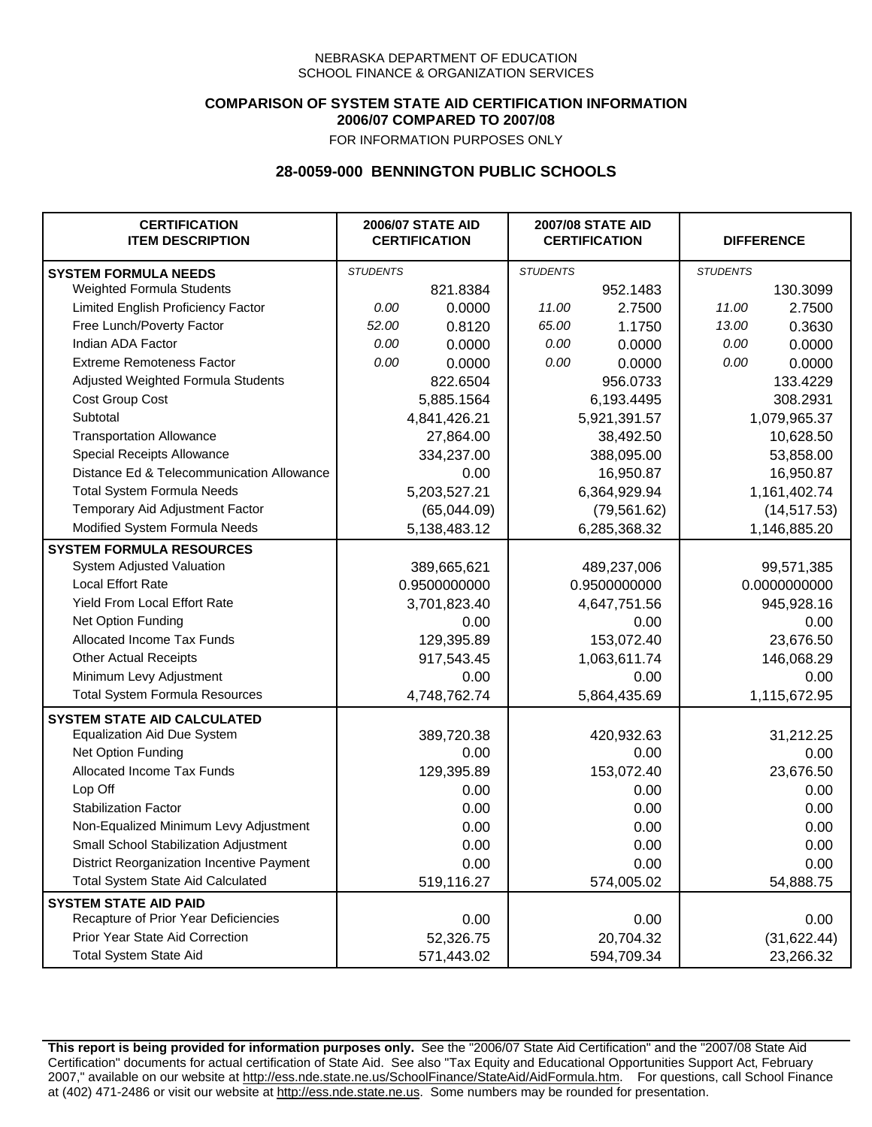### **COMPARISON OF SYSTEM STATE AID CERTIFICATION INFORMATION 2006/07 COMPARED TO 2007/08**

FOR INFORMATION PURPOSES ONLY

## **28-0059-000 BENNINGTON PUBLIC SCHOOLS**

| <b>CERTIFICATION</b><br><b>ITEM DESCRIPTION</b> |                 | <b>2006/07 STATE AID</b><br><b>CERTIFICATION</b> | <b>2007/08 STATE AID</b><br><b>CERTIFICATION</b> |              | <b>DIFFERENCE</b> |              |
|-------------------------------------------------|-----------------|--------------------------------------------------|--------------------------------------------------|--------------|-------------------|--------------|
| <b>SYSTEM FORMULA NEEDS</b>                     | <b>STUDENTS</b> |                                                  | <b>STUDENTS</b>                                  |              | <b>STUDENTS</b>   |              |
| Weighted Formula Students                       |                 | 821.8384                                         |                                                  | 952.1483     |                   | 130.3099     |
| Limited English Proficiency Factor              | 0.00            | 0.0000                                           | 11.00                                            | 2.7500       | 11.00             | 2.7500       |
| Free Lunch/Poverty Factor                       | 52.00           | 0.8120                                           | 65.00                                            | 1.1750       | 13.00             | 0.3630       |
| Indian ADA Factor                               | 0.00            | 0.0000                                           | 0.00                                             | 0.0000       | 0.00              | 0.0000       |
| <b>Extreme Remoteness Factor</b>                | 0.00            | 0.0000                                           | 0.00                                             | 0.0000       | 0.00              | 0.0000       |
| Adjusted Weighted Formula Students              |                 | 822.6504                                         |                                                  | 956.0733     |                   | 133.4229     |
| Cost Group Cost                                 |                 | 5,885.1564                                       |                                                  | 6,193.4495   |                   | 308.2931     |
| Subtotal                                        |                 | 4,841,426.21                                     |                                                  | 5,921,391.57 |                   | 1,079,965.37 |
| <b>Transportation Allowance</b>                 |                 | 27,864.00                                        |                                                  | 38,492.50    |                   | 10,628.50    |
| Special Receipts Allowance                      |                 | 334,237.00                                       |                                                  | 388,095.00   |                   | 53,858.00    |
| Distance Ed & Telecommunication Allowance       |                 | 0.00                                             |                                                  | 16,950.87    |                   | 16,950.87    |
| <b>Total System Formula Needs</b>               |                 | 5,203,527.21                                     |                                                  | 6,364,929.94 | 1,161,402.74      |              |
| Temporary Aid Adjustment Factor                 |                 | (65,044.09)                                      | (79, 561.62)                                     |              | (14, 517.53)      |              |
| Modified System Formula Needs                   |                 | 5,138,483.12                                     |                                                  | 6,285,368.32 |                   | 1,146,885.20 |
| <b>SYSTEM FORMULA RESOURCES</b>                 |                 |                                                  |                                                  |              |                   |              |
| System Adjusted Valuation                       |                 | 389,665,621                                      |                                                  | 489,237,006  |                   | 99,571,385   |
| <b>Local Effort Rate</b>                        |                 | 0.9500000000                                     |                                                  | 0.9500000000 |                   | 0.0000000000 |
| <b>Yield From Local Effort Rate</b>             |                 | 3,701,823.40                                     |                                                  | 4,647,751.56 |                   | 945,928.16   |
| Net Option Funding                              |                 | 0.00                                             |                                                  | 0.00         |                   | 0.00         |
| Allocated Income Tax Funds                      |                 | 129,395.89                                       |                                                  | 153,072.40   |                   | 23,676.50    |
| <b>Other Actual Receipts</b>                    |                 | 917,543.45                                       | 1,063,611.74                                     |              | 146,068.29        |              |
| Minimum Levy Adjustment                         |                 | 0.00                                             |                                                  | 0.00         |                   | 0.00         |
| <b>Total System Formula Resources</b>           |                 | 4,748,762.74                                     |                                                  | 5,864,435.69 |                   | 1,115,672.95 |
| <b>SYSTEM STATE AID CALCULATED</b>              |                 |                                                  |                                                  |              |                   |              |
| <b>Equalization Aid Due System</b>              |                 | 389,720.38                                       |                                                  | 420,932.63   |                   | 31,212.25    |
| Net Option Funding                              |                 | 0.00                                             |                                                  | 0.00         |                   | 0.00         |
| Allocated Income Tax Funds                      |                 | 129,395.89                                       |                                                  | 153,072.40   |                   | 23,676.50    |
| Lop Off                                         |                 | 0.00                                             |                                                  | 0.00         |                   | 0.00         |
| <b>Stabilization Factor</b>                     |                 | 0.00                                             |                                                  | 0.00         |                   | 0.00         |
| Non-Equalized Minimum Levy Adjustment           |                 | 0.00                                             |                                                  | 0.00         |                   | 0.00         |
| Small School Stabilization Adjustment           |                 | 0.00                                             |                                                  | 0.00         |                   | 0.00         |
| District Reorganization Incentive Payment       |                 | 0.00                                             |                                                  | 0.00         |                   | 0.00         |
| <b>Total System State Aid Calculated</b>        |                 | 519,116.27                                       |                                                  | 574,005.02   |                   | 54,888.75    |
| <b>SYSTEM STATE AID PAID</b>                    |                 |                                                  |                                                  |              |                   |              |
| Recapture of Prior Year Deficiencies            |                 | 0.00                                             |                                                  | 0.00         |                   | 0.00         |
| Prior Year State Aid Correction                 |                 | 52,326.75                                        |                                                  | 20,704.32    |                   | (31, 622.44) |
| <b>Total System State Aid</b>                   |                 | 571,443.02                                       |                                                  | 594,709.34   |                   | 23,266.32    |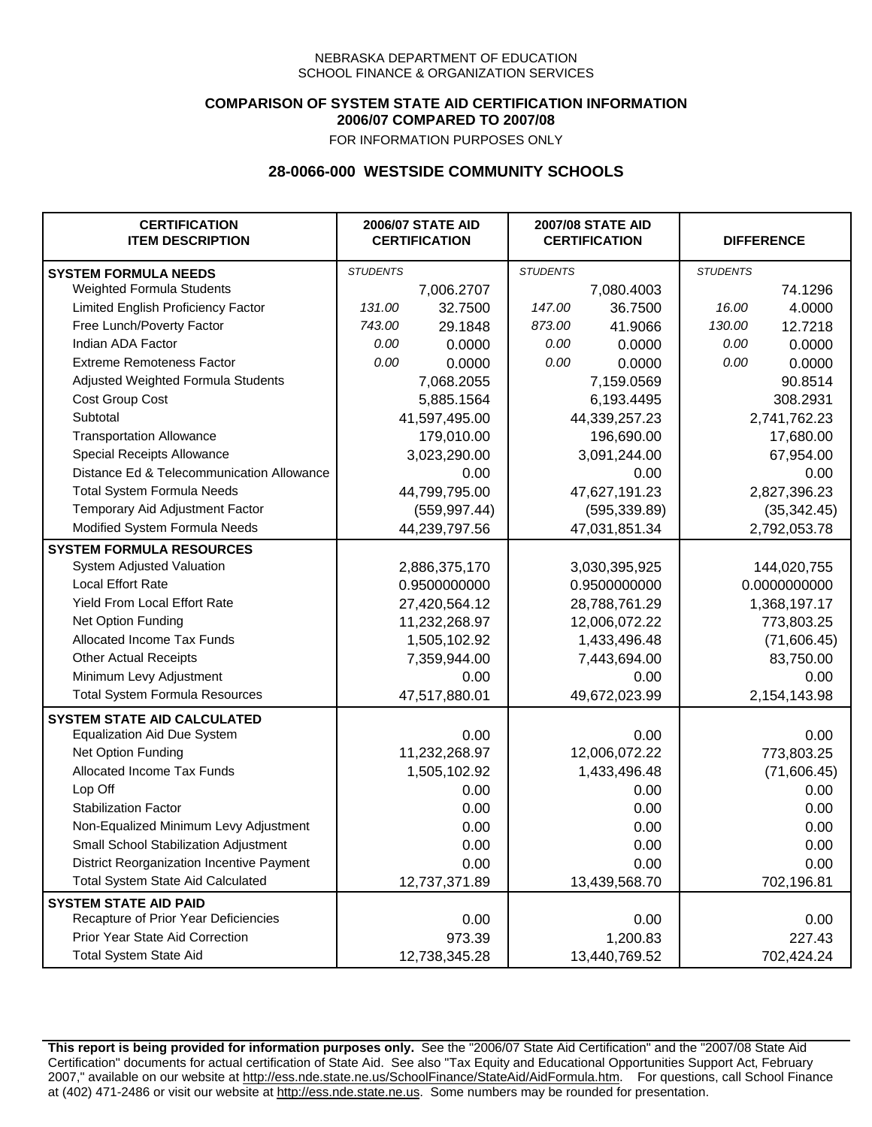## **COMPARISON OF SYSTEM STATE AID CERTIFICATION INFORMATION 2006/07 COMPARED TO 2007/08**

FOR INFORMATION PURPOSES ONLY

## **28-0066-000 WESTSIDE COMMUNITY SCHOOLS**

| <b>CERTIFICATION</b><br><b>ITEM DESCRIPTION</b> | <b>2006/07 STATE AID</b><br><b>CERTIFICATION</b> |               | <b>2007/08 STATE AID</b><br><b>CERTIFICATION</b> |               |                 | <b>DIFFERENCE</b> |  |
|-------------------------------------------------|--------------------------------------------------|---------------|--------------------------------------------------|---------------|-----------------|-------------------|--|
| <b>SYSTEM FORMULA NEEDS</b>                     | <b>STUDENTS</b>                                  |               | <b>STUDENTS</b>                                  |               | <b>STUDENTS</b> |                   |  |
| Weighted Formula Students                       |                                                  | 7,006.2707    |                                                  | 7,080.4003    |                 | 74.1296           |  |
| Limited English Proficiency Factor              | 131.00                                           | 32.7500       | 147.00                                           | 36.7500       | 16.00           | 4.0000            |  |
| Free Lunch/Poverty Factor                       | 743.00                                           | 29.1848       | 873.00                                           | 41.9066       | 130.00          | 12.7218           |  |
| Indian ADA Factor                               | 0.00                                             | 0.0000        | 0.00                                             | 0.0000        | 0.00            | 0.0000            |  |
| <b>Extreme Remoteness Factor</b>                | 0.00                                             | 0.0000        | 0.00                                             | 0.0000        | 0.00            | 0.0000            |  |
| Adjusted Weighted Formula Students              |                                                  | 7,068.2055    |                                                  | 7,159.0569    |                 | 90.8514           |  |
| Cost Group Cost                                 |                                                  | 5,885.1564    |                                                  | 6,193.4495    |                 | 308.2931          |  |
| Subtotal                                        |                                                  | 41,597,495.00 |                                                  | 44,339,257.23 |                 | 2,741,762.23      |  |
| <b>Transportation Allowance</b>                 |                                                  | 179,010.00    |                                                  | 196,690.00    |                 | 17,680.00         |  |
| Special Receipts Allowance                      |                                                  | 3,023,290.00  |                                                  | 3,091,244.00  |                 | 67,954.00         |  |
| Distance Ed & Telecommunication Allowance       |                                                  | 0.00          |                                                  | 0.00          |                 | 0.00              |  |
| <b>Total System Formula Needs</b>               |                                                  | 44,799,795.00 |                                                  | 47,627,191.23 |                 | 2,827,396.23      |  |
| Temporary Aid Adjustment Factor                 |                                                  | (559, 997.44) | (595, 339.89)                                    |               | (35, 342.45)    |                   |  |
| Modified System Formula Needs                   | 44,239,797.56                                    |               | 47,031,851.34                                    |               | 2,792,053.78    |                   |  |
| <b>SYSTEM FORMULA RESOURCES</b>                 |                                                  |               |                                                  |               |                 |                   |  |
| System Adjusted Valuation                       |                                                  | 2,886,375,170 |                                                  | 3,030,395,925 |                 | 144,020,755       |  |
| <b>Local Effort Rate</b>                        |                                                  | 0.9500000000  |                                                  | 0.9500000000  | 0.0000000000    |                   |  |
| Yield From Local Effort Rate                    |                                                  | 27,420,564.12 | 28,788,761.29                                    |               | 1,368,197.17    |                   |  |
| Net Option Funding                              |                                                  | 11,232,268.97 | 12,006,072.22                                    |               | 773,803.25      |                   |  |
| Allocated Income Tax Funds                      |                                                  | 1,505,102.92  | 1,433,496.48                                     |               | (71,606.45)     |                   |  |
| <b>Other Actual Receipts</b>                    |                                                  | 7,359,944.00  | 7,443,694.00                                     |               | 83,750.00       |                   |  |
| Minimum Levy Adjustment                         |                                                  | 0.00          |                                                  | 0.00          |                 | 0.00              |  |
| <b>Total System Formula Resources</b>           |                                                  | 47,517,880.01 |                                                  | 49,672,023.99 |                 | 2,154,143.98      |  |
| <b>SYSTEM STATE AID CALCULATED</b>              |                                                  |               |                                                  |               |                 |                   |  |
| <b>Equalization Aid Due System</b>              |                                                  | 0.00          |                                                  | 0.00          |                 | 0.00              |  |
| Net Option Funding                              |                                                  | 11,232,268.97 |                                                  | 12,006,072.22 |                 | 773,803.25        |  |
| Allocated Income Tax Funds                      |                                                  | 1,505,102.92  |                                                  | 1,433,496.48  |                 | (71,606.45)       |  |
| Lop Off                                         |                                                  | 0.00          |                                                  | 0.00          |                 | 0.00              |  |
| <b>Stabilization Factor</b>                     |                                                  | 0.00          |                                                  | 0.00          |                 | 0.00              |  |
| Non-Equalized Minimum Levy Adjustment           |                                                  | 0.00          |                                                  | 0.00          |                 | 0.00              |  |
| Small School Stabilization Adjustment           |                                                  | 0.00          |                                                  | 0.00          |                 | 0.00              |  |
| District Reorganization Incentive Payment       |                                                  | 0.00          |                                                  | 0.00          |                 | 0.00              |  |
| <b>Total System State Aid Calculated</b>        |                                                  | 12,737,371.89 |                                                  | 13,439,568.70 |                 | 702,196.81        |  |
| <b>SYSTEM STATE AID PAID</b>                    |                                                  |               |                                                  |               |                 |                   |  |
| Recapture of Prior Year Deficiencies            |                                                  | 0.00          |                                                  | 0.00          |                 | 0.00              |  |
| Prior Year State Aid Correction                 |                                                  | 973.39        |                                                  | 1,200.83      |                 | 227.43            |  |
| <b>Total System State Aid</b>                   |                                                  | 12,738,345.28 |                                                  | 13,440,769.52 | 702,424.24      |                   |  |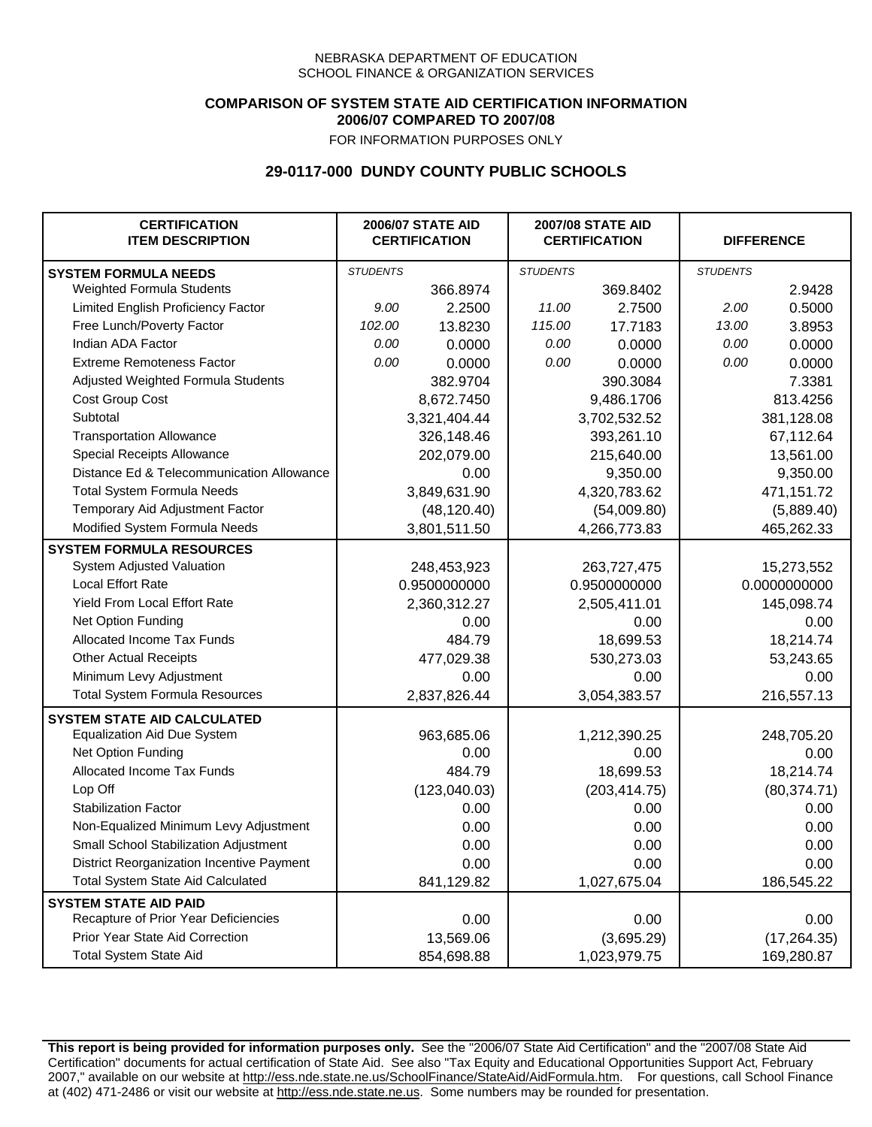## **COMPARISON OF SYSTEM STATE AID CERTIFICATION INFORMATION 2006/07 COMPARED TO 2007/08**

FOR INFORMATION PURPOSES ONLY

## **29-0117-000 DUNDY COUNTY PUBLIC SCHOOLS**

| <b>CERTIFICATION</b><br><b>ITEM DESCRIPTION</b> |                 | <b>2006/07 STATE AID</b><br><b>CERTIFICATION</b> | <b>2007/08 STATE AID</b><br><b>CERTIFICATION</b> |               | <b>DIFFERENCE</b> |              |
|-------------------------------------------------|-----------------|--------------------------------------------------|--------------------------------------------------|---------------|-------------------|--------------|
| <b>SYSTEM FORMULA NEEDS</b>                     | <b>STUDENTS</b> |                                                  | <b>STUDENTS</b>                                  |               | <b>STUDENTS</b>   |              |
| Weighted Formula Students                       |                 | 366.8974                                         |                                                  | 369.8402      |                   | 2.9428       |
| Limited English Proficiency Factor              | 9.00            | 2.2500                                           | 11.00                                            | 2.7500        | 2.00              | 0.5000       |
| Free Lunch/Poverty Factor                       | 102.00          | 13.8230                                          | 115.00                                           | 17.7183       | 13.00             | 3.8953       |
| Indian ADA Factor                               | 0.00            | 0.0000                                           | 0.00                                             | 0.0000        | 0.00              | 0.0000       |
| <b>Extreme Remoteness Factor</b>                | 0.00            | 0.0000                                           | 0.00                                             | 0.0000        | 0.00              | 0.0000       |
| Adjusted Weighted Formula Students              |                 | 382.9704                                         |                                                  | 390.3084      |                   | 7.3381       |
| Cost Group Cost                                 |                 | 8,672.7450                                       |                                                  | 9,486.1706    |                   | 813.4256     |
| Subtotal                                        |                 | 3,321,404.44                                     |                                                  | 3,702,532.52  |                   | 381,128.08   |
| <b>Transportation Allowance</b>                 |                 | 326,148.46                                       |                                                  | 393,261.10    |                   | 67,112.64    |
| Special Receipts Allowance                      |                 | 202,079.00                                       |                                                  | 215,640.00    |                   | 13,561.00    |
| Distance Ed & Telecommunication Allowance       |                 | 0.00                                             |                                                  | 9,350.00      |                   | 9,350.00     |
| <b>Total System Formula Needs</b>               |                 | 3,849,631.90                                     |                                                  | 4,320,783.62  | 471,151.72        |              |
| Temporary Aid Adjustment Factor                 |                 | (48, 120.40)                                     | (54,009.80)                                      |               | (5,889.40)        |              |
| Modified System Formula Needs                   |                 | 3,801,511.50                                     |                                                  | 4,266,773.83  |                   | 465,262.33   |
| <b>SYSTEM FORMULA RESOURCES</b>                 |                 |                                                  |                                                  |               |                   |              |
| System Adjusted Valuation                       |                 | 248,453,923                                      |                                                  | 263,727,475   |                   | 15,273,552   |
| <b>Local Effort Rate</b>                        |                 | 0.9500000000                                     |                                                  | 0.9500000000  |                   | 0.0000000000 |
| Yield From Local Effort Rate                    |                 | 2,360,312.27                                     |                                                  | 2,505,411.01  |                   | 145,098.74   |
| Net Option Funding                              |                 | 0.00                                             |                                                  | 0.00          |                   | 0.00         |
| Allocated Income Tax Funds                      |                 | 484.79                                           |                                                  | 18,699.53     |                   | 18,214.74    |
| <b>Other Actual Receipts</b>                    |                 | 477,029.38                                       |                                                  | 530,273.03    | 53,243.65         |              |
| Minimum Levy Adjustment                         |                 | 0.00                                             |                                                  | 0.00          |                   | 0.00         |
| <b>Total System Formula Resources</b>           |                 | 2,837,826.44                                     |                                                  | 3,054,383.57  |                   | 216,557.13   |
| <b>SYSTEM STATE AID CALCULATED</b>              |                 |                                                  |                                                  |               |                   |              |
| <b>Equalization Aid Due System</b>              |                 | 963,685.06                                       |                                                  | 1,212,390.25  |                   | 248,705.20   |
| Net Option Funding                              |                 | 0.00                                             |                                                  | 0.00          |                   | 0.00         |
| Allocated Income Tax Funds                      |                 | 484.79                                           |                                                  | 18,699.53     |                   | 18,214.74    |
| Lop Off                                         |                 | (123,040.03)                                     |                                                  | (203, 414.75) |                   | (80, 374.71) |
| <b>Stabilization Factor</b>                     |                 | 0.00                                             |                                                  | 0.00          |                   | 0.00         |
| Non-Equalized Minimum Levy Adjustment           |                 | 0.00                                             |                                                  | 0.00          |                   | 0.00         |
| Small School Stabilization Adjustment           |                 | 0.00                                             |                                                  | 0.00          |                   | 0.00         |
| District Reorganization Incentive Payment       |                 | 0.00                                             |                                                  | 0.00          |                   | 0.00         |
| <b>Total System State Aid Calculated</b>        |                 | 841,129.82                                       |                                                  | 1,027,675.04  |                   | 186,545.22   |
| <b>SYSTEM STATE AID PAID</b>                    |                 |                                                  |                                                  |               |                   |              |
| Recapture of Prior Year Deficiencies            |                 | 0.00                                             |                                                  | 0.00          |                   | 0.00         |
| Prior Year State Aid Correction                 |                 | 13,569.06                                        |                                                  | (3,695.29)    |                   | (17, 264.35) |
| <b>Total System State Aid</b>                   |                 | 854,698.88                                       |                                                  | 1,023,979.75  |                   | 169,280.87   |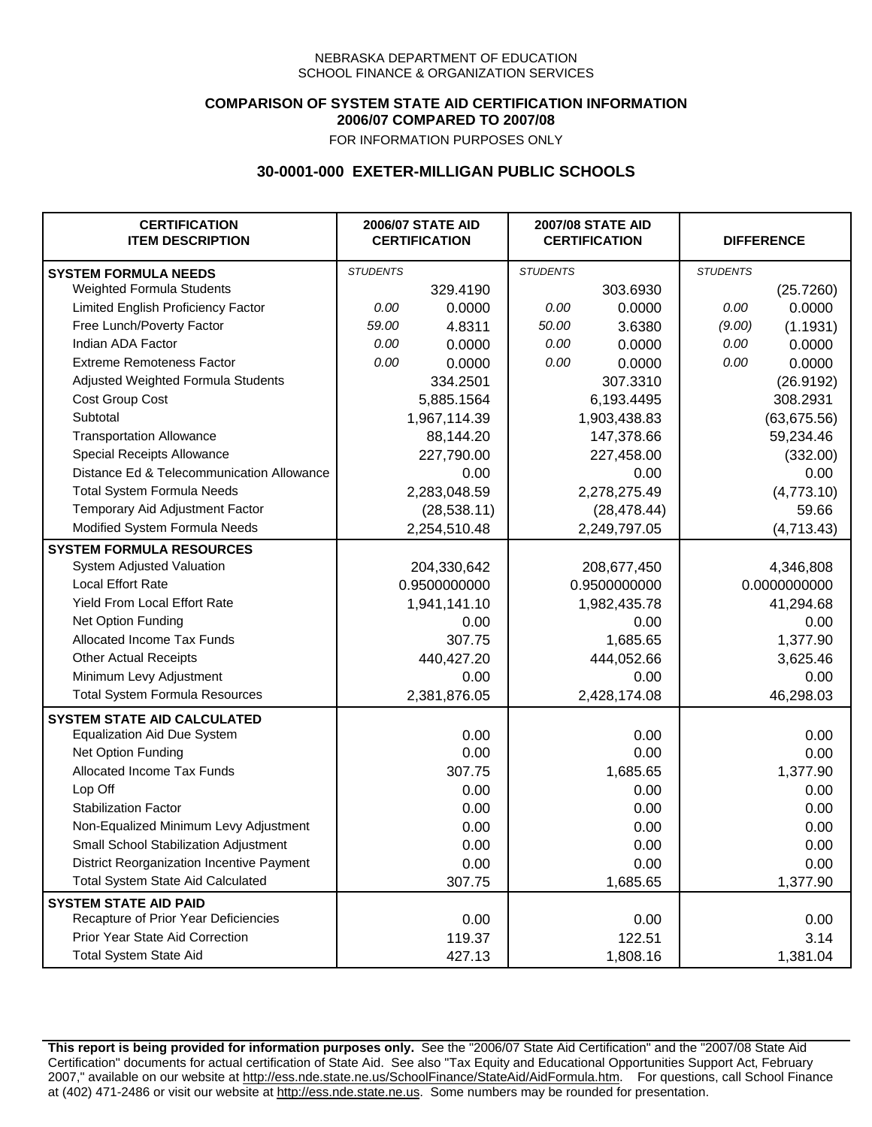## **COMPARISON OF SYSTEM STATE AID CERTIFICATION INFORMATION 2006/07 COMPARED TO 2007/08**

FOR INFORMATION PURPOSES ONLY

## **30-0001-000 EXETER-MILLIGAN PUBLIC SCHOOLS**

| <b>CERTIFICATION</b><br><b>ITEM DESCRIPTION</b> |                 | <b>2006/07 STATE AID</b><br><b>CERTIFICATION</b> | <b>2007/08 STATE AID</b><br><b>CERTIFICATION</b> |              | <b>DIFFERENCE</b> |              |
|-------------------------------------------------|-----------------|--------------------------------------------------|--------------------------------------------------|--------------|-------------------|--------------|
| <b>SYSTEM FORMULA NEEDS</b>                     | <b>STUDENTS</b> |                                                  | <b>STUDENTS</b>                                  |              | <b>STUDENTS</b>   |              |
| Weighted Formula Students                       |                 | 329.4190                                         |                                                  | 303.6930     |                   | (25.7260)    |
| Limited English Proficiency Factor              | 0.00            | 0.0000                                           | 0.00                                             | 0.0000       | 0.00              | 0.0000       |
| Free Lunch/Poverty Factor                       | 59.00           | 4.8311                                           | 50.00                                            | 3.6380       | (9.00)            | (1.1931)     |
| Indian ADA Factor                               | 0.00            | 0.0000                                           | 0.00                                             | 0.0000       | 0.00              | 0.0000       |
| <b>Extreme Remoteness Factor</b>                | 0.00            | 0.0000                                           | 0.00                                             | 0.0000       | 0.00              | 0.0000       |
| Adjusted Weighted Formula Students              |                 | 334.2501                                         |                                                  | 307.3310     |                   | (26.9192)    |
| Cost Group Cost                                 |                 | 5,885.1564                                       |                                                  | 6,193.4495   |                   | 308.2931     |
| Subtotal                                        |                 | 1,967,114.39                                     |                                                  | 1,903,438.83 |                   | (63, 675.56) |
| <b>Transportation Allowance</b>                 |                 | 88,144.20                                        |                                                  | 147,378.66   |                   | 59,234.46    |
| Special Receipts Allowance                      |                 | 227,790.00                                       |                                                  | 227,458.00   |                   | (332.00)     |
| Distance Ed & Telecommunication Allowance       |                 | 0.00                                             |                                                  | 0.00         |                   | 0.00         |
| <b>Total System Formula Needs</b>               |                 | 2,283,048.59                                     |                                                  | 2,278,275.49 |                   | (4,773.10)   |
| Temporary Aid Adjustment Factor                 |                 | (28, 538.11)                                     |                                                  | (28, 478.44) |                   | 59.66        |
| Modified System Formula Needs                   |                 | 2,254,510.48                                     |                                                  | 2,249,797.05 |                   | (4,713.43)   |
| <b>SYSTEM FORMULA RESOURCES</b>                 |                 |                                                  |                                                  |              |                   |              |
| System Adjusted Valuation                       |                 | 204,330,642                                      |                                                  | 208,677,450  |                   | 4,346,808    |
| <b>Local Effort Rate</b>                        |                 | 0.9500000000                                     |                                                  | 0.9500000000 |                   | 0.0000000000 |
| Yield From Local Effort Rate                    |                 | 1,941,141.10                                     |                                                  | 1,982,435.78 |                   | 41,294.68    |
| Net Option Funding                              |                 | 0.00                                             |                                                  | 0.00         |                   | 0.00         |
| Allocated Income Tax Funds                      |                 | 307.75                                           |                                                  | 1,685.65     |                   | 1,377.90     |
| <b>Other Actual Receipts</b>                    |                 | 440,427.20                                       |                                                  | 444,052.66   |                   | 3,625.46     |
| Minimum Levy Adjustment                         |                 | 0.00                                             |                                                  | 0.00         |                   | 0.00         |
| <b>Total System Formula Resources</b>           |                 | 2,381,876.05                                     |                                                  | 2,428,174.08 |                   | 46,298.03    |
| <b>SYSTEM STATE AID CALCULATED</b>              |                 |                                                  |                                                  |              |                   |              |
| <b>Equalization Aid Due System</b>              |                 | 0.00                                             |                                                  | 0.00         |                   | 0.00         |
| Net Option Funding                              |                 | 0.00                                             |                                                  | 0.00         |                   | 0.00         |
| Allocated Income Tax Funds                      |                 | 307.75                                           |                                                  | 1,685.65     |                   | 1,377.90     |
| Lop Off                                         |                 | 0.00                                             |                                                  | 0.00         |                   | 0.00         |
| <b>Stabilization Factor</b>                     |                 | 0.00                                             |                                                  | 0.00         |                   | 0.00         |
| Non-Equalized Minimum Levy Adjustment           |                 | 0.00                                             |                                                  | 0.00         |                   | 0.00         |
| Small School Stabilization Adjustment           |                 | 0.00                                             |                                                  | 0.00         |                   | 0.00         |
| District Reorganization Incentive Payment       |                 | 0.00                                             |                                                  | 0.00         |                   | 0.00         |
| <b>Total System State Aid Calculated</b>        |                 | 307.75                                           |                                                  | 1,685.65     |                   | 1,377.90     |
| <b>SYSTEM STATE AID PAID</b>                    |                 |                                                  |                                                  |              |                   |              |
| Recapture of Prior Year Deficiencies            |                 | 0.00                                             |                                                  | 0.00         |                   | 0.00         |
| Prior Year State Aid Correction                 |                 | 119.37                                           |                                                  | 122.51       |                   | 3.14         |
| <b>Total System State Aid</b>                   |                 | 427.13                                           |                                                  | 1,808.16     |                   | 1,381.04     |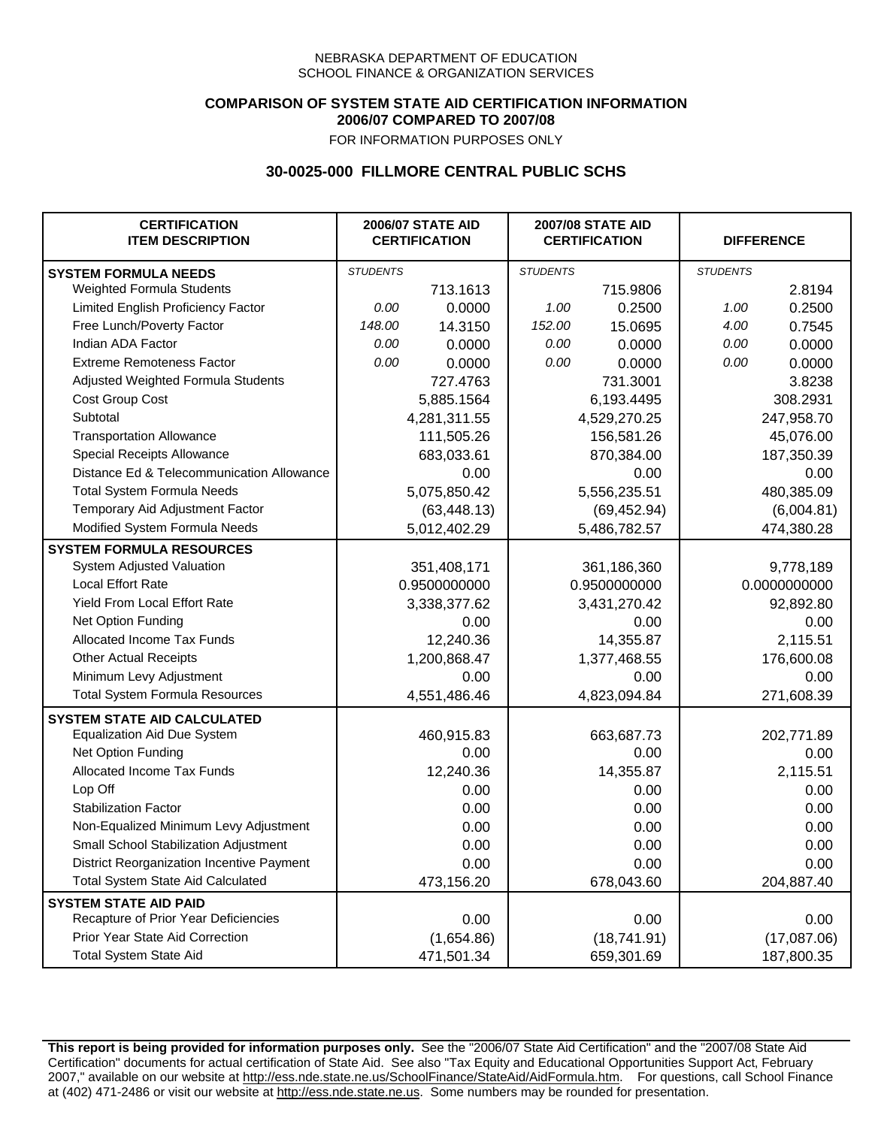## **COMPARISON OF SYSTEM STATE AID CERTIFICATION INFORMATION 2006/07 COMPARED TO 2007/08**

FOR INFORMATION PURPOSES ONLY

## **30-0025-000 FILLMORE CENTRAL PUBLIC SCHS**

| <b>CERTIFICATION</b><br><b>ITEM DESCRIPTION</b> |                 | <b>2006/07 STATE AID</b><br><b>CERTIFICATION</b> | <b>2007/08 STATE AID</b><br><b>CERTIFICATION</b> |              | <b>DIFFERENCE</b> |              |
|-------------------------------------------------|-----------------|--------------------------------------------------|--------------------------------------------------|--------------|-------------------|--------------|
| <b>SYSTEM FORMULA NEEDS</b>                     | <b>STUDENTS</b> |                                                  | <b>STUDENTS</b>                                  |              | <b>STUDENTS</b>   |              |
| Weighted Formula Students                       |                 | 713.1613                                         |                                                  | 715.9806     |                   | 2.8194       |
| Limited English Proficiency Factor              | 0.00            | 0.0000                                           | 1.00                                             | 0.2500       | 1.00              | 0.2500       |
| Free Lunch/Poverty Factor                       | 148.00          | 14.3150                                          | 152.00                                           | 15.0695      | 4.00              | 0.7545       |
| Indian ADA Factor                               | 0.00            | 0.0000                                           | 0.00                                             | 0.0000       | 0.00              | 0.0000       |
| <b>Extreme Remoteness Factor</b>                | 0.00            | 0.0000                                           | 0.00                                             | 0.0000       | 0.00              | 0.0000       |
| Adjusted Weighted Formula Students              |                 | 727.4763                                         |                                                  | 731.3001     |                   | 3.8238       |
| Cost Group Cost                                 |                 | 5,885.1564                                       |                                                  | 6,193.4495   |                   | 308.2931     |
| Subtotal                                        |                 | 4,281,311.55                                     |                                                  | 4,529,270.25 |                   | 247,958.70   |
| <b>Transportation Allowance</b>                 |                 | 111,505.26                                       |                                                  | 156,581.26   |                   | 45,076.00    |
| Special Receipts Allowance                      |                 | 683,033.61                                       |                                                  | 870,384.00   |                   | 187,350.39   |
| Distance Ed & Telecommunication Allowance       |                 | 0.00                                             |                                                  | 0.00         |                   | 0.00         |
| <b>Total System Formula Needs</b>               |                 | 5,075,850.42                                     |                                                  | 5,556,235.51 |                   | 480,385.09   |
| Temporary Aid Adjustment Factor                 |                 | (63, 448.13)                                     |                                                  | (69, 452.94) |                   | (6,004.81)   |
| Modified System Formula Needs                   |                 | 5,012,402.29                                     |                                                  | 5,486,782.57 |                   | 474,380.28   |
| <b>SYSTEM FORMULA RESOURCES</b>                 |                 |                                                  |                                                  |              |                   |              |
| System Adjusted Valuation                       |                 | 351,408,171                                      |                                                  | 361,186,360  |                   | 9,778,189    |
| <b>Local Effort Rate</b>                        |                 | 0.9500000000                                     |                                                  | 0.9500000000 |                   | 0.0000000000 |
| Yield From Local Effort Rate                    |                 | 3,338,377.62                                     |                                                  | 3,431,270.42 |                   | 92,892.80    |
| Net Option Funding                              |                 | 0.00                                             |                                                  | 0.00         |                   | 0.00         |
| Allocated Income Tax Funds                      |                 | 12,240.36                                        |                                                  | 14,355.87    |                   | 2,115.51     |
| <b>Other Actual Receipts</b>                    |                 | 1,200,868.47                                     | 1,377,468.55                                     |              | 176,600.08        |              |
| Minimum Levy Adjustment                         |                 | 0.00                                             |                                                  | 0.00         |                   | 0.00         |
| <b>Total System Formula Resources</b>           |                 | 4,551,486.46                                     |                                                  | 4,823,094.84 |                   | 271,608.39   |
| <b>SYSTEM STATE AID CALCULATED</b>              |                 |                                                  |                                                  |              |                   |              |
| <b>Equalization Aid Due System</b>              |                 | 460,915.83                                       |                                                  | 663,687.73   |                   | 202,771.89   |
| Net Option Funding                              |                 | 0.00                                             |                                                  | 0.00         |                   | 0.00         |
| Allocated Income Tax Funds                      |                 | 12,240.36                                        |                                                  | 14,355.87    |                   | 2,115.51     |
| Lop Off                                         |                 | 0.00                                             |                                                  | 0.00         |                   | 0.00         |
| <b>Stabilization Factor</b>                     |                 | 0.00                                             |                                                  | 0.00         |                   | 0.00         |
| Non-Equalized Minimum Levy Adjustment           |                 | 0.00                                             |                                                  | 0.00         |                   | 0.00         |
| Small School Stabilization Adjustment           |                 | 0.00                                             |                                                  | 0.00         |                   | 0.00         |
| District Reorganization Incentive Payment       |                 | 0.00                                             |                                                  | 0.00         |                   | 0.00         |
| <b>Total System State Aid Calculated</b>        |                 | 473,156.20                                       |                                                  | 678,043.60   |                   | 204,887.40   |
| <b>SYSTEM STATE AID PAID</b>                    |                 |                                                  |                                                  |              |                   |              |
| Recapture of Prior Year Deficiencies            |                 | 0.00                                             |                                                  | 0.00         |                   | 0.00         |
| Prior Year State Aid Correction                 |                 | (1,654.86)                                       |                                                  | (18,741.91)  |                   | (17,087.06)  |
| <b>Total System State Aid</b>                   |                 | 471,501.34                                       |                                                  | 659,301.69   |                   | 187,800.35   |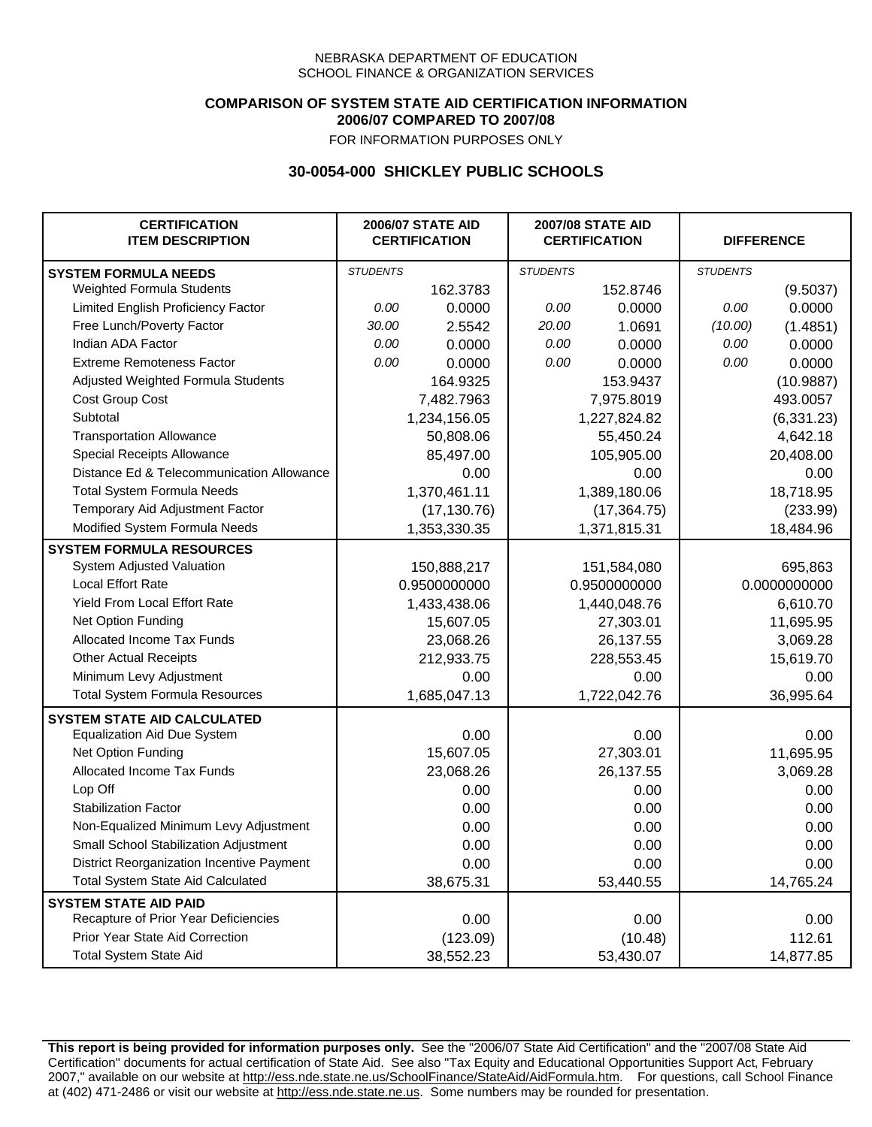## **COMPARISON OF SYSTEM STATE AID CERTIFICATION INFORMATION 2006/07 COMPARED TO 2007/08**

FOR INFORMATION PURPOSES ONLY

## **30-0054-000 SHICKLEY PUBLIC SCHOOLS**

| <b>CERTIFICATION</b><br><b>ITEM DESCRIPTION</b> |                 | <b>2006/07 STATE AID</b><br><b>CERTIFICATION</b> |                 | <b>2007/08 STATE AID</b><br><b>CERTIFICATION</b> |                 | <b>DIFFERENCE</b> |
|-------------------------------------------------|-----------------|--------------------------------------------------|-----------------|--------------------------------------------------|-----------------|-------------------|
| <b>SYSTEM FORMULA NEEDS</b>                     | <b>STUDENTS</b> |                                                  | <b>STUDENTS</b> |                                                  | <b>STUDENTS</b> |                   |
| Weighted Formula Students                       |                 | 162.3783                                         |                 | 152.8746                                         |                 | (9.5037)          |
| Limited English Proficiency Factor              | 0.00            | 0.0000                                           | 0.00            | 0.0000                                           | 0.00            | 0.0000            |
| Free Lunch/Poverty Factor                       | 30.00           | 2.5542                                           | 20.00           | 1.0691                                           | (10.00)         | (1.4851)          |
| Indian ADA Factor                               | 0.00            | 0.0000                                           | 0.00            | 0.0000                                           | 0.00            | 0.0000            |
| <b>Extreme Remoteness Factor</b>                | 0.00            | 0.0000                                           | 0.00            | 0.0000                                           | 0.00            | 0.0000            |
| Adjusted Weighted Formula Students              |                 | 164.9325                                         |                 | 153.9437                                         |                 | (10.9887)         |
| Cost Group Cost                                 |                 | 7,482.7963                                       |                 | 7,975.8019                                       |                 | 493.0057          |
| Subtotal                                        |                 | 1,234,156.05                                     |                 | 1,227,824.82                                     |                 | (6, 331.23)       |
| <b>Transportation Allowance</b>                 |                 | 50,808.06                                        |                 | 55,450.24                                        |                 | 4,642.18          |
| Special Receipts Allowance                      |                 | 85,497.00                                        |                 | 105,905.00                                       |                 | 20,408.00         |
| Distance Ed & Telecommunication Allowance       |                 | 0.00                                             |                 | 0.00                                             |                 | 0.00              |
| <b>Total System Formula Needs</b>               |                 | 1,370,461.11                                     |                 | 1,389,180.06                                     |                 | 18,718.95         |
| Temporary Aid Adjustment Factor                 |                 | (17, 130.76)                                     | (17, 364.75)    |                                                  | (233.99)        |                   |
| Modified System Formula Needs                   |                 | 1,353,330.35                                     |                 | 1,371,815.31                                     |                 | 18,484.96         |
| <b>SYSTEM FORMULA RESOURCES</b>                 |                 |                                                  |                 |                                                  |                 |                   |
| System Adjusted Valuation                       |                 | 150,888,217                                      |                 | 151,584,080                                      |                 | 695,863           |
| <b>Local Effort Rate</b>                        |                 | 0.9500000000                                     |                 | 0.9500000000                                     |                 | 0.0000000000      |
| Yield From Local Effort Rate                    |                 | 1,433,438.06                                     |                 | 1,440,048.76                                     |                 | 6,610.70          |
| Net Option Funding                              |                 | 15,607.05                                        |                 | 27,303.01                                        |                 | 11,695.95         |
| Allocated Income Tax Funds                      |                 | 23,068.26                                        |                 | 26,137.55                                        |                 | 3,069.28          |
| <b>Other Actual Receipts</b>                    |                 | 212,933.75                                       | 228,553.45      |                                                  | 15,619.70       |                   |
| Minimum Levy Adjustment                         |                 | 0.00                                             |                 | 0.00                                             |                 | 0.00              |
| <b>Total System Formula Resources</b>           |                 | 1,685,047.13                                     |                 | 1,722,042.76                                     |                 | 36,995.64         |
| <b>SYSTEM STATE AID CALCULATED</b>              |                 |                                                  |                 |                                                  |                 |                   |
| <b>Equalization Aid Due System</b>              |                 | 0.00                                             |                 | 0.00                                             |                 | 0.00              |
| Net Option Funding                              |                 | 15,607.05                                        |                 | 27,303.01                                        |                 | 11,695.95         |
| Allocated Income Tax Funds                      |                 | 23,068.26                                        |                 | 26,137.55                                        |                 | 3,069.28          |
| Lop Off                                         |                 | 0.00                                             |                 | 0.00                                             |                 | 0.00              |
| <b>Stabilization Factor</b>                     |                 | 0.00                                             |                 | 0.00                                             |                 | 0.00              |
| Non-Equalized Minimum Levy Adjustment           |                 | 0.00                                             |                 | 0.00                                             |                 | 0.00              |
| Small School Stabilization Adjustment           |                 | 0.00                                             |                 | 0.00                                             |                 | 0.00              |
| District Reorganization Incentive Payment       |                 | 0.00                                             |                 | 0.00                                             |                 | 0.00              |
| <b>Total System State Aid Calculated</b>        |                 | 38,675.31                                        |                 | 53,440.55                                        |                 | 14,765.24         |
| <b>SYSTEM STATE AID PAID</b>                    |                 |                                                  |                 |                                                  |                 |                   |
| Recapture of Prior Year Deficiencies            |                 | 0.00                                             |                 | 0.00                                             |                 | 0.00              |
| Prior Year State Aid Correction                 |                 | (123.09)                                         |                 | (10.48)                                          |                 | 112.61            |
| <b>Total System State Aid</b>                   |                 | 38,552.23                                        |                 | 53,430.07                                        |                 | 14,877.85         |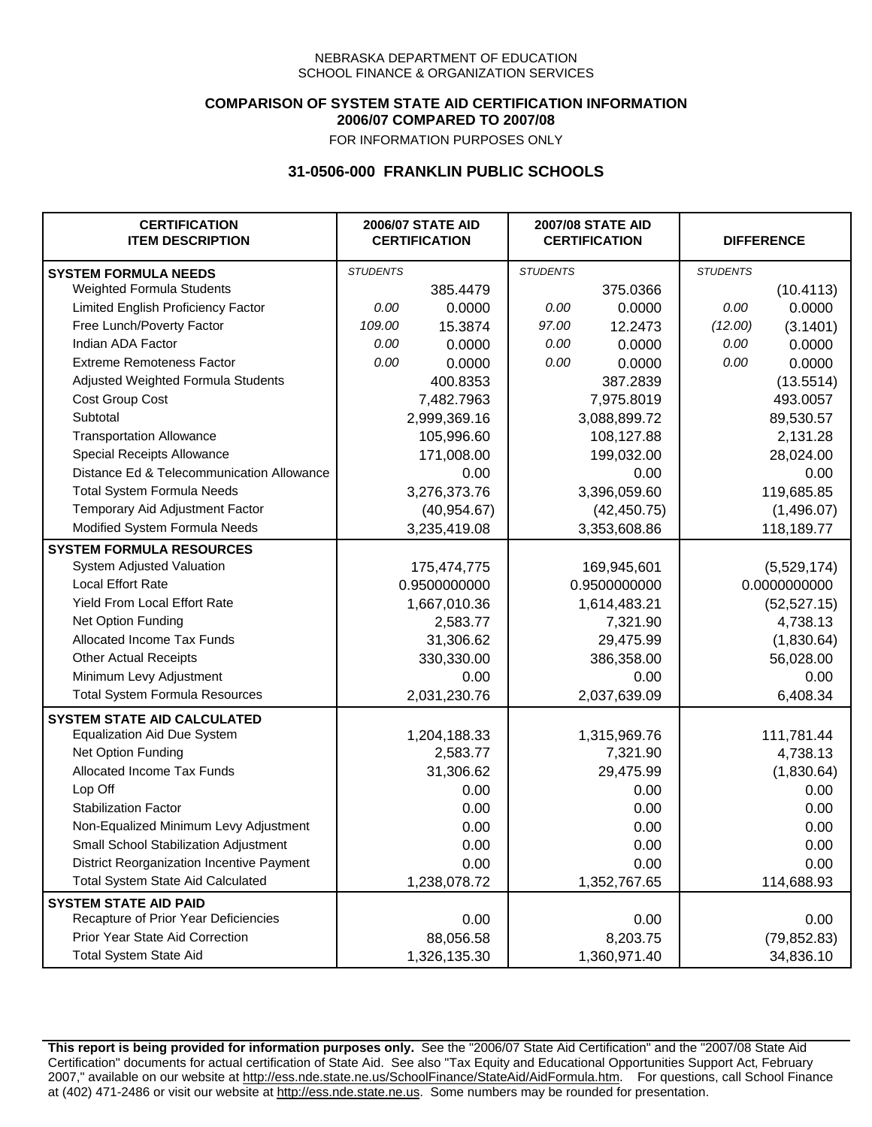## **COMPARISON OF SYSTEM STATE AID CERTIFICATION INFORMATION 2006/07 COMPARED TO 2007/08**

FOR INFORMATION PURPOSES ONLY

## **31-0506-000 FRANKLIN PUBLIC SCHOOLS**

| <b>CERTIFICATION</b><br><b>ITEM DESCRIPTION</b> |                 | <b>2006/07 STATE AID</b><br><b>CERTIFICATION</b> | <b>2007/08 STATE AID</b><br><b>CERTIFICATION</b> |              | <b>DIFFERENCE</b> |              |
|-------------------------------------------------|-----------------|--------------------------------------------------|--------------------------------------------------|--------------|-------------------|--------------|
| <b>SYSTEM FORMULA NEEDS</b>                     | <b>STUDENTS</b> |                                                  | <b>STUDENTS</b>                                  |              | <b>STUDENTS</b>   |              |
| Weighted Formula Students                       |                 | 385.4479                                         |                                                  | 375.0366     |                   | (10.4113)    |
| Limited English Proficiency Factor              | 0.00            | 0.0000                                           | 0.00                                             | 0.0000       | 0.00              | 0.0000       |
| Free Lunch/Poverty Factor                       | 109.00          | 15.3874                                          | 97.00                                            | 12.2473      | (12.00)           | (3.1401)     |
| Indian ADA Factor                               | 0.00            | 0.0000                                           | 0.00                                             | 0.0000       | 0.00              | 0.0000       |
| <b>Extreme Remoteness Factor</b>                | 0.00            | 0.0000                                           | 0.00                                             | 0.0000       | 0.00              | 0.0000       |
| Adjusted Weighted Formula Students              |                 | 400.8353                                         |                                                  | 387.2839     |                   | (13.5514)    |
| Cost Group Cost                                 |                 | 7,482.7963                                       |                                                  | 7,975.8019   |                   | 493.0057     |
| Subtotal                                        |                 | 2,999,369.16                                     |                                                  | 3,088,899.72 |                   | 89,530.57    |
| <b>Transportation Allowance</b>                 |                 | 105,996.60                                       |                                                  | 108,127.88   |                   | 2,131.28     |
| Special Receipts Allowance                      |                 | 171,008.00                                       |                                                  | 199,032.00   |                   | 28,024.00    |
| Distance Ed & Telecommunication Allowance       |                 | 0.00                                             |                                                  | 0.00         |                   | 0.00         |
| <b>Total System Formula Needs</b>               |                 | 3,276,373.76                                     |                                                  | 3,396,059.60 |                   | 119,685.85   |
| Temporary Aid Adjustment Factor                 |                 | (40, 954.67)                                     |                                                  | (42, 450.75) |                   | (1,496.07)   |
| Modified System Formula Needs                   |                 | 3,235,419.08                                     |                                                  | 3,353,608.86 |                   | 118,189.77   |
| <b>SYSTEM FORMULA RESOURCES</b>                 |                 |                                                  |                                                  |              |                   |              |
| System Adjusted Valuation                       |                 | 175,474,775                                      |                                                  | 169,945,601  |                   | (5,529,174)  |
| <b>Local Effort Rate</b>                        |                 | 0.9500000000                                     |                                                  | 0.9500000000 |                   | 0.0000000000 |
| Yield From Local Effort Rate                    |                 | 1,667,010.36                                     |                                                  | 1,614,483.21 |                   | (52, 527.15) |
| Net Option Funding                              |                 | 2,583.77                                         |                                                  | 7,321.90     |                   | 4,738.13     |
| Allocated Income Tax Funds                      |                 | 31,306.62                                        |                                                  | 29,475.99    |                   | (1,830.64)   |
| <b>Other Actual Receipts</b>                    |                 | 330,330.00                                       |                                                  | 386,358.00   |                   | 56,028.00    |
| Minimum Levy Adjustment                         |                 | 0.00                                             |                                                  | 0.00         |                   | 0.00         |
| <b>Total System Formula Resources</b>           |                 | 2,031,230.76                                     |                                                  | 2,037,639.09 |                   | 6,408.34     |
| <b>SYSTEM STATE AID CALCULATED</b>              |                 |                                                  |                                                  |              |                   |              |
| <b>Equalization Aid Due System</b>              |                 | 1,204,188.33                                     |                                                  | 1,315,969.76 |                   | 111,781.44   |
| Net Option Funding                              |                 | 2,583.77                                         |                                                  | 7,321.90     |                   | 4,738.13     |
| Allocated Income Tax Funds                      |                 | 31,306.62                                        |                                                  | 29,475.99    |                   | (1,830.64)   |
| Lop Off                                         |                 | 0.00                                             |                                                  | 0.00         |                   | 0.00         |
| <b>Stabilization Factor</b>                     |                 | 0.00                                             |                                                  | 0.00         |                   | 0.00         |
| Non-Equalized Minimum Levy Adjustment           |                 | 0.00                                             |                                                  | 0.00         |                   | 0.00         |
| Small School Stabilization Adjustment           |                 | 0.00                                             |                                                  | 0.00         |                   | 0.00         |
| District Reorganization Incentive Payment       |                 | 0.00                                             |                                                  | 0.00         |                   | 0.00         |
| <b>Total System State Aid Calculated</b>        |                 | 1,238,078.72                                     |                                                  | 1,352,767.65 |                   | 114,688.93   |
| <b>SYSTEM STATE AID PAID</b>                    |                 |                                                  |                                                  |              |                   |              |
| Recapture of Prior Year Deficiencies            |                 | 0.00                                             |                                                  | 0.00         |                   | 0.00         |
| Prior Year State Aid Correction                 |                 | 88,056.58                                        |                                                  | 8,203.75     |                   | (79, 852.83) |
| <b>Total System State Aid</b>                   |                 | 1,326,135.30                                     |                                                  | 1,360,971.40 |                   | 34,836.10    |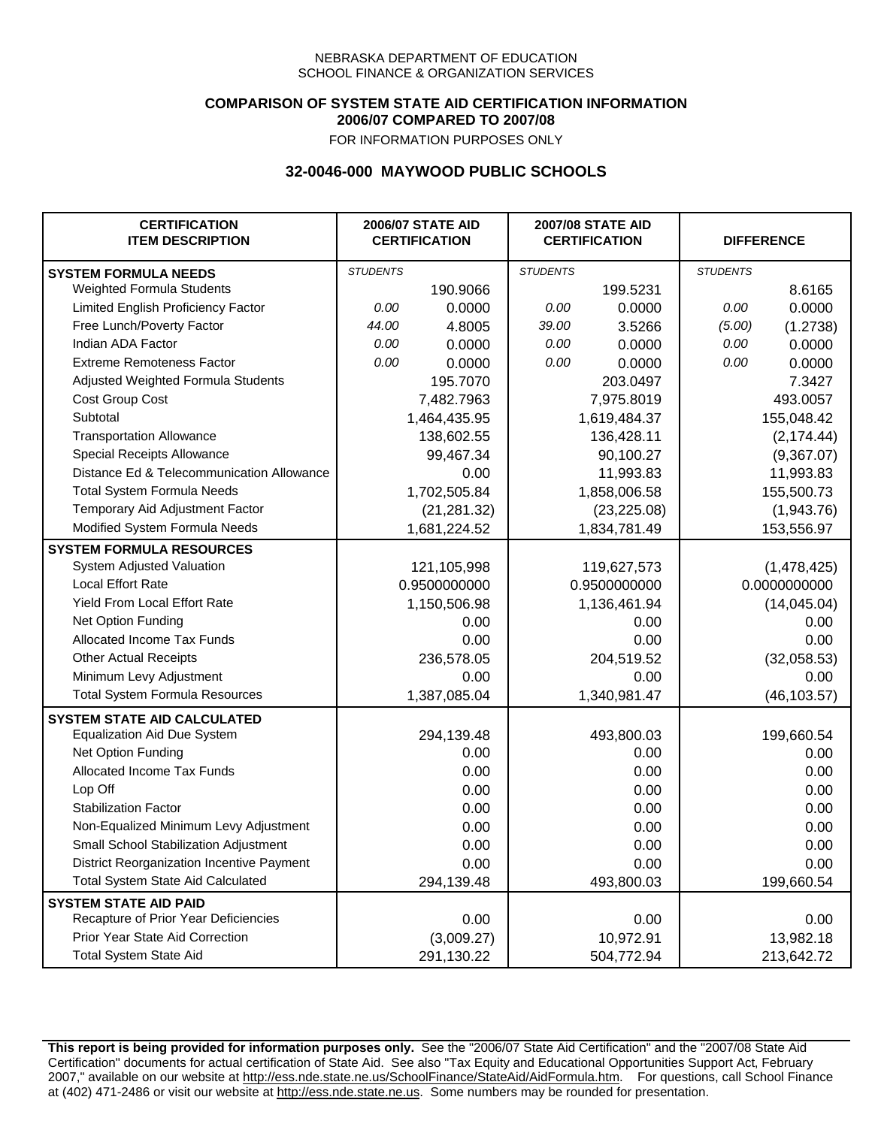### **COMPARISON OF SYSTEM STATE AID CERTIFICATION INFORMATION 2006/07 COMPARED TO 2007/08**

FOR INFORMATION PURPOSES ONLY

# **32-0046-000 MAYWOOD PUBLIC SCHOOLS**

| <b>CERTIFICATION</b><br><b>ITEM DESCRIPTION</b> |                 | <b>2006/07 STATE AID</b><br><b>CERTIFICATION</b> | <b>2007/08 STATE AID</b><br><b>CERTIFICATION</b> |              |                 | <b>DIFFERENCE</b> |
|-------------------------------------------------|-----------------|--------------------------------------------------|--------------------------------------------------|--------------|-----------------|-------------------|
| <b>SYSTEM FORMULA NEEDS</b>                     | <b>STUDENTS</b> |                                                  | <b>STUDENTS</b>                                  |              | <b>STUDENTS</b> |                   |
| <b>Weighted Formula Students</b>                |                 | 190.9066                                         |                                                  | 199.5231     |                 | 8.6165            |
| Limited English Proficiency Factor              | 0.00            | 0.0000                                           | 0.00                                             | 0.0000       | 0.00            | 0.0000            |
| Free Lunch/Poverty Factor                       | 44.00           | 4.8005                                           | 39.00                                            | 3.5266       | (5.00)          | (1.2738)          |
| Indian ADA Factor                               | 0.00            | 0.0000                                           | 0.00                                             | 0.0000       | 0.00            | 0.0000            |
| <b>Extreme Remoteness Factor</b>                | 0.00            | 0.0000                                           | 0.00                                             | 0.0000       | 0.00            | 0.0000            |
| Adjusted Weighted Formula Students              |                 | 195.7070                                         |                                                  | 203.0497     |                 | 7.3427            |
| Cost Group Cost                                 |                 | 7,482.7963                                       |                                                  | 7,975.8019   |                 | 493.0057          |
| Subtotal                                        |                 | 1,464,435.95                                     |                                                  | 1,619,484.37 |                 | 155,048.42        |
| <b>Transportation Allowance</b>                 |                 | 138,602.55                                       |                                                  | 136,428.11   |                 | (2, 174.44)       |
| Special Receipts Allowance                      |                 | 99,467.34                                        |                                                  | 90,100.27    |                 | (9,367.07)        |
| Distance Ed & Telecommunication Allowance       |                 | 0.00                                             |                                                  | 11,993.83    |                 | 11,993.83         |
| <b>Total System Formula Needs</b>               |                 | 1,702,505.84                                     |                                                  | 1,858,006.58 | 155,500.73      |                   |
| Temporary Aid Adjustment Factor                 |                 | (21, 281.32)                                     | (23, 225.08)                                     |              | (1,943.76)      |                   |
| Modified System Formula Needs                   |                 | 1,681,224.52                                     |                                                  | 1,834,781.49 |                 | 153,556.97        |
| <b>SYSTEM FORMULA RESOURCES</b>                 |                 |                                                  |                                                  |              |                 |                   |
| System Adjusted Valuation                       |                 | 121,105,998                                      |                                                  | 119,627,573  |                 | (1,478,425)       |
| <b>Local Effort Rate</b>                        |                 | 0.9500000000                                     |                                                  | 0.9500000000 |                 | 0.0000000000      |
| Yield From Local Effort Rate                    |                 | 1,150,506.98                                     |                                                  | 1,136,461.94 |                 | (14,045.04)       |
| Net Option Funding                              |                 | 0.00                                             |                                                  | 0.00         |                 | 0.00              |
| Allocated Income Tax Funds                      |                 | 0.00                                             | 0.00                                             |              | 0.00            |                   |
| <b>Other Actual Receipts</b>                    |                 | 236,578.05                                       | 204,519.52                                       |              | (32,058.53)     |                   |
| Minimum Levy Adjustment                         |                 | 0.00                                             |                                                  | 0.00         |                 | 0.00              |
| <b>Total System Formula Resources</b>           |                 | 1,387,085.04                                     |                                                  | 1,340,981.47 |                 | (46, 103.57)      |
| <b>SYSTEM STATE AID CALCULATED</b>              |                 |                                                  |                                                  |              |                 |                   |
| <b>Equalization Aid Due System</b>              |                 | 294,139.48                                       |                                                  | 493,800.03   |                 | 199,660.54        |
| Net Option Funding                              |                 | 0.00                                             |                                                  | 0.00         |                 | 0.00              |
| Allocated Income Tax Funds                      |                 | 0.00                                             |                                                  | 0.00         |                 | 0.00              |
| Lop Off                                         |                 | 0.00                                             |                                                  | 0.00         |                 | 0.00              |
| <b>Stabilization Factor</b>                     |                 | 0.00                                             |                                                  | 0.00         |                 | 0.00              |
| Non-Equalized Minimum Levy Adjustment           |                 | 0.00                                             |                                                  | 0.00         |                 | 0.00              |
| Small School Stabilization Adjustment           |                 | 0.00                                             |                                                  | 0.00         |                 | 0.00              |
| District Reorganization Incentive Payment       |                 | 0.00                                             |                                                  | 0.00         |                 | 0.00              |
| <b>Total System State Aid Calculated</b>        |                 | 294,139.48                                       |                                                  | 493,800.03   |                 | 199,660.54        |
| <b>SYSTEM STATE AID PAID</b>                    |                 |                                                  |                                                  |              |                 |                   |
| Recapture of Prior Year Deficiencies            |                 | 0.00                                             |                                                  | 0.00         |                 | 0.00              |
| Prior Year State Aid Correction                 |                 | (3,009.27)                                       |                                                  | 10,972.91    |                 | 13,982.18         |
| <b>Total System State Aid</b>                   |                 | 291,130.22                                       |                                                  | 504,772.94   |                 | 213,642.72        |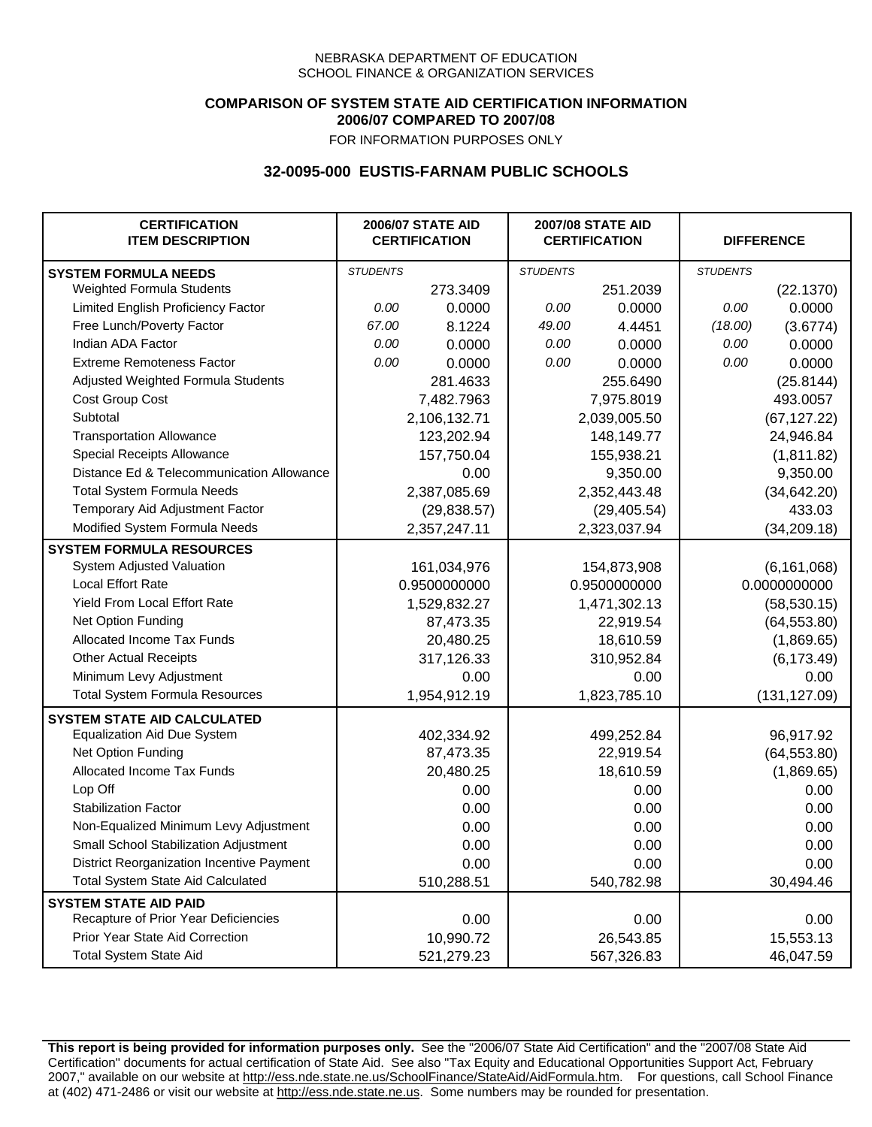## **COMPARISON OF SYSTEM STATE AID CERTIFICATION INFORMATION 2006/07 COMPARED TO 2007/08**

FOR INFORMATION PURPOSES ONLY

# **32-0095-000 EUSTIS-FARNAM PUBLIC SCHOOLS**

| <b>CERTIFICATION</b><br><b>ITEM DESCRIPTION</b> |                 | <b>2006/07 STATE AID</b><br><b>CERTIFICATION</b> | <b>2007/08 STATE AID</b><br><b>CERTIFICATION</b> |              |                 | <b>DIFFERENCE</b> |
|-------------------------------------------------|-----------------|--------------------------------------------------|--------------------------------------------------|--------------|-----------------|-------------------|
| <b>SYSTEM FORMULA NEEDS</b>                     | <b>STUDENTS</b> |                                                  | <b>STUDENTS</b>                                  |              | <b>STUDENTS</b> |                   |
| Weighted Formula Students                       |                 | 273.3409                                         |                                                  | 251.2039     |                 | (22.1370)         |
| Limited English Proficiency Factor              | 0.00            | 0.0000                                           | 0.00                                             | 0.0000       | 0.00            | 0.0000            |
| Free Lunch/Poverty Factor                       | 67.00           | 8.1224                                           | 49.00                                            | 4.4451       | (18.00)         | (3.6774)          |
| Indian ADA Factor                               | 0.00            | 0.0000                                           | 0.00                                             | 0.0000       | 0.00            | 0.0000            |
| <b>Extreme Remoteness Factor</b>                | 0.00            | 0.0000                                           | 0.00                                             | 0.0000       | 0.00            | 0.0000            |
| Adjusted Weighted Formula Students              |                 | 281.4633                                         |                                                  | 255.6490     |                 | (25.8144)         |
| Cost Group Cost                                 |                 | 7,482.7963                                       |                                                  | 7,975.8019   |                 | 493.0057          |
| Subtotal                                        |                 | 2,106,132.71                                     |                                                  | 2,039,005.50 |                 | (67, 127.22)      |
| <b>Transportation Allowance</b>                 |                 | 123,202.94                                       |                                                  | 148,149.77   |                 | 24,946.84         |
| Special Receipts Allowance                      |                 | 157,750.04                                       |                                                  | 155,938.21   |                 | (1,811.82)        |
| Distance Ed & Telecommunication Allowance       |                 | 0.00                                             |                                                  | 9,350.00     |                 | 9,350.00          |
| <b>Total System Formula Needs</b>               |                 | 2,387,085.69                                     |                                                  | 2,352,443.48 |                 | (34, 642.20)      |
| Temporary Aid Adjustment Factor                 |                 | (29, 838.57)                                     | (29, 405.54)                                     |              | 433.03          |                   |
| Modified System Formula Needs                   |                 | 2,357,247.11                                     |                                                  | 2,323,037.94 |                 | (34, 209.18)      |
| <b>SYSTEM FORMULA RESOURCES</b>                 |                 |                                                  |                                                  |              |                 |                   |
| System Adjusted Valuation                       |                 | 161,034,976                                      |                                                  | 154,873,908  |                 | (6, 161, 068)     |
| <b>Local Effort Rate</b>                        |                 | 0.9500000000                                     |                                                  | 0.9500000000 |                 | 0.0000000000      |
| Yield From Local Effort Rate                    |                 | 1,529,832.27                                     |                                                  | 1,471,302.13 |                 | (58, 530.15)      |
| Net Option Funding                              |                 | 87,473.35                                        |                                                  | 22,919.54    |                 | (64, 553.80)      |
| Allocated Income Tax Funds                      |                 | 20,480.25                                        |                                                  | 18,610.59    |                 | (1,869.65)        |
| <b>Other Actual Receipts</b>                    |                 | 317,126.33                                       | 310,952.84                                       |              | (6, 173.49)     |                   |
| Minimum Levy Adjustment                         |                 | 0.00                                             | 0.00                                             |              | 0.00            |                   |
| <b>Total System Formula Resources</b>           |                 | 1,954,912.19                                     |                                                  | 1,823,785.10 |                 | (131, 127.09)     |
| <b>SYSTEM STATE AID CALCULATED</b>              |                 |                                                  |                                                  |              |                 |                   |
| <b>Equalization Aid Due System</b>              |                 | 402,334.92                                       |                                                  | 499,252.84   |                 | 96,917.92         |
| Net Option Funding                              |                 | 87,473.35                                        |                                                  | 22,919.54    |                 | (64, 553.80)      |
| Allocated Income Tax Funds                      |                 | 20,480.25                                        |                                                  | 18,610.59    |                 | (1,869.65)        |
| Lop Off                                         |                 | 0.00                                             |                                                  | 0.00         |                 | 0.00              |
| <b>Stabilization Factor</b>                     |                 | 0.00                                             |                                                  | 0.00         |                 | 0.00              |
| Non-Equalized Minimum Levy Adjustment           |                 | 0.00                                             |                                                  | 0.00         |                 | 0.00              |
| Small School Stabilization Adjustment           |                 | 0.00                                             |                                                  | 0.00         |                 | 0.00              |
| District Reorganization Incentive Payment       |                 | 0.00                                             |                                                  | 0.00         |                 | 0.00              |
| <b>Total System State Aid Calculated</b>        |                 | 510,288.51                                       |                                                  | 540,782.98   |                 | 30,494.46         |
| <b>SYSTEM STATE AID PAID</b>                    |                 |                                                  |                                                  |              |                 |                   |
| Recapture of Prior Year Deficiencies            |                 | 0.00                                             |                                                  | 0.00         |                 | 0.00              |
| Prior Year State Aid Correction                 |                 | 10,990.72                                        |                                                  | 26,543.85    |                 | 15,553.13         |
| <b>Total System State Aid</b>                   |                 | 521,279.23                                       |                                                  | 567,326.83   |                 | 46,047.59         |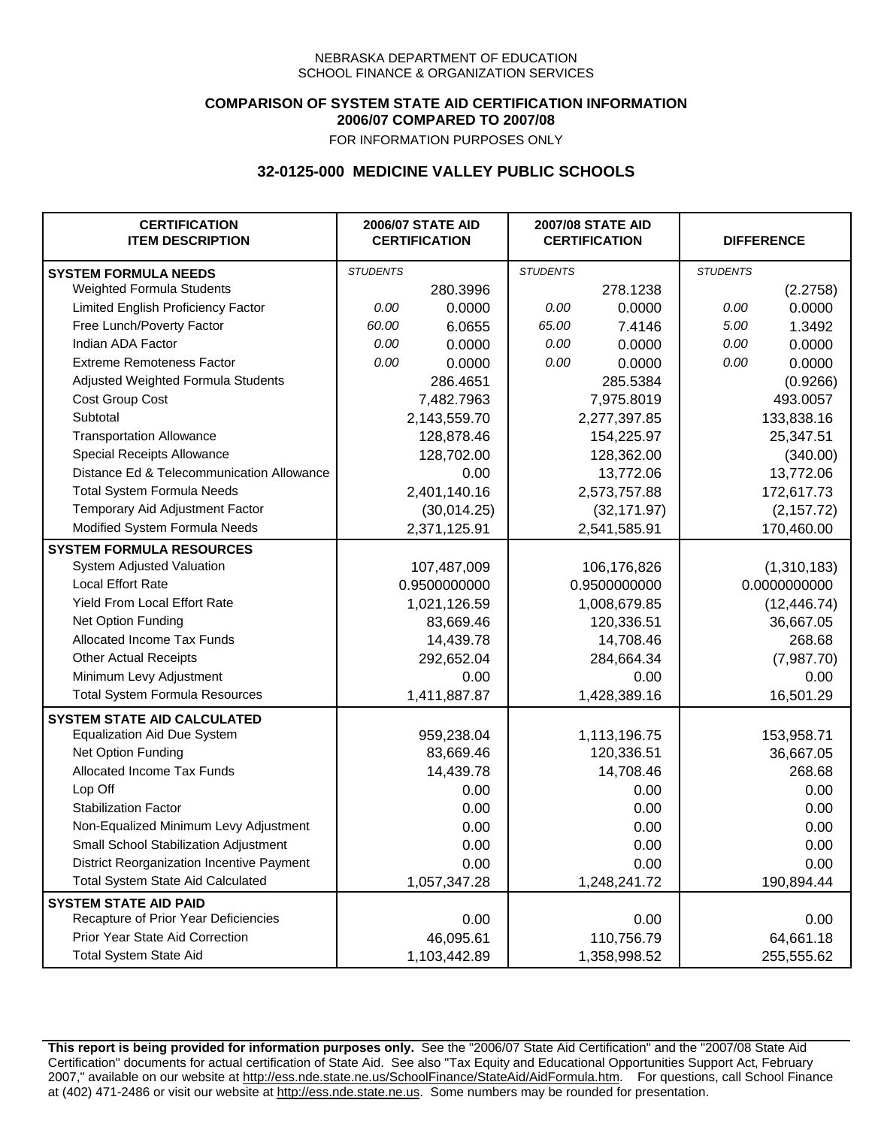## **COMPARISON OF SYSTEM STATE AID CERTIFICATION INFORMATION 2006/07 COMPARED TO 2007/08**

FOR INFORMATION PURPOSES ONLY

## **32-0125-000 MEDICINE VALLEY PUBLIC SCHOOLS**

| <b>CERTIFICATION</b><br><b>ITEM DESCRIPTION</b> |                 | <b>2006/07 STATE AID</b><br><b>CERTIFICATION</b> | <b>2007/08 STATE AID</b><br><b>CERTIFICATION</b> |              | <b>DIFFERENCE</b> |              |
|-------------------------------------------------|-----------------|--------------------------------------------------|--------------------------------------------------|--------------|-------------------|--------------|
| <b>SYSTEM FORMULA NEEDS</b>                     | <b>STUDENTS</b> |                                                  | <b>STUDENTS</b>                                  |              | <b>STUDENTS</b>   |              |
| Weighted Formula Students                       |                 | 280.3996                                         |                                                  | 278.1238     |                   | (2.2758)     |
| Limited English Proficiency Factor              | 0.00            | 0.0000                                           | 0.00                                             | 0.0000       | 0.00              | 0.0000       |
| Free Lunch/Poverty Factor                       | 60.00           | 6.0655                                           | 65.00                                            | 7.4146       | 5.00              | 1.3492       |
| Indian ADA Factor                               | 0.00            | 0.0000                                           | 0.00                                             | 0.0000       | 0.00              | 0.0000       |
| <b>Extreme Remoteness Factor</b>                | 0.00            | 0.0000                                           | 0.00                                             | 0.0000       | 0.00              | 0.0000       |
| Adjusted Weighted Formula Students              |                 | 286.4651                                         |                                                  | 285.5384     |                   | (0.9266)     |
| Cost Group Cost                                 |                 | 7,482.7963                                       |                                                  | 7,975.8019   |                   | 493.0057     |
| Subtotal                                        |                 | 2,143,559.70                                     |                                                  | 2,277,397.85 |                   | 133,838.16   |
| <b>Transportation Allowance</b>                 |                 | 128,878.46                                       |                                                  | 154,225.97   |                   | 25,347.51    |
| Special Receipts Allowance                      |                 | 128,702.00                                       |                                                  | 128,362.00   |                   | (340.00)     |
| Distance Ed & Telecommunication Allowance       |                 | 0.00                                             |                                                  | 13,772.06    |                   | 13,772.06    |
| <b>Total System Formula Needs</b>               |                 | 2,401,140.16                                     |                                                  | 2,573,757.88 |                   | 172,617.73   |
| Temporary Aid Adjustment Factor                 |                 | (30,014.25)                                      |                                                  | (32, 171.97) |                   | (2, 157.72)  |
| Modified System Formula Needs                   |                 | 2,371,125.91                                     |                                                  | 2,541,585.91 |                   | 170,460.00   |
| <b>SYSTEM FORMULA RESOURCES</b>                 |                 |                                                  |                                                  |              |                   |              |
| System Adjusted Valuation                       |                 | 107,487,009                                      |                                                  | 106,176,826  |                   | (1,310,183)  |
| <b>Local Effort Rate</b>                        |                 | 0.9500000000                                     |                                                  | 0.9500000000 |                   | 0.0000000000 |
| Yield From Local Effort Rate                    |                 | 1,021,126.59                                     |                                                  | 1,008,679.85 |                   | (12, 446.74) |
| Net Option Funding                              |                 | 83,669.46                                        |                                                  | 120,336.51   |                   | 36,667.05    |
| Allocated Income Tax Funds                      |                 | 14,439.78                                        |                                                  | 14,708.46    |                   | 268.68       |
| <b>Other Actual Receipts</b>                    |                 | 292,652.04                                       | 284,664.34                                       |              | (7,987.70)        |              |
| Minimum Levy Adjustment                         |                 | 0.00                                             | 0.00                                             |              |                   | 0.00         |
| <b>Total System Formula Resources</b>           |                 | 1,411,887.87                                     |                                                  | 1,428,389.16 |                   | 16,501.29    |
| <b>SYSTEM STATE AID CALCULATED</b>              |                 |                                                  |                                                  |              |                   |              |
| <b>Equalization Aid Due System</b>              |                 | 959,238.04                                       |                                                  | 1,113,196.75 |                   | 153,958.71   |
| Net Option Funding                              |                 | 83,669.46                                        |                                                  | 120,336.51   |                   | 36,667.05    |
| Allocated Income Tax Funds                      |                 | 14,439.78                                        |                                                  | 14,708.46    |                   | 268.68       |
| Lop Off                                         |                 | 0.00                                             |                                                  | 0.00         |                   | 0.00         |
| <b>Stabilization Factor</b>                     |                 | 0.00                                             |                                                  | 0.00         |                   | 0.00         |
| Non-Equalized Minimum Levy Adjustment           |                 | 0.00                                             |                                                  | 0.00         |                   | 0.00         |
| Small School Stabilization Adjustment           |                 | 0.00                                             |                                                  | 0.00         |                   | 0.00         |
| District Reorganization Incentive Payment       |                 | 0.00                                             |                                                  | 0.00         |                   | 0.00         |
| <b>Total System State Aid Calculated</b>        |                 | 1,057,347.28                                     |                                                  | 1,248,241.72 |                   | 190,894.44   |
| <b>SYSTEM STATE AID PAID</b>                    |                 |                                                  |                                                  |              |                   |              |
| Recapture of Prior Year Deficiencies            |                 | 0.00                                             |                                                  | 0.00         |                   | 0.00         |
| Prior Year State Aid Correction                 |                 | 46,095.61                                        |                                                  | 110,756.79   |                   | 64,661.18    |
| <b>Total System State Aid</b>                   |                 | 1,103,442.89                                     |                                                  | 1,358,998.52 |                   | 255,555.62   |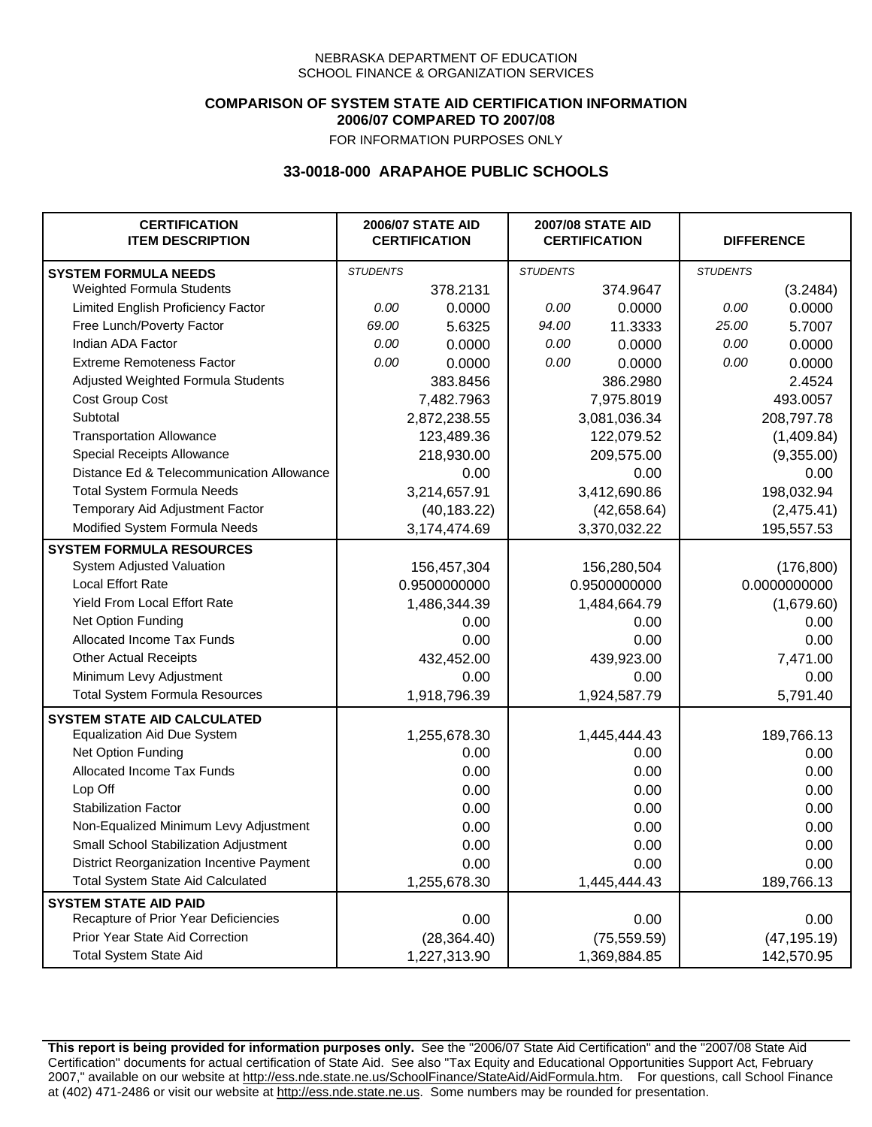### **COMPARISON OF SYSTEM STATE AID CERTIFICATION INFORMATION 2006/07 COMPARED TO 2007/08**

FOR INFORMATION PURPOSES ONLY

## **33-0018-000 ARAPAHOE PUBLIC SCHOOLS**

| <b>CERTIFICATION</b><br><b>ITEM DESCRIPTION</b> |                 | <b>2006/07 STATE AID</b><br><b>CERTIFICATION</b> |                 | <b>2007/08 STATE AID</b><br><b>CERTIFICATION</b> |                 | <b>DIFFERENCE</b> |
|-------------------------------------------------|-----------------|--------------------------------------------------|-----------------|--------------------------------------------------|-----------------|-------------------|
| <b>SYSTEM FORMULA NEEDS</b>                     | <b>STUDENTS</b> |                                                  | <b>STUDENTS</b> |                                                  | <b>STUDENTS</b> |                   |
| Weighted Formula Students                       |                 | 378.2131                                         |                 | 374.9647                                         |                 | (3.2484)          |
| Limited English Proficiency Factor              | 0.00            | 0.0000                                           | 0.00            | 0.0000                                           | 0.00            | 0.0000            |
| Free Lunch/Poverty Factor                       | 69.00           | 5.6325                                           | 94.00           | 11.3333                                          | 25.00           | 5.7007            |
| Indian ADA Factor                               | 0.00            | 0.0000                                           | 0.00            | 0.0000                                           | 0.00            | 0.0000            |
| <b>Extreme Remoteness Factor</b>                | 0.00            | 0.0000                                           | 0.00            | 0.0000                                           | 0.00            | 0.0000            |
| Adjusted Weighted Formula Students              |                 | 383.8456                                         |                 | 386.2980                                         |                 | 2.4524            |
| Cost Group Cost                                 |                 | 7,482.7963                                       |                 | 7,975.8019                                       |                 | 493.0057          |
| Subtotal                                        |                 | 2,872,238.55                                     |                 | 3,081,036.34                                     |                 | 208,797.78        |
| <b>Transportation Allowance</b>                 |                 | 123,489.36                                       |                 | 122,079.52                                       |                 | (1,409.84)        |
| Special Receipts Allowance                      |                 | 218,930.00                                       |                 | 209,575.00                                       |                 | (9,355.00)        |
| Distance Ed & Telecommunication Allowance       |                 | 0.00                                             |                 | 0.00                                             |                 | 0.00              |
| <b>Total System Formula Needs</b>               |                 | 3,214,657.91                                     |                 | 3,412,690.86                                     | 198,032.94      |                   |
| Temporary Aid Adjustment Factor                 |                 | (40, 183.22)                                     | (42,658.64)     |                                                  | (2,475.41)      |                   |
| Modified System Formula Needs                   |                 | 3,174,474.69                                     |                 | 3,370,032.22                                     |                 | 195,557.53        |
| <b>SYSTEM FORMULA RESOURCES</b>                 |                 |                                                  |                 |                                                  |                 |                   |
| System Adjusted Valuation                       |                 | 156,457,304                                      |                 | 156,280,504                                      |                 | (176, 800)        |
| <b>Local Effort Rate</b>                        |                 | 0.9500000000                                     |                 | 0.9500000000                                     | 0.0000000000    |                   |
| Yield From Local Effort Rate                    |                 | 1,486,344.39                                     | 1,484,664.79    |                                                  | (1,679.60)      |                   |
| Net Option Funding                              |                 | 0.00                                             | 0.00            |                                                  | 0.00            |                   |
| Allocated Income Tax Funds                      |                 | 0.00                                             | 0.00            |                                                  | 0.00            |                   |
| <b>Other Actual Receipts</b>                    |                 | 432,452.00                                       | 439,923.00      |                                                  | 7,471.00        |                   |
| Minimum Levy Adjustment                         |                 | 0.00                                             |                 | 0.00                                             |                 | 0.00              |
| <b>Total System Formula Resources</b>           |                 | 1,918,796.39                                     |                 | 1,924,587.79                                     |                 | 5,791.40          |
| <b>SYSTEM STATE AID CALCULATED</b>              |                 |                                                  |                 |                                                  |                 |                   |
| <b>Equalization Aid Due System</b>              |                 | 1,255,678.30                                     |                 | 1,445,444.43                                     |                 | 189,766.13        |
| Net Option Funding                              |                 | 0.00                                             |                 | 0.00                                             |                 | 0.00              |
| Allocated Income Tax Funds                      |                 | 0.00                                             |                 | 0.00                                             |                 | 0.00              |
| Lop Off                                         |                 | 0.00                                             |                 | 0.00                                             |                 | 0.00              |
| <b>Stabilization Factor</b>                     |                 | 0.00                                             |                 | 0.00                                             |                 | 0.00              |
| Non-Equalized Minimum Levy Adjustment           |                 | 0.00                                             |                 | 0.00                                             |                 | 0.00              |
| Small School Stabilization Adjustment           |                 | 0.00                                             |                 | 0.00                                             |                 | 0.00              |
| District Reorganization Incentive Payment       |                 | 0.00                                             |                 | 0.00                                             |                 | 0.00              |
| <b>Total System State Aid Calculated</b>        |                 | 1,255,678.30                                     |                 | 1,445,444.43                                     |                 | 189,766.13        |
| <b>SYSTEM STATE AID PAID</b>                    |                 |                                                  |                 |                                                  |                 |                   |
| Recapture of Prior Year Deficiencies            |                 | 0.00                                             |                 | 0.00                                             |                 | 0.00              |
| Prior Year State Aid Correction                 |                 | (28, 364.40)                                     |                 | (75, 559.59)                                     |                 | (47, 195.19)      |
| <b>Total System State Aid</b>                   |                 | 1,227,313.90                                     |                 | 1,369,884.85                                     |                 | 142,570.95        |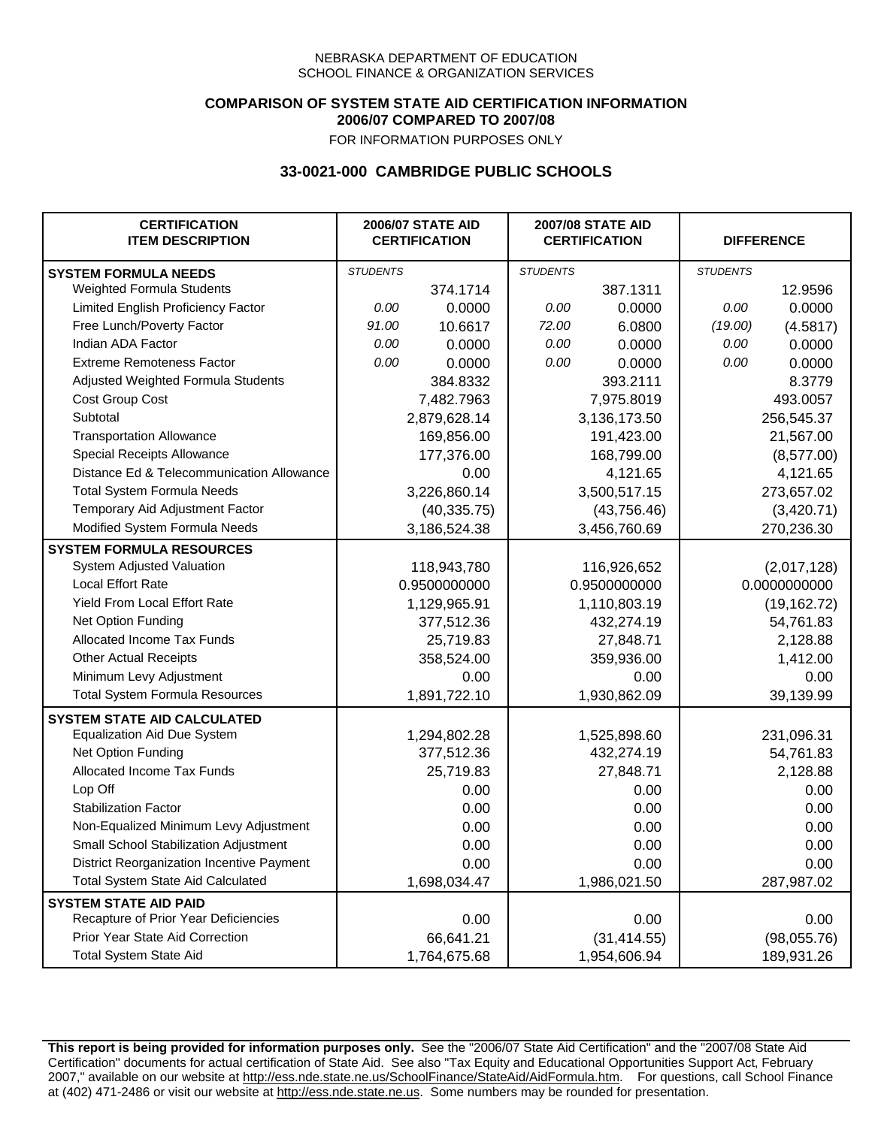### **COMPARISON OF SYSTEM STATE AID CERTIFICATION INFORMATION 2006/07 COMPARED TO 2007/08**

FOR INFORMATION PURPOSES ONLY

## **33-0021-000 CAMBRIDGE PUBLIC SCHOOLS**

| <b>CERTIFICATION</b><br><b>ITEM DESCRIPTION</b> |                 | <b>2006/07 STATE AID</b><br><b>CERTIFICATION</b> | <b>2007/08 STATE AID</b><br><b>CERTIFICATION</b> |              |                 | <b>DIFFERENCE</b> |
|-------------------------------------------------|-----------------|--------------------------------------------------|--------------------------------------------------|--------------|-----------------|-------------------|
| <b>SYSTEM FORMULA NEEDS</b>                     | <b>STUDENTS</b> |                                                  | <b>STUDENTS</b>                                  |              | <b>STUDENTS</b> |                   |
| Weighted Formula Students                       |                 | 374.1714                                         |                                                  | 387.1311     |                 | 12.9596           |
| Limited English Proficiency Factor              | 0.00            | 0.0000                                           | 0.00                                             | 0.0000       | 0.00            | 0.0000            |
| Free Lunch/Poverty Factor                       | 91.00           | 10.6617                                          | 72.00                                            | 6.0800       | (19.00)         | (4.5817)          |
| Indian ADA Factor                               | 0.00            | 0.0000                                           | 0.00                                             | 0.0000       | 0.00            | 0.0000            |
| <b>Extreme Remoteness Factor</b>                | 0.00            | 0.0000                                           | 0.00                                             | 0.0000       | 0.00            | 0.0000            |
| Adjusted Weighted Formula Students              |                 | 384.8332                                         |                                                  | 393.2111     |                 | 8.3779            |
| Cost Group Cost                                 |                 | 7,482.7963                                       |                                                  | 7,975.8019   |                 | 493.0057          |
| Subtotal                                        |                 | 2,879,628.14                                     |                                                  | 3,136,173.50 |                 | 256,545.37        |
| <b>Transportation Allowance</b>                 |                 | 169,856.00                                       |                                                  | 191,423.00   |                 | 21,567.00         |
| Special Receipts Allowance                      |                 | 177,376.00                                       |                                                  | 168,799.00   |                 | (8,577.00)        |
| Distance Ed & Telecommunication Allowance       |                 | 0.00                                             |                                                  | 4,121.65     |                 | 4,121.65          |
| <b>Total System Formula Needs</b>               |                 | 3,226,860.14                                     | 3,500,517.15                                     |              | 273,657.02      |                   |
| Temporary Aid Adjustment Factor                 |                 | (40, 335.75)                                     | (43,756.46)                                      |              | (3,420.71)      |                   |
| Modified System Formula Needs                   |                 | 3,186,524.38                                     |                                                  | 3,456,760.69 |                 | 270,236.30        |
| <b>SYSTEM FORMULA RESOURCES</b>                 |                 |                                                  |                                                  |              |                 |                   |
| System Adjusted Valuation                       |                 | 118,943,780                                      |                                                  | 116,926,652  |                 | (2,017,128)       |
| <b>Local Effort Rate</b>                        |                 | 0.9500000000                                     |                                                  | 0.9500000000 |                 | 0.0000000000      |
| Yield From Local Effort Rate                    |                 | 1,129,965.91                                     |                                                  | 1,110,803.19 |                 | (19, 162.72)      |
| Net Option Funding                              |                 | 377,512.36                                       |                                                  | 432,274.19   |                 | 54,761.83         |
| Allocated Income Tax Funds                      |                 | 25,719.83                                        |                                                  | 27,848.71    |                 | 2,128.88          |
| <b>Other Actual Receipts</b>                    |                 | 358,524.00                                       | 359,936.00                                       |              | 1,412.00        |                   |
| Minimum Levy Adjustment                         |                 | 0.00                                             |                                                  | 0.00         |                 | 0.00              |
| <b>Total System Formula Resources</b>           |                 | 1,891,722.10                                     |                                                  | 1,930,862.09 |                 | 39,139.99         |
| <b>SYSTEM STATE AID CALCULATED</b>              |                 |                                                  |                                                  |              |                 |                   |
| <b>Equalization Aid Due System</b>              |                 | 1,294,802.28                                     |                                                  | 1,525,898.60 |                 | 231,096.31        |
| Net Option Funding                              |                 | 377,512.36                                       |                                                  | 432,274.19   |                 | 54,761.83         |
| <b>Allocated Income Tax Funds</b>               |                 | 25,719.83                                        |                                                  | 27,848.71    |                 | 2,128.88          |
| Lop Off                                         |                 | 0.00                                             |                                                  | 0.00         |                 | 0.00              |
| <b>Stabilization Factor</b>                     |                 | 0.00                                             |                                                  | 0.00         |                 | 0.00              |
| Non-Equalized Minimum Levy Adjustment           |                 | 0.00                                             |                                                  | 0.00         |                 | 0.00              |
| Small School Stabilization Adjustment           |                 | 0.00                                             |                                                  | 0.00         |                 | 0.00              |
| District Reorganization Incentive Payment       |                 | 0.00                                             |                                                  | 0.00         |                 | 0.00              |
| Total System State Aid Calculated               |                 | 1,698,034.47                                     |                                                  | 1,986,021.50 |                 | 287,987.02        |
| <b>SYSTEM STATE AID PAID</b>                    |                 |                                                  |                                                  |              |                 |                   |
| Recapture of Prior Year Deficiencies            |                 | 0.00                                             |                                                  | 0.00         |                 | 0.00              |
| Prior Year State Aid Correction                 |                 | 66,641.21                                        |                                                  | (31, 414.55) |                 | (98,055.76)       |
| <b>Total System State Aid</b>                   |                 | 1,764,675.68                                     |                                                  | 1,954,606.94 |                 | 189,931.26        |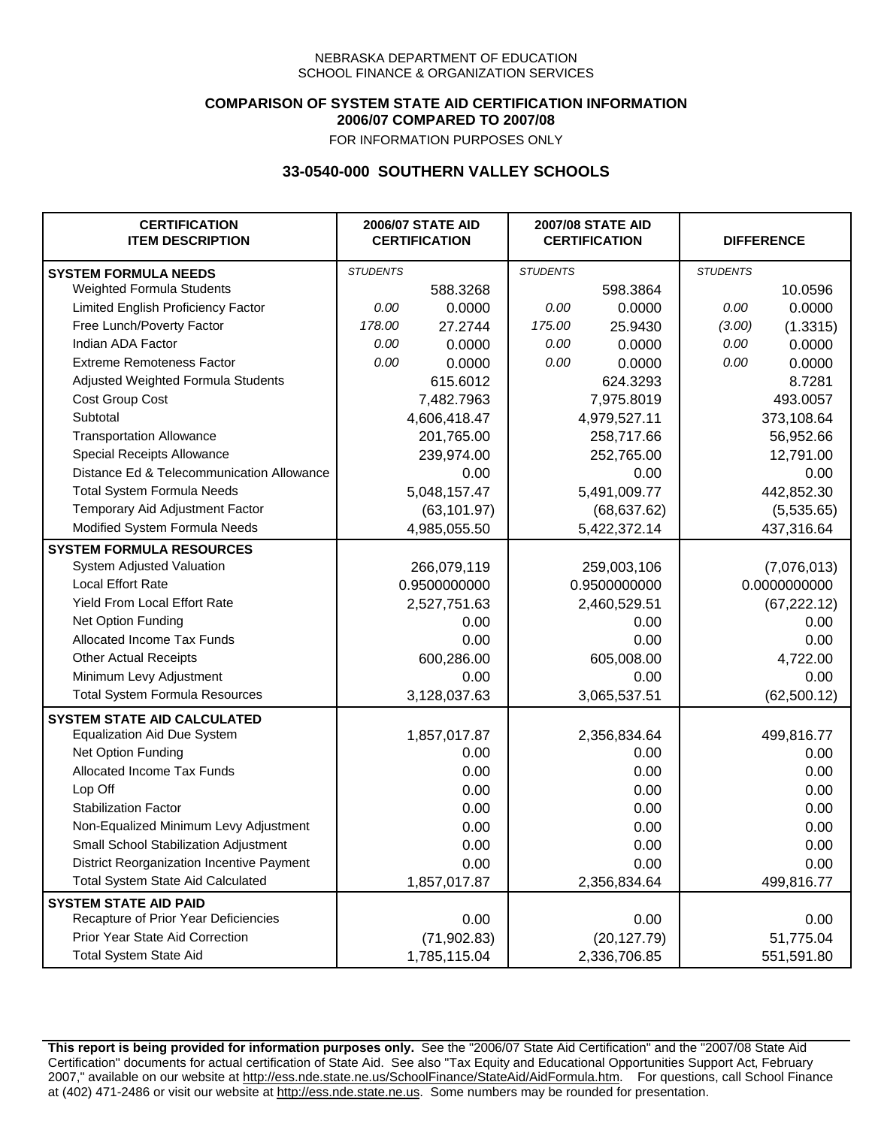## **COMPARISON OF SYSTEM STATE AID CERTIFICATION INFORMATION 2006/07 COMPARED TO 2007/08**

FOR INFORMATION PURPOSES ONLY

## **33-0540-000 SOUTHERN VALLEY SCHOOLS**

| <b>CERTIFICATION</b><br><b>ITEM DESCRIPTION</b> |                 | <b>2006/07 STATE AID</b><br><b>CERTIFICATION</b> | <b>2007/08 STATE AID</b><br><b>CERTIFICATION</b> |              |                 | <b>DIFFERENCE</b> |
|-------------------------------------------------|-----------------|--------------------------------------------------|--------------------------------------------------|--------------|-----------------|-------------------|
| <b>SYSTEM FORMULA NEEDS</b>                     | <b>STUDENTS</b> |                                                  | <b>STUDENTS</b>                                  |              | <b>STUDENTS</b> |                   |
| Weighted Formula Students                       |                 | 588.3268                                         |                                                  | 598.3864     |                 | 10.0596           |
| Limited English Proficiency Factor              | 0.00            | 0.0000                                           | 0.00                                             | 0.0000       | 0.00            | 0.0000            |
| Free Lunch/Poverty Factor                       | 178.00          | 27.2744                                          | 175.00                                           | 25.9430      | (3.00)          | (1.3315)          |
| Indian ADA Factor                               | 0.00            | 0.0000                                           | 0.00                                             | 0.0000       | 0.00            | 0.0000            |
| <b>Extreme Remoteness Factor</b>                | 0.00            | 0.0000                                           | 0.00                                             | 0.0000       | 0.00            | 0.0000            |
| Adjusted Weighted Formula Students              |                 | 615.6012                                         |                                                  | 624.3293     |                 | 8.7281            |
| Cost Group Cost                                 |                 | 7,482.7963                                       |                                                  | 7,975.8019   |                 | 493.0057          |
| Subtotal                                        |                 | 4,606,418.47                                     |                                                  | 4,979,527.11 |                 | 373,108.64        |
| <b>Transportation Allowance</b>                 |                 | 201,765.00                                       |                                                  | 258,717.66   |                 | 56,952.66         |
| Special Receipts Allowance                      |                 | 239,974.00                                       |                                                  | 252,765.00   |                 | 12,791.00         |
| Distance Ed & Telecommunication Allowance       |                 | 0.00                                             |                                                  | 0.00         |                 | 0.00              |
| <b>Total System Formula Needs</b>               |                 | 5,048,157.47                                     |                                                  | 5,491,009.77 | 442,852.30      |                   |
| Temporary Aid Adjustment Factor                 |                 | (63, 101.97)                                     | (68, 637.62)                                     |              | (5,535.65)      |                   |
| Modified System Formula Needs                   |                 | 4,985,055.50                                     |                                                  | 5,422,372.14 |                 | 437,316.64        |
| <b>SYSTEM FORMULA RESOURCES</b>                 |                 |                                                  |                                                  |              |                 |                   |
| System Adjusted Valuation                       |                 | 266,079,119                                      |                                                  | 259,003,106  |                 | (7,076,013)       |
| <b>Local Effort Rate</b>                        |                 | 0.9500000000                                     |                                                  | 0.9500000000 |                 | 0.0000000000      |
| <b>Yield From Local Effort Rate</b>             |                 | 2,527,751.63                                     |                                                  | 2,460,529.51 |                 | (67, 222.12)      |
| Net Option Funding                              |                 | 0.00                                             |                                                  | 0.00         |                 | 0.00              |
| Allocated Income Tax Funds                      |                 | 0.00                                             |                                                  | 0.00         |                 | 0.00              |
| <b>Other Actual Receipts</b>                    |                 | 600,286.00                                       | 605,008.00                                       |              | 4,722.00        |                   |
| Minimum Levy Adjustment                         |                 | 0.00                                             |                                                  | 0.00         |                 | 0.00              |
| <b>Total System Formula Resources</b>           |                 | 3,128,037.63                                     |                                                  | 3,065,537.51 |                 | (62, 500.12)      |
| <b>SYSTEM STATE AID CALCULATED</b>              |                 |                                                  |                                                  |              |                 |                   |
| <b>Equalization Aid Due System</b>              |                 | 1,857,017.87                                     |                                                  | 2,356,834.64 |                 | 499,816.77        |
| Net Option Funding                              |                 | 0.00                                             |                                                  | 0.00         |                 | 0.00              |
| Allocated Income Tax Funds                      |                 | 0.00                                             |                                                  | 0.00         |                 | 0.00              |
| Lop Off                                         |                 | 0.00                                             |                                                  | 0.00         |                 | 0.00              |
| <b>Stabilization Factor</b>                     |                 | 0.00                                             |                                                  | 0.00         |                 | 0.00              |
| Non-Equalized Minimum Levy Adjustment           |                 | 0.00                                             |                                                  | 0.00         |                 | 0.00              |
| Small School Stabilization Adjustment           |                 | 0.00                                             |                                                  | 0.00         |                 | 0.00              |
| District Reorganization Incentive Payment       |                 | 0.00                                             |                                                  | 0.00         |                 | 0.00              |
| Total System State Aid Calculated               |                 | 1,857,017.87                                     |                                                  | 2,356,834.64 |                 | 499,816.77        |
| <b>SYSTEM STATE AID PAID</b>                    |                 |                                                  |                                                  |              |                 |                   |
| Recapture of Prior Year Deficiencies            |                 | 0.00                                             |                                                  | 0.00         |                 | 0.00              |
| Prior Year State Aid Correction                 |                 | (71, 902.83)                                     |                                                  | (20, 127.79) |                 | 51,775.04         |
| <b>Total System State Aid</b>                   |                 | 1,785,115.04                                     |                                                  | 2,336,706.85 |                 | 551,591.80        |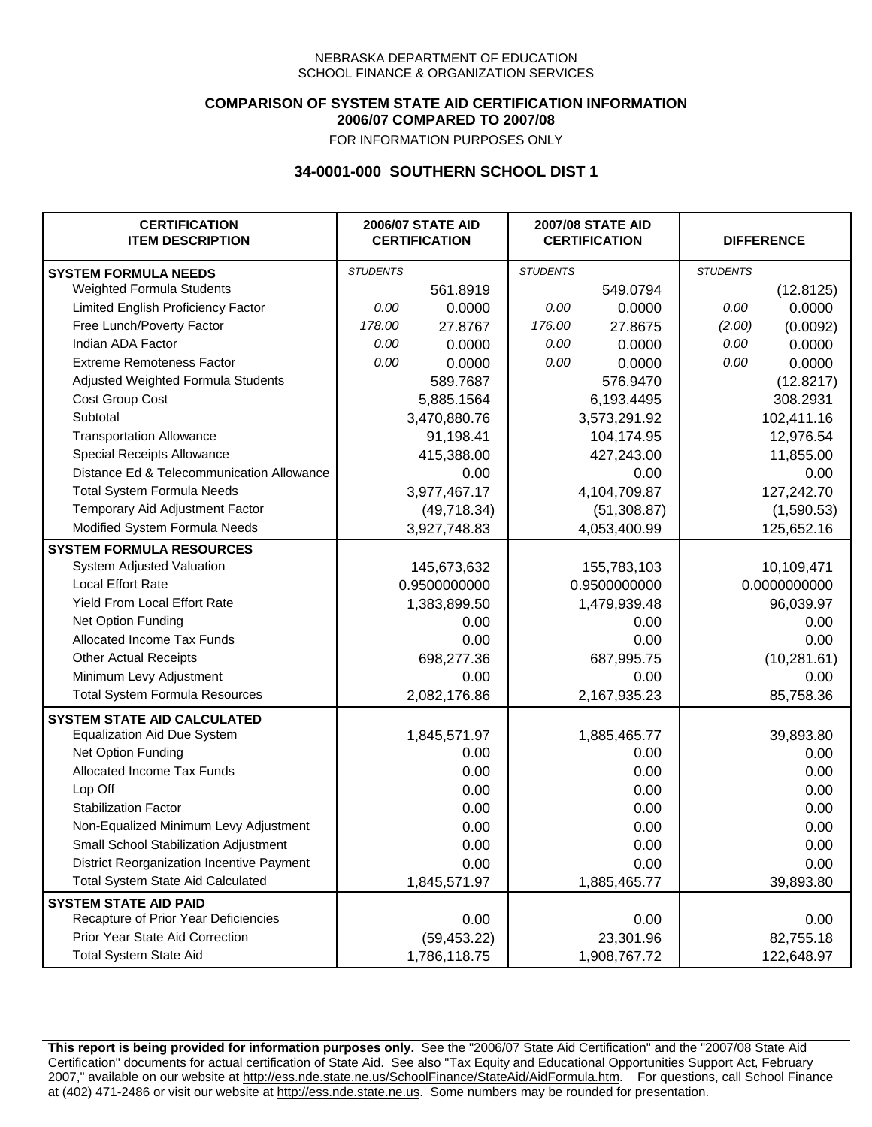### **COMPARISON OF SYSTEM STATE AID CERTIFICATION INFORMATION 2006/07 COMPARED TO 2007/08**

FOR INFORMATION PURPOSES ONLY

## **34-0001-000 SOUTHERN SCHOOL DIST 1**

| <b>CERTIFICATION</b><br><b>ITEM DESCRIPTION</b> |                 | <b>2006/07 STATE AID</b><br><b>CERTIFICATION</b> | <b>2007/08 STATE AID</b><br><b>CERTIFICATION</b> |              | <b>DIFFERENCE</b> |              |
|-------------------------------------------------|-----------------|--------------------------------------------------|--------------------------------------------------|--------------|-------------------|--------------|
| <b>SYSTEM FORMULA NEEDS</b>                     | <b>STUDENTS</b> |                                                  | <b>STUDENTS</b>                                  |              | <b>STUDENTS</b>   |              |
| Weighted Formula Students                       |                 | 561.8919                                         |                                                  | 549.0794     |                   | (12.8125)    |
| Limited English Proficiency Factor              | 0.00            | 0.0000                                           | 0.00                                             | 0.0000       | 0.00              | 0.0000       |
| Free Lunch/Poverty Factor                       | 178.00          | 27.8767                                          | 176.00                                           | 27.8675      | (2.00)            | (0.0092)     |
| Indian ADA Factor                               | 0.00            | 0.0000                                           | 0.00                                             | 0.0000       | 0.00              | 0.0000       |
| <b>Extreme Remoteness Factor</b>                | 0.00            | 0.0000                                           | 0.00                                             | 0.0000       | 0.00              | 0.0000       |
| Adjusted Weighted Formula Students              |                 | 589.7687                                         |                                                  | 576.9470     |                   | (12.8217)    |
| Cost Group Cost                                 |                 | 5,885.1564                                       |                                                  | 6,193.4495   |                   | 308.2931     |
| Subtotal                                        |                 | 3,470,880.76                                     |                                                  | 3,573,291.92 |                   | 102,411.16   |
| <b>Transportation Allowance</b>                 |                 | 91,198.41                                        |                                                  | 104,174.95   |                   | 12,976.54    |
| Special Receipts Allowance                      |                 | 415,388.00                                       |                                                  | 427,243.00   |                   | 11,855.00    |
| Distance Ed & Telecommunication Allowance       |                 | 0.00                                             |                                                  | 0.00         |                   | 0.00         |
| <b>Total System Formula Needs</b>               |                 | 3,977,467.17                                     |                                                  | 4,104,709.87 |                   | 127,242.70   |
| Temporary Aid Adjustment Factor                 |                 | (49, 718.34)                                     | (51, 308.87)                                     |              | (1,590.53)        |              |
| Modified System Formula Needs                   |                 | 3,927,748.83                                     |                                                  | 4,053,400.99 |                   | 125,652.16   |
| <b>SYSTEM FORMULA RESOURCES</b>                 |                 |                                                  |                                                  |              |                   |              |
| System Adjusted Valuation                       |                 | 145,673,632                                      |                                                  | 155,783,103  |                   | 10,109,471   |
| <b>Local Effort Rate</b>                        |                 | 0.9500000000                                     |                                                  | 0.9500000000 |                   | 0.0000000000 |
| Yield From Local Effort Rate                    |                 | 1,383,899.50                                     |                                                  | 1,479,939.48 |                   | 96,039.97    |
| Net Option Funding                              |                 | 0.00                                             |                                                  | 0.00         |                   | 0.00         |
| Allocated Income Tax Funds                      |                 | 0.00                                             |                                                  | 0.00         |                   | 0.00         |
| <b>Other Actual Receipts</b>                    |                 | 698,277.36                                       | 687,995.75                                       |              | (10, 281.61)      |              |
| Minimum Levy Adjustment                         |                 | 0.00                                             |                                                  | 0.00         |                   | 0.00         |
| <b>Total System Formula Resources</b>           |                 | 2,082,176.86                                     |                                                  | 2,167,935.23 |                   | 85,758.36    |
| <b>SYSTEM STATE AID CALCULATED</b>              |                 |                                                  |                                                  |              |                   |              |
| <b>Equalization Aid Due System</b>              |                 | 1,845,571.97                                     |                                                  | 1,885,465.77 |                   | 39,893.80    |
| Net Option Funding                              |                 | 0.00                                             |                                                  | 0.00         |                   | 0.00         |
| <b>Allocated Income Tax Funds</b>               |                 | 0.00                                             |                                                  | 0.00         |                   | 0.00         |
| Lop Off                                         |                 | 0.00                                             |                                                  | 0.00         |                   | 0.00         |
| <b>Stabilization Factor</b>                     |                 | 0.00                                             |                                                  | 0.00         |                   | 0.00         |
| Non-Equalized Minimum Levy Adjustment           |                 | 0.00                                             |                                                  | 0.00         |                   | 0.00         |
| Small School Stabilization Adjustment           |                 | 0.00                                             |                                                  | 0.00         |                   | 0.00         |
| District Reorganization Incentive Payment       |                 | 0.00                                             |                                                  | 0.00         |                   | 0.00         |
| Total System State Aid Calculated               |                 | 1,845,571.97                                     |                                                  | 1,885,465.77 |                   | 39,893.80    |
| <b>SYSTEM STATE AID PAID</b>                    |                 |                                                  |                                                  |              |                   |              |
| Recapture of Prior Year Deficiencies            |                 | 0.00                                             |                                                  | 0.00         |                   | 0.00         |
| Prior Year State Aid Correction                 |                 | (59, 453.22)                                     |                                                  | 23,301.96    |                   | 82,755.18    |
| <b>Total System State Aid</b>                   |                 | 1,786,118.75                                     |                                                  | 1,908,767.72 |                   | 122,648.97   |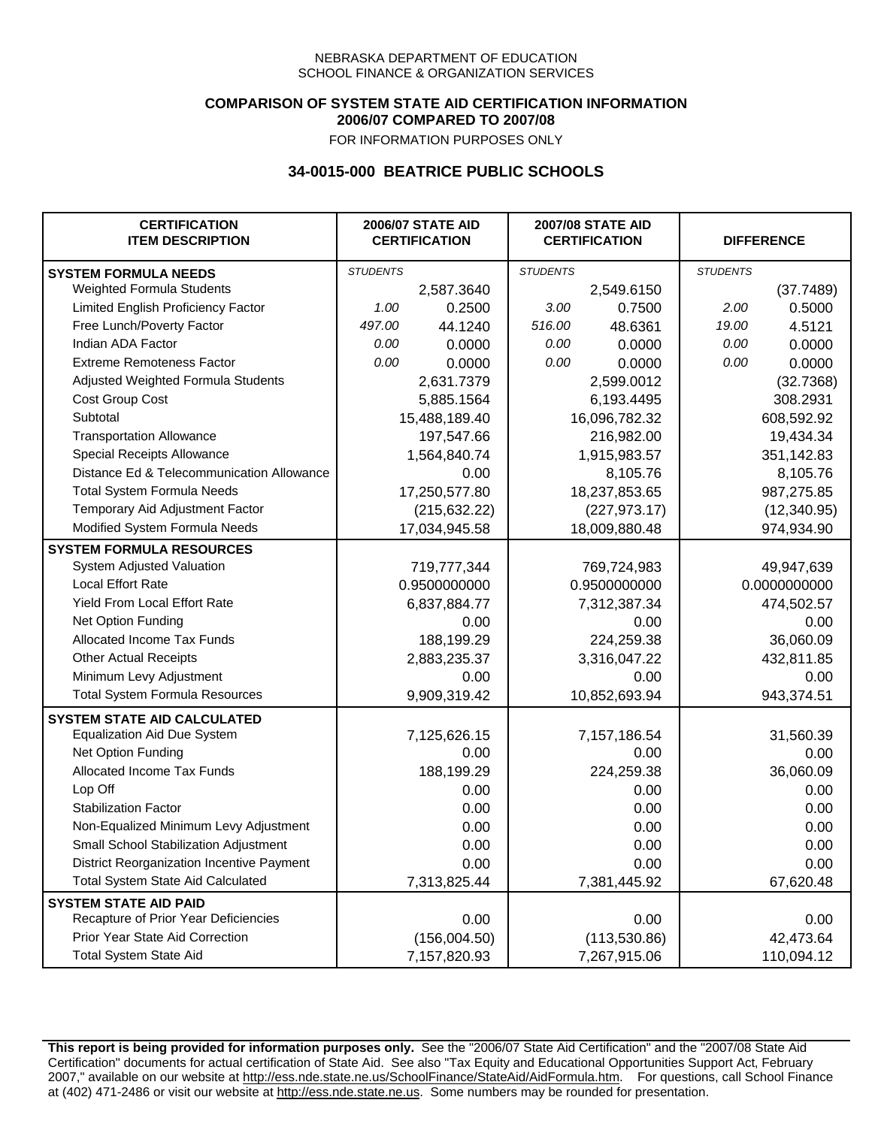### **COMPARISON OF SYSTEM STATE AID CERTIFICATION INFORMATION 2006/07 COMPARED TO 2007/08**

FOR INFORMATION PURPOSES ONLY

## **34-0015-000 BEATRICE PUBLIC SCHOOLS**

| <b>CERTIFICATION</b><br><b>ITEM DESCRIPTION</b> |                 | <b>2006/07 STATE AID</b><br><b>CERTIFICATION</b> | <b>2007/08 STATE AID</b><br><b>CERTIFICATION</b> |               |                 | <b>DIFFERENCE</b> |
|-------------------------------------------------|-----------------|--------------------------------------------------|--------------------------------------------------|---------------|-----------------|-------------------|
| <b>SYSTEM FORMULA NEEDS</b>                     | <b>STUDENTS</b> |                                                  | <b>STUDENTS</b>                                  |               | <b>STUDENTS</b> |                   |
| Weighted Formula Students                       |                 | 2,587.3640                                       |                                                  | 2,549.6150    |                 | (37.7489)         |
| Limited English Proficiency Factor              | 1.00            | 0.2500                                           | 3.00                                             | 0.7500        | 2.00            | 0.5000            |
| Free Lunch/Poverty Factor                       | 497.00          | 44.1240                                          | 516.00                                           | 48.6361       | 19.00           | 4.5121            |
| Indian ADA Factor                               | 0.00            | 0.0000                                           | 0.00                                             | 0.0000        | 0.00            | 0.0000            |
| <b>Extreme Remoteness Factor</b>                | 0.00            | 0.0000                                           | 0.00                                             | 0.0000        | 0.00            | 0.0000            |
| Adjusted Weighted Formula Students              |                 | 2,631.7379                                       |                                                  | 2,599.0012    |                 | (32.7368)         |
| Cost Group Cost                                 |                 | 5,885.1564                                       | 6,193.4495                                       |               |                 | 308.2931          |
| Subtotal                                        |                 | 15,488,189.40                                    |                                                  | 16,096,782.32 |                 | 608,592.92        |
| <b>Transportation Allowance</b>                 |                 | 197,547.66                                       |                                                  | 216,982.00    |                 | 19,434.34         |
| Special Receipts Allowance                      |                 | 1,564,840.74                                     |                                                  | 1,915,983.57  |                 | 351,142.83        |
| Distance Ed & Telecommunication Allowance       |                 | 0.00                                             |                                                  | 8,105.76      |                 | 8,105.76          |
| <b>Total System Formula Needs</b>               |                 | 17,250,577.80                                    |                                                  | 18,237,853.65 | 987,275.85      |                   |
| Temporary Aid Adjustment Factor                 |                 | (215, 632.22)                                    | (227, 973.17)                                    |               | (12, 340.95)    |                   |
| Modified System Formula Needs                   | 17,034,945.58   |                                                  | 18,009,880.48                                    |               | 974,934.90      |                   |
| <b>SYSTEM FORMULA RESOURCES</b>                 |                 |                                                  |                                                  |               |                 |                   |
| System Adjusted Valuation                       |                 | 719,777,344                                      |                                                  | 769,724,983   |                 | 49,947,639        |
| <b>Local Effort Rate</b>                        |                 | 0.9500000000                                     |                                                  | 0.9500000000  |                 | 0.0000000000      |
| Yield From Local Effort Rate                    |                 | 6,837,884.77                                     |                                                  | 7,312,387.34  |                 | 474,502.57        |
| Net Option Funding                              |                 | 0.00                                             | 0.00                                             |               | 0.00            |                   |
| Allocated Income Tax Funds                      |                 | 188,199.29                                       | 224,259.38                                       |               | 36,060.09       |                   |
| <b>Other Actual Receipts</b>                    |                 | 2,883,235.37                                     | 3,316,047.22                                     |               | 432,811.85      |                   |
| Minimum Levy Adjustment                         |                 | 0.00                                             | 0.00                                             |               | 0.00            |                   |
| <b>Total System Formula Resources</b>           |                 | 9,909,319.42                                     |                                                  | 10,852,693.94 |                 | 943,374.51        |
| <b>SYSTEM STATE AID CALCULATED</b>              |                 |                                                  |                                                  |               |                 |                   |
| <b>Equalization Aid Due System</b>              |                 | 7,125,626.15                                     |                                                  | 7,157,186.54  |                 | 31,560.39         |
| Net Option Funding                              |                 | 0.00                                             |                                                  | 0.00          |                 | 0.00              |
| Allocated Income Tax Funds                      |                 | 188,199.29                                       |                                                  | 224,259.38    |                 | 36,060.09         |
| Lop Off                                         |                 | 0.00                                             |                                                  | 0.00          |                 | 0.00              |
| <b>Stabilization Factor</b>                     |                 | 0.00                                             |                                                  | 0.00          |                 | 0.00              |
| Non-Equalized Minimum Levy Adjustment           |                 | 0.00                                             |                                                  | 0.00          |                 | 0.00              |
| Small School Stabilization Adjustment           |                 | 0.00                                             |                                                  | 0.00          |                 | 0.00              |
| District Reorganization Incentive Payment       |                 | 0.00                                             |                                                  | 0.00          |                 | 0.00              |
| <b>Total System State Aid Calculated</b>        |                 | 7,313,825.44                                     |                                                  | 7,381,445.92  |                 | 67,620.48         |
| <b>SYSTEM STATE AID PAID</b>                    |                 |                                                  |                                                  |               |                 |                   |
| Recapture of Prior Year Deficiencies            |                 | 0.00                                             |                                                  | 0.00          |                 | 0.00              |
| Prior Year State Aid Correction                 |                 | (156,004.50)                                     |                                                  | (113, 530.86) |                 | 42,473.64         |
| <b>Total System State Aid</b>                   |                 | 7,157,820.93                                     |                                                  | 7,267,915.06  | 110,094.12      |                   |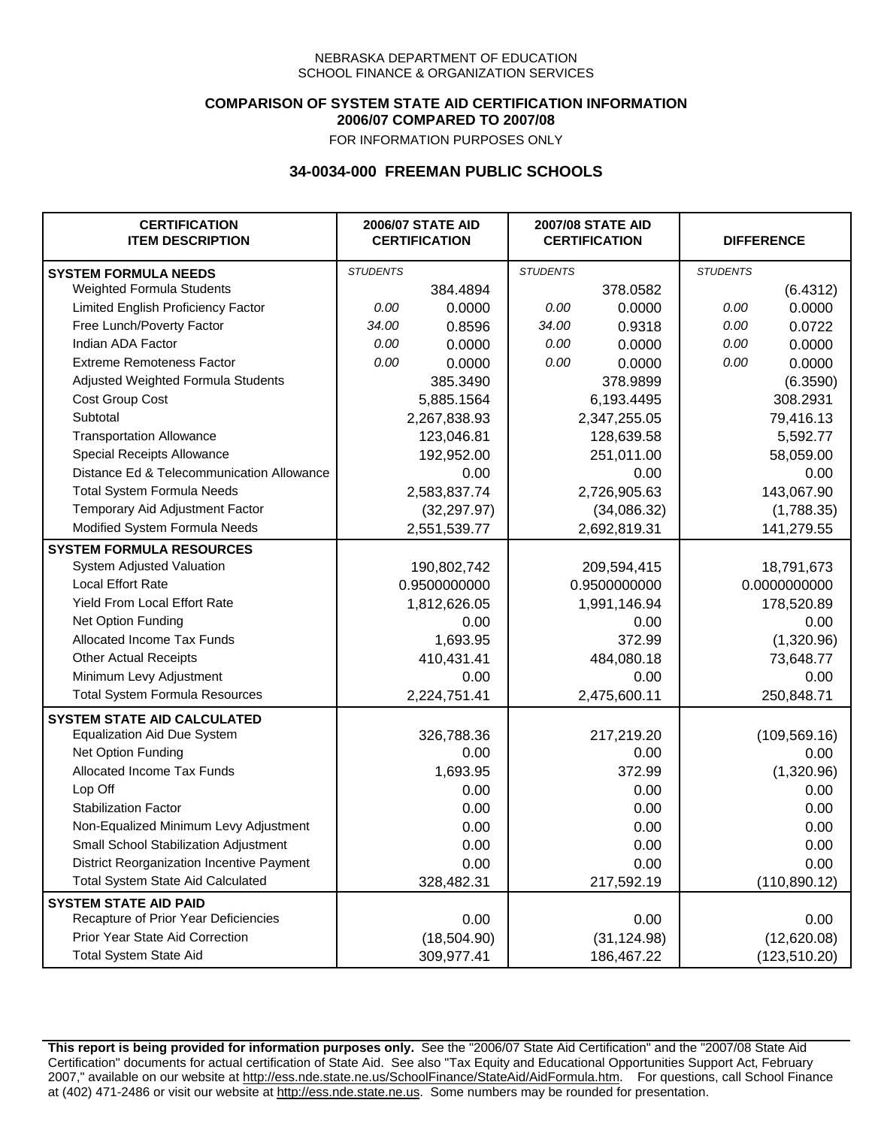### **COMPARISON OF SYSTEM STATE AID CERTIFICATION INFORMATION 2006/07 COMPARED TO 2007/08**

FOR INFORMATION PURPOSES ONLY

## **34-0034-000 FREEMAN PUBLIC SCHOOLS**

| <b>CERTIFICATION</b><br><b>ITEM DESCRIPTION</b> |                 | <b>2006/07 STATE AID</b><br><b>CERTIFICATION</b> | <b>2007/08 STATE AID</b><br><b>CERTIFICATION</b> |              | <b>DIFFERENCE</b> |               |
|-------------------------------------------------|-----------------|--------------------------------------------------|--------------------------------------------------|--------------|-------------------|---------------|
| <b>SYSTEM FORMULA NEEDS</b>                     | <b>STUDENTS</b> |                                                  | <b>STUDENTS</b>                                  |              | <b>STUDENTS</b>   |               |
| <b>Weighted Formula Students</b>                |                 | 384.4894                                         |                                                  | 378.0582     |                   | (6.4312)      |
| Limited English Proficiency Factor              | 0.00            | 0.0000                                           | 0.00                                             | 0.0000       | 0.00              | 0.0000        |
| Free Lunch/Poverty Factor                       | 34.00           | 0.8596                                           | 34.00                                            | 0.9318       | 0.00              | 0.0722        |
| Indian ADA Factor                               | 0.00            | 0.0000                                           | 0.00                                             | 0.0000       | 0.00              | 0.0000        |
| <b>Extreme Remoteness Factor</b>                | 0.00            | 0.0000                                           | 0.00                                             | 0.0000       | 0.00              | 0.0000        |
| Adjusted Weighted Formula Students              |                 | 385.3490                                         |                                                  | 378.9899     |                   | (6.3590)      |
| Cost Group Cost                                 |                 | 5,885.1564                                       |                                                  | 6,193.4495   |                   | 308.2931      |
| Subtotal                                        |                 | 2,267,838.93                                     |                                                  | 2,347,255.05 |                   | 79,416.13     |
| <b>Transportation Allowance</b>                 |                 | 123,046.81                                       |                                                  | 128,639.58   |                   | 5,592.77      |
| Special Receipts Allowance                      |                 | 192,952.00                                       |                                                  | 251,011.00   |                   | 58,059.00     |
| Distance Ed & Telecommunication Allowance       |                 | 0.00                                             |                                                  | 0.00         |                   | 0.00          |
| <b>Total System Formula Needs</b>               |                 | 2,583,837.74                                     |                                                  | 2,726,905.63 |                   | 143,067.90    |
| Temporary Aid Adjustment Factor                 |                 | (32, 297.97)                                     | (34,086.32)                                      |              | (1,788.35)        |               |
| Modified System Formula Needs                   |                 | 2,551,539.77                                     |                                                  | 2,692,819.31 |                   | 141,279.55    |
| <b>SYSTEM FORMULA RESOURCES</b>                 |                 |                                                  |                                                  |              |                   |               |
| System Adjusted Valuation                       |                 | 190,802,742                                      |                                                  | 209,594,415  |                   | 18,791,673    |
| <b>Local Effort Rate</b>                        |                 | 0.9500000000                                     |                                                  | 0.9500000000 |                   | 0.0000000000  |
| Yield From Local Effort Rate                    |                 | 1,812,626.05                                     |                                                  | 1,991,146.94 |                   | 178,520.89    |
| Net Option Funding                              |                 | 0.00                                             |                                                  | 0.00         |                   | 0.00          |
| Allocated Income Tax Funds                      |                 | 1,693.95                                         | 372.99                                           |              | (1,320.96)        |               |
| <b>Other Actual Receipts</b>                    |                 | 410,431.41                                       | 484,080.18                                       |              | 73,648.77         |               |
| Minimum Levy Adjustment                         |                 | 0.00                                             |                                                  | 0.00         |                   | 0.00          |
| <b>Total System Formula Resources</b>           |                 | 2,224,751.41                                     |                                                  | 2,475,600.11 |                   | 250,848.71    |
| <b>SYSTEM STATE AID CALCULATED</b>              |                 |                                                  |                                                  |              |                   |               |
| <b>Equalization Aid Due System</b>              |                 | 326,788.36                                       |                                                  | 217,219.20   |                   | (109, 569.16) |
| Net Option Funding                              |                 | 0.00                                             |                                                  | 0.00         |                   | 0.00          |
| Allocated Income Tax Funds                      |                 | 1,693.95                                         |                                                  | 372.99       |                   | (1,320.96)    |
| Lop Off                                         |                 | 0.00                                             |                                                  | 0.00         |                   | 0.00          |
| <b>Stabilization Factor</b>                     |                 | 0.00                                             |                                                  | 0.00         |                   | 0.00          |
| Non-Equalized Minimum Levy Adjustment           |                 | 0.00                                             |                                                  | 0.00         |                   | 0.00          |
| Small School Stabilization Adjustment           |                 | 0.00                                             |                                                  | 0.00         |                   | 0.00          |
| District Reorganization Incentive Payment       |                 | 0.00                                             |                                                  | 0.00         |                   | 0.00          |
| <b>Total System State Aid Calculated</b>        |                 | 328,482.31                                       |                                                  | 217,592.19   |                   | (110, 890.12) |
| <b>SYSTEM STATE AID PAID</b>                    |                 |                                                  |                                                  |              |                   |               |
| Recapture of Prior Year Deficiencies            |                 | 0.00                                             |                                                  | 0.00         |                   | 0.00          |
| Prior Year State Aid Correction                 |                 | (18,504.90)                                      |                                                  | (31, 124.98) |                   | (12,620.08)   |
| <b>Total System State Aid</b>                   |                 | 309,977.41                                       |                                                  | 186,467.22   |                   | (123, 510.20) |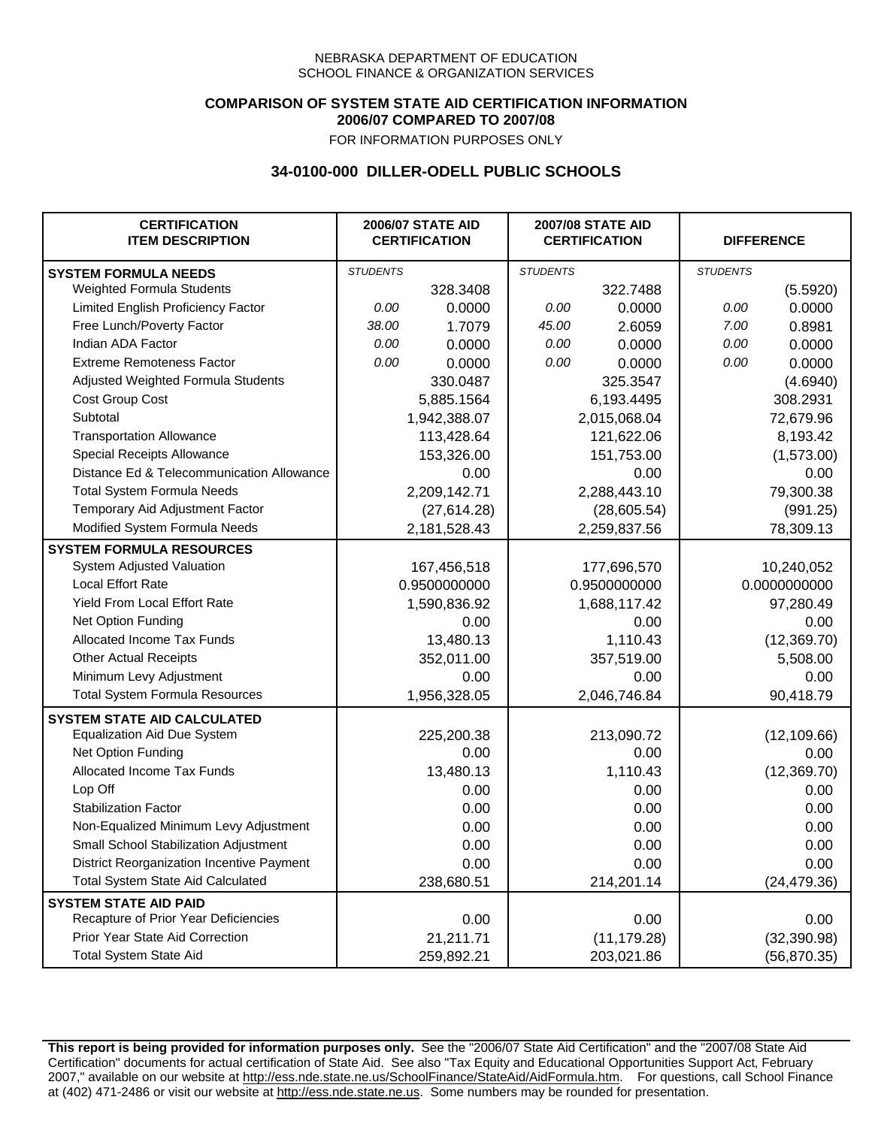## **COMPARISON OF SYSTEM STATE AID CERTIFICATION INFORMATION 2006/07 COMPARED TO 2007/08**

FOR INFORMATION PURPOSES ONLY

## **34-0100-000 DILLER-ODELL PUBLIC SCHOOLS**

| <b>CERTIFICATION</b><br><b>ITEM DESCRIPTION</b> |                 | <b>2006/07 STATE AID</b><br><b>CERTIFICATION</b> | <b>2007/08 STATE AID</b><br><b>CERTIFICATION</b> |              | <b>DIFFERENCE</b> |              |
|-------------------------------------------------|-----------------|--------------------------------------------------|--------------------------------------------------|--------------|-------------------|--------------|
| <b>SYSTEM FORMULA NEEDS</b>                     | <b>STUDENTS</b> |                                                  | <b>STUDENTS</b>                                  |              | <b>STUDENTS</b>   |              |
| Weighted Formula Students                       |                 | 328.3408                                         |                                                  | 322.7488     |                   | (5.5920)     |
| Limited English Proficiency Factor              | 0.00            | 0.0000                                           | 0.00                                             | 0.0000       | 0.00              | 0.0000       |
| Free Lunch/Poverty Factor                       | 38.00           | 1.7079                                           | 45.00                                            | 2.6059       | 7.00              | 0.8981       |
| Indian ADA Factor                               | 0.00            | 0.0000                                           | 0.00                                             | 0.0000       | 0.00              | 0.0000       |
| <b>Extreme Remoteness Factor</b>                | 0.00            | 0.0000                                           | 0.00                                             | 0.0000       | 0.00              | 0.0000       |
| Adjusted Weighted Formula Students              |                 | 330.0487                                         |                                                  | 325.3547     |                   | (4.6940)     |
| Cost Group Cost                                 |                 | 5,885.1564                                       |                                                  | 6,193.4495   |                   | 308.2931     |
| Subtotal                                        |                 | 1,942,388.07                                     |                                                  | 2,015,068.04 |                   | 72,679.96    |
| <b>Transportation Allowance</b>                 |                 | 113,428.64                                       |                                                  | 121,622.06   |                   | 8,193.42     |
| Special Receipts Allowance                      |                 | 153,326.00                                       |                                                  | 151,753.00   |                   | (1,573.00)   |
| Distance Ed & Telecommunication Allowance       |                 | 0.00                                             |                                                  | 0.00         |                   | 0.00         |
| <b>Total System Formula Needs</b>               |                 | 2,209,142.71                                     |                                                  | 2,288,443.10 |                   | 79,300.38    |
| Temporary Aid Adjustment Factor                 |                 | (27,614.28)                                      |                                                  | (28,605.54)  |                   | (991.25)     |
| Modified System Formula Needs                   |                 | 2,181,528.43                                     |                                                  | 2,259,837.56 |                   | 78,309.13    |
| <b>SYSTEM FORMULA RESOURCES</b>                 |                 |                                                  |                                                  |              |                   |              |
| System Adjusted Valuation                       |                 | 167,456,518                                      |                                                  | 177,696,570  |                   | 10,240,052   |
| <b>Local Effort Rate</b>                        |                 | 0.9500000000                                     |                                                  | 0.9500000000 |                   | 0.0000000000 |
| Yield From Local Effort Rate                    |                 | 1,590,836.92                                     |                                                  | 1,688,117.42 |                   | 97,280.49    |
| Net Option Funding                              |                 | 0.00                                             |                                                  | 0.00         |                   | 0.00         |
| Allocated Income Tax Funds                      |                 | 13,480.13                                        |                                                  | 1,110.43     |                   | (12, 369.70) |
| <b>Other Actual Receipts</b>                    |                 | 352,011.00                                       |                                                  | 357,519.00   | 5,508.00          |              |
| Minimum Levy Adjustment                         |                 | 0.00                                             |                                                  | 0.00         |                   | 0.00         |
| <b>Total System Formula Resources</b>           |                 | 1,956,328.05                                     |                                                  | 2,046,746.84 |                   | 90,418.79    |
| <b>SYSTEM STATE AID CALCULATED</b>              |                 |                                                  |                                                  |              |                   |              |
| <b>Equalization Aid Due System</b>              |                 | 225,200.38                                       |                                                  | 213,090.72   |                   | (12, 109.66) |
| Net Option Funding                              |                 | 0.00                                             |                                                  | 0.00         |                   | 0.00         |
| Allocated Income Tax Funds                      |                 | 13,480.13                                        |                                                  | 1,110.43     |                   | (12, 369.70) |
| Lop Off                                         |                 | 0.00                                             |                                                  | 0.00         |                   | 0.00         |
| <b>Stabilization Factor</b>                     |                 | 0.00                                             |                                                  | 0.00         |                   | 0.00         |
| Non-Equalized Minimum Levy Adjustment           |                 | 0.00                                             |                                                  | 0.00         |                   | 0.00         |
| Small School Stabilization Adjustment           |                 | 0.00                                             |                                                  | 0.00         |                   | 0.00         |
| District Reorganization Incentive Payment       |                 | 0.00                                             |                                                  | 0.00         |                   | 0.00         |
| <b>Total System State Aid Calculated</b>        |                 | 238,680.51                                       |                                                  | 214,201.14   |                   | (24, 479.36) |
| <b>SYSTEM STATE AID PAID</b>                    |                 |                                                  |                                                  |              |                   |              |
| Recapture of Prior Year Deficiencies            |                 | 0.00                                             |                                                  | 0.00         |                   | 0.00         |
| Prior Year State Aid Correction                 |                 | 21,211.71                                        |                                                  | (11, 179.28) |                   | (32, 390.98) |
| <b>Total System State Aid</b>                   |                 | 259,892.21                                       |                                                  | 203,021.86   |                   | (56, 870.35) |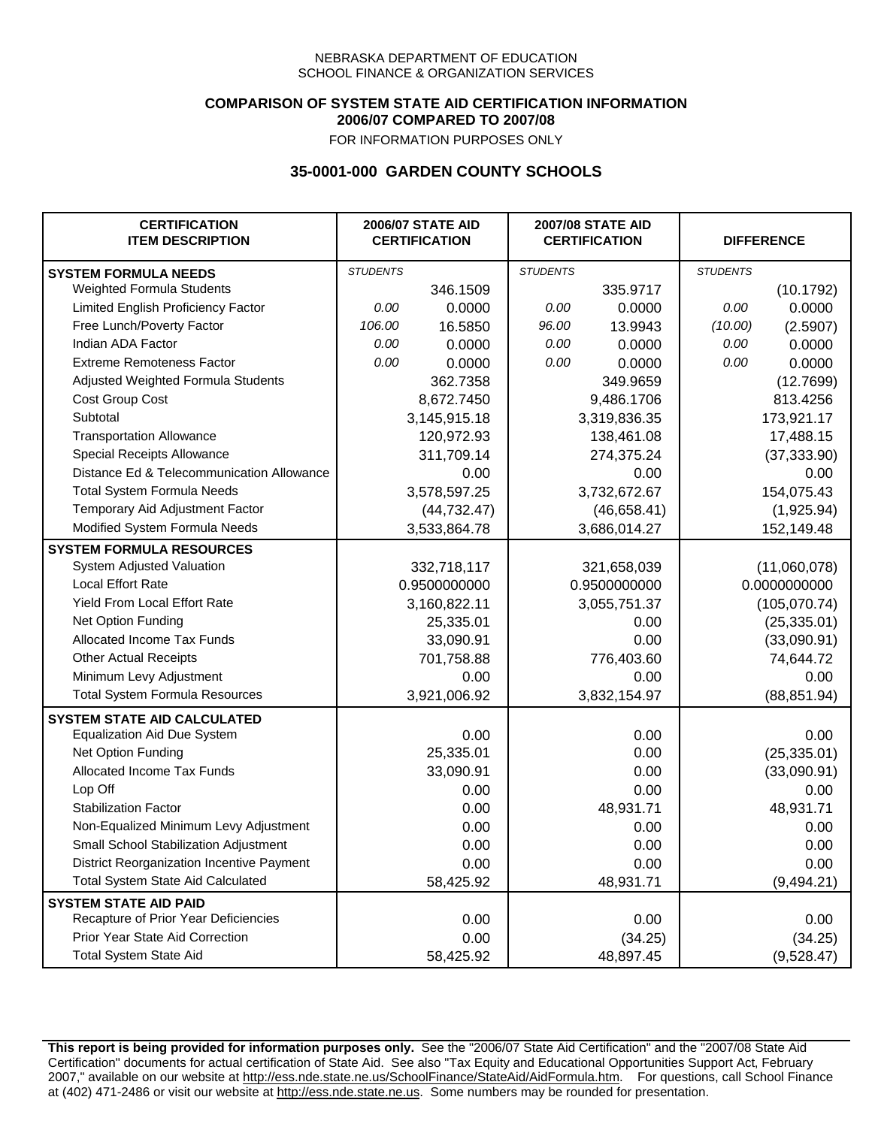### **COMPARISON OF SYSTEM STATE AID CERTIFICATION INFORMATION 2006/07 COMPARED TO 2007/08**

FOR INFORMATION PURPOSES ONLY

## **35-0001-000 GARDEN COUNTY SCHOOLS**

| <b>CERTIFICATION</b><br><b>ITEM DESCRIPTION</b> |                 | <b>2006/07 STATE AID</b><br><b>CERTIFICATION</b> | <b>2007/08 STATE AID</b><br><b>CERTIFICATION</b> |              | <b>DIFFERENCE</b> |               |
|-------------------------------------------------|-----------------|--------------------------------------------------|--------------------------------------------------|--------------|-------------------|---------------|
| <b>SYSTEM FORMULA NEEDS</b>                     | <b>STUDENTS</b> |                                                  | <b>STUDENTS</b>                                  |              | <b>STUDENTS</b>   |               |
| Weighted Formula Students                       |                 | 346.1509                                         |                                                  | 335.9717     |                   | (10.1792)     |
| Limited English Proficiency Factor              | 0.00            | 0.0000                                           | 0.00                                             | 0.0000       | 0.00              | 0.0000        |
| Free Lunch/Poverty Factor                       | 106.00          | 16.5850                                          | 96.00                                            | 13.9943      | (10.00)           | (2.5907)      |
| Indian ADA Factor                               | 0.00            | 0.0000                                           | 0.00                                             | 0.0000       | 0.00              | 0.0000        |
| <b>Extreme Remoteness Factor</b>                | 0.00            | 0.0000                                           | 0.00                                             | 0.0000       | 0.00              | 0.0000        |
| Adjusted Weighted Formula Students              |                 | 362.7358                                         |                                                  | 349.9659     |                   | (12.7699)     |
| Cost Group Cost                                 |                 | 8,672.7450                                       |                                                  | 9,486.1706   |                   | 813.4256      |
| Subtotal                                        |                 | 3,145,915.18                                     |                                                  | 3,319,836.35 |                   | 173,921.17    |
| <b>Transportation Allowance</b>                 |                 | 120,972.93                                       |                                                  | 138,461.08   |                   | 17,488.15     |
| Special Receipts Allowance                      |                 | 311,709.14                                       |                                                  | 274,375.24   |                   | (37, 333.90)  |
| Distance Ed & Telecommunication Allowance       |                 | 0.00                                             |                                                  | 0.00         |                   | 0.00          |
| <b>Total System Formula Needs</b>               |                 | 3,578,597.25                                     | 3,732,672.67                                     |              | 154,075.43        |               |
| Temporary Aid Adjustment Factor                 |                 | (44, 732.47)                                     | (46,658.41)                                      |              | (1,925.94)        |               |
| Modified System Formula Needs                   |                 | 3,533,864.78                                     |                                                  | 3,686,014.27 |                   | 152,149.48    |
| <b>SYSTEM FORMULA RESOURCES</b>                 |                 |                                                  |                                                  |              |                   |               |
| System Adjusted Valuation                       |                 | 332,718,117                                      |                                                  | 321,658,039  |                   | (11,060,078)  |
| <b>Local Effort Rate</b>                        |                 | 0.9500000000                                     |                                                  | 0.9500000000 |                   | 0.0000000000  |
| Yield From Local Effort Rate                    |                 | 3,160,822.11                                     |                                                  | 3,055,751.37 |                   | (105, 070.74) |
| Net Option Funding                              |                 | 25,335.01                                        |                                                  | 0.00         |                   | (25, 335.01)  |
| Allocated Income Tax Funds                      |                 | 33,090.91                                        |                                                  | 0.00         |                   | (33,090.91)   |
| <b>Other Actual Receipts</b>                    |                 | 701,758.88                                       |                                                  | 776,403.60   | 74,644.72         |               |
| Minimum Levy Adjustment                         |                 | 0.00                                             |                                                  | 0.00         |                   | 0.00          |
| <b>Total System Formula Resources</b>           |                 | 3,921,006.92                                     |                                                  | 3,832,154.97 |                   | (88, 851.94)  |
| <b>SYSTEM STATE AID CALCULATED</b>              |                 |                                                  |                                                  |              |                   |               |
| <b>Equalization Aid Due System</b>              |                 | 0.00                                             |                                                  | 0.00         |                   | 0.00          |
| Net Option Funding                              |                 | 25,335.01                                        |                                                  | 0.00         |                   | (25, 335.01)  |
| Allocated Income Tax Funds                      |                 | 33,090.91                                        |                                                  | 0.00         |                   | (33,090.91)   |
| Lop Off                                         |                 | 0.00                                             |                                                  | 0.00         |                   | 0.00          |
| <b>Stabilization Factor</b>                     |                 | 0.00                                             |                                                  | 48,931.71    |                   | 48,931.71     |
| Non-Equalized Minimum Levy Adjustment           |                 | 0.00                                             |                                                  | 0.00         |                   | 0.00          |
| Small School Stabilization Adjustment           |                 | 0.00                                             |                                                  | 0.00         |                   | 0.00          |
| District Reorganization Incentive Payment       |                 | 0.00                                             |                                                  | 0.00         |                   | 0.00          |
| <b>Total System State Aid Calculated</b>        |                 | 58,425.92                                        |                                                  | 48,931.71    |                   | (9,494.21)    |
| <b>SYSTEM STATE AID PAID</b>                    |                 |                                                  |                                                  |              |                   |               |
| Recapture of Prior Year Deficiencies            |                 | 0.00                                             |                                                  | 0.00         |                   | 0.00          |
| Prior Year State Aid Correction                 |                 | 0.00                                             |                                                  | (34.25)      |                   | (34.25)       |
| <b>Total System State Aid</b>                   |                 | 58,425.92                                        |                                                  | 48,897.45    |                   | (9,528.47)    |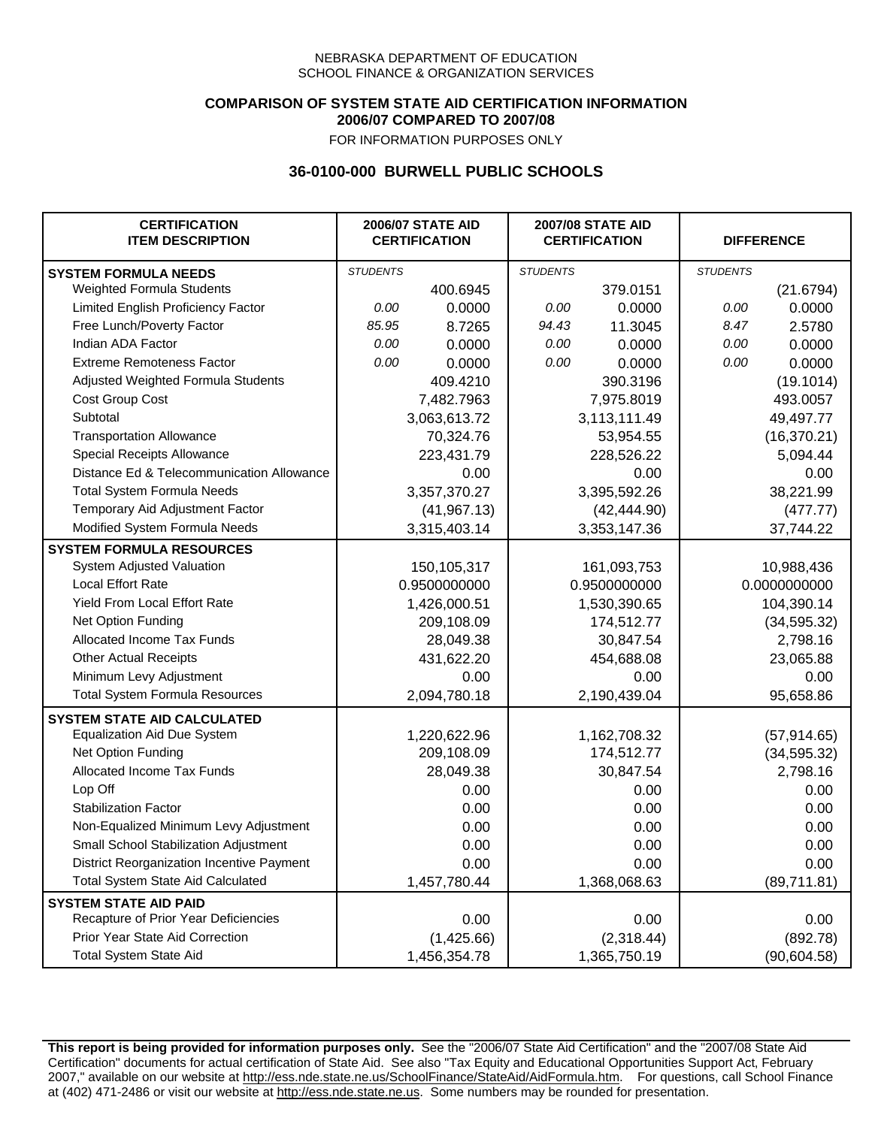### **COMPARISON OF SYSTEM STATE AID CERTIFICATION INFORMATION 2006/07 COMPARED TO 2007/08**

FOR INFORMATION PURPOSES ONLY

## **36-0100-000 BURWELL PUBLIC SCHOOLS**

| <b>CERTIFICATION</b><br><b>ITEM DESCRIPTION</b> |                 | <b>2006/07 STATE AID</b><br><b>CERTIFICATION</b> | <b>2007/08 STATE AID</b><br><b>CERTIFICATION</b> |              | <b>DIFFERENCE</b> |              |
|-------------------------------------------------|-----------------|--------------------------------------------------|--------------------------------------------------|--------------|-------------------|--------------|
| <b>SYSTEM FORMULA NEEDS</b>                     | <b>STUDENTS</b> |                                                  | <b>STUDENTS</b>                                  |              | <b>STUDENTS</b>   |              |
| <b>Weighted Formula Students</b>                |                 | 400.6945                                         |                                                  | 379.0151     |                   | (21.6794)    |
| Limited English Proficiency Factor              | 0.00            | 0.0000                                           | 0.00                                             | 0.0000       | 0.00              | 0.0000       |
| Free Lunch/Poverty Factor                       | 85.95           | 8.7265                                           | 94.43                                            | 11.3045      | 8.47              | 2.5780       |
| Indian ADA Factor                               | 0.00            | 0.0000                                           | 0.00                                             | 0.0000       | 0.00              | 0.0000       |
| <b>Extreme Remoteness Factor</b>                | 0.00            | 0.0000                                           | 0.00                                             | 0.0000       | 0.00              | 0.0000       |
| Adjusted Weighted Formula Students              |                 | 409.4210                                         |                                                  | 390.3196     |                   | (19.1014)    |
| Cost Group Cost                                 |                 | 7,482.7963                                       |                                                  | 7,975.8019   |                   | 493.0057     |
| Subtotal                                        |                 | 3,063,613.72                                     |                                                  | 3,113,111.49 |                   | 49,497.77    |
| <b>Transportation Allowance</b>                 |                 | 70,324.76                                        |                                                  | 53,954.55    |                   | (16, 370.21) |
| Special Receipts Allowance                      |                 | 223,431.79                                       |                                                  | 228,526.22   |                   | 5,094.44     |
| Distance Ed & Telecommunication Allowance       |                 | 0.00                                             |                                                  | 0.00         |                   | 0.00         |
| <b>Total System Formula Needs</b>               |                 | 3,357,370.27                                     | 3,395,592.26                                     |              | 38,221.99         |              |
| Temporary Aid Adjustment Factor                 |                 | (41, 967.13)                                     | (42, 444.90)                                     |              | (477.77)          |              |
| Modified System Formula Needs                   |                 | 3,315,403.14                                     |                                                  | 3,353,147.36 |                   | 37,744.22    |
| <b>SYSTEM FORMULA RESOURCES</b>                 |                 |                                                  |                                                  |              |                   |              |
| System Adjusted Valuation                       |                 | 150,105,317                                      |                                                  | 161,093,753  |                   | 10,988,436   |
| <b>Local Effort Rate</b>                        |                 | 0.9500000000                                     |                                                  | 0.9500000000 |                   | 0.0000000000 |
| Yield From Local Effort Rate                    |                 | 1,426,000.51                                     |                                                  | 1,530,390.65 |                   | 104,390.14   |
| Net Option Funding                              |                 | 209,108.09                                       | 174,512.77                                       |              | (34, 595.32)      |              |
| Allocated Income Tax Funds                      |                 | 28,049.38                                        | 30,847.54                                        |              | 2,798.16          |              |
| <b>Other Actual Receipts</b>                    |                 | 431,622.20                                       |                                                  | 454,688.08   | 23,065.88         |              |
| Minimum Levy Adjustment                         |                 | 0.00                                             |                                                  | 0.00         |                   | 0.00         |
| <b>Total System Formula Resources</b>           |                 | 2,094,780.18                                     |                                                  | 2,190,439.04 |                   | 95,658.86    |
| <b>SYSTEM STATE AID CALCULATED</b>              |                 |                                                  |                                                  |              |                   |              |
| <b>Equalization Aid Due System</b>              |                 | 1,220,622.96                                     |                                                  | 1,162,708.32 |                   | (57, 914.65) |
| Net Option Funding                              |                 | 209,108.09                                       |                                                  | 174,512.77   |                   | (34, 595.32) |
| Allocated Income Tax Funds                      |                 | 28,049.38                                        |                                                  | 30,847.54    |                   | 2,798.16     |
| Lop Off                                         |                 | 0.00                                             |                                                  | 0.00         |                   | 0.00         |
| <b>Stabilization Factor</b>                     |                 | 0.00                                             |                                                  | 0.00         |                   | 0.00         |
| Non-Equalized Minimum Levy Adjustment           |                 | 0.00                                             |                                                  | 0.00         |                   | 0.00         |
| Small School Stabilization Adjustment           |                 | 0.00                                             |                                                  | 0.00         |                   | 0.00         |
| District Reorganization Incentive Payment       |                 | 0.00                                             |                                                  | 0.00         |                   | 0.00         |
| <b>Total System State Aid Calculated</b>        |                 | 1,457,780.44                                     |                                                  | 1,368,068.63 |                   | (89,711.81)  |
| <b>SYSTEM STATE AID PAID</b>                    |                 |                                                  |                                                  |              |                   |              |
| Recapture of Prior Year Deficiencies            |                 | 0.00                                             |                                                  | 0.00         |                   | 0.00         |
| Prior Year State Aid Correction                 |                 | (1,425.66)                                       |                                                  | (2,318.44)   |                   | (892.78)     |
| <b>Total System State Aid</b>                   |                 | 1,456,354.78                                     |                                                  | 1,365,750.19 |                   | (90, 604.58) |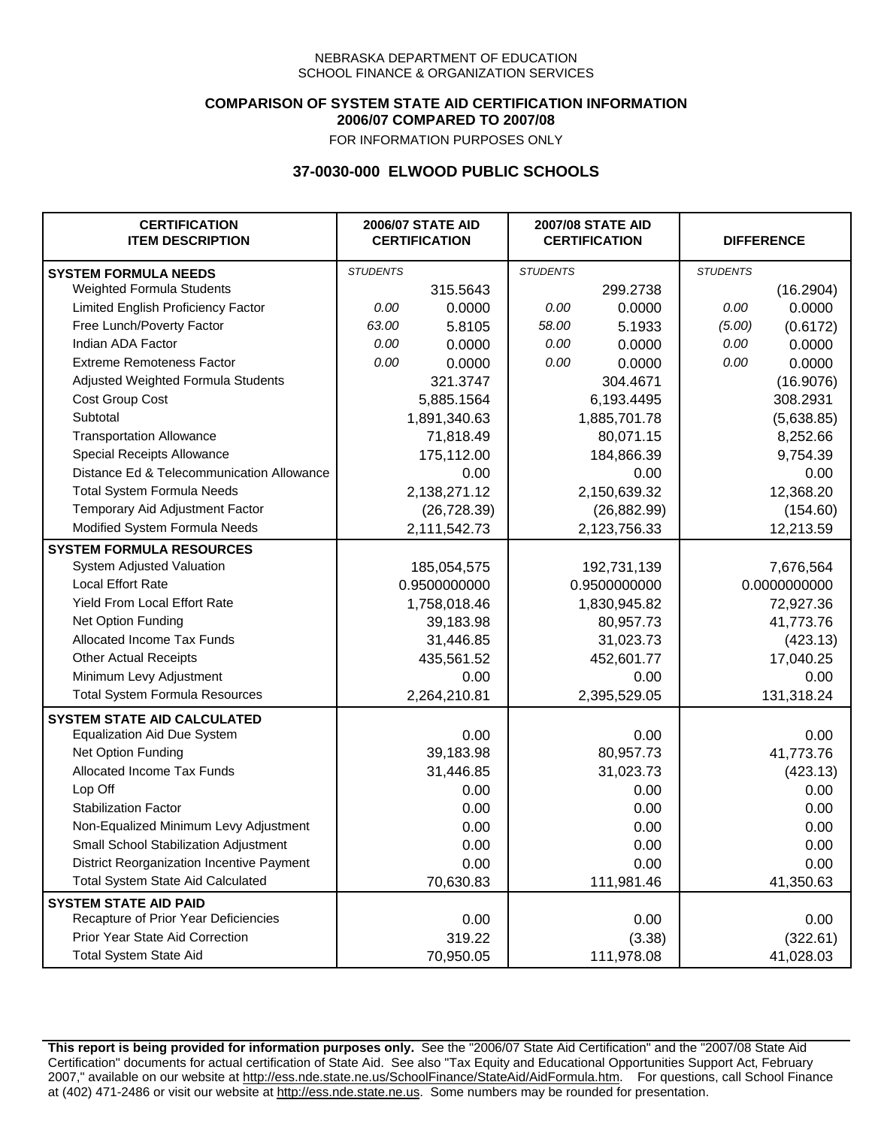### **COMPARISON OF SYSTEM STATE AID CERTIFICATION INFORMATION 2006/07 COMPARED TO 2007/08**

FOR INFORMATION PURPOSES ONLY

## **37-0030-000 ELWOOD PUBLIC SCHOOLS**

| <b>CERTIFICATION</b><br><b>ITEM DESCRIPTION</b> |                 | <b>2006/07 STATE AID</b><br><b>CERTIFICATION</b> | <b>2007/08 STATE AID</b><br><b>CERTIFICATION</b> |              | <b>DIFFERENCE</b> |              |
|-------------------------------------------------|-----------------|--------------------------------------------------|--------------------------------------------------|--------------|-------------------|--------------|
| <b>SYSTEM FORMULA NEEDS</b>                     | <b>STUDENTS</b> |                                                  | <b>STUDENTS</b>                                  |              | <b>STUDENTS</b>   |              |
| <b>Weighted Formula Students</b>                |                 | 315.5643                                         |                                                  | 299.2738     |                   | (16.2904)    |
| Limited English Proficiency Factor              | 0.00            | 0.0000                                           | 0.00                                             | 0.0000       | 0.00              | 0.0000       |
| Free Lunch/Poverty Factor                       | 63.00           | 5.8105                                           | 58.00                                            | 5.1933       | (5.00)            | (0.6172)     |
| Indian ADA Factor                               | 0.00            | 0.0000                                           | 0.00                                             | 0.0000       | 0.00              | 0.0000       |
| <b>Extreme Remoteness Factor</b>                | 0.00            | 0.0000                                           | 0.00                                             | 0.0000       | 0.00              | 0.0000       |
| Adjusted Weighted Formula Students              |                 | 321.3747                                         |                                                  | 304.4671     |                   | (16.9076)    |
| Cost Group Cost                                 |                 | 5,885.1564                                       |                                                  | 6,193.4495   |                   | 308.2931     |
| Subtotal                                        |                 | 1,891,340.63                                     |                                                  | 1,885,701.78 |                   | (5,638.85)   |
| <b>Transportation Allowance</b>                 |                 | 71,818.49                                        |                                                  | 80,071.15    |                   | 8,252.66     |
| Special Receipts Allowance                      |                 | 175,112.00                                       |                                                  | 184,866.39   |                   | 9,754.39     |
| Distance Ed & Telecommunication Allowance       |                 | 0.00                                             |                                                  | 0.00         |                   | 0.00         |
| <b>Total System Formula Needs</b>               |                 | 2,138,271.12                                     | 2,150,639.32                                     |              | 12,368.20         |              |
| Temporary Aid Adjustment Factor                 |                 | (26, 728.39)                                     | (26, 882.99)                                     |              | (154.60)          |              |
| Modified System Formula Needs                   |                 | 2,111,542.73                                     |                                                  | 2,123,756.33 |                   | 12,213.59    |
| <b>SYSTEM FORMULA RESOURCES</b>                 |                 |                                                  |                                                  |              |                   |              |
| System Adjusted Valuation                       |                 | 185,054,575                                      |                                                  | 192,731,139  |                   | 7,676,564    |
| <b>Local Effort Rate</b>                        |                 | 0.9500000000                                     |                                                  | 0.9500000000 |                   | 0.0000000000 |
| <b>Yield From Local Effort Rate</b>             |                 | 1,758,018.46                                     |                                                  | 1,830,945.82 | 72,927.36         |              |
| Net Option Funding                              |                 | 39,183.98                                        | 80,957.73                                        |              | 41,773.76         |              |
| Allocated Income Tax Funds                      |                 | 31,446.85                                        | 31,023.73                                        |              | (423.13)          |              |
| <b>Other Actual Receipts</b>                    |                 | 435,561.52                                       |                                                  | 452,601.77   | 17,040.25         |              |
| Minimum Levy Adjustment                         |                 | 0.00                                             |                                                  | 0.00         |                   | 0.00         |
| <b>Total System Formula Resources</b>           |                 | 2,264,210.81                                     |                                                  | 2,395,529.05 |                   | 131,318.24   |
| <b>SYSTEM STATE AID CALCULATED</b>              |                 |                                                  |                                                  |              |                   |              |
| <b>Equalization Aid Due System</b>              |                 | 0.00                                             |                                                  | 0.00         |                   | 0.00         |
| Net Option Funding                              |                 | 39,183.98                                        |                                                  | 80,957.73    |                   | 41,773.76    |
| Allocated Income Tax Funds                      |                 | 31,446.85                                        |                                                  | 31,023.73    |                   | (423.13)     |
| Lop Off                                         |                 | 0.00                                             |                                                  | 0.00         |                   | 0.00         |
| <b>Stabilization Factor</b>                     |                 | 0.00                                             |                                                  | 0.00         |                   | 0.00         |
| Non-Equalized Minimum Levy Adjustment           |                 | 0.00                                             |                                                  | 0.00         |                   | 0.00         |
| Small School Stabilization Adjustment           |                 | 0.00                                             |                                                  | 0.00         |                   | 0.00         |
| District Reorganization Incentive Payment       |                 | 0.00                                             |                                                  | 0.00         |                   | 0.00         |
| <b>Total System State Aid Calculated</b>        |                 | 70,630.83                                        |                                                  | 111,981.46   |                   | 41,350.63    |
| <b>SYSTEM STATE AID PAID</b>                    |                 |                                                  |                                                  |              |                   |              |
| Recapture of Prior Year Deficiencies            |                 | 0.00                                             |                                                  | 0.00         |                   | 0.00         |
| Prior Year State Aid Correction                 |                 | 319.22                                           |                                                  | (3.38)       |                   | (322.61)     |
| <b>Total System State Aid</b>                   |                 | 70,950.05                                        |                                                  | 111,978.08   |                   | 41,028.03    |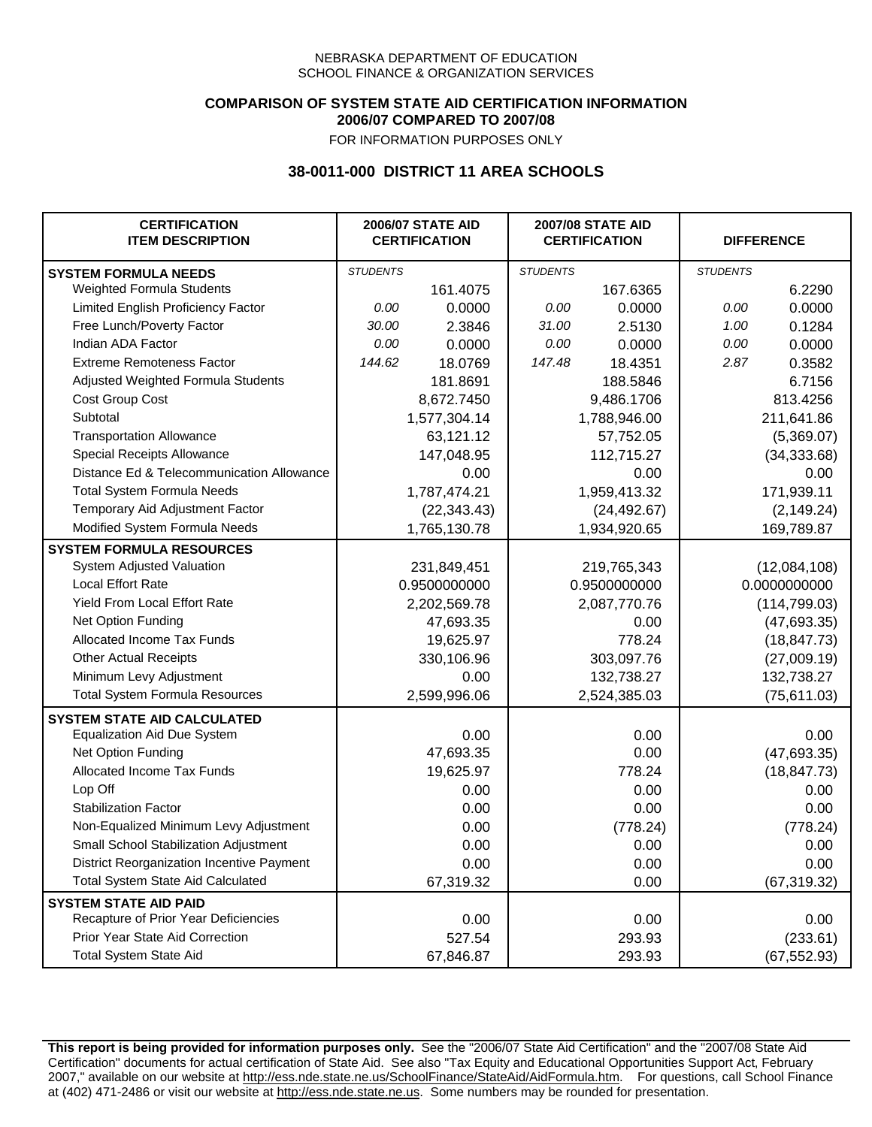### **COMPARISON OF SYSTEM STATE AID CERTIFICATION INFORMATION 2006/07 COMPARED TO 2007/08**

FOR INFORMATION PURPOSES ONLY

# **38-0011-000 DISTRICT 11 AREA SCHOOLS**

| <b>CERTIFICATION</b><br><b>ITEM DESCRIPTION</b> |                 | <b>2006/07 STATE AID</b><br><b>CERTIFICATION</b> | <b>2007/08 STATE AID</b><br><b>CERTIFICATION</b> |              | <b>DIFFERENCE</b> |               |
|-------------------------------------------------|-----------------|--------------------------------------------------|--------------------------------------------------|--------------|-------------------|---------------|
| <b>SYSTEM FORMULA NEEDS</b>                     | <b>STUDENTS</b> |                                                  | <b>STUDENTS</b>                                  |              | <b>STUDENTS</b>   |               |
| Weighted Formula Students                       |                 | 161.4075                                         |                                                  | 167.6365     |                   | 6.2290        |
| Limited English Proficiency Factor              | 0.00            | 0.0000                                           | 0.00                                             | 0.0000       | 0.00              | 0.0000        |
| Free Lunch/Poverty Factor                       | 30.00           | 2.3846                                           | 31.00                                            | 2.5130       | 1.00              | 0.1284        |
| Indian ADA Factor                               | 0.00            | 0.0000                                           | 0.00                                             | 0.0000       | 0.00              | 0.0000        |
| <b>Extreme Remoteness Factor</b>                | 144.62          | 18.0769                                          | 147.48                                           | 18.4351      | 2.87              | 0.3582        |
| Adjusted Weighted Formula Students              |                 | 181.8691                                         |                                                  | 188.5846     |                   | 6.7156        |
| Cost Group Cost                                 |                 | 8,672.7450                                       |                                                  | 9,486.1706   |                   | 813.4256      |
| Subtotal                                        |                 | 1,577,304.14                                     |                                                  | 1,788,946.00 |                   | 211,641.86    |
| <b>Transportation Allowance</b>                 |                 | 63,121.12                                        |                                                  | 57,752.05    |                   | (5,369.07)    |
| Special Receipts Allowance                      |                 | 147,048.95                                       |                                                  | 112,715.27   |                   | (34, 333.68)  |
| Distance Ed & Telecommunication Allowance       |                 | 0.00                                             |                                                  | 0.00         |                   | 0.00          |
| <b>Total System Formula Needs</b>               |                 | 1,787,474.21                                     |                                                  | 1,959,413.32 |                   | 171,939.11    |
| Temporary Aid Adjustment Factor                 |                 | (22, 343.43)                                     | (24, 492.67)                                     |              | (2, 149.24)       |               |
| Modified System Formula Needs                   |                 | 1,765,130.78                                     |                                                  | 1,934,920.65 |                   | 169,789.87    |
| <b>SYSTEM FORMULA RESOURCES</b>                 |                 |                                                  |                                                  |              |                   |               |
| System Adjusted Valuation                       |                 | 231,849,451                                      |                                                  | 219,765,343  |                   | (12,084,108)  |
| <b>Local Effort Rate</b>                        |                 | 0.9500000000                                     |                                                  | 0.9500000000 |                   | 0.0000000000  |
| Yield From Local Effort Rate                    |                 | 2,202,569.78                                     |                                                  | 2,087,770.76 |                   | (114, 799.03) |
| Net Option Funding                              |                 | 47,693.35                                        |                                                  | 0.00         |                   | (47, 693.35)  |
| Allocated Income Tax Funds                      |                 | 19,625.97                                        |                                                  | 778.24       |                   | (18, 847.73)  |
| <b>Other Actual Receipts</b>                    |                 | 330,106.96                                       | 303,097.76                                       |              | (27,009.19)       |               |
| Minimum Levy Adjustment                         |                 | 0.00                                             |                                                  | 132,738.27   |                   | 132,738.27    |
| <b>Total System Formula Resources</b>           |                 | 2,599,996.06                                     |                                                  | 2,524,385.03 |                   | (75,611.03)   |
| <b>SYSTEM STATE AID CALCULATED</b>              |                 |                                                  |                                                  |              |                   |               |
| <b>Equalization Aid Due System</b>              |                 | 0.00                                             |                                                  | 0.00         |                   | 0.00          |
| Net Option Funding                              |                 | 47,693.35                                        |                                                  | 0.00         |                   | (47, 693.35)  |
| Allocated Income Tax Funds                      |                 | 19,625.97                                        |                                                  | 778.24       |                   | (18, 847.73)  |
| Lop Off                                         |                 | 0.00                                             |                                                  | 0.00         |                   | 0.00          |
| <b>Stabilization Factor</b>                     |                 | 0.00                                             |                                                  | 0.00         |                   | 0.00          |
| Non-Equalized Minimum Levy Adjustment           |                 | 0.00                                             |                                                  | (778.24)     |                   | (778.24)      |
| Small School Stabilization Adjustment           |                 | 0.00                                             |                                                  | 0.00         |                   | 0.00          |
| District Reorganization Incentive Payment       |                 | 0.00                                             |                                                  | 0.00         |                   | 0.00          |
| Total System State Aid Calculated               |                 | 67,319.32                                        |                                                  | 0.00         |                   | (67, 319.32)  |
| <b>SYSTEM STATE AID PAID</b>                    |                 |                                                  |                                                  |              |                   |               |
| Recapture of Prior Year Deficiencies            |                 | 0.00                                             |                                                  | 0.00         |                   | 0.00          |
| Prior Year State Aid Correction                 |                 | 527.54                                           |                                                  | 293.93       |                   | (233.61)      |
| <b>Total System State Aid</b>                   |                 | 67,846.87                                        |                                                  | 293.93       |                   | (67, 552.93)  |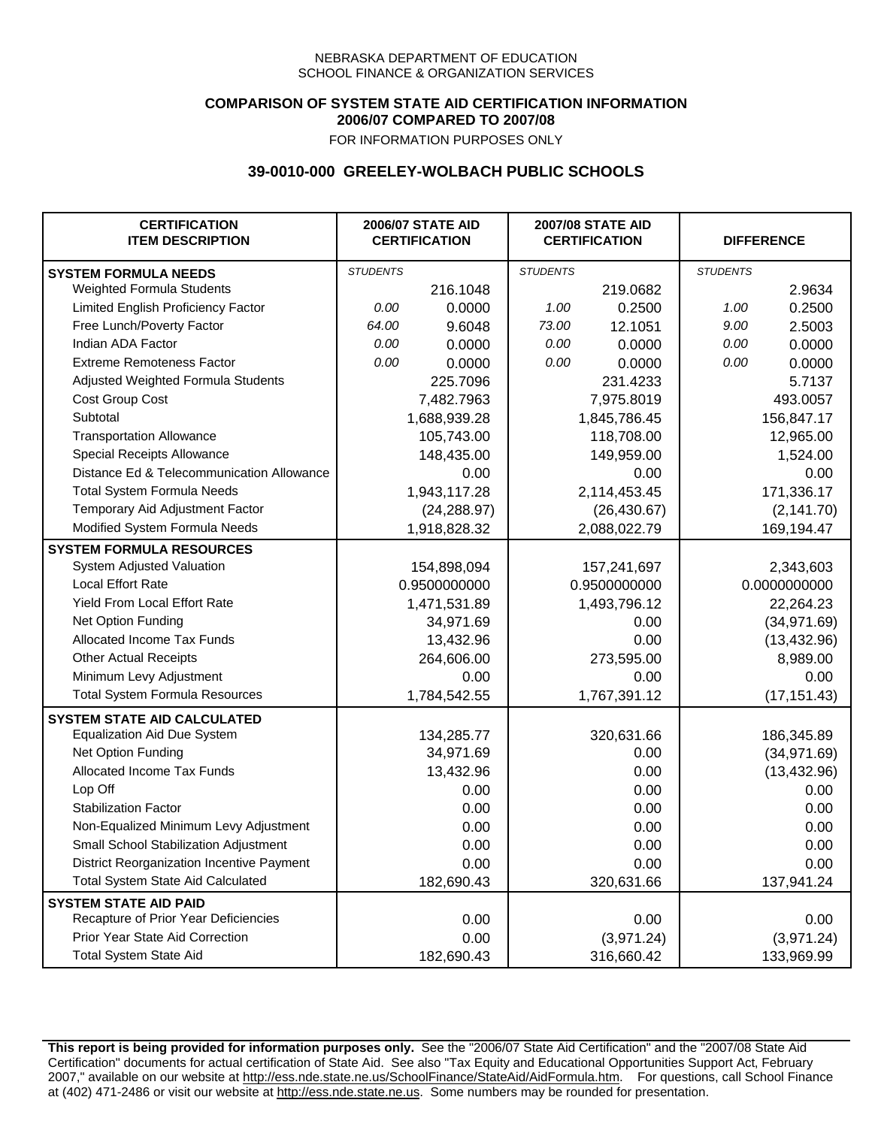## **COMPARISON OF SYSTEM STATE AID CERTIFICATION INFORMATION 2006/07 COMPARED TO 2007/08**

FOR INFORMATION PURPOSES ONLY

## **39-0010-000 GREELEY-WOLBACH PUBLIC SCHOOLS**

| <b>CERTIFICATION</b><br><b>ITEM DESCRIPTION</b> |                 | <b>2006/07 STATE AID</b><br><b>CERTIFICATION</b> | <b>2007/08 STATE AID</b><br><b>CERTIFICATION</b> |              | <b>DIFFERENCE</b> |              |
|-------------------------------------------------|-----------------|--------------------------------------------------|--------------------------------------------------|--------------|-------------------|--------------|
| <b>SYSTEM FORMULA NEEDS</b>                     | <b>STUDENTS</b> |                                                  | <b>STUDENTS</b>                                  |              | <b>STUDENTS</b>   |              |
| Weighted Formula Students                       |                 | 216.1048                                         |                                                  | 219.0682     |                   | 2.9634       |
| Limited English Proficiency Factor              | 0.00            | 0.0000                                           | 1.00                                             | 0.2500       | 1.00              | 0.2500       |
| Free Lunch/Poverty Factor                       | 64.00           | 9.6048                                           | 73.00                                            | 12.1051      | 9.00              | 2.5003       |
| Indian ADA Factor                               | 0.00            | 0.0000                                           | 0.00                                             | 0.0000       | 0.00              | 0.0000       |
| <b>Extreme Remoteness Factor</b>                | 0.00            | 0.0000                                           | 0.00                                             | 0.0000       | 0.00              | 0.0000       |
| Adjusted Weighted Formula Students              |                 | 225.7096                                         |                                                  | 231.4233     |                   | 5.7137       |
| Cost Group Cost                                 |                 | 7,482.7963                                       |                                                  | 7,975.8019   |                   | 493.0057     |
| Subtotal                                        |                 | 1,688,939.28                                     |                                                  | 1,845,786.45 |                   | 156,847.17   |
| <b>Transportation Allowance</b>                 |                 | 105,743.00                                       |                                                  | 118,708.00   |                   | 12,965.00    |
| Special Receipts Allowance                      |                 | 148,435.00                                       |                                                  | 149,959.00   |                   | 1,524.00     |
| Distance Ed & Telecommunication Allowance       |                 | 0.00                                             |                                                  | 0.00         |                   | 0.00         |
| <b>Total System Formula Needs</b>               |                 | 1,943,117.28                                     | 2,114,453.45                                     |              | 171,336.17        |              |
| Temporary Aid Adjustment Factor                 |                 | (24, 288.97)                                     | (26, 430.67)                                     |              | (2, 141.70)       |              |
| Modified System Formula Needs                   |                 | 1,918,828.32                                     |                                                  | 2,088,022.79 |                   | 169,194.47   |
| <b>SYSTEM FORMULA RESOURCES</b>                 |                 |                                                  |                                                  |              |                   |              |
| System Adjusted Valuation                       |                 | 154,898,094                                      |                                                  | 157,241,697  |                   | 2,343,603    |
| <b>Local Effort Rate</b>                        |                 | 0.9500000000                                     |                                                  | 0.9500000000 |                   | 0.0000000000 |
| Yield From Local Effort Rate                    |                 | 1,471,531.89                                     |                                                  | 1,493,796.12 |                   | 22,264.23    |
| Net Option Funding                              |                 | 34,971.69                                        |                                                  | 0.00         |                   | (34, 971.69) |
| Allocated Income Tax Funds                      |                 | 13,432.96                                        | 0.00                                             |              | (13, 432.96)      |              |
| <b>Other Actual Receipts</b>                    |                 | 264,606.00                                       | 273,595.00                                       |              | 8,989.00          |              |
| Minimum Levy Adjustment                         |                 | 0.00                                             | 0.00                                             |              |                   | 0.00         |
| <b>Total System Formula Resources</b>           |                 | 1,784,542.55                                     |                                                  | 1,767,391.12 |                   | (17, 151.43) |
| <b>SYSTEM STATE AID CALCULATED</b>              |                 |                                                  |                                                  |              |                   |              |
| <b>Equalization Aid Due System</b>              |                 | 134,285.77                                       |                                                  | 320,631.66   |                   | 186,345.89   |
| Net Option Funding                              |                 | 34,971.69                                        |                                                  | 0.00         |                   | (34, 971.69) |
| Allocated Income Tax Funds                      |                 | 13,432.96                                        |                                                  | 0.00         |                   | (13, 432.96) |
| Lop Off                                         |                 | 0.00                                             |                                                  | 0.00         |                   | 0.00         |
| <b>Stabilization Factor</b>                     |                 | 0.00                                             |                                                  | 0.00         |                   | 0.00         |
| Non-Equalized Minimum Levy Adjustment           |                 | 0.00                                             |                                                  | 0.00         |                   | 0.00         |
| Small School Stabilization Adjustment           |                 | 0.00                                             |                                                  | 0.00         |                   | 0.00         |
| District Reorganization Incentive Payment       |                 | 0.00                                             |                                                  | 0.00         |                   | 0.00         |
| <b>Total System State Aid Calculated</b>        |                 | 182,690.43                                       |                                                  | 320,631.66   |                   | 137,941.24   |
| <b>SYSTEM STATE AID PAID</b>                    |                 |                                                  |                                                  |              |                   |              |
| Recapture of Prior Year Deficiencies            |                 | 0.00                                             |                                                  | 0.00         |                   | 0.00         |
| Prior Year State Aid Correction                 |                 | 0.00                                             |                                                  | (3,971.24)   |                   | (3,971.24)   |
| <b>Total System State Aid</b>                   |                 | 182,690.43                                       |                                                  | 316,660.42   |                   | 133,969.99   |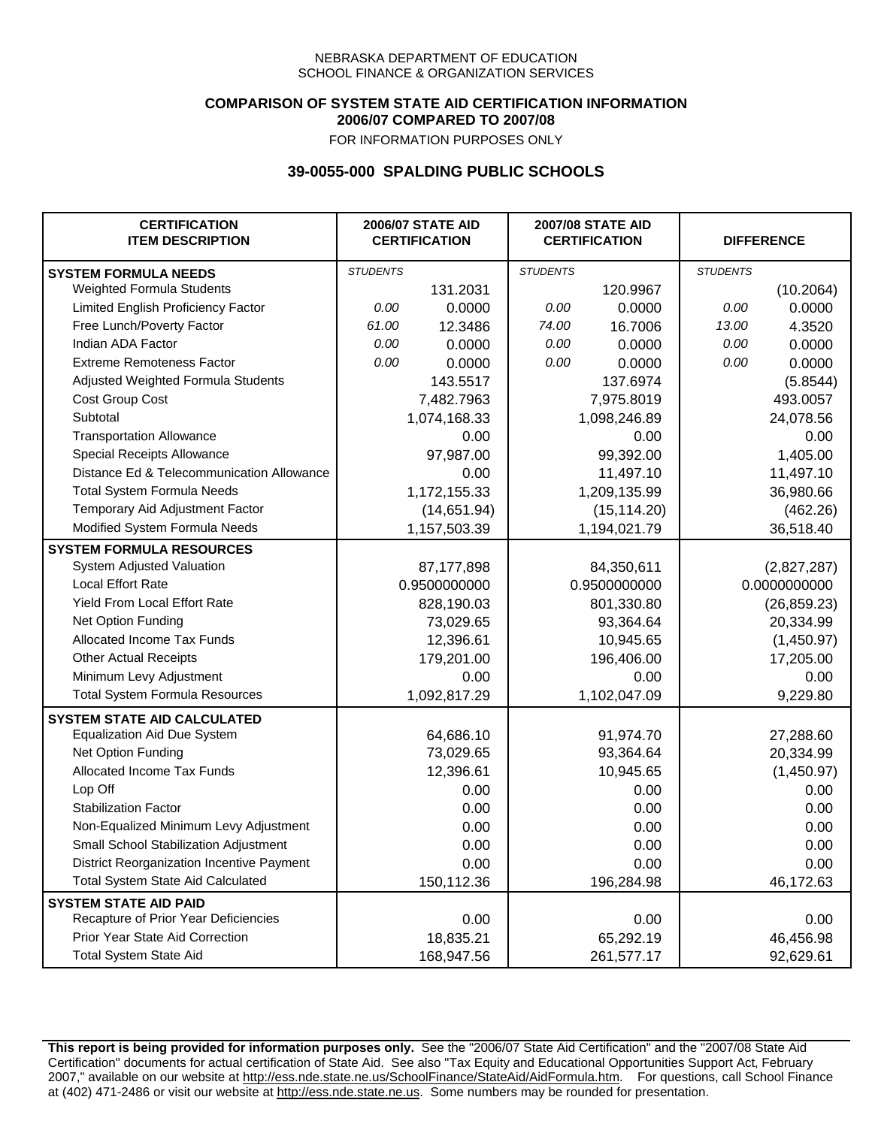### **COMPARISON OF SYSTEM STATE AID CERTIFICATION INFORMATION 2006/07 COMPARED TO 2007/08**

FOR INFORMATION PURPOSES ONLY

## **39-0055-000 SPALDING PUBLIC SCHOOLS**

| <b>CERTIFICATION</b><br><b>ITEM DESCRIPTION</b> |                 | <b>2006/07 STATE AID</b><br><b>CERTIFICATION</b> | <b>2007/08 STATE AID</b><br><b>CERTIFICATION</b> |              | <b>DIFFERENCE</b> |              |
|-------------------------------------------------|-----------------|--------------------------------------------------|--------------------------------------------------|--------------|-------------------|--------------|
| <b>SYSTEM FORMULA NEEDS</b>                     | <b>STUDENTS</b> |                                                  | <b>STUDENTS</b>                                  |              | <b>STUDENTS</b>   |              |
| <b>Weighted Formula Students</b>                |                 | 131.2031                                         |                                                  | 120.9967     |                   | (10.2064)    |
| Limited English Proficiency Factor              | 0.00            | 0.0000                                           | 0.00                                             | 0.0000       | 0.00              | 0.0000       |
| Free Lunch/Poverty Factor                       | 61.00           | 12.3486                                          | 74.00                                            | 16.7006      | 13.00             | 4.3520       |
| Indian ADA Factor                               | 0.00            | 0.0000                                           | 0.00                                             | 0.0000       | 0.00              | 0.0000       |
| <b>Extreme Remoteness Factor</b>                | 0.00            | 0.0000                                           | 0.00                                             | 0.0000       | 0.00              | 0.0000       |
| Adjusted Weighted Formula Students              |                 | 143.5517                                         |                                                  | 137.6974     |                   | (5.8544)     |
| Cost Group Cost                                 |                 | 7,482.7963                                       | 7,975.8019                                       |              | 493.0057          |              |
| Subtotal                                        |                 | 1,074,168.33                                     |                                                  | 1,098,246.89 |                   | 24,078.56    |
| <b>Transportation Allowance</b>                 |                 | 0.00                                             |                                                  | 0.00         |                   | 0.00         |
| Special Receipts Allowance                      |                 | 97,987.00                                        |                                                  | 99,392.00    |                   | 1,405.00     |
| Distance Ed & Telecommunication Allowance       |                 | 0.00                                             |                                                  | 11,497.10    |                   | 11,497.10    |
| <b>Total System Formula Needs</b>               |                 | 1,172,155.33                                     | 1,209,135.99                                     |              | 36,980.66         |              |
| Temporary Aid Adjustment Factor                 |                 | (14,651.94)                                      | (15, 114.20)                                     |              | (462.26)          |              |
| Modified System Formula Needs                   |                 | 1,157,503.39                                     |                                                  | 1,194,021.79 |                   | 36,518.40    |
| <b>SYSTEM FORMULA RESOURCES</b>                 |                 |                                                  |                                                  |              |                   |              |
| System Adjusted Valuation                       |                 | 87,177,898                                       |                                                  | 84,350,611   |                   | (2,827,287)  |
| <b>Local Effort Rate</b>                        |                 | 0.9500000000                                     |                                                  | 0.9500000000 |                   | 0.0000000000 |
| <b>Yield From Local Effort Rate</b>             |                 | 828,190.03                                       | 801,330.80                                       |              | (26, 859.23)      |              |
| Net Option Funding                              |                 | 73,029.65                                        | 93,364.64                                        |              | 20,334.99         |              |
| Allocated Income Tax Funds                      |                 | 12,396.61                                        | 10,945.65                                        |              | (1,450.97)        |              |
| <b>Other Actual Receipts</b>                    |                 | 179,201.00                                       | 196,406.00                                       |              | 17,205.00         |              |
| Minimum Levy Adjustment                         |                 | 0.00                                             |                                                  | 0.00         |                   | 0.00         |
| <b>Total System Formula Resources</b>           |                 | 1,092,817.29                                     |                                                  | 1,102,047.09 |                   | 9,229.80     |
| <b>SYSTEM STATE AID CALCULATED</b>              |                 |                                                  |                                                  |              |                   |              |
| <b>Equalization Aid Due System</b>              |                 | 64,686.10                                        |                                                  | 91,974.70    |                   | 27,288.60    |
| Net Option Funding                              |                 | 73,029.65                                        |                                                  | 93,364.64    |                   | 20,334.99    |
| Allocated Income Tax Funds                      |                 | 12,396.61                                        |                                                  | 10,945.65    |                   | (1,450.97)   |
| Lop Off                                         |                 | 0.00                                             |                                                  | 0.00         |                   | 0.00         |
| <b>Stabilization Factor</b>                     |                 | 0.00                                             |                                                  | 0.00         |                   | 0.00         |
| Non-Equalized Minimum Levy Adjustment           |                 | 0.00                                             |                                                  | 0.00         |                   | 0.00         |
| Small School Stabilization Adjustment           |                 | 0.00                                             |                                                  | 0.00         |                   | 0.00         |
| District Reorganization Incentive Payment       |                 | 0.00                                             |                                                  | 0.00         |                   | 0.00         |
| <b>Total System State Aid Calculated</b>        |                 | 150,112.36                                       |                                                  | 196,284.98   |                   | 46,172.63    |
| <b>SYSTEM STATE AID PAID</b>                    |                 |                                                  |                                                  |              |                   |              |
| Recapture of Prior Year Deficiencies            |                 | 0.00                                             |                                                  | 0.00         |                   | 0.00         |
| Prior Year State Aid Correction                 |                 | 18,835.21                                        |                                                  | 65,292.19    |                   | 46,456.98    |
| <b>Total System State Aid</b>                   |                 | 168,947.56                                       |                                                  | 261,577.17   |                   | 92,629.61    |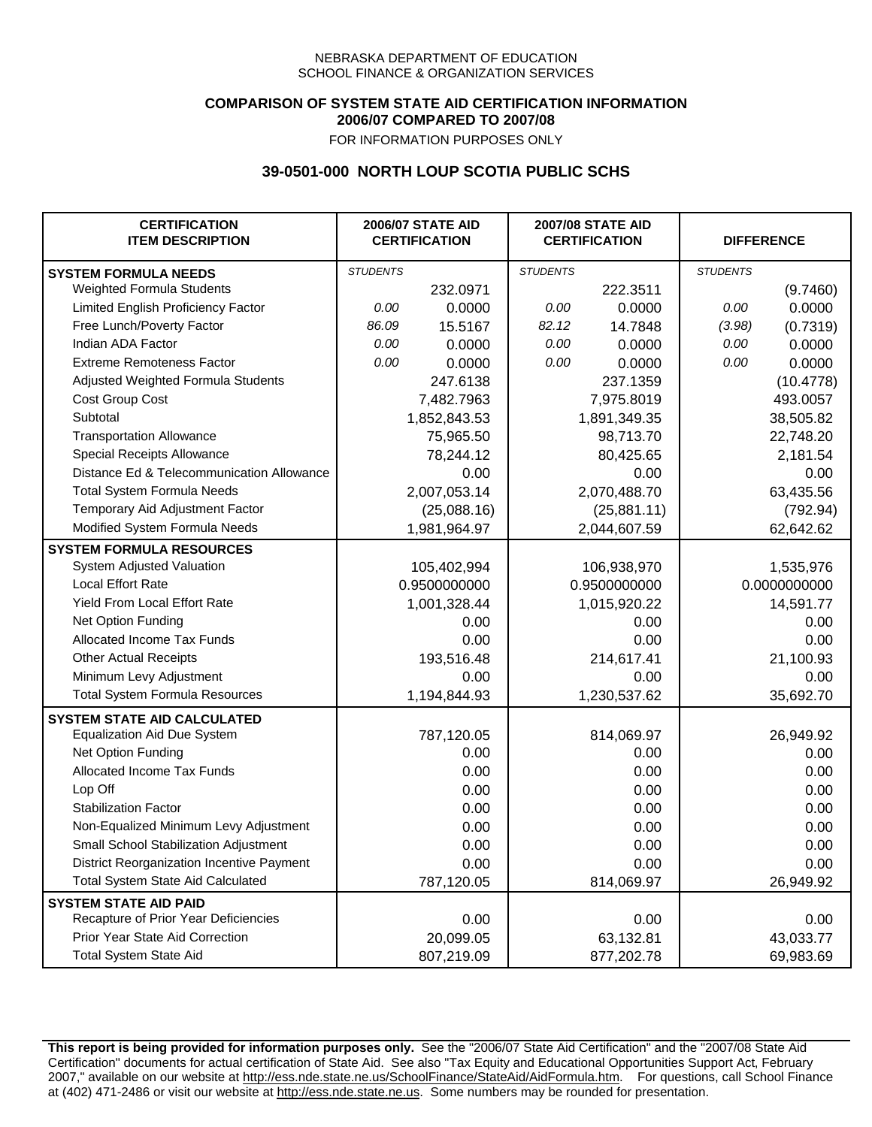## **COMPARISON OF SYSTEM STATE AID CERTIFICATION INFORMATION 2006/07 COMPARED TO 2007/08**

FOR INFORMATION PURPOSES ONLY

## **39-0501-000 NORTH LOUP SCOTIA PUBLIC SCHS**

| <b>CERTIFICATION</b><br><b>ITEM DESCRIPTION</b> |                 | <b>2006/07 STATE AID</b><br><b>CERTIFICATION</b> | <b>2007/08 STATE AID</b><br><b>CERTIFICATION</b> |              | <b>DIFFERENCE</b> |              |
|-------------------------------------------------|-----------------|--------------------------------------------------|--------------------------------------------------|--------------|-------------------|--------------|
| <b>SYSTEM FORMULA NEEDS</b>                     | <b>STUDENTS</b> |                                                  | <b>STUDENTS</b>                                  |              | <b>STUDENTS</b>   |              |
| Weighted Formula Students                       |                 | 232.0971                                         |                                                  | 222.3511     |                   | (9.7460)     |
| Limited English Proficiency Factor              | 0.00            | 0.0000                                           | 0.00                                             | 0.0000       | 0.00              | 0.0000       |
| Free Lunch/Poverty Factor                       | 86.09           | 15.5167                                          | 82.12                                            | 14.7848      | (3.98)            | (0.7319)     |
| Indian ADA Factor                               | 0.00            | 0.0000                                           | 0.00                                             | 0.0000       | 0.00              | 0.0000       |
| <b>Extreme Remoteness Factor</b>                | 0.00            | 0.0000                                           | 0.00                                             | 0.0000       | 0.00              | 0.0000       |
| Adjusted Weighted Formula Students              |                 | 247.6138                                         |                                                  | 237.1359     |                   | (10.4778)    |
| Cost Group Cost                                 |                 | 7,482.7963                                       |                                                  | 7,975.8019   |                   | 493.0057     |
| Subtotal                                        |                 | 1,852,843.53                                     |                                                  | 1,891,349.35 |                   | 38,505.82    |
| <b>Transportation Allowance</b>                 |                 | 75,965.50                                        |                                                  | 98,713.70    |                   | 22,748.20    |
| Special Receipts Allowance                      |                 | 78,244.12                                        |                                                  | 80,425.65    |                   | 2,181.54     |
| Distance Ed & Telecommunication Allowance       |                 | 0.00                                             |                                                  | 0.00         |                   | 0.00         |
| <b>Total System Formula Needs</b>               |                 | 2,007,053.14                                     |                                                  | 2,070,488.70 |                   | 63,435.56    |
| Temporary Aid Adjustment Factor                 |                 | (25,088.16)                                      | (25, 881.11)                                     |              | (792.94)          |              |
| Modified System Formula Needs                   |                 | 1,981,964.97                                     |                                                  | 2,044,607.59 |                   | 62,642.62    |
| <b>SYSTEM FORMULA RESOURCES</b>                 |                 |                                                  |                                                  |              |                   |              |
| System Adjusted Valuation                       |                 | 105,402,994                                      |                                                  | 106,938,970  |                   | 1,535,976    |
| <b>Local Effort Rate</b>                        |                 | 0.9500000000                                     |                                                  | 0.9500000000 |                   | 0.0000000000 |
| Yield From Local Effort Rate                    |                 | 1,001,328.44                                     | 1,015,920.22                                     |              | 14,591.77         |              |
| Net Option Funding                              |                 | 0.00                                             | 0.00                                             |              | 0.00              |              |
| Allocated Income Tax Funds                      |                 | 0.00                                             | 0.00                                             |              | 0.00              |              |
| <b>Other Actual Receipts</b>                    |                 | 193,516.48                                       | 214,617.41                                       |              | 21,100.93         |              |
| Minimum Levy Adjustment                         |                 | 0.00                                             |                                                  | 0.00         |                   | 0.00         |
| <b>Total System Formula Resources</b>           |                 | 1,194,844.93                                     |                                                  | 1,230,537.62 |                   | 35,692.70    |
| <b>SYSTEM STATE AID CALCULATED</b>              |                 |                                                  |                                                  |              |                   |              |
| <b>Equalization Aid Due System</b>              |                 | 787,120.05                                       |                                                  | 814,069.97   |                   | 26,949.92    |
| Net Option Funding                              |                 | 0.00                                             |                                                  | 0.00         |                   | 0.00         |
| Allocated Income Tax Funds                      |                 | 0.00                                             |                                                  | 0.00         |                   | 0.00         |
| Lop Off                                         |                 | 0.00                                             |                                                  | 0.00         |                   | 0.00         |
| <b>Stabilization Factor</b>                     |                 | 0.00                                             |                                                  | 0.00         |                   | 0.00         |
| Non-Equalized Minimum Levy Adjustment           |                 | 0.00                                             |                                                  | 0.00         |                   | 0.00         |
| Small School Stabilization Adjustment           |                 | 0.00                                             |                                                  | 0.00         |                   | 0.00         |
| District Reorganization Incentive Payment       |                 | 0.00                                             |                                                  | 0.00         |                   | 0.00         |
| <b>Total System State Aid Calculated</b>        |                 | 787,120.05                                       |                                                  | 814,069.97   |                   | 26,949.92    |
| <b>SYSTEM STATE AID PAID</b>                    |                 |                                                  |                                                  |              |                   |              |
| Recapture of Prior Year Deficiencies            |                 | 0.00                                             |                                                  | 0.00         |                   | 0.00         |
| Prior Year State Aid Correction                 |                 | 20,099.05                                        |                                                  | 63,132.81    |                   | 43,033.77    |
| <b>Total System State Aid</b>                   |                 | 807,219.09                                       |                                                  | 877,202.78   |                   | 69,983.69    |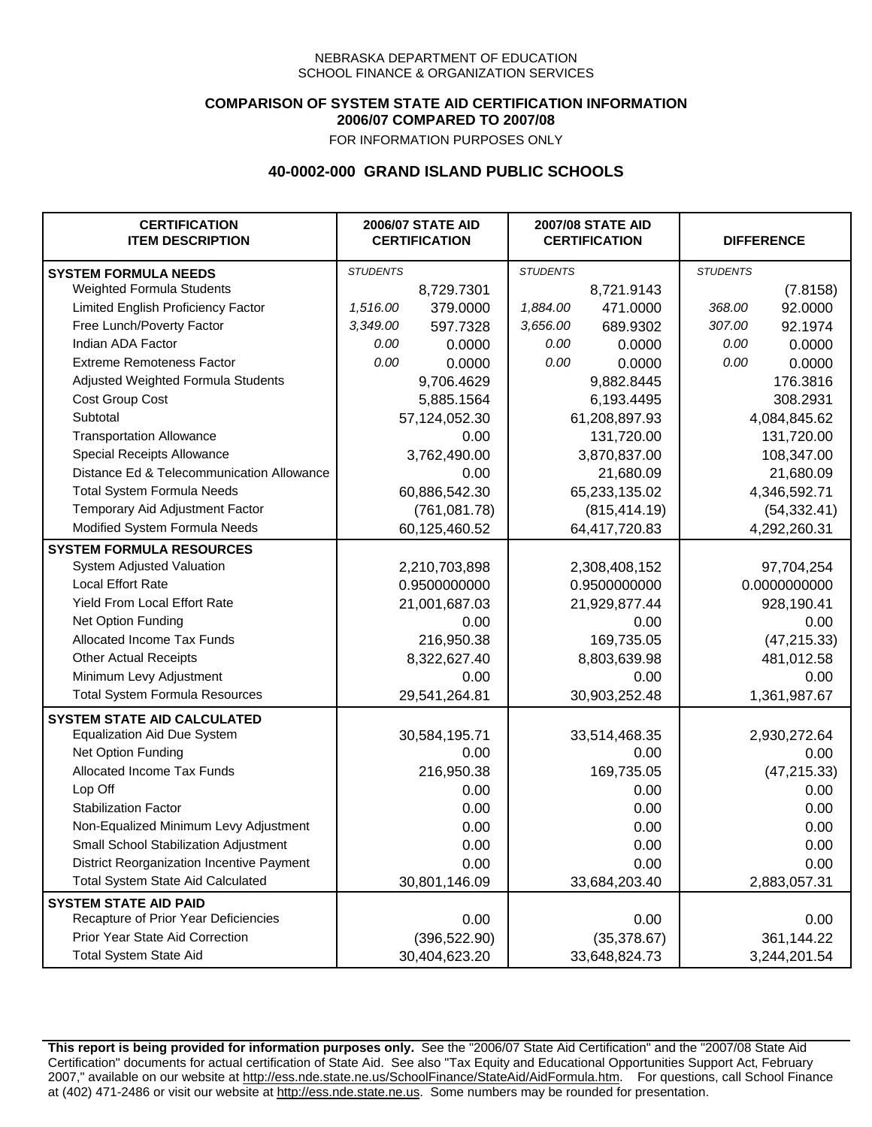## **COMPARISON OF SYSTEM STATE AID CERTIFICATION INFORMATION 2006/07 COMPARED TO 2007/08**

FOR INFORMATION PURPOSES ONLY

## **40-0002-000 GRAND ISLAND PUBLIC SCHOOLS**

| <b>CERTIFICATION</b><br><b>ITEM DESCRIPTION</b> |                 | <b>2006/07 STATE AID</b><br><b>CERTIFICATION</b> | <b>2007/08 STATE AID</b><br><b>CERTIFICATION</b> |               |                 | <b>DIFFERENCE</b> |
|-------------------------------------------------|-----------------|--------------------------------------------------|--------------------------------------------------|---------------|-----------------|-------------------|
| <b>SYSTEM FORMULA NEEDS</b>                     | <b>STUDENTS</b> |                                                  | <b>STUDENTS</b>                                  |               | <b>STUDENTS</b> |                   |
| Weighted Formula Students                       |                 | 8,729.7301                                       |                                                  | 8,721.9143    |                 | (7.8158)          |
| Limited English Proficiency Factor              | 1,516.00        | 379.0000                                         | 1,884.00                                         | 471.0000      | 368.00          | 92.0000           |
| Free Lunch/Poverty Factor                       | 3,349.00        | 597.7328                                         | 3,656.00                                         | 689.9302      | 307.00          | 92.1974           |
| Indian ADA Factor                               | 0.00            | 0.0000                                           | 0.00                                             | 0.0000        | 0.00            | 0.0000            |
| <b>Extreme Remoteness Factor</b>                | 0.00            | 0.0000                                           | 0.00                                             | 0.0000        | 0.00            | 0.0000            |
| Adjusted Weighted Formula Students              |                 | 9,706.4629                                       |                                                  | 9,882.8445    |                 | 176.3816          |
| Cost Group Cost                                 |                 | 5,885.1564                                       | 6,193.4495                                       |               |                 | 308.2931          |
| Subtotal                                        |                 | 57,124,052.30                                    |                                                  | 61,208,897.93 |                 | 4,084,845.62      |
| <b>Transportation Allowance</b>                 |                 | 0.00                                             |                                                  | 131,720.00    |                 | 131,720.00        |
| Special Receipts Allowance                      |                 | 3,762,490.00                                     |                                                  | 3,870,837.00  |                 | 108,347.00        |
| Distance Ed & Telecommunication Allowance       |                 | 0.00                                             |                                                  | 21,680.09     |                 | 21,680.09         |
| <b>Total System Formula Needs</b>               |                 | 60,886,542.30                                    | 65,233,135.02                                    |               |                 | 4,346,592.71      |
| Temporary Aid Adjustment Factor                 |                 | (761,081.78)                                     | (815, 414.19)                                    |               | (54, 332.41)    |                   |
| Modified System Formula Needs                   | 60,125,460.52   |                                                  |                                                  | 64,417,720.83 | 4,292,260.31    |                   |
| <b>SYSTEM FORMULA RESOURCES</b>                 |                 |                                                  |                                                  |               |                 |                   |
| System Adjusted Valuation                       | 2,210,703,898   |                                                  |                                                  | 2,308,408,152 |                 | 97,704,254        |
| <b>Local Effort Rate</b>                        | 0.9500000000    |                                                  |                                                  | 0.9500000000  |                 | 0.0000000000      |
| Yield From Local Effort Rate                    | 21,001,687.03   |                                                  |                                                  | 21,929,877.44 |                 | 928,190.41        |
| Net Option Funding                              |                 | 0.00                                             |                                                  | 0.00          |                 | 0.00              |
| Allocated Income Tax Funds                      |                 | 216,950.38                                       | 169,735.05                                       |               | (47, 215.33)    |                   |
| <b>Other Actual Receipts</b>                    |                 | 8,322,627.40                                     | 8,803,639.98                                     |               | 481,012.58      |                   |
| Minimum Levy Adjustment                         |                 | 0.00                                             | 0.00                                             |               | 0.00            |                   |
| <b>Total System Formula Resources</b>           |                 | 29,541,264.81                                    |                                                  | 30,903,252.48 |                 | 1,361,987.67      |
| <b>SYSTEM STATE AID CALCULATED</b>              |                 |                                                  |                                                  |               |                 |                   |
| <b>Equalization Aid Due System</b>              |                 | 30,584,195.71                                    |                                                  | 33,514,468.35 |                 | 2,930,272.64      |
| Net Option Funding                              |                 | 0.00                                             |                                                  | 0.00          |                 | 0.00              |
| Allocated Income Tax Funds                      |                 | 216,950.38                                       |                                                  | 169,735.05    |                 | (47, 215.33)      |
| Lop Off                                         |                 | 0.00                                             |                                                  | 0.00          |                 | 0.00              |
| <b>Stabilization Factor</b>                     |                 | 0.00                                             |                                                  | 0.00          |                 | 0.00              |
| Non-Equalized Minimum Levy Adjustment           |                 | 0.00                                             |                                                  | 0.00          |                 | 0.00              |
| Small School Stabilization Adjustment           |                 | 0.00                                             |                                                  | 0.00          |                 | 0.00              |
| District Reorganization Incentive Payment       |                 | 0.00                                             |                                                  | 0.00          |                 | 0.00              |
| <b>Total System State Aid Calculated</b>        |                 | 30,801,146.09                                    |                                                  | 33,684,203.40 |                 | 2,883,057.31      |
| <b>SYSTEM STATE AID PAID</b>                    |                 |                                                  |                                                  |               |                 |                   |
| Recapture of Prior Year Deficiencies            |                 | 0.00                                             |                                                  | 0.00          |                 | 0.00              |
| Prior Year State Aid Correction                 |                 | (396, 522.90)                                    |                                                  | (35, 378.67)  |                 | 361,144.22        |
| <b>Total System State Aid</b>                   |                 | 30,404,623.20                                    |                                                  | 33,648,824.73 | 3,244,201.54    |                   |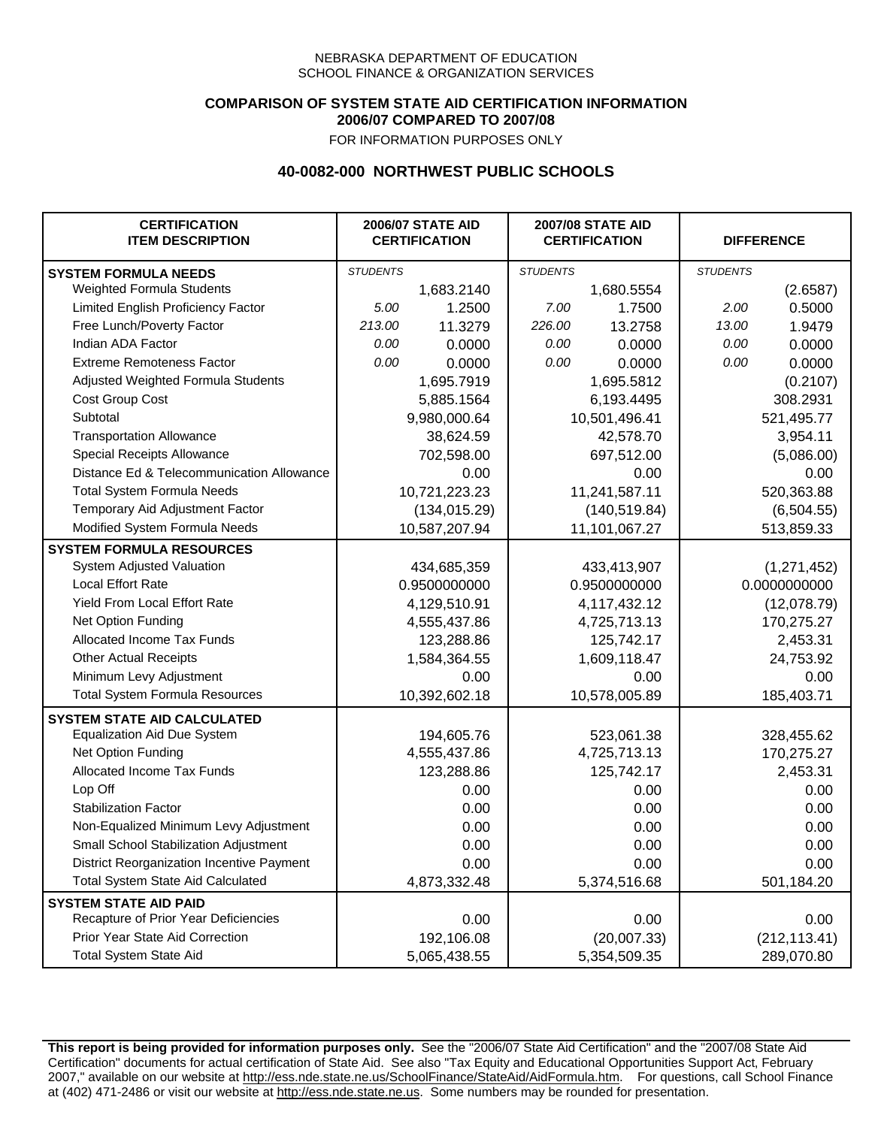### **COMPARISON OF SYSTEM STATE AID CERTIFICATION INFORMATION 2006/07 COMPARED TO 2007/08**

FOR INFORMATION PURPOSES ONLY

## **40-0082-000 NORTHWEST PUBLIC SCHOOLS**

| <b>CERTIFICATION</b><br><b>ITEM DESCRIPTION</b> | <b>2006/07 STATE AID</b><br><b>CERTIFICATION</b> |               |                 | <b>2007/08 STATE AID</b><br><b>CERTIFICATION</b> |                 | <b>DIFFERENCE</b> |  |
|-------------------------------------------------|--------------------------------------------------|---------------|-----------------|--------------------------------------------------|-----------------|-------------------|--|
| <b>SYSTEM FORMULA NEEDS</b>                     | <b>STUDENTS</b>                                  |               | <b>STUDENTS</b> |                                                  | <b>STUDENTS</b> |                   |  |
| Weighted Formula Students                       |                                                  | 1,683.2140    |                 | 1,680.5554                                       |                 | (2.6587)          |  |
| Limited English Proficiency Factor              | 5.00                                             | 1.2500        | 7.00            | 1.7500                                           | 2.00            | 0.5000            |  |
| Free Lunch/Poverty Factor                       | 213.00                                           | 11.3279       | 226.00          | 13.2758                                          | 13.00           | 1.9479            |  |
| Indian ADA Factor                               | 0.00                                             | 0.0000        | 0.00            | 0.0000                                           | 0.00            | 0.0000            |  |
| <b>Extreme Remoteness Factor</b>                | 0.00                                             | 0.0000        | 0.00            | 0.0000                                           | 0.00            | 0.0000            |  |
| Adjusted Weighted Formula Students              |                                                  | 1,695.7919    |                 | 1,695.5812                                       |                 | (0.2107)          |  |
| Cost Group Cost                                 |                                                  | 5,885.1564    | 6,193.4495      |                                                  |                 | 308.2931          |  |
| Subtotal                                        |                                                  | 9,980,000.64  |                 | 10,501,496.41                                    |                 | 521,495.77        |  |
| <b>Transportation Allowance</b>                 |                                                  | 38,624.59     |                 | 42,578.70                                        |                 | 3,954.11          |  |
| Special Receipts Allowance                      |                                                  | 702,598.00    |                 | 697,512.00                                       |                 | (5,086.00)        |  |
| Distance Ed & Telecommunication Allowance       |                                                  | 0.00          |                 | 0.00                                             |                 | 0.00              |  |
| <b>Total System Formula Needs</b>               |                                                  | 10,721,223.23 |                 | 11,241,587.11                                    |                 | 520,363.88        |  |
| Temporary Aid Adjustment Factor                 |                                                  | (134, 015.29) | (140, 519.84)   |                                                  | (6,504.55)      |                   |  |
| Modified System Formula Needs                   |                                                  | 10,587,207.94 |                 | 11,101,067.27                                    |                 | 513,859.33        |  |
| <b>SYSTEM FORMULA RESOURCES</b>                 |                                                  |               |                 |                                                  |                 |                   |  |
| System Adjusted Valuation                       |                                                  | 434,685,359   |                 | 433,413,907                                      |                 | (1,271,452)       |  |
| <b>Local Effort Rate</b>                        |                                                  | 0.9500000000  |                 | 0.9500000000                                     |                 | 0.0000000000      |  |
| Yield From Local Effort Rate                    |                                                  | 4,129,510.91  | 4,117,432.12    |                                                  | (12,078.79)     |                   |  |
| Net Option Funding                              |                                                  | 4,555,437.86  | 4,725,713.13    |                                                  | 170,275.27      |                   |  |
| Allocated Income Tax Funds                      |                                                  | 123,288.86    | 125,742.17      |                                                  | 2,453.31        |                   |  |
| <b>Other Actual Receipts</b>                    |                                                  | 1,584,364.55  | 1,609,118.47    |                                                  | 24,753.92       |                   |  |
| Minimum Levy Adjustment                         |                                                  | 0.00          | 0.00            |                                                  | 0.00            |                   |  |
| <b>Total System Formula Resources</b>           |                                                  | 10,392,602.18 |                 | 10,578,005.89                                    |                 | 185,403.71        |  |
| <b>SYSTEM STATE AID CALCULATED</b>              |                                                  |               |                 |                                                  |                 |                   |  |
| <b>Equalization Aid Due System</b>              |                                                  | 194,605.76    |                 | 523,061.38                                       |                 | 328,455.62        |  |
| Net Option Funding                              |                                                  | 4,555,437.86  |                 | 4,725,713.13                                     |                 | 170,275.27        |  |
| Allocated Income Tax Funds                      |                                                  | 123,288.86    |                 | 125,742.17                                       |                 | 2,453.31          |  |
| Lop Off                                         |                                                  | 0.00          |                 | 0.00                                             |                 | 0.00              |  |
| <b>Stabilization Factor</b>                     |                                                  | 0.00          |                 | 0.00                                             |                 | 0.00              |  |
| Non-Equalized Minimum Levy Adjustment           |                                                  | 0.00          |                 | 0.00                                             |                 | 0.00              |  |
| Small School Stabilization Adjustment           |                                                  | 0.00          |                 | 0.00                                             |                 | 0.00              |  |
| District Reorganization Incentive Payment       |                                                  | 0.00          |                 | 0.00                                             |                 | 0.00              |  |
| <b>Total System State Aid Calculated</b>        |                                                  | 4,873,332.48  |                 | 5,374,516.68                                     |                 | 501,184.20        |  |
| <b>SYSTEM STATE AID PAID</b>                    |                                                  |               |                 |                                                  |                 |                   |  |
| Recapture of Prior Year Deficiencies            |                                                  | 0.00          |                 | 0.00                                             |                 | 0.00              |  |
| Prior Year State Aid Correction                 |                                                  | 192,106.08    |                 | (20,007.33)                                      |                 | (212, 113.41)     |  |
| <b>Total System State Aid</b>                   |                                                  | 5,065,438.55  | 5,354,509.35    |                                                  | 289,070.80      |                   |  |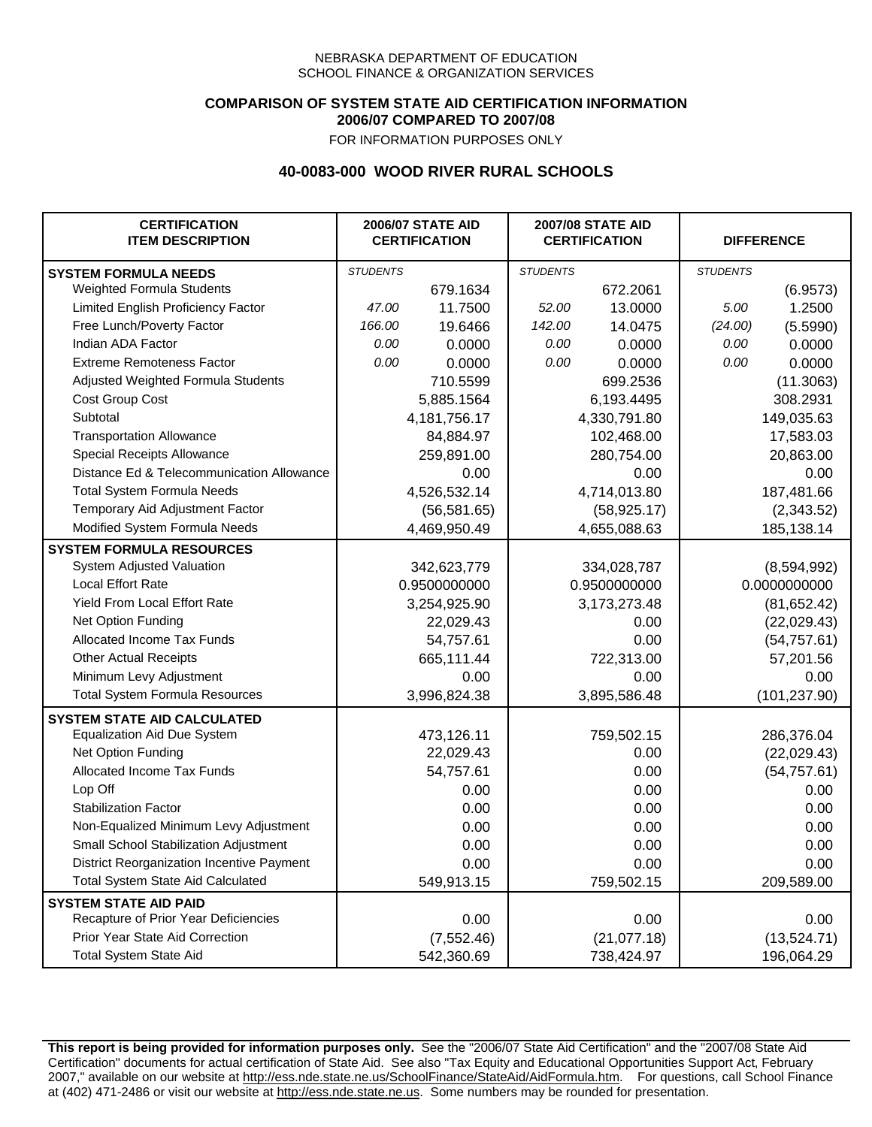### **COMPARISON OF SYSTEM STATE AID CERTIFICATION INFORMATION 2006/07 COMPARED TO 2007/08**

FOR INFORMATION PURPOSES ONLY

## **40-0083-000 WOOD RIVER RURAL SCHOOLS**

| <b>CERTIFICATION</b><br><b>ITEM DESCRIPTION</b> |                 | <b>2006/07 STATE AID</b><br><b>CERTIFICATION</b> | <b>2007/08 STATE AID</b><br><b>CERTIFICATION</b> |              | <b>DIFFERENCE</b> |               |
|-------------------------------------------------|-----------------|--------------------------------------------------|--------------------------------------------------|--------------|-------------------|---------------|
| <b>SYSTEM FORMULA NEEDS</b>                     | <b>STUDENTS</b> |                                                  | <b>STUDENTS</b>                                  |              | <b>STUDENTS</b>   |               |
| Weighted Formula Students                       |                 | 679.1634                                         |                                                  | 672.2061     |                   | (6.9573)      |
| Limited English Proficiency Factor              | 47.00           | 11.7500                                          | 52.00                                            | 13.0000      | 5.00              | 1.2500        |
| Free Lunch/Poverty Factor                       | 166.00          | 19.6466                                          | 142.00                                           | 14.0475      | (24.00)           | (5.5990)      |
| Indian ADA Factor                               | 0.00            | 0.0000                                           | 0.00                                             | 0.0000       | 0.00              | 0.0000        |
| <b>Extreme Remoteness Factor</b>                | 0.00            | 0.0000                                           | 0.00                                             | 0.0000       | 0.00              | 0.0000        |
| Adjusted Weighted Formula Students              |                 | 710.5599                                         |                                                  | 699.2536     |                   | (11.3063)     |
| Cost Group Cost                                 |                 | 5,885.1564                                       |                                                  | 6,193.4495   |                   | 308.2931      |
| Subtotal                                        |                 | 4, 181, 756. 17                                  |                                                  | 4,330,791.80 |                   | 149,035.63    |
| <b>Transportation Allowance</b>                 |                 | 84,884.97                                        |                                                  | 102,468.00   |                   | 17,583.03     |
| Special Receipts Allowance                      |                 | 259,891.00                                       |                                                  | 280,754.00   |                   | 20,863.00     |
| Distance Ed & Telecommunication Allowance       |                 | 0.00                                             |                                                  | 0.00         |                   | 0.00          |
| <b>Total System Formula Needs</b>               |                 | 4,526,532.14                                     |                                                  | 4,714,013.80 | 187,481.66        |               |
| Temporary Aid Adjustment Factor                 |                 | (56, 581.65)                                     | (58, 925.17)                                     |              | (2,343.52)        |               |
| Modified System Formula Needs                   |                 | 4,469,950.49                                     |                                                  | 4,655,088.63 |                   | 185,138.14    |
| <b>SYSTEM FORMULA RESOURCES</b>                 |                 |                                                  |                                                  |              |                   |               |
| System Adjusted Valuation                       |                 | 342,623,779                                      |                                                  | 334,028,787  |                   | (8,594,992)   |
| <b>Local Effort Rate</b>                        |                 | 0.9500000000                                     |                                                  | 0.9500000000 |                   | 0.0000000000  |
| Yield From Local Effort Rate                    |                 | 3,254,925.90                                     | 3,173,273.48                                     |              |                   | (81, 652.42)  |
| Net Option Funding                              |                 | 22,029.43                                        | 0.00                                             |              | (22,029.43)       |               |
| Allocated Income Tax Funds                      |                 | 54,757.61                                        | 0.00                                             |              | (54, 757.61)      |               |
| <b>Other Actual Receipts</b>                    |                 | 665,111.44                                       | 722,313.00                                       |              | 57,201.56         |               |
| Minimum Levy Adjustment                         |                 | 0.00                                             |                                                  | 0.00         |                   | 0.00          |
| <b>Total System Formula Resources</b>           |                 | 3,996,824.38                                     |                                                  | 3,895,586.48 |                   | (101, 237.90) |
| <b>SYSTEM STATE AID CALCULATED</b>              |                 |                                                  |                                                  |              |                   |               |
| <b>Equalization Aid Due System</b>              |                 | 473,126.11                                       |                                                  | 759,502.15   |                   | 286,376.04    |
| Net Option Funding                              |                 | 22,029.43                                        |                                                  | 0.00         |                   | (22,029.43)   |
| Allocated Income Tax Funds                      |                 | 54,757.61                                        |                                                  | 0.00         |                   | (54, 757.61)  |
| Lop Off                                         |                 | 0.00                                             |                                                  | 0.00         |                   | 0.00          |
| <b>Stabilization Factor</b>                     |                 | 0.00                                             |                                                  | 0.00         |                   | 0.00          |
| Non-Equalized Minimum Levy Adjustment           |                 | 0.00                                             |                                                  | 0.00         |                   | 0.00          |
| Small School Stabilization Adjustment           |                 | 0.00                                             |                                                  | 0.00         |                   | 0.00          |
| District Reorganization Incentive Payment       |                 | 0.00                                             |                                                  | 0.00         |                   | 0.00          |
| <b>Total System State Aid Calculated</b>        |                 | 549,913.15                                       |                                                  | 759,502.15   |                   | 209,589.00    |
| <b>SYSTEM STATE AID PAID</b>                    |                 |                                                  |                                                  |              |                   |               |
| Recapture of Prior Year Deficiencies            |                 | 0.00                                             |                                                  | 0.00         |                   | 0.00          |
| Prior Year State Aid Correction                 |                 | (7, 552.46)                                      |                                                  | (21,077.18)  |                   | (13,524.71)   |
| <b>Total System State Aid</b>                   |                 | 542,360.69                                       |                                                  | 738,424.97   |                   | 196,064.29    |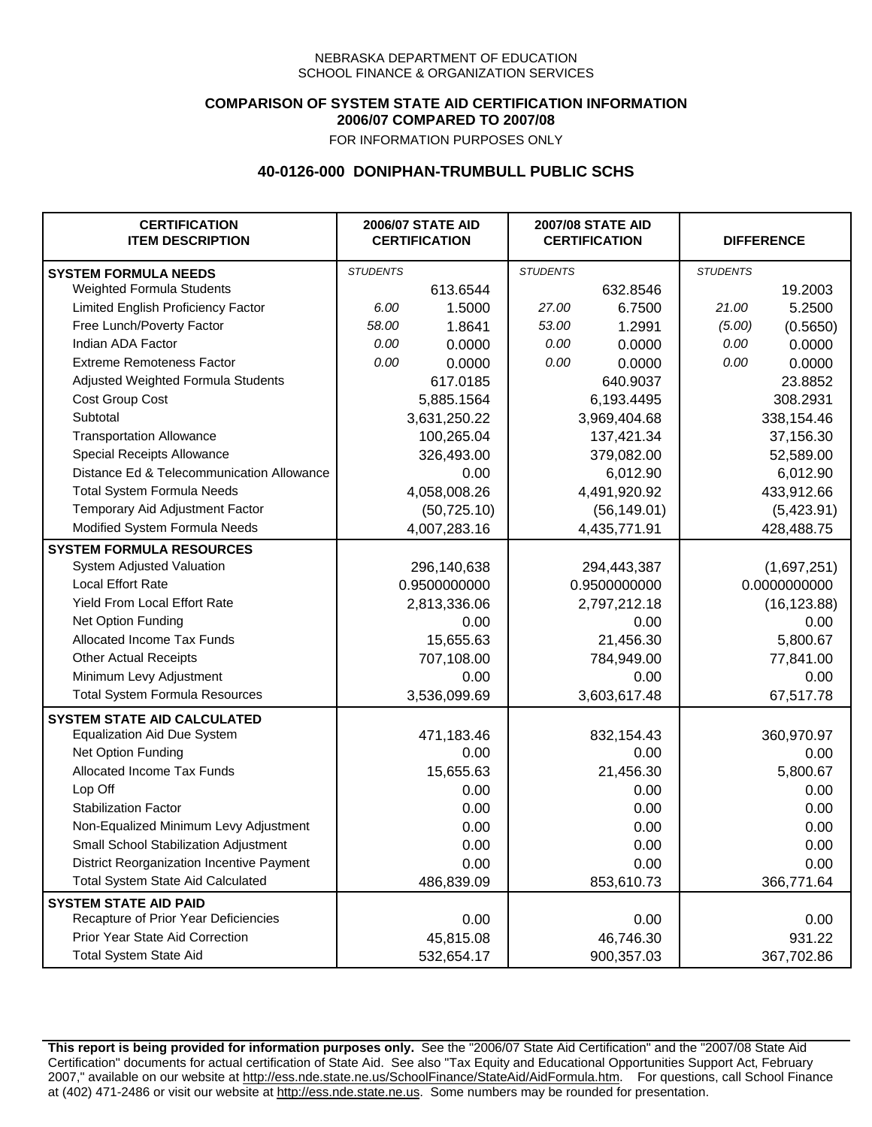## **COMPARISON OF SYSTEM STATE AID CERTIFICATION INFORMATION 2006/07 COMPARED TO 2007/08**

FOR INFORMATION PURPOSES ONLY

## **40-0126-000 DONIPHAN-TRUMBULL PUBLIC SCHS**

| <b>CERTIFICATION</b><br><b>ITEM DESCRIPTION</b> |                 | <b>2006/07 STATE AID</b><br><b>CERTIFICATION</b> | <b>2007/08 STATE AID</b><br><b>CERTIFICATION</b> |              | <b>DIFFERENCE</b> |             |
|-------------------------------------------------|-----------------|--------------------------------------------------|--------------------------------------------------|--------------|-------------------|-------------|
| <b>SYSTEM FORMULA NEEDS</b>                     | <b>STUDENTS</b> |                                                  | <b>STUDENTS</b>                                  |              | <b>STUDENTS</b>   |             |
| Weighted Formula Students                       |                 | 613.6544                                         |                                                  | 632.8546     |                   | 19.2003     |
| Limited English Proficiency Factor              | 6.00            | 1.5000                                           | 27.00                                            | 6.7500       | 21.00             | 5.2500      |
| Free Lunch/Poverty Factor                       | 58.00           | 1.8641                                           | 53.00                                            | 1.2991       | (5.00)            | (0.5650)    |
| Indian ADA Factor                               | 0.00            | 0.0000                                           | 0.00                                             | 0.0000       | 0.00              | 0.0000      |
| <b>Extreme Remoteness Factor</b>                | 0.00            | 0.0000                                           | 0.00                                             | 0.0000       | 0.00              | 0.0000      |
| Adjusted Weighted Formula Students              |                 | 617.0185                                         |                                                  | 640.9037     |                   | 23.8852     |
| Cost Group Cost                                 |                 | 5,885.1564                                       |                                                  | 6,193.4495   |                   | 308.2931    |
| Subtotal                                        |                 | 3,631,250.22                                     |                                                  | 3,969,404.68 |                   | 338,154.46  |
| <b>Transportation Allowance</b>                 |                 | 100,265.04                                       |                                                  | 137,421.34   |                   | 37,156.30   |
| Special Receipts Allowance                      |                 | 326,493.00                                       |                                                  | 379,082.00   |                   | 52,589.00   |
| Distance Ed & Telecommunication Allowance       |                 | 0.00                                             |                                                  | 6,012.90     |                   | 6,012.90    |
| <b>Total System Formula Needs</b>               |                 | 4,058,008.26                                     |                                                  | 4,491,920.92 |                   | 433,912.66  |
| Temporary Aid Adjustment Factor                 |                 | (50, 725.10)                                     | (56, 149.01)                                     |              | (5,423.91)        |             |
| Modified System Formula Needs                   |                 | 4,007,283.16                                     |                                                  | 4,435,771.91 |                   | 428,488.75  |
| <b>SYSTEM FORMULA RESOURCES</b>                 |                 |                                                  |                                                  |              |                   |             |
| System Adjusted Valuation                       |                 | 296,140,638                                      |                                                  | 294,443,387  |                   | (1,697,251) |
| <b>Local Effort Rate</b>                        |                 | 0.9500000000                                     |                                                  | 0.9500000000 | 0.0000000000      |             |
| Yield From Local Effort Rate                    |                 | 2,813,336.06                                     | 2,797,212.18                                     |              | (16, 123.88)      |             |
| Net Option Funding                              |                 | 0.00                                             | 0.00                                             |              | 0.00              |             |
| Allocated Income Tax Funds                      |                 | 15,655.63                                        | 21,456.30                                        |              | 5,800.67          |             |
| <b>Other Actual Receipts</b>                    |                 | 707,108.00                                       | 784,949.00                                       |              | 77,841.00         |             |
| Minimum Levy Adjustment                         |                 | 0.00                                             |                                                  | 0.00         |                   | 0.00        |
| <b>Total System Formula Resources</b>           |                 | 3,536,099.69                                     |                                                  | 3,603,617.48 |                   | 67,517.78   |
| <b>SYSTEM STATE AID CALCULATED</b>              |                 |                                                  |                                                  |              |                   |             |
| <b>Equalization Aid Due System</b>              |                 | 471,183.46                                       |                                                  | 832,154.43   |                   | 360,970.97  |
| Net Option Funding                              |                 | 0.00                                             |                                                  | 0.00         |                   | 0.00        |
| Allocated Income Tax Funds                      |                 | 15,655.63                                        |                                                  | 21,456.30    |                   | 5,800.67    |
| Lop Off                                         |                 | 0.00                                             |                                                  | 0.00         |                   | 0.00        |
| <b>Stabilization Factor</b>                     |                 | 0.00                                             |                                                  | 0.00         |                   | 0.00        |
| Non-Equalized Minimum Levy Adjustment           |                 | 0.00                                             |                                                  | 0.00         |                   | 0.00        |
| Small School Stabilization Adjustment           |                 | 0.00                                             |                                                  | 0.00         |                   | 0.00        |
| District Reorganization Incentive Payment       |                 | 0.00                                             |                                                  | 0.00         |                   | 0.00        |
| <b>Total System State Aid Calculated</b>        |                 | 486,839.09                                       |                                                  | 853,610.73   |                   | 366,771.64  |
| <b>SYSTEM STATE AID PAID</b>                    |                 |                                                  |                                                  |              |                   |             |
| Recapture of Prior Year Deficiencies            |                 | 0.00                                             |                                                  | 0.00         |                   | 0.00        |
| Prior Year State Aid Correction                 |                 | 45,815.08                                        |                                                  | 46,746.30    |                   | 931.22      |
| <b>Total System State Aid</b>                   |                 | 532,654.17                                       |                                                  | 900,357.03   | 367,702.86        |             |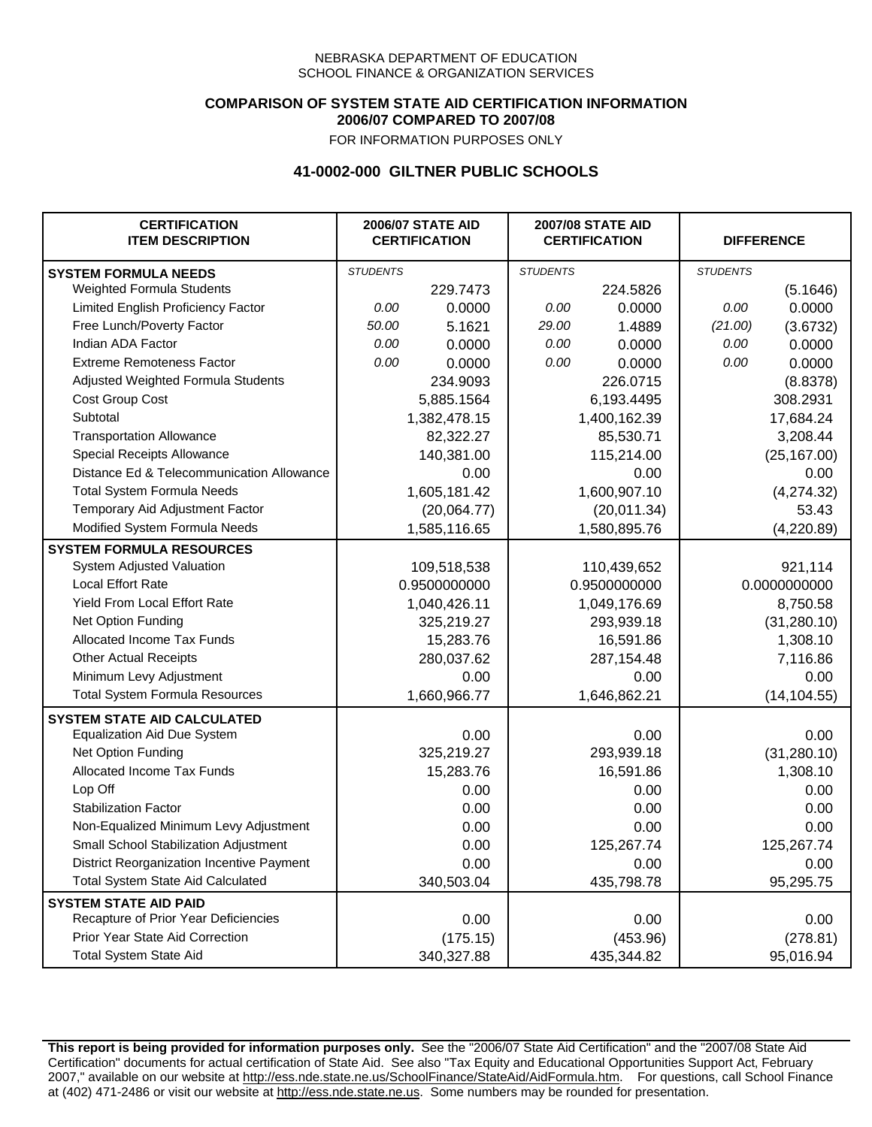### **COMPARISON OF SYSTEM STATE AID CERTIFICATION INFORMATION 2006/07 COMPARED TO 2007/08**

FOR INFORMATION PURPOSES ONLY

## **41-0002-000 GILTNER PUBLIC SCHOOLS**

| <b>CERTIFICATION</b><br><b>ITEM DESCRIPTION</b> |                 | <b>2006/07 STATE AID</b><br><b>CERTIFICATION</b> | <b>2007/08 STATE AID</b><br><b>CERTIFICATION</b> |              |                 | <b>DIFFERENCE</b> |
|-------------------------------------------------|-----------------|--------------------------------------------------|--------------------------------------------------|--------------|-----------------|-------------------|
| <b>SYSTEM FORMULA NEEDS</b>                     | <b>STUDENTS</b> |                                                  | <b>STUDENTS</b>                                  |              | <b>STUDENTS</b> |                   |
| Weighted Formula Students                       |                 | 229.7473                                         |                                                  | 224.5826     |                 | (5.1646)          |
| Limited English Proficiency Factor              | 0.00            | 0.0000                                           | 0.00                                             | 0.0000       | 0.00            | 0.0000            |
| Free Lunch/Poverty Factor                       | 50.00           | 5.1621                                           | 29.00                                            | 1.4889       | (21.00)         | (3.6732)          |
| Indian ADA Factor                               | 0.00            | 0.0000                                           | 0.00                                             | 0.0000       | 0.00            | 0.0000            |
| <b>Extreme Remoteness Factor</b>                | 0.00            | 0.0000                                           | 0.00                                             | 0.0000       | 0.00            | 0.0000            |
| Adjusted Weighted Formula Students              |                 | 234.9093                                         |                                                  | 226.0715     |                 | (8.8378)          |
| Cost Group Cost                                 |                 | 5,885.1564                                       |                                                  | 6,193.4495   |                 | 308.2931          |
| Subtotal                                        |                 | 1,382,478.15                                     |                                                  | 1,400,162.39 |                 | 17,684.24         |
| <b>Transportation Allowance</b>                 |                 | 82,322.27                                        |                                                  | 85,530.71    |                 | 3,208.44          |
| Special Receipts Allowance                      |                 | 140,381.00                                       |                                                  | 115,214.00   |                 | (25, 167.00)      |
| Distance Ed & Telecommunication Allowance       |                 | 0.00                                             |                                                  | 0.00         |                 | 0.00              |
| <b>Total System Formula Needs</b>               |                 | 1,605,181.42                                     |                                                  | 1,600,907.10 |                 | (4,274.32)        |
| Temporary Aid Adjustment Factor                 |                 | (20,064.77)                                      | (20,011.34)                                      |              | 53.43           |                   |
| Modified System Formula Needs                   |                 | 1,585,116.65                                     |                                                  | 1,580,895.76 |                 | (4,220.89)        |
| <b>SYSTEM FORMULA RESOURCES</b>                 |                 |                                                  |                                                  |              |                 |                   |
| System Adjusted Valuation                       |                 | 109,518,538                                      |                                                  | 110,439,652  |                 | 921,114           |
| <b>Local Effort Rate</b>                        |                 | 0.9500000000                                     |                                                  | 0.9500000000 |                 | 0.0000000000      |
| Yield From Local Effort Rate                    |                 | 1,040,426.11                                     |                                                  | 1,049,176.69 |                 | 8,750.58          |
| Net Option Funding                              |                 | 325,219.27                                       |                                                  | 293,939.18   |                 | (31, 280.10)      |
| Allocated Income Tax Funds                      |                 | 15,283.76                                        | 16,591.86                                        |              | 1,308.10        |                   |
| <b>Other Actual Receipts</b>                    |                 | 280,037.62                                       | 287,154.48                                       |              | 7,116.86        |                   |
| Minimum Levy Adjustment                         |                 | 0.00                                             |                                                  | 0.00         |                 | 0.00              |
| <b>Total System Formula Resources</b>           |                 | 1,660,966.77                                     |                                                  | 1,646,862.21 |                 | (14, 104.55)      |
| <b>SYSTEM STATE AID CALCULATED</b>              |                 |                                                  |                                                  |              |                 |                   |
| <b>Equalization Aid Due System</b>              |                 | 0.00                                             |                                                  | 0.00         |                 | 0.00              |
| Net Option Funding                              |                 | 325,219.27                                       |                                                  | 293,939.18   |                 | (31, 280.10)      |
| Allocated Income Tax Funds                      |                 | 15,283.76                                        |                                                  | 16,591.86    |                 | 1,308.10          |
| Lop Off                                         |                 | 0.00                                             |                                                  | 0.00         |                 | 0.00              |
| <b>Stabilization Factor</b>                     |                 | 0.00                                             |                                                  | 0.00         |                 | 0.00              |
| Non-Equalized Minimum Levy Adjustment           |                 | 0.00                                             |                                                  | 0.00         |                 | 0.00              |
| <b>Small School Stabilization Adjustment</b>    |                 | 0.00                                             |                                                  | 125,267.74   |                 | 125,267.74        |
| District Reorganization Incentive Payment       |                 | 0.00                                             |                                                  | 0.00         |                 | 0.00              |
| <b>Total System State Aid Calculated</b>        |                 | 340,503.04                                       |                                                  | 435,798.78   |                 | 95,295.75         |
| <b>SYSTEM STATE AID PAID</b>                    |                 |                                                  |                                                  |              |                 |                   |
| Recapture of Prior Year Deficiencies            |                 | 0.00                                             |                                                  | 0.00         |                 | 0.00              |
| Prior Year State Aid Correction                 |                 | (175.15)                                         |                                                  | (453.96)     |                 | (278.81)          |
| <b>Total System State Aid</b>                   |                 | 340,327.88                                       |                                                  | 435,344.82   |                 | 95,016.94         |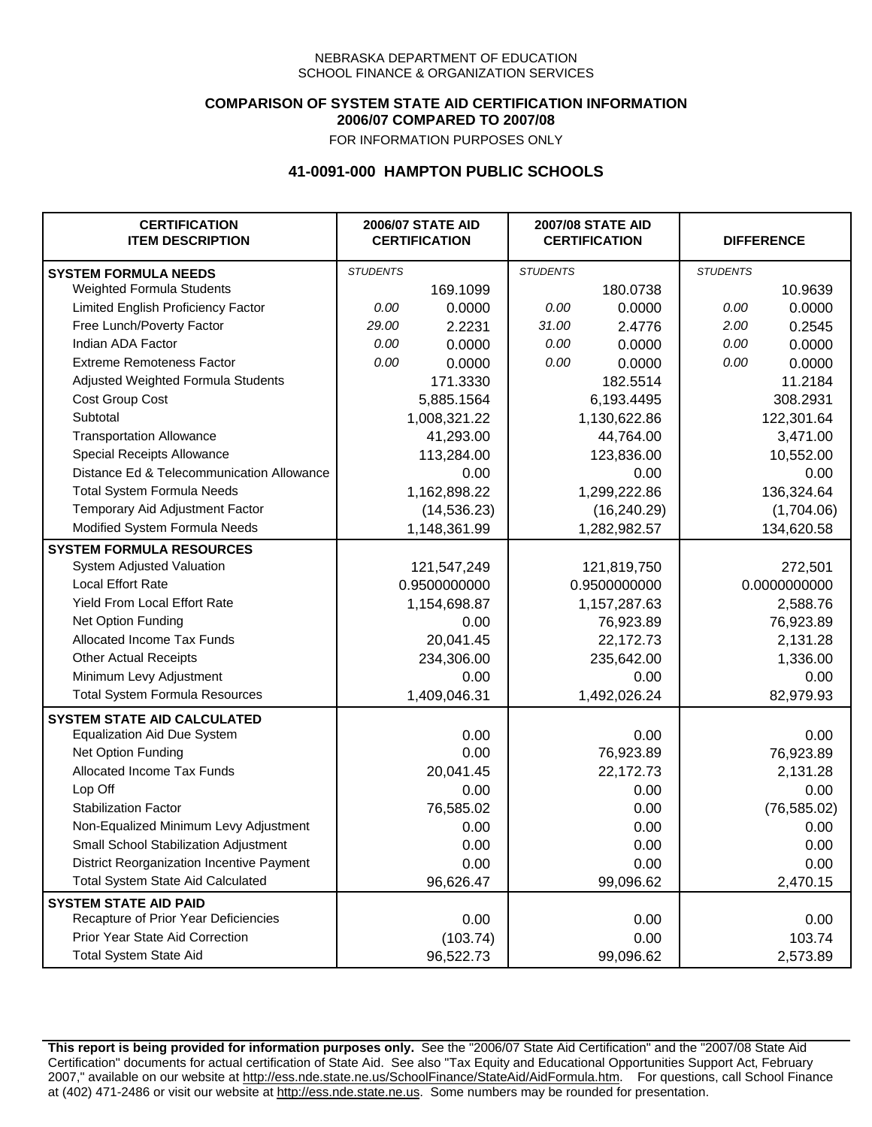### **COMPARISON OF SYSTEM STATE AID CERTIFICATION INFORMATION 2006/07 COMPARED TO 2007/08**

FOR INFORMATION PURPOSES ONLY

## **41-0091-000 HAMPTON PUBLIC SCHOOLS**

| <b>CERTIFICATION</b><br><b>ITEM DESCRIPTION</b> |                 | <b>2006/07 STATE AID</b><br><b>CERTIFICATION</b> | <b>2007/08 STATE AID</b><br><b>CERTIFICATION</b> |              |                 | <b>DIFFERENCE</b> |
|-------------------------------------------------|-----------------|--------------------------------------------------|--------------------------------------------------|--------------|-----------------|-------------------|
| <b>SYSTEM FORMULA NEEDS</b>                     | <b>STUDENTS</b> |                                                  | <b>STUDENTS</b>                                  |              | <b>STUDENTS</b> |                   |
| Weighted Formula Students                       |                 | 169.1099                                         |                                                  | 180.0738     |                 | 10.9639           |
| Limited English Proficiency Factor              | 0.00            | 0.0000                                           | 0.00                                             | 0.0000       | 0.00            | 0.0000            |
| Free Lunch/Poverty Factor                       | 29.00           | 2.2231                                           | 31.00                                            | 2.4776       | 2.00            | 0.2545            |
| Indian ADA Factor                               | 0.00            | 0.0000                                           | 0.00                                             | 0.0000       | 0.00            | 0.0000            |
| <b>Extreme Remoteness Factor</b>                | 0.00            | 0.0000                                           | 0.00                                             | 0.0000       | 0.00            | 0.0000            |
| Adjusted Weighted Formula Students              |                 | 171.3330                                         |                                                  | 182.5514     |                 | 11.2184           |
| Cost Group Cost                                 |                 | 5,885.1564                                       |                                                  | 6,193.4495   |                 | 308.2931          |
| Subtotal                                        |                 | 1,008,321.22                                     |                                                  | 1,130,622.86 |                 | 122,301.64        |
| <b>Transportation Allowance</b>                 |                 | 41,293.00                                        |                                                  | 44,764.00    |                 | 3,471.00          |
| Special Receipts Allowance                      |                 | 113,284.00                                       |                                                  | 123,836.00   |                 | 10,552.00         |
| Distance Ed & Telecommunication Allowance       |                 | 0.00                                             |                                                  | 0.00         |                 | 0.00              |
| <b>Total System Formula Needs</b>               |                 | 1,162,898.22                                     |                                                  | 1,299,222.86 |                 | 136,324.64        |
| Temporary Aid Adjustment Factor                 |                 | (14, 536.23)                                     |                                                  | (16, 240.29) |                 | (1,704.06)        |
| Modified System Formula Needs                   |                 | 1,148,361.99                                     |                                                  | 1,282,982.57 |                 | 134,620.58        |
| <b>SYSTEM FORMULA RESOURCES</b>                 |                 |                                                  |                                                  |              |                 |                   |
| System Adjusted Valuation                       |                 | 121,547,249                                      |                                                  | 121,819,750  |                 | 272,501           |
| <b>Local Effort Rate</b>                        |                 | 0.9500000000                                     |                                                  | 0.9500000000 |                 | 0.0000000000      |
| Yield From Local Effort Rate                    |                 | 1,154,698.87                                     |                                                  | 1,157,287.63 |                 | 2,588.76          |
| Net Option Funding                              |                 | 0.00                                             |                                                  | 76,923.89    |                 | 76,923.89         |
| Allocated Income Tax Funds                      |                 | 20,041.45                                        |                                                  | 22,172.73    |                 | 2,131.28          |
| <b>Other Actual Receipts</b>                    |                 | 234,306.00                                       |                                                  | 235,642.00   | 1,336.00        |                   |
| Minimum Levy Adjustment                         |                 | 0.00                                             |                                                  | 0.00         |                 | 0.00              |
| <b>Total System Formula Resources</b>           |                 | 1,409,046.31                                     |                                                  | 1,492,026.24 |                 | 82,979.93         |
| <b>SYSTEM STATE AID CALCULATED</b>              |                 |                                                  |                                                  |              |                 |                   |
| <b>Equalization Aid Due System</b>              |                 | 0.00                                             |                                                  | 0.00         |                 | 0.00              |
| Net Option Funding                              |                 | 0.00                                             |                                                  | 76,923.89    |                 | 76,923.89         |
| <b>Allocated Income Tax Funds</b>               |                 | 20,041.45                                        |                                                  | 22,172.73    |                 | 2,131.28          |
| Lop Off                                         |                 | 0.00                                             |                                                  | 0.00         |                 | 0.00              |
| <b>Stabilization Factor</b>                     |                 | 76,585.02                                        |                                                  | 0.00         |                 | (76, 585.02)      |
| Non-Equalized Minimum Levy Adjustment           |                 | 0.00                                             |                                                  | 0.00         |                 | 0.00              |
| Small School Stabilization Adjustment           |                 | 0.00                                             |                                                  | 0.00         |                 | 0.00              |
| District Reorganization Incentive Payment       |                 | 0.00                                             |                                                  | 0.00         |                 | 0.00              |
| <b>Total System State Aid Calculated</b>        |                 | 96,626.47                                        |                                                  | 99,096.62    |                 | 2,470.15          |
| <b>SYSTEM STATE AID PAID</b>                    |                 |                                                  |                                                  |              |                 |                   |
| Recapture of Prior Year Deficiencies            |                 | 0.00                                             |                                                  | 0.00         |                 | 0.00              |
| Prior Year State Aid Correction                 |                 | (103.74)                                         |                                                  | 0.00         |                 | 103.74            |
| <b>Total System State Aid</b>                   |                 | 96,522.73                                        |                                                  | 99,096.62    |                 | 2,573.89          |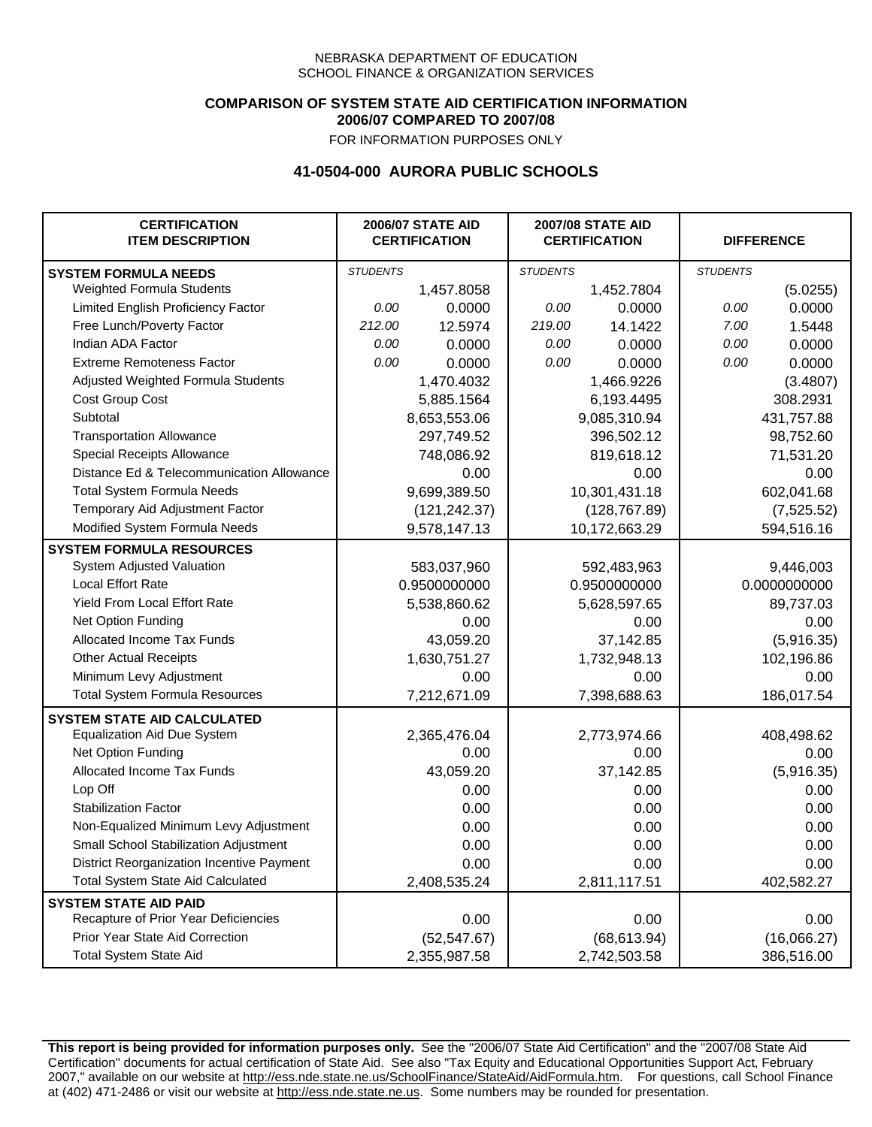### **COMPARISON OF SYSTEM STATE AID CERTIFICATION INFORMATION 2006/07 COMPARED TO 2007/08**

FOR INFORMATION PURPOSES ONLY

## **41-0504-000 AURORA PUBLIC SCHOOLS**

| <b>CERTIFICATION</b><br><b>ITEM DESCRIPTION</b> |                 | <b>2006/07 STATE AID</b><br><b>CERTIFICATION</b> | <b>2007/08 STATE AID</b><br><b>CERTIFICATION</b> |               | <b>DIFFERENCE</b> |              |
|-------------------------------------------------|-----------------|--------------------------------------------------|--------------------------------------------------|---------------|-------------------|--------------|
| <b>SYSTEM FORMULA NEEDS</b>                     | <b>STUDENTS</b> |                                                  | <b>STUDENTS</b>                                  |               | <b>STUDENTS</b>   |              |
| Weighted Formula Students                       |                 | 1,457.8058                                       |                                                  | 1,452.7804    |                   | (5.0255)     |
| Limited English Proficiency Factor              | 0.00            | 0.0000                                           | 0.00                                             | 0.0000        | 0.00              | 0.0000       |
| Free Lunch/Poverty Factor                       | 212.00          | 12.5974                                          | 219.00                                           | 14.1422       | 7.00              | 1.5448       |
| Indian ADA Factor                               | 0.00            | 0.0000                                           | 0.00                                             | 0.0000        | 0.00              | 0.0000       |
| <b>Extreme Remoteness Factor</b>                | 0.00            | 0.0000                                           | 0.00                                             | 0.0000        | 0.00              | 0.0000       |
| Adjusted Weighted Formula Students              |                 | 1,470.4032                                       |                                                  | 1,466.9226    |                   | (3.4807)     |
| Cost Group Cost                                 |                 | 5,885.1564                                       | 6,193.4495                                       |               | 308.2931          |              |
| Subtotal                                        |                 | 8,653,553.06                                     |                                                  | 9,085,310.94  |                   | 431,757.88   |
| <b>Transportation Allowance</b>                 |                 | 297,749.52                                       |                                                  | 396,502.12    |                   | 98,752.60    |
| Special Receipts Allowance                      |                 | 748,086.92                                       |                                                  | 819,618.12    |                   | 71,531.20    |
| Distance Ed & Telecommunication Allowance       |                 | 0.00                                             |                                                  | 0.00          |                   | 0.00         |
| <b>Total System Formula Needs</b>               |                 | 9,699,389.50                                     |                                                  | 10,301,431.18 | 602,041.68        |              |
| Temporary Aid Adjustment Factor                 |                 | (121, 242.37)                                    | (128, 767.89)                                    |               | (7, 525.52)       |              |
| Modified System Formula Needs                   |                 | 9,578,147.13                                     |                                                  | 10,172,663.29 |                   | 594,516.16   |
| <b>SYSTEM FORMULA RESOURCES</b>                 |                 |                                                  |                                                  |               |                   |              |
| System Adjusted Valuation                       |                 | 583,037,960                                      |                                                  | 592,483,963   |                   | 9,446,003    |
| <b>Local Effort Rate</b>                        |                 | 0.9500000000                                     |                                                  | 0.9500000000  |                   | 0.0000000000 |
| Yield From Local Effort Rate                    |                 | 5,538,860.62                                     |                                                  | 5,628,597.65  |                   | 89,737.03    |
| Net Option Funding                              |                 | 0.00                                             | 0.00                                             |               | 0.00              |              |
| Allocated Income Tax Funds                      |                 | 43,059.20                                        | 37,142.85                                        |               | (5,916.35)        |              |
| <b>Other Actual Receipts</b>                    |                 | 1,630,751.27                                     | 1,732,948.13                                     |               | 102,196.86        |              |
| Minimum Levy Adjustment                         |                 | 0.00                                             | 0.00                                             |               |                   | 0.00         |
| <b>Total System Formula Resources</b>           |                 | 7,212,671.09                                     |                                                  | 7,398,688.63  |                   | 186,017.54   |
| <b>SYSTEM STATE AID CALCULATED</b>              |                 |                                                  |                                                  |               |                   |              |
| <b>Equalization Aid Due System</b>              |                 | 2,365,476.04                                     |                                                  | 2,773,974.66  |                   | 408,498.62   |
| Net Option Funding                              |                 | 0.00                                             |                                                  | 0.00          |                   | 0.00         |
| Allocated Income Tax Funds                      |                 | 43,059.20                                        |                                                  | 37,142.85     |                   | (5,916.35)   |
| Lop Off                                         |                 | 0.00                                             |                                                  | 0.00          |                   | 0.00         |
| <b>Stabilization Factor</b>                     |                 | 0.00                                             |                                                  | 0.00          |                   | 0.00         |
| Non-Equalized Minimum Levy Adjustment           |                 | 0.00                                             |                                                  | 0.00          |                   | 0.00         |
| Small School Stabilization Adjustment           |                 | 0.00                                             |                                                  | 0.00          |                   | 0.00         |
| District Reorganization Incentive Payment       |                 | 0.00                                             |                                                  | 0.00          |                   | 0.00         |
| <b>Total System State Aid Calculated</b>        |                 | 2,408,535.24                                     |                                                  | 2,811,117.51  |                   | 402,582.27   |
| <b>SYSTEM STATE AID PAID</b>                    |                 |                                                  |                                                  |               |                   |              |
| Recapture of Prior Year Deficiencies            |                 | 0.00                                             |                                                  | 0.00          |                   | 0.00         |
| Prior Year State Aid Correction                 |                 | (52, 547.67)                                     |                                                  | (68, 613.94)  |                   | (16,066.27)  |
| <b>Total System State Aid</b>                   |                 | 2,355,987.58                                     |                                                  | 2,742,503.58  |                   | 386,516.00   |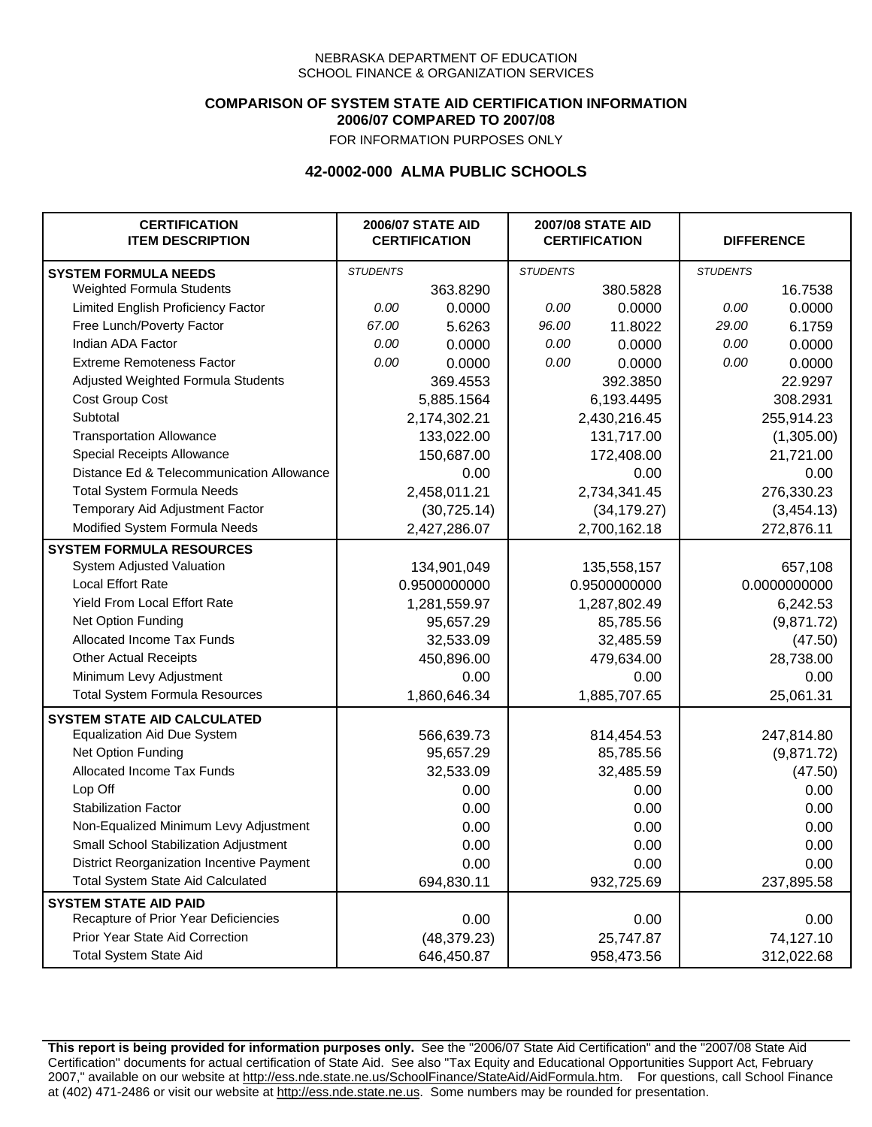## **COMPARISON OF SYSTEM STATE AID CERTIFICATION INFORMATION 2006/07 COMPARED TO 2007/08**

FOR INFORMATION PURPOSES ONLY

## **42-0002-000 ALMA PUBLIC SCHOOLS**

| <b>CERTIFICATION</b><br><b>ITEM DESCRIPTION</b> |                 | <b>2006/07 STATE AID</b><br><b>CERTIFICATION</b> | <b>2007/08 STATE AID</b><br><b>CERTIFICATION</b> |              | <b>DIFFERENCE</b> |              |
|-------------------------------------------------|-----------------|--------------------------------------------------|--------------------------------------------------|--------------|-------------------|--------------|
| <b>SYSTEM FORMULA NEEDS</b>                     | <b>STUDENTS</b> |                                                  | <b>STUDENTS</b>                                  |              | <b>STUDENTS</b>   |              |
| Weighted Formula Students                       |                 | 363.8290                                         |                                                  | 380.5828     |                   | 16.7538      |
| Limited English Proficiency Factor              | 0.00            | 0.0000                                           | 0.00                                             | 0.0000       | 0.00              | 0.0000       |
| Free Lunch/Poverty Factor                       | 67.00           | 5.6263                                           | 96.00                                            | 11.8022      | 29.00             | 6.1759       |
| Indian ADA Factor                               | 0.00            | 0.0000                                           | 0.00                                             | 0.0000       | 0.00              | 0.0000       |
| <b>Extreme Remoteness Factor</b>                | 0.00            | 0.0000                                           | 0.00                                             | 0.0000       | 0.00              | 0.0000       |
| Adjusted Weighted Formula Students              |                 | 369.4553                                         |                                                  | 392.3850     |                   | 22.9297      |
| Cost Group Cost                                 |                 | 5,885.1564                                       |                                                  | 6,193.4495   |                   | 308.2931     |
| Subtotal                                        |                 | 2,174,302.21                                     |                                                  | 2,430,216.45 |                   | 255,914.23   |
| <b>Transportation Allowance</b>                 |                 | 133,022.00                                       |                                                  | 131,717.00   |                   | (1,305.00)   |
| Special Receipts Allowance                      |                 | 150,687.00                                       |                                                  | 172,408.00   |                   | 21,721.00    |
| Distance Ed & Telecommunication Allowance       |                 | 0.00                                             |                                                  | 0.00         |                   | 0.00         |
| <b>Total System Formula Needs</b>               |                 | 2,458,011.21                                     |                                                  | 2,734,341.45 | 276,330.23        |              |
| Temporary Aid Adjustment Factor                 |                 | (30, 725.14)                                     | (34, 179.27)                                     |              | (3,454.13)        |              |
| Modified System Formula Needs                   |                 | 2,427,286.07                                     |                                                  | 2,700,162.18 |                   | 272,876.11   |
| <b>SYSTEM FORMULA RESOURCES</b>                 |                 |                                                  |                                                  |              |                   |              |
| System Adjusted Valuation                       |                 | 134,901,049                                      |                                                  | 135,558,157  |                   | 657,108      |
| <b>Local Effort Rate</b>                        |                 | 0.9500000000                                     |                                                  | 0.9500000000 |                   | 0.0000000000 |
| Yield From Local Effort Rate                    |                 | 1,281,559.97                                     | 1,287,802.49                                     |              | 6,242.53          |              |
| Net Option Funding                              |                 | 95,657.29                                        | 85,785.56                                        |              | (9,871.72)        |              |
| Allocated Income Tax Funds                      |                 | 32,533.09                                        | 32,485.59                                        |              | (47.50)           |              |
| <b>Other Actual Receipts</b>                    |                 | 450,896.00                                       |                                                  | 479,634.00   | 28,738.00         |              |
| Minimum Levy Adjustment                         |                 | 0.00                                             |                                                  | 0.00         |                   | 0.00         |
| <b>Total System Formula Resources</b>           |                 | 1,860,646.34                                     |                                                  | 1,885,707.65 |                   | 25,061.31    |
| <b>SYSTEM STATE AID CALCULATED</b>              |                 |                                                  |                                                  |              |                   |              |
| <b>Equalization Aid Due System</b>              |                 | 566,639.73                                       |                                                  | 814,454.53   |                   | 247,814.80   |
| Net Option Funding                              |                 | 95,657.29                                        |                                                  | 85,785.56    |                   | (9,871.72)   |
| Allocated Income Tax Funds                      |                 | 32,533.09                                        |                                                  | 32,485.59    |                   | (47.50)      |
| Lop Off                                         |                 | 0.00                                             |                                                  | 0.00         |                   | 0.00         |
| <b>Stabilization Factor</b>                     |                 | 0.00                                             |                                                  | 0.00         |                   | 0.00         |
| Non-Equalized Minimum Levy Adjustment           |                 | 0.00                                             |                                                  | 0.00         |                   | 0.00         |
| Small School Stabilization Adjustment           |                 | 0.00                                             |                                                  | 0.00         |                   | 0.00         |
| District Reorganization Incentive Payment       |                 | 0.00                                             |                                                  | 0.00         |                   | 0.00         |
| <b>Total System State Aid Calculated</b>        |                 | 694,830.11                                       |                                                  | 932,725.69   |                   | 237,895.58   |
| <b>SYSTEM STATE AID PAID</b>                    |                 |                                                  |                                                  |              |                   |              |
| Recapture of Prior Year Deficiencies            |                 | 0.00                                             |                                                  | 0.00         |                   | 0.00         |
| Prior Year State Aid Correction                 |                 | (48, 379.23)                                     |                                                  | 25,747.87    |                   | 74,127.10    |
| Total System State Aid                          |                 | 646,450.87                                       |                                                  | 958,473.56   |                   | 312,022.68   |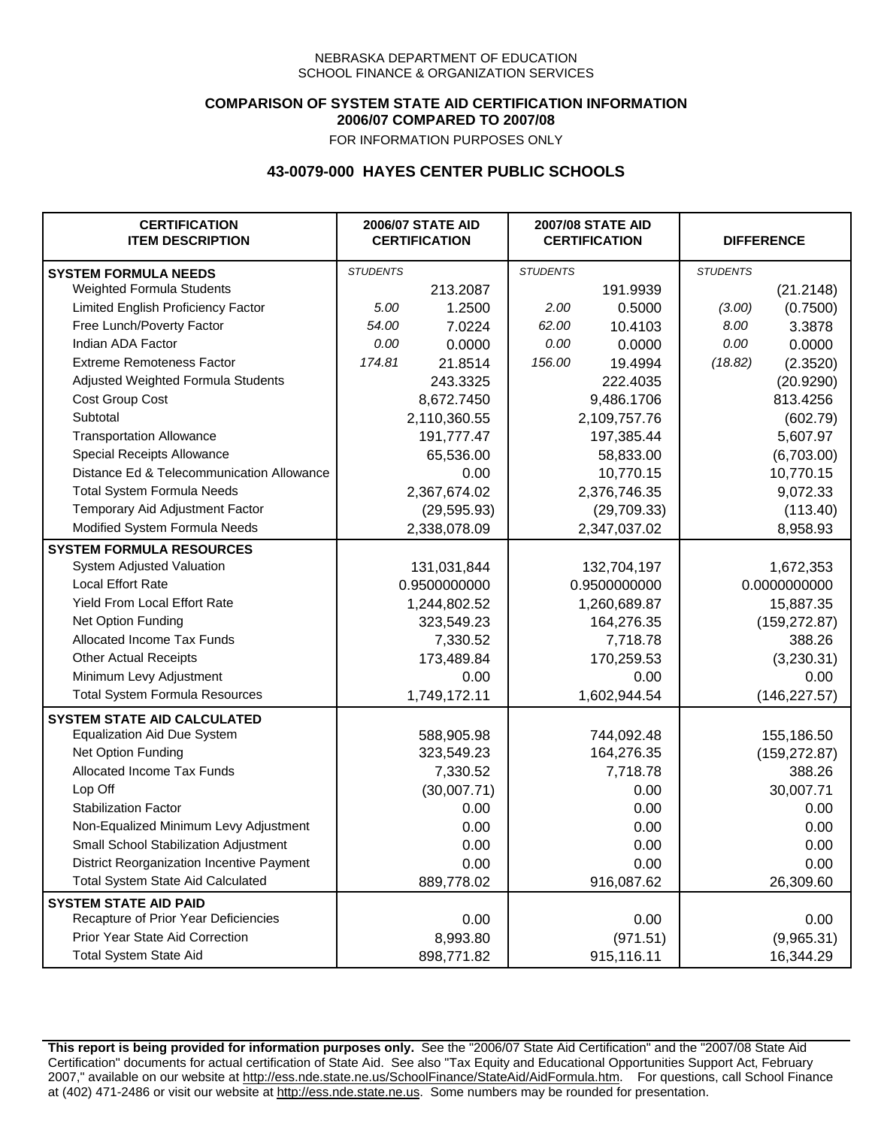## **COMPARISON OF SYSTEM STATE AID CERTIFICATION INFORMATION 2006/07 COMPARED TO 2007/08**

FOR INFORMATION PURPOSES ONLY

## **43-0079-000 HAYES CENTER PUBLIC SCHOOLS**

| <b>CERTIFICATION</b><br><b>ITEM DESCRIPTION</b> |                 | <b>2006/07 STATE AID</b><br><b>CERTIFICATION</b> | <b>2007/08 STATE AID</b><br><b>CERTIFICATION</b> |              | <b>DIFFERENCE</b> |               |
|-------------------------------------------------|-----------------|--------------------------------------------------|--------------------------------------------------|--------------|-------------------|---------------|
| <b>SYSTEM FORMULA NEEDS</b>                     | <b>STUDENTS</b> |                                                  | <b>STUDENTS</b>                                  |              | <b>STUDENTS</b>   |               |
| Weighted Formula Students                       |                 | 213.2087                                         |                                                  | 191.9939     |                   | (21.2148)     |
| Limited English Proficiency Factor              | 5.00            | 1.2500                                           | 2.00                                             | 0.5000       | (3.00)            | (0.7500)      |
| Free Lunch/Poverty Factor                       | 54.00           | 7.0224                                           | 62.00                                            | 10.4103      | 8.00              | 3.3878        |
| Indian ADA Factor                               | 0.00            | 0.0000                                           | 0.00                                             | 0.0000       | 0.00              | 0.0000        |
| <b>Extreme Remoteness Factor</b>                | 174.81          | 21.8514                                          | 156.00                                           | 19.4994      | (18.82)           | (2.3520)      |
| Adjusted Weighted Formula Students              |                 | 243.3325                                         |                                                  | 222.4035     |                   | (20.9290)     |
| Cost Group Cost                                 |                 | 8,672.7450                                       |                                                  | 9,486.1706   |                   | 813.4256      |
| Subtotal                                        |                 | 2,110,360.55                                     |                                                  | 2,109,757.76 |                   | (602.79)      |
| <b>Transportation Allowance</b>                 |                 | 191,777.47                                       |                                                  | 197,385.44   |                   | 5,607.97      |
| Special Receipts Allowance                      |                 | 65,536.00                                        |                                                  | 58,833.00    |                   | (6,703.00)    |
| Distance Ed & Telecommunication Allowance       |                 | 0.00                                             |                                                  | 10,770.15    |                   | 10,770.15     |
| <b>Total System Formula Needs</b>               |                 | 2,367,674.02                                     |                                                  | 2,376,746.35 | 9,072.33          |               |
| Temporary Aid Adjustment Factor                 |                 | (29, 595.93)                                     | (29,709.33)                                      |              | (113.40)          |               |
| Modified System Formula Needs                   |                 | 2,338,078.09                                     |                                                  | 2,347,037.02 |                   | 8,958.93      |
| <b>SYSTEM FORMULA RESOURCES</b>                 |                 |                                                  |                                                  |              |                   |               |
| System Adjusted Valuation                       |                 | 131,031,844                                      |                                                  | 132,704,197  |                   | 1,672,353     |
| <b>Local Effort Rate</b>                        |                 | 0.9500000000                                     |                                                  | 0.9500000000 | 0.0000000000      |               |
| <b>Yield From Local Effort Rate</b>             |                 | 1,244,802.52                                     | 1,260,689.87                                     |              | 15,887.35         |               |
| Net Option Funding                              |                 | 323,549.23                                       | 164,276.35                                       |              | (159, 272.87)     |               |
| Allocated Income Tax Funds                      |                 | 7,330.52                                         | 7,718.78                                         |              | 388.26            |               |
| <b>Other Actual Receipts</b>                    |                 | 173,489.84                                       | 170,259.53                                       |              | (3,230.31)        |               |
| Minimum Levy Adjustment                         |                 | 0.00                                             |                                                  | 0.00         | 0.00              |               |
| <b>Total System Formula Resources</b>           |                 | 1,749,172.11                                     |                                                  | 1,602,944.54 |                   | (146, 227.57) |
| <b>SYSTEM STATE AID CALCULATED</b>              |                 |                                                  |                                                  |              |                   |               |
| <b>Equalization Aid Due System</b>              |                 | 588,905.98                                       |                                                  | 744,092.48   |                   | 155,186.50    |
| Net Option Funding                              |                 | 323,549.23                                       |                                                  | 164,276.35   |                   | (159, 272.87) |
| Allocated Income Tax Funds                      |                 | 7,330.52                                         |                                                  | 7,718.78     |                   | 388.26        |
| Lop Off                                         |                 | (30,007.71)                                      |                                                  | 0.00         |                   | 30,007.71     |
| <b>Stabilization Factor</b>                     |                 | 0.00                                             |                                                  | 0.00         |                   | 0.00          |
| Non-Equalized Minimum Levy Adjustment           |                 | 0.00                                             |                                                  | 0.00         |                   | 0.00          |
| Small School Stabilization Adjustment           |                 | 0.00                                             |                                                  | 0.00         |                   | 0.00          |
| District Reorganization Incentive Payment       |                 | 0.00                                             |                                                  | 0.00         |                   | 0.00          |
| Total System State Aid Calculated               |                 | 889,778.02                                       |                                                  | 916,087.62   |                   | 26,309.60     |
| <b>SYSTEM STATE AID PAID</b>                    |                 |                                                  |                                                  |              |                   |               |
| Recapture of Prior Year Deficiencies            |                 | 0.00                                             |                                                  | 0.00         |                   | 0.00          |
| Prior Year State Aid Correction                 |                 | 8,993.80                                         |                                                  | (971.51)     |                   | (9,965.31)    |
| <b>Total System State Aid</b>                   |                 | 898,771.82                                       |                                                  | 915,116.11   |                   | 16,344.29     |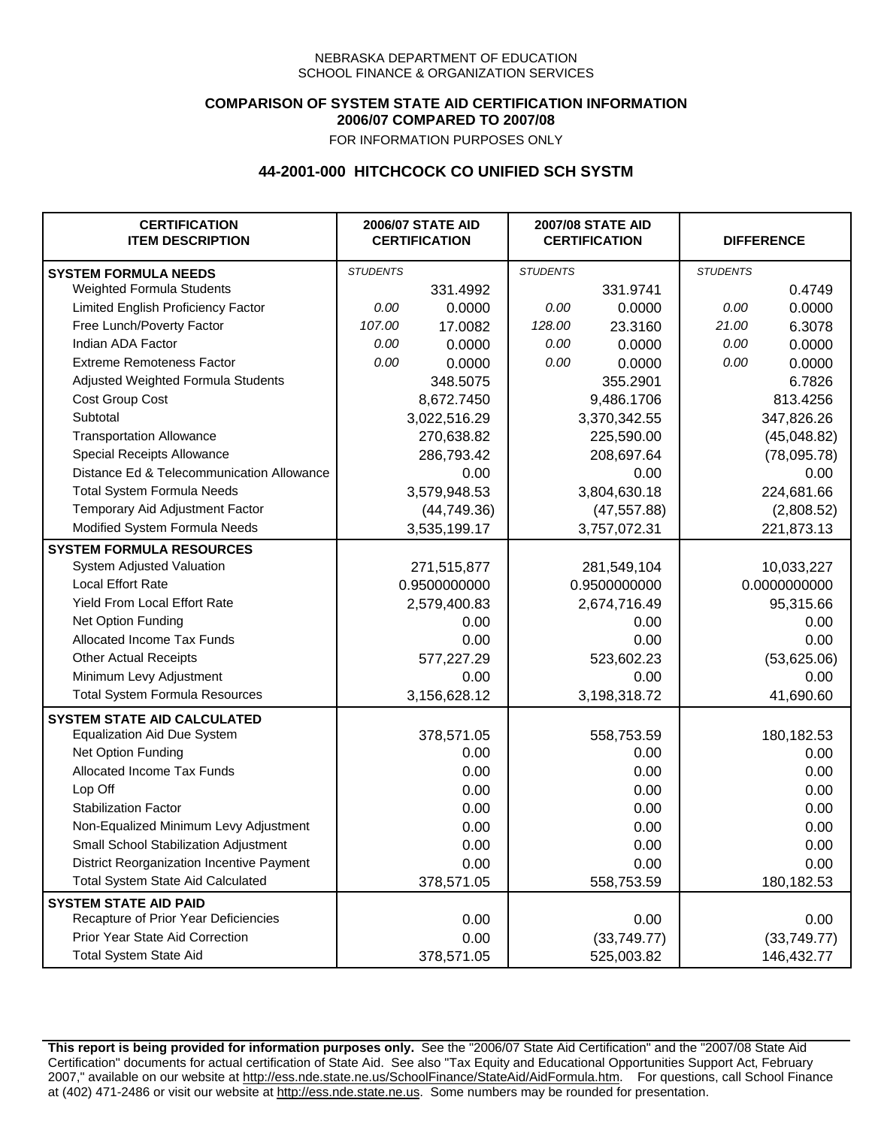## **COMPARISON OF SYSTEM STATE AID CERTIFICATION INFORMATION 2006/07 COMPARED TO 2007/08**

FOR INFORMATION PURPOSES ONLY

## **44-2001-000 HITCHCOCK CO UNIFIED SCH SYSTM**

| <b>CERTIFICATION</b><br><b>ITEM DESCRIPTION</b> |                 | <b>2006/07 STATE AID</b><br><b>CERTIFICATION</b> | <b>2007/08 STATE AID</b><br><b>CERTIFICATION</b> |              | <b>DIFFERENCE</b> |              |
|-------------------------------------------------|-----------------|--------------------------------------------------|--------------------------------------------------|--------------|-------------------|--------------|
| <b>SYSTEM FORMULA NEEDS</b>                     | <b>STUDENTS</b> |                                                  | <b>STUDENTS</b>                                  |              | <b>STUDENTS</b>   |              |
| Weighted Formula Students                       |                 | 331.4992                                         |                                                  | 331.9741     |                   | 0.4749       |
| Limited English Proficiency Factor              | 0.00            | 0.0000                                           | 0.00                                             | 0.0000       | 0.00              | 0.0000       |
| Free Lunch/Poverty Factor                       | 107.00          | 17.0082                                          | 128.00                                           | 23.3160      | 21.00             | 6.3078       |
| Indian ADA Factor                               | 0.00            | 0.0000                                           | 0.00                                             | 0.0000       | 0.00              | 0.0000       |
| <b>Extreme Remoteness Factor</b>                | 0.00            | 0.0000                                           | 0.00                                             | 0.0000       | 0.00              | 0.0000       |
| Adjusted Weighted Formula Students              |                 | 348.5075                                         |                                                  | 355.2901     |                   | 6.7826       |
| Cost Group Cost                                 |                 | 8,672.7450                                       |                                                  | 9,486.1706   |                   | 813.4256     |
| Subtotal                                        |                 | 3,022,516.29                                     |                                                  | 3,370,342.55 |                   | 347,826.26   |
| <b>Transportation Allowance</b>                 |                 | 270,638.82                                       |                                                  | 225,590.00   |                   | (45,048.82)  |
| Special Receipts Allowance                      |                 | 286,793.42                                       |                                                  | 208,697.64   |                   | (78,095.78)  |
| Distance Ed & Telecommunication Allowance       |                 | 0.00                                             |                                                  | 0.00         |                   | 0.00         |
| <b>Total System Formula Needs</b>               |                 | 3,579,948.53                                     |                                                  | 3,804,630.18 | 224,681.66        |              |
| Temporary Aid Adjustment Factor                 |                 | (44, 749.36)                                     | (47, 557.88)                                     |              | (2,808.52)        |              |
| Modified System Formula Needs                   |                 | 3,535,199.17                                     |                                                  | 3,757,072.31 |                   | 221,873.13   |
| <b>SYSTEM FORMULA RESOURCES</b>                 |                 |                                                  |                                                  |              |                   |              |
| System Adjusted Valuation                       |                 | 271,515,877                                      |                                                  | 281,549,104  |                   | 10,033,227   |
| <b>Local Effort Rate</b>                        |                 | 0.9500000000                                     |                                                  | 0.9500000000 |                   | 0.0000000000 |
| Yield From Local Effort Rate                    |                 | 2,579,400.83                                     | 2,674,716.49                                     |              |                   | 95,315.66    |
| Net Option Funding                              |                 | 0.00                                             | 0.00                                             |              | 0.00              |              |
| Allocated Income Tax Funds                      |                 | 0.00                                             | 0.00                                             |              | 0.00              |              |
| <b>Other Actual Receipts</b>                    |                 | 577,227.29                                       | 523,602.23                                       |              | (53,625.06)       |              |
| Minimum Levy Adjustment                         |                 | 0.00                                             |                                                  | 0.00         |                   | 0.00         |
| <b>Total System Formula Resources</b>           |                 | 3,156,628.12                                     |                                                  | 3,198,318.72 |                   | 41,690.60    |
| <b>SYSTEM STATE AID CALCULATED</b>              |                 |                                                  |                                                  |              |                   |              |
| <b>Equalization Aid Due System</b>              |                 | 378,571.05                                       |                                                  | 558,753.59   |                   | 180,182.53   |
| Net Option Funding                              |                 | 0.00                                             |                                                  | 0.00         |                   | 0.00         |
| <b>Allocated Income Tax Funds</b>               |                 | 0.00                                             |                                                  | 0.00         |                   | 0.00         |
| Lop Off                                         |                 | 0.00                                             |                                                  | 0.00         |                   | 0.00         |
| <b>Stabilization Factor</b>                     |                 | 0.00                                             |                                                  | 0.00         |                   | 0.00         |
| Non-Equalized Minimum Levy Adjustment           |                 | 0.00                                             |                                                  | 0.00         |                   | 0.00         |
| Small School Stabilization Adjustment           |                 | 0.00                                             |                                                  | 0.00         |                   | 0.00         |
| District Reorganization Incentive Payment       |                 | 0.00                                             |                                                  | 0.00         |                   | 0.00         |
| Total System State Aid Calculated               |                 | 378,571.05                                       |                                                  | 558,753.59   |                   | 180,182.53   |
| <b>SYSTEM STATE AID PAID</b>                    |                 |                                                  |                                                  |              |                   |              |
| Recapture of Prior Year Deficiencies            |                 | 0.00                                             |                                                  | 0.00         |                   | 0.00         |
| Prior Year State Aid Correction                 |                 | 0.00                                             |                                                  | (33,749.77)  |                   | (33,749.77)  |
| <b>Total System State Aid</b>                   |                 | 378,571.05                                       |                                                  | 525,003.82   |                   | 146,432.77   |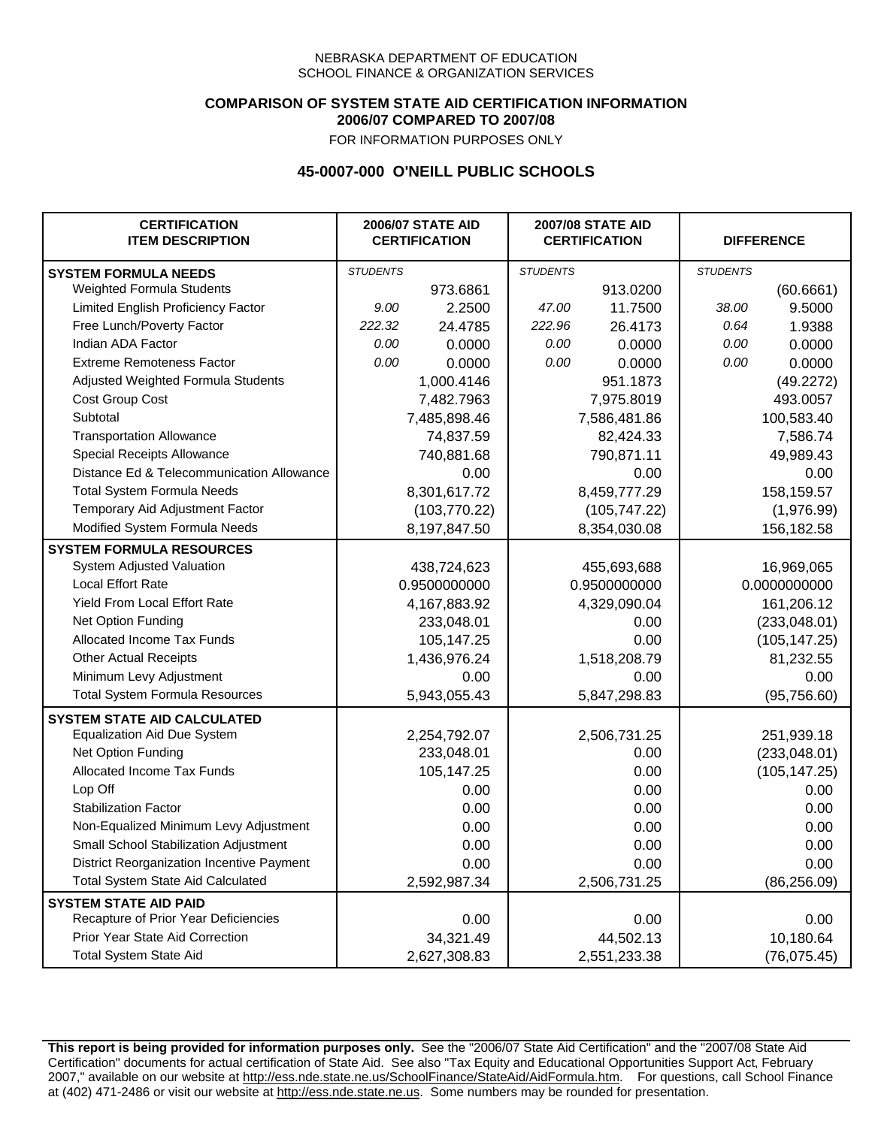### **COMPARISON OF SYSTEM STATE AID CERTIFICATION INFORMATION 2006/07 COMPARED TO 2007/08**

FOR INFORMATION PURPOSES ONLY

# **45-0007-000 O'NEILL PUBLIC SCHOOLS**

| <b>CERTIFICATION</b><br><b>ITEM DESCRIPTION</b> |                 | <b>2006/07 STATE AID</b><br><b>CERTIFICATION</b> | <b>2007/08 STATE AID</b><br><b>CERTIFICATION</b> |              | <b>DIFFERENCE</b> |               |  |
|-------------------------------------------------|-----------------|--------------------------------------------------|--------------------------------------------------|--------------|-------------------|---------------|--|
| <b>SYSTEM FORMULA NEEDS</b>                     | <b>STUDENTS</b> |                                                  | <b>STUDENTS</b>                                  |              | <b>STUDENTS</b>   |               |  |
| Weighted Formula Students                       |                 | 973.6861                                         |                                                  | 913.0200     |                   | (60.6661)     |  |
| Limited English Proficiency Factor              | 9.00            | 2.2500                                           | 47.00                                            | 11.7500      | 38.00             | 9.5000        |  |
| Free Lunch/Poverty Factor                       | 222.32          | 24.4785                                          | 222.96                                           | 26.4173      | 0.64              | 1.9388        |  |
| Indian ADA Factor                               | 0.00            | 0.0000                                           | 0.00                                             | 0.0000       | 0.00              | 0.0000        |  |
| <b>Extreme Remoteness Factor</b>                | 0.00            | 0.0000                                           | 0.00                                             | 0.0000       | 0.00              | 0.0000        |  |
| Adjusted Weighted Formula Students              |                 | 1,000.4146                                       |                                                  | 951.1873     |                   | (49.2272)     |  |
| Cost Group Cost                                 |                 | 7,482.7963                                       |                                                  | 7,975.8019   |                   | 493.0057      |  |
| Subtotal                                        |                 | 7,485,898.46                                     |                                                  | 7,586,481.86 |                   | 100,583.40    |  |
| <b>Transportation Allowance</b>                 |                 | 74,837.59                                        |                                                  | 82,424.33    |                   | 7,586.74      |  |
| Special Receipts Allowance                      |                 | 740,881.68                                       |                                                  | 790,871.11   |                   | 49,989.43     |  |
| Distance Ed & Telecommunication Allowance       |                 | 0.00                                             |                                                  | 0.00         |                   | 0.00          |  |
| <b>Total System Formula Needs</b>               |                 | 8,301,617.72                                     | 8,459,777.29                                     |              | 158,159.57        |               |  |
| Temporary Aid Adjustment Factor                 |                 | (103, 770.22)                                    | (105, 747.22)                                    |              | (1,976.99)        |               |  |
| Modified System Formula Needs                   | 8,197,847.50    |                                                  | 8,354,030.08                                     |              | 156,182.58        |               |  |
| <b>SYSTEM FORMULA RESOURCES</b>                 |                 |                                                  |                                                  |              |                   |               |  |
| System Adjusted Valuation                       |                 | 438,724,623                                      |                                                  | 455,693,688  |                   | 16,969,065    |  |
| <b>Local Effort Rate</b>                        |                 | 0.9500000000                                     |                                                  | 0.9500000000 | 0.0000000000      |               |  |
| <b>Yield From Local Effort Rate</b>             |                 | 4,167,883.92                                     | 4,329,090.04                                     |              |                   | 161,206.12    |  |
| Net Option Funding                              |                 | 233,048.01                                       | 0.00                                             |              | (233,048.01)      |               |  |
| Allocated Income Tax Funds                      |                 | 105,147.25                                       | 0.00                                             |              | (105, 147.25)     |               |  |
| <b>Other Actual Receipts</b>                    |                 | 1,436,976.24                                     | 1,518,208.79                                     |              | 81,232.55         |               |  |
| Minimum Levy Adjustment                         |                 | 0.00                                             | 0.00                                             |              |                   | 0.00          |  |
| <b>Total System Formula Resources</b>           |                 | 5,943,055.43                                     |                                                  | 5,847,298.83 |                   | (95, 756.60)  |  |
| <b>SYSTEM STATE AID CALCULATED</b>              |                 |                                                  |                                                  |              |                   |               |  |
| <b>Equalization Aid Due System</b>              |                 | 2,254,792.07                                     |                                                  | 2,506,731.25 |                   | 251,939.18    |  |
| Net Option Funding                              |                 | 233,048.01                                       |                                                  | 0.00         |                   | (233, 048.01) |  |
| Allocated Income Tax Funds                      |                 | 105,147.25                                       |                                                  | 0.00         |                   | (105, 147.25) |  |
| Lop Off                                         |                 | 0.00                                             |                                                  | 0.00         |                   | 0.00          |  |
| <b>Stabilization Factor</b>                     |                 | 0.00                                             |                                                  | 0.00         |                   | 0.00          |  |
| Non-Equalized Minimum Levy Adjustment           |                 | 0.00                                             |                                                  | 0.00         |                   | 0.00          |  |
| Small School Stabilization Adjustment           |                 | 0.00                                             |                                                  | 0.00         |                   | 0.00          |  |
| District Reorganization Incentive Payment       |                 | 0.00                                             |                                                  | 0.00         |                   | 0.00          |  |
| Total System State Aid Calculated               | 2,592,987.34    |                                                  |                                                  | 2,506,731.25 |                   | (86, 256.09)  |  |
| <b>SYSTEM STATE AID PAID</b>                    |                 |                                                  |                                                  |              |                   |               |  |
| Recapture of Prior Year Deficiencies            |                 | 0.00                                             |                                                  | 0.00         |                   | 0.00          |  |
| Prior Year State Aid Correction                 |                 | 34,321.49                                        |                                                  | 44,502.13    | 10,180.64         |               |  |
| <b>Total System State Aid</b>                   |                 | 2,627,308.83                                     |                                                  | 2,551,233.38 |                   | (76, 075.45)  |  |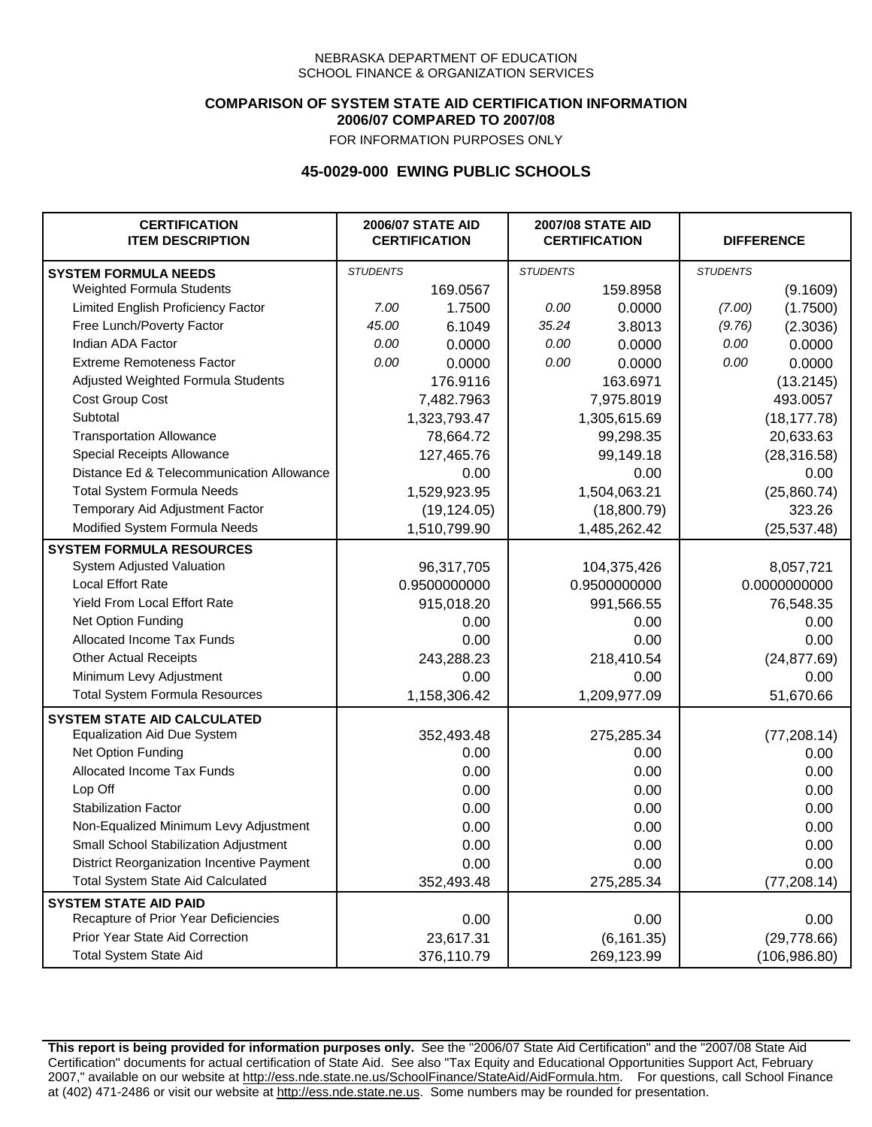### **COMPARISON OF SYSTEM STATE AID CERTIFICATION INFORMATION 2006/07 COMPARED TO 2007/08**

FOR INFORMATION PURPOSES ONLY

## **45-0029-000 EWING PUBLIC SCHOOLS**

| <b>CERTIFICATION</b><br><b>ITEM DESCRIPTION</b> | <b>2006/07 STATE AID</b><br><b>CERTIFICATION</b> |              | <b>2007/08 STATE AID</b><br><b>CERTIFICATION</b> |              | <b>DIFFERENCE</b> |               |
|-------------------------------------------------|--------------------------------------------------|--------------|--------------------------------------------------|--------------|-------------------|---------------|
| <b>SYSTEM FORMULA NEEDS</b>                     | <b>STUDENTS</b>                                  |              | <b>STUDENTS</b>                                  |              | <b>STUDENTS</b>   |               |
| Weighted Formula Students                       |                                                  | 169.0567     |                                                  | 159.8958     |                   | (9.1609)      |
| Limited English Proficiency Factor              | 7.00                                             | 1.7500       | 0.00                                             | 0.0000       | (7.00)            | (1.7500)      |
| Free Lunch/Poverty Factor                       | 45.00                                            | 6.1049       | 35.24                                            | 3.8013       | (9.76)            | (2.3036)      |
| Indian ADA Factor                               | 0.00                                             | 0.0000       | 0.00                                             | 0.0000       | 0.00              | 0.0000        |
| <b>Extreme Remoteness Factor</b>                | 0.00                                             | 0.0000       | 0.00                                             | 0.0000       | 0.00              | 0.0000        |
| Adjusted Weighted Formula Students              |                                                  | 176.9116     |                                                  | 163.6971     |                   | (13.2145)     |
| Cost Group Cost                                 |                                                  | 7,482.7963   |                                                  | 7,975.8019   |                   | 493.0057      |
| Subtotal                                        |                                                  | 1,323,793.47 | 1,305,615.69                                     |              | (18, 177.78)      |               |
| <b>Transportation Allowance</b>                 |                                                  | 78,664.72    | 99,298.35                                        |              | 20,633.63         |               |
| Special Receipts Allowance                      |                                                  | 127,465.76   | 99,149.18                                        |              | (28, 316.58)      |               |
| Distance Ed & Telecommunication Allowance       |                                                  | 0.00         | 0.00                                             |              | 0.00              |               |
| <b>Total System Formula Needs</b>               |                                                  | 1,529,923.95 | 1,504,063.21                                     |              | (25,860.74)       |               |
| Temporary Aid Adjustment Factor                 |                                                  | (19, 124.05) | (18,800.79)                                      |              | 323.26            |               |
| Modified System Formula Needs                   |                                                  | 1,510,799.90 |                                                  | 1,485,262.42 |                   | (25, 537.48)  |
| <b>SYSTEM FORMULA RESOURCES</b>                 |                                                  |              |                                                  |              |                   |               |
| System Adjusted Valuation                       |                                                  | 96,317,705   |                                                  | 104,375,426  |                   | 8,057,721     |
| <b>Local Effort Rate</b>                        |                                                  | 0.9500000000 | 0.9500000000                                     |              | 0.0000000000      |               |
| Yield From Local Effort Rate                    |                                                  | 915,018.20   | 991,566.55                                       |              | 76,548.35         |               |
| Net Option Funding                              |                                                  | 0.00         |                                                  | 0.00         |                   | 0.00          |
| Allocated Income Tax Funds                      |                                                  | 0.00         |                                                  | 0.00         |                   | 0.00          |
| <b>Other Actual Receipts</b>                    |                                                  | 243,288.23   | 218,410.54                                       |              | (24, 877.69)      |               |
| Minimum Levy Adjustment                         | 0.00                                             |              | 0.00                                             |              | 0.00              |               |
| <b>Total System Formula Resources</b>           |                                                  | 1,158,306.42 |                                                  | 1,209,977.09 |                   | 51,670.66     |
| <b>SYSTEM STATE AID CALCULATED</b>              |                                                  |              |                                                  |              |                   |               |
| <b>Equalization Aid Due System</b>              |                                                  | 352,493.48   |                                                  | 275,285.34   |                   | (77, 208.14)  |
| Net Option Funding                              |                                                  | 0.00         |                                                  | 0.00         |                   | 0.00          |
| Allocated Income Tax Funds                      |                                                  | 0.00         |                                                  | 0.00         |                   | 0.00          |
| Lop Off                                         |                                                  | 0.00         |                                                  | 0.00         |                   | 0.00          |
| <b>Stabilization Factor</b>                     |                                                  | 0.00         |                                                  | 0.00         |                   | 0.00          |
| Non-Equalized Minimum Levy Adjustment           | 0.00                                             |              | 0.00                                             |              | 0.00              |               |
| Small School Stabilization Adjustment           | 0.00                                             |              | 0.00                                             |              | 0.00              |               |
| District Reorganization Incentive Payment       | 0.00                                             |              | 0.00                                             |              | 0.00              |               |
| <b>Total System State Aid Calculated</b>        |                                                  | 352,493.48   |                                                  | 275,285.34   |                   | (77, 208.14)  |
| <b>SYSTEM STATE AID PAID</b>                    |                                                  |              |                                                  |              |                   |               |
| Recapture of Prior Year Deficiencies            |                                                  | 0.00         |                                                  | 0.00         |                   | 0.00          |
| Prior Year State Aid Correction                 |                                                  | 23,617.31    |                                                  | (6, 161.35)  |                   | (29, 778.66)  |
| <b>Total System State Aid</b>                   |                                                  | 376,110.79   |                                                  | 269,123.99   |                   | (106, 986.80) |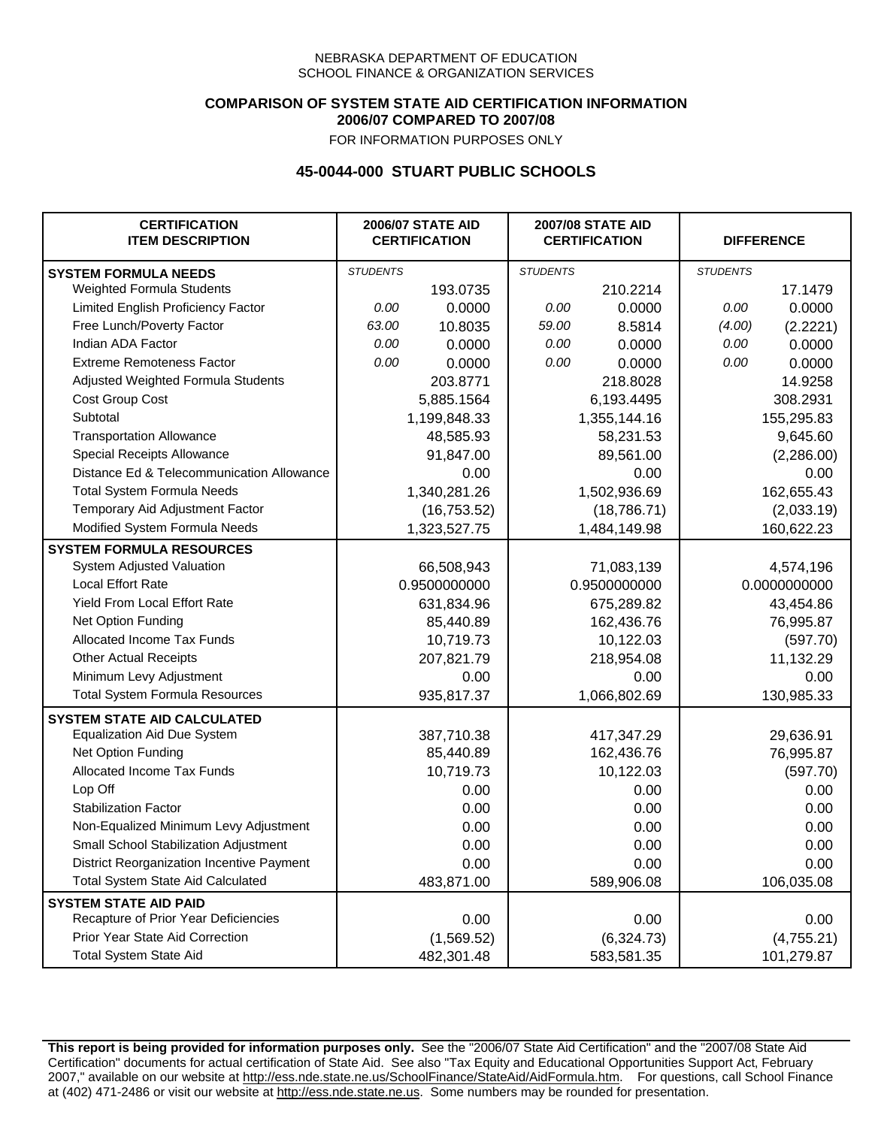## **COMPARISON OF SYSTEM STATE AID CERTIFICATION INFORMATION 2006/07 COMPARED TO 2007/08**

FOR INFORMATION PURPOSES ONLY

## **45-0044-000 STUART PUBLIC SCHOOLS**

| <b>CERTIFICATION</b><br><b>ITEM DESCRIPTION</b> | <b>2006/07 STATE AID</b><br><b>CERTIFICATION</b> |              | <b>2007/08 STATE AID</b><br><b>CERTIFICATION</b> |              | <b>DIFFERENCE</b> |              |
|-------------------------------------------------|--------------------------------------------------|--------------|--------------------------------------------------|--------------|-------------------|--------------|
| <b>SYSTEM FORMULA NEEDS</b>                     | <b>STUDENTS</b>                                  |              | <b>STUDENTS</b>                                  |              | <b>STUDENTS</b>   |              |
| Weighted Formula Students                       |                                                  | 193.0735     |                                                  | 210.2214     |                   | 17.1479      |
| Limited English Proficiency Factor              | 0.00                                             | 0.0000       | 0.00                                             | 0.0000       | 0.00              | 0.0000       |
| Free Lunch/Poverty Factor                       | 63.00                                            | 10.8035      | 59.00                                            | 8.5814       | (4.00)            | (2.2221)     |
| Indian ADA Factor                               | 0.00                                             | 0.0000       | 0.00                                             | 0.0000       | 0.00              | 0.0000       |
| <b>Extreme Remoteness Factor</b>                | 0.00                                             | 0.0000       | 0.00                                             | 0.0000       | 0.00              | 0.0000       |
| Adjusted Weighted Formula Students              |                                                  | 203.8771     |                                                  | 218.8028     |                   | 14.9258      |
| Cost Group Cost                                 |                                                  | 5,885.1564   |                                                  | 6,193.4495   |                   | 308.2931     |
| Subtotal                                        | 1,199,848.33                                     |              | 1,355,144.16                                     |              | 155,295.83        |              |
| <b>Transportation Allowance</b>                 |                                                  | 48,585.93    | 58,231.53                                        |              | 9,645.60          |              |
| Special Receipts Allowance                      |                                                  | 91,847.00    | 89,561.00                                        |              | (2,286.00)        |              |
| Distance Ed & Telecommunication Allowance       |                                                  | 0.00         |                                                  | 0.00         |                   | 0.00         |
| <b>Total System Formula Needs</b>               |                                                  | 1,340,281.26 |                                                  | 1,502,936.69 |                   | 162,655.43   |
| Temporary Aid Adjustment Factor                 |                                                  | (16, 753.52) | (18, 786.71)                                     |              | (2,033.19)        |              |
| Modified System Formula Needs                   |                                                  | 1,323,527.75 |                                                  | 1,484,149.98 |                   | 160,622.23   |
| <b>SYSTEM FORMULA RESOURCES</b>                 |                                                  |              |                                                  |              |                   |              |
| System Adjusted Valuation                       |                                                  | 66,508,943   |                                                  | 71,083,139   |                   | 4,574,196    |
| <b>Local Effort Rate</b>                        |                                                  | 0.9500000000 |                                                  | 0.9500000000 |                   | 0.0000000000 |
| Yield From Local Effort Rate                    |                                                  | 631,834.96   |                                                  | 675,289.82   |                   | 43,454.86    |
| Net Option Funding                              |                                                  | 85,440.89    |                                                  | 162,436.76   |                   | 76,995.87    |
| Allocated Income Tax Funds                      |                                                  | 10,719.73    |                                                  | 10,122.03    |                   | (597.70)     |
| <b>Other Actual Receipts</b>                    |                                                  | 207,821.79   |                                                  | 218,954.08   |                   | 11,132.29    |
| Minimum Levy Adjustment                         |                                                  | 0.00         |                                                  | 0.00         |                   | 0.00         |
| <b>Total System Formula Resources</b>           |                                                  | 935,817.37   |                                                  | 1,066,802.69 |                   | 130,985.33   |
| <b>SYSTEM STATE AID CALCULATED</b>              |                                                  |              |                                                  |              |                   |              |
| <b>Equalization Aid Due System</b>              |                                                  | 387,710.38   |                                                  | 417,347.29   |                   | 29,636.91    |
| Net Option Funding                              |                                                  | 85,440.89    |                                                  | 162,436.76   |                   | 76,995.87    |
| Allocated Income Tax Funds                      |                                                  | 10,719.73    |                                                  | 10,122.03    |                   | (597.70)     |
| Lop Off                                         |                                                  | 0.00         |                                                  | 0.00         |                   | 0.00         |
| <b>Stabilization Factor</b>                     |                                                  | 0.00         |                                                  | 0.00         |                   | 0.00         |
| Non-Equalized Minimum Levy Adjustment           |                                                  | 0.00         |                                                  | 0.00         |                   | 0.00         |
| Small School Stabilization Adjustment           |                                                  | 0.00         |                                                  | 0.00         |                   | 0.00         |
| District Reorganization Incentive Payment       |                                                  | 0.00         |                                                  | 0.00         |                   | 0.00         |
| <b>Total System State Aid Calculated</b>        |                                                  | 483,871.00   |                                                  | 589,906.08   |                   | 106,035.08   |
| <b>SYSTEM STATE AID PAID</b>                    |                                                  |              |                                                  |              |                   |              |
| Recapture of Prior Year Deficiencies            |                                                  | 0.00         |                                                  | 0.00         |                   | 0.00         |
| Prior Year State Aid Correction                 |                                                  | (1,569.52)   |                                                  | (6,324.73)   |                   | (4,755.21)   |
| <b>Total System State Aid</b>                   |                                                  | 482,301.48   |                                                  | 583,581.35   |                   | 101,279.87   |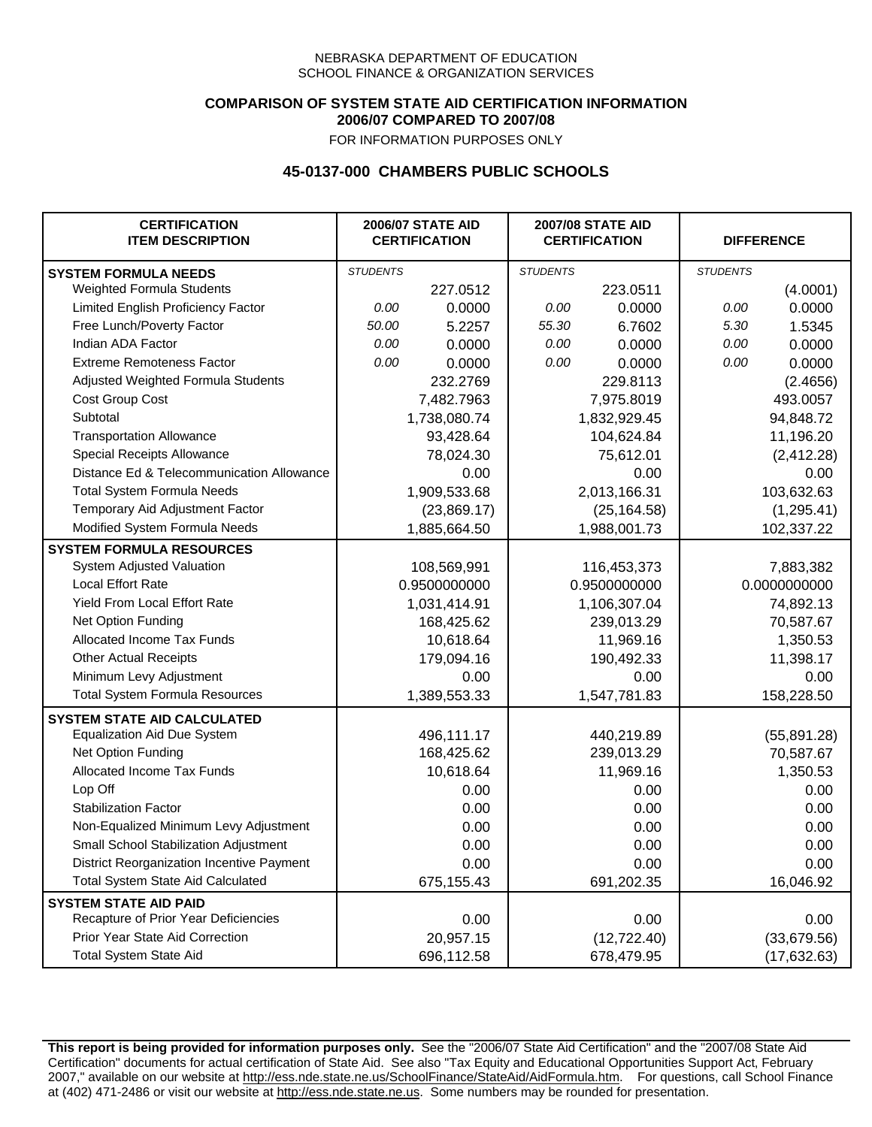### **COMPARISON OF SYSTEM STATE AID CERTIFICATION INFORMATION 2006/07 COMPARED TO 2007/08**

FOR INFORMATION PURPOSES ONLY

## **45-0137-000 CHAMBERS PUBLIC SCHOOLS**

| <b>CERTIFICATION</b><br><b>ITEM DESCRIPTION</b> | <b>2006/07 STATE AID</b><br><b>CERTIFICATION</b> |              | <b>2007/08 STATE AID</b><br><b>CERTIFICATION</b> |              | <b>DIFFERENCE</b> |              |
|-------------------------------------------------|--------------------------------------------------|--------------|--------------------------------------------------|--------------|-------------------|--------------|
| <b>SYSTEM FORMULA NEEDS</b>                     | <b>STUDENTS</b>                                  |              | <b>STUDENTS</b>                                  |              | <b>STUDENTS</b>   |              |
| Weighted Formula Students                       |                                                  | 227.0512     |                                                  | 223.0511     |                   | (4.0001)     |
| Limited English Proficiency Factor              | 0.00                                             | 0.0000       | 0.00                                             | 0.0000       | 0.00              | 0.0000       |
| Free Lunch/Poverty Factor                       | 50.00                                            | 5.2257       | 55.30                                            | 6.7602       | 5.30              | 1.5345       |
| Indian ADA Factor                               | 0.00                                             | 0.0000       | 0.00                                             | 0.0000       | 0.00              | 0.0000       |
| <b>Extreme Remoteness Factor</b>                | 0.00                                             | 0.0000       | 0.00                                             | 0.0000       | 0.00              | 0.0000       |
| Adjusted Weighted Formula Students              |                                                  | 232.2769     |                                                  | 229.8113     |                   | (2.4656)     |
| Cost Group Cost                                 |                                                  | 7,482.7963   |                                                  | 7,975.8019   |                   | 493.0057     |
| Subtotal                                        |                                                  | 1,738,080.74 | 1,832,929.45                                     |              | 94,848.72         |              |
| <b>Transportation Allowance</b>                 |                                                  | 93,428.64    | 104,624.84                                       |              | 11,196.20         |              |
| Special Receipts Allowance                      |                                                  | 78,024.30    | 75,612.01                                        |              | (2, 412.28)       |              |
| Distance Ed & Telecommunication Allowance       |                                                  | 0.00         |                                                  | 0.00         |                   | 0.00         |
| <b>Total System Formula Needs</b>               |                                                  | 1,909,533.68 |                                                  | 2,013,166.31 |                   | 103,632.63   |
| Temporary Aid Adjustment Factor                 |                                                  | (23,869.17)  | (25, 164.58)                                     |              | (1, 295.41)       |              |
| Modified System Formula Needs                   |                                                  | 1,885,664.50 |                                                  | 1,988,001.73 |                   | 102,337.22   |
| <b>SYSTEM FORMULA RESOURCES</b>                 |                                                  |              |                                                  |              |                   |              |
| System Adjusted Valuation                       |                                                  | 108,569,991  |                                                  | 116,453,373  |                   | 7,883,382    |
| <b>Local Effort Rate</b>                        |                                                  | 0.9500000000 |                                                  | 0.9500000000 |                   | 0.0000000000 |
| Yield From Local Effort Rate                    |                                                  | 1,031,414.91 |                                                  | 1,106,307.04 |                   | 74,892.13    |
| Net Option Funding                              |                                                  | 168,425.62   |                                                  | 239,013.29   |                   | 70,587.67    |
| Allocated Income Tax Funds                      |                                                  | 10,618.64    |                                                  | 11,969.16    |                   | 1,350.53     |
| <b>Other Actual Receipts</b>                    |                                                  | 179,094.16   |                                                  | 190,492.33   |                   | 11,398.17    |
| Minimum Levy Adjustment                         |                                                  | 0.00         |                                                  | 0.00         |                   | 0.00         |
| <b>Total System Formula Resources</b>           |                                                  | 1,389,553.33 |                                                  | 1,547,781.83 |                   | 158,228.50   |
| <b>SYSTEM STATE AID CALCULATED</b>              |                                                  |              |                                                  |              |                   |              |
| <b>Equalization Aid Due System</b>              |                                                  | 496,111.17   |                                                  | 440,219.89   |                   | (55,891.28)  |
| Net Option Funding                              |                                                  | 168,425.62   |                                                  | 239,013.29   |                   | 70,587.67    |
| Allocated Income Tax Funds                      |                                                  | 10,618.64    |                                                  | 11,969.16    |                   | 1,350.53     |
| Lop Off                                         |                                                  | 0.00         |                                                  | 0.00         |                   | 0.00         |
| <b>Stabilization Factor</b>                     |                                                  | 0.00         |                                                  | 0.00         |                   | 0.00         |
| Non-Equalized Minimum Levy Adjustment           |                                                  | 0.00         |                                                  | 0.00         |                   | 0.00         |
| Small School Stabilization Adjustment           |                                                  | 0.00         |                                                  | 0.00         |                   | 0.00         |
| District Reorganization Incentive Payment       |                                                  | 0.00         |                                                  | 0.00         |                   | 0.00         |
| <b>Total System State Aid Calculated</b>        |                                                  | 675,155.43   |                                                  | 691,202.35   |                   | 16,046.92    |
| <b>SYSTEM STATE AID PAID</b>                    |                                                  |              |                                                  |              |                   |              |
| Recapture of Prior Year Deficiencies            |                                                  | 0.00         |                                                  | 0.00         |                   | 0.00         |
| Prior Year State Aid Correction                 |                                                  | 20,957.15    |                                                  | (12, 722.40) |                   | (33,679.56)  |
| <b>Total System State Aid</b>                   |                                                  | 696,112.58   |                                                  | 678,479.95   |                   | (17, 632.63) |